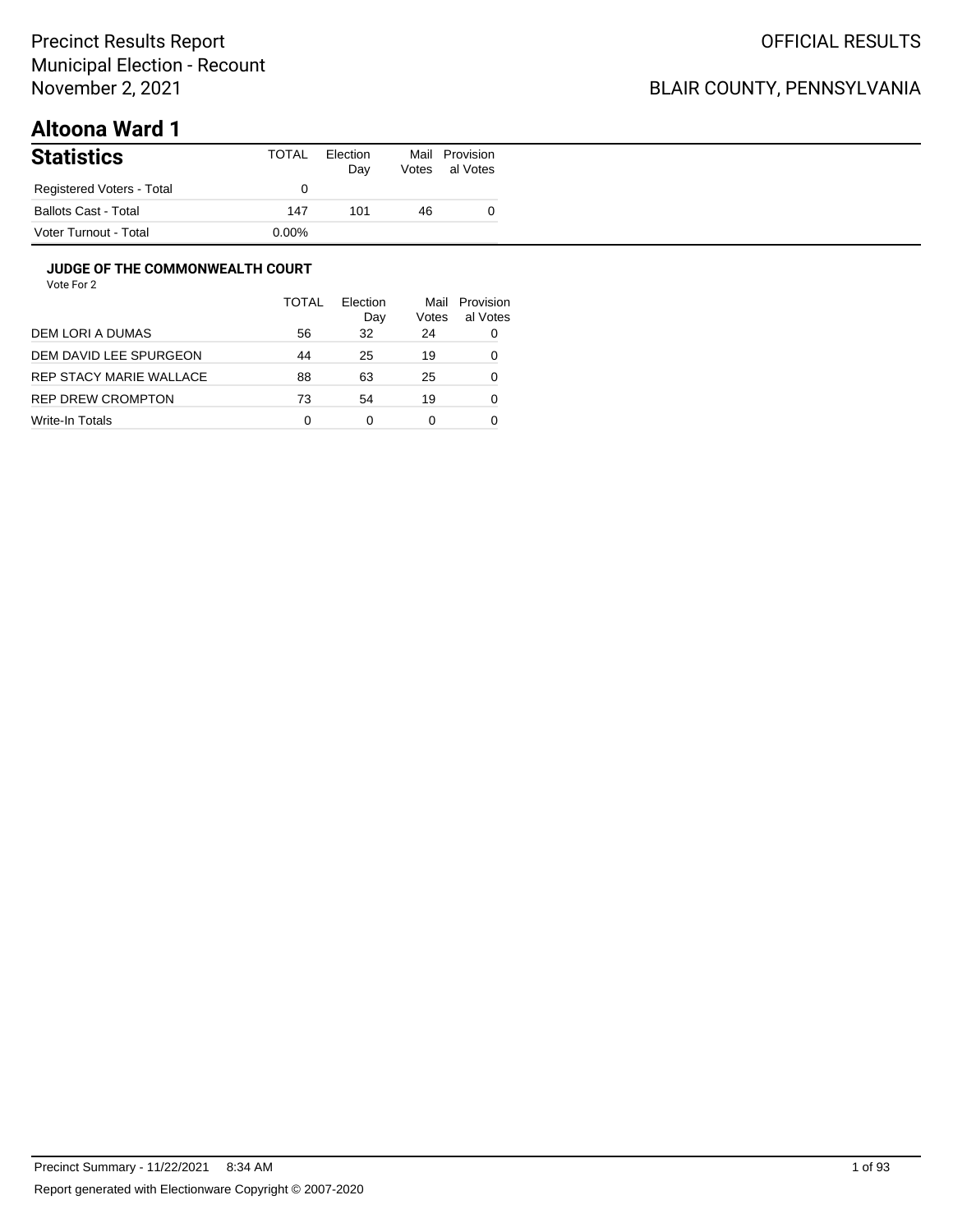## BLAIR COUNTY, PENNSYLVANIA

# **Altoona Ward 1**

| <b>Statistics</b>           | TOTAL | Election<br>Day | Mail<br>Votes | Provision<br>al Votes |
|-----------------------------|-------|-----------------|---------------|-----------------------|
| Registered Voters - Total   |       |                 |               |                       |
| <b>Ballots Cast - Total</b> | 147   | 101             | 46            |                       |
| Voter Turnout - Total       | 0.00% |                 |               |                       |

#### **JUDGE OF THE COMMONWEALTH COURT**

|                         | <b>TOTAL</b> | Flection<br>Day | Mail<br>Votes | Provision<br>al Votes |
|-------------------------|--------------|-----------------|---------------|-----------------------|
| DEM LORI A DUMAS        | 56           | 32              | 24            | 0                     |
| DEM DAVID LEE SPURGEON  | 44           | 25              | 19            | 0                     |
| REP STACY MARIE WALLACE | 88           | 63              | 25            | 0                     |
| REP DREW CROMPTON       | 73           | 54              | 19            | 0                     |
| Write-In Totals         | 0            | 0               | 0             |                       |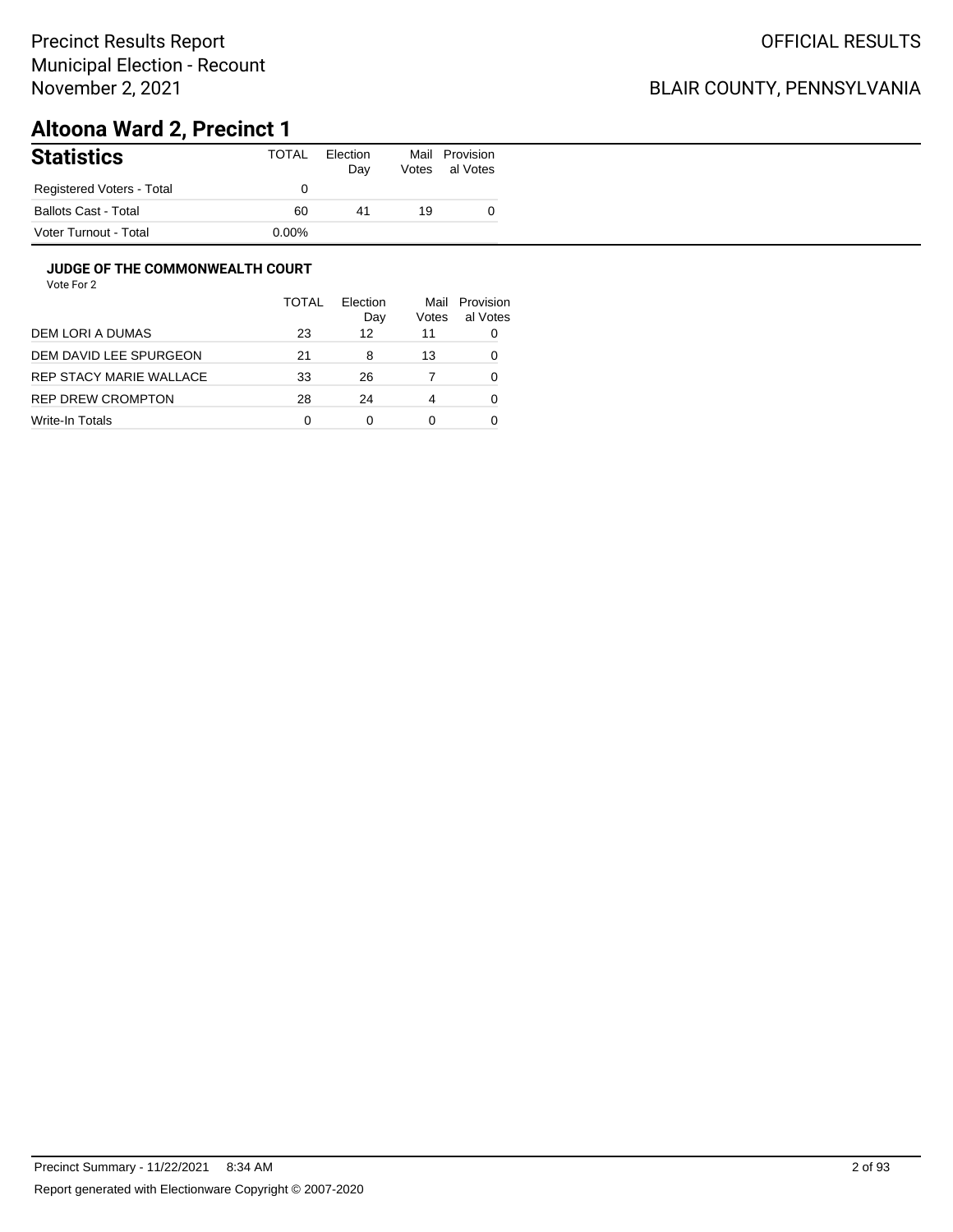## BLAIR COUNTY, PENNSYLVANIA

# **Altoona Ward 2, Precinct 1**

| <b>Statistics</b>         | TOTAL    | Election<br>Day | Mail<br>Votes | Provision<br>al Votes |
|---------------------------|----------|-----------------|---------------|-----------------------|
| Registered Voters - Total |          |                 |               |                       |
| Ballots Cast - Total      | 60       | 41              | 19            |                       |
| Voter Turnout - Total     | $0.00\%$ |                 |               |                       |

#### **JUDGE OF THE COMMONWEALTH COURT**

|                         | <b>TOTAL</b> | Flection<br>Day | Mail<br>Votes | Provision<br>al Votes |
|-------------------------|--------------|-----------------|---------------|-----------------------|
| DEM LORI A DUMAS        | 23           | 12              | 11            |                       |
| DEM DAVID LEE SPURGEON  | 21           | 8               | 13            |                       |
| REP STACY MARIE WALLACE | 33           | 26              |               | Ω                     |
| REP DREW CROMPTON       | 28           | 24              | 4             | Ω                     |
| Write-In Totals         | 0            | 0               | 0             |                       |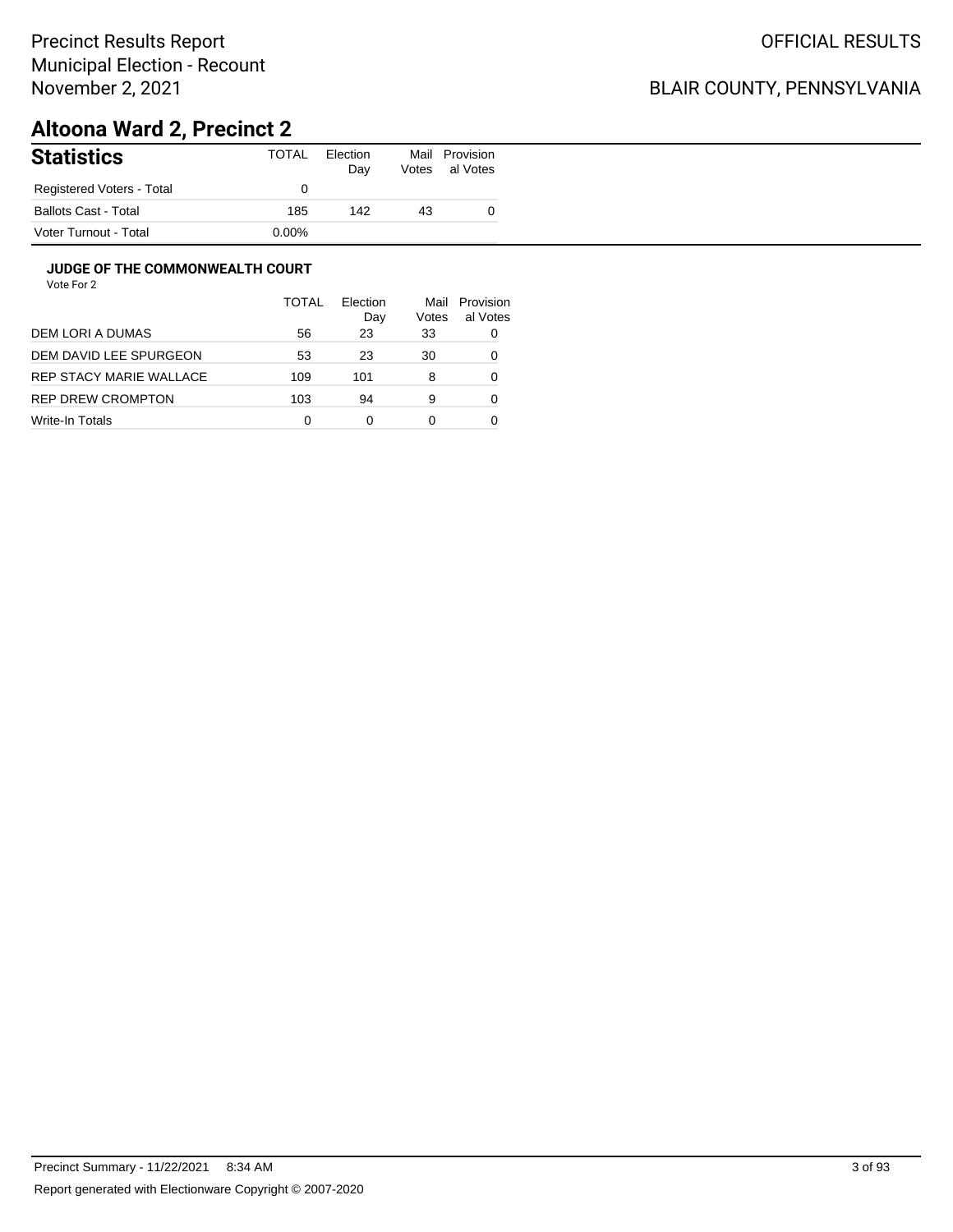## BLAIR COUNTY, PENNSYLVANIA

# **Altoona Ward 2, Precinct 2**

| <b>Statistics</b>           | TOTAL    | Election<br>Day | Mail<br>Votes | Provision<br>al Votes |
|-----------------------------|----------|-----------------|---------------|-----------------------|
| Registered Voters - Total   |          |                 |               |                       |
| <b>Ballots Cast - Total</b> | 185      | 142             | 43            |                       |
| Voter Turnout - Total       | $0.00\%$ |                 |               |                       |

#### **JUDGE OF THE COMMONWEALTH COURT**

|                         | <b>TOTAL</b> | Flection<br>Day | Mail<br>Votes | Provision<br>al Votes |
|-------------------------|--------------|-----------------|---------------|-----------------------|
| DEM LORI A DUMAS        | 56           | 23              | 33            | 0                     |
| DEM DAVID LEE SPURGEON  | 53           | 23              | 30            | 0                     |
| REP STACY MARIE WALLACE | 109          | 101             | 8             | 0                     |
| REP DREW CROMPTON       | 103          | 94              | 9             | 0                     |
| Write-In Totals         | 0            | ი               | 0             |                       |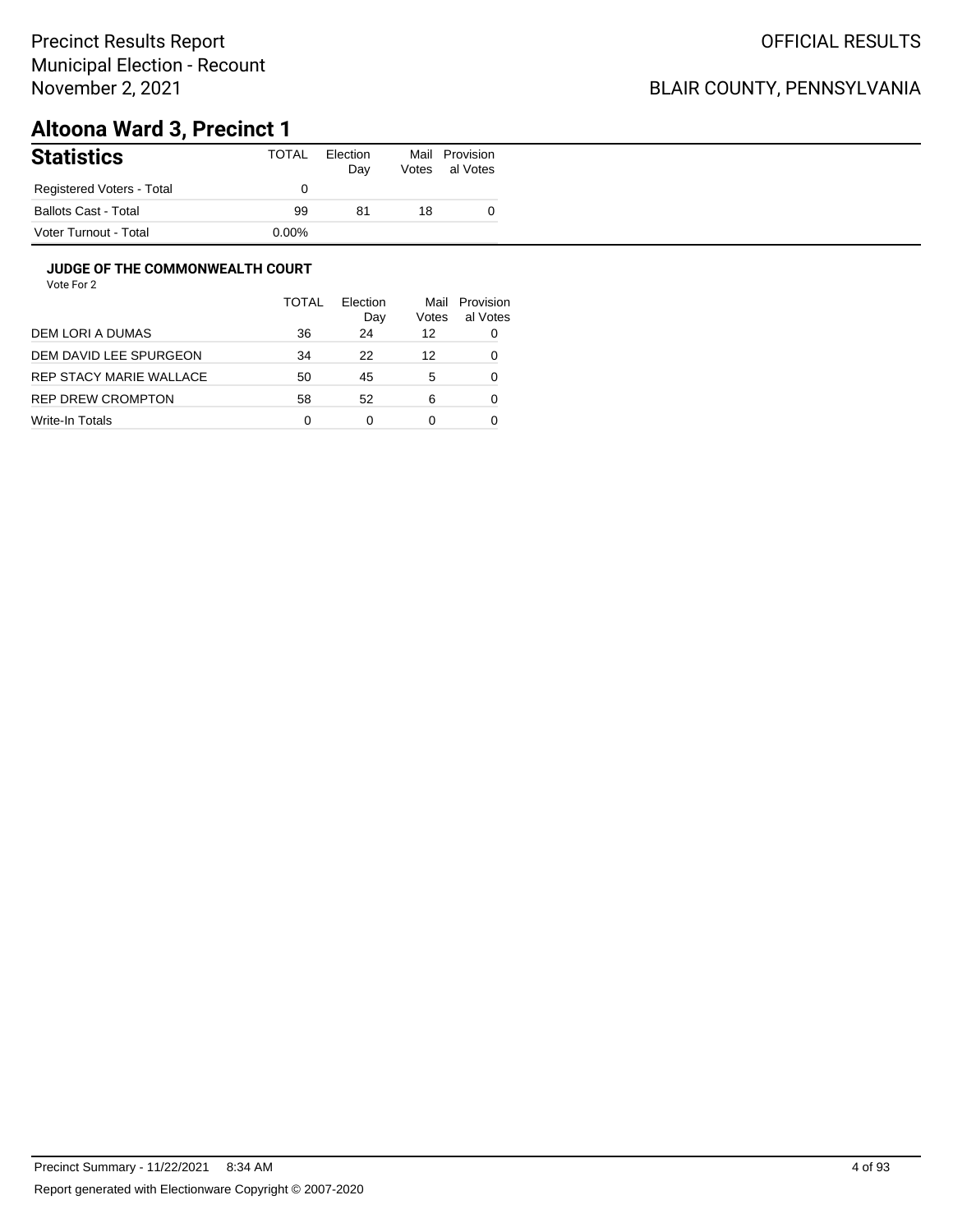## BLAIR COUNTY, PENNSYLVANIA

# **Altoona Ward 3, Precinct 1**

| <b>Statistics</b>         | TOTAL    | Election<br>Day | Mail<br>Votes | Provision<br>al Votes |
|---------------------------|----------|-----------------|---------------|-----------------------|
| Registered Voters - Total |          |                 |               |                       |
| Ballots Cast - Total      | 99       | 81              | 18            |                       |
| Voter Turnout - Total     | $0.00\%$ |                 |               |                       |

#### **JUDGE OF THE COMMONWEALTH COURT**

|                         | <b>TOTAL</b> | Flection<br>Day | Mail<br>Votes | Provision<br>al Votes |
|-------------------------|--------------|-----------------|---------------|-----------------------|
| DEM LORI A DUMAS        | 36           | 24              | 12            | 0                     |
| DEM DAVID LEE SPURGEON  | 34           | 22              | 12            | 0                     |
| REP STACY MARIE WALLACE | 50           | 45              | 5             | 0                     |
| REP DREW CROMPTON       | 58           | 52              | 6             | 0                     |
| Write-In Totals         | 0            | 0               | 0             |                       |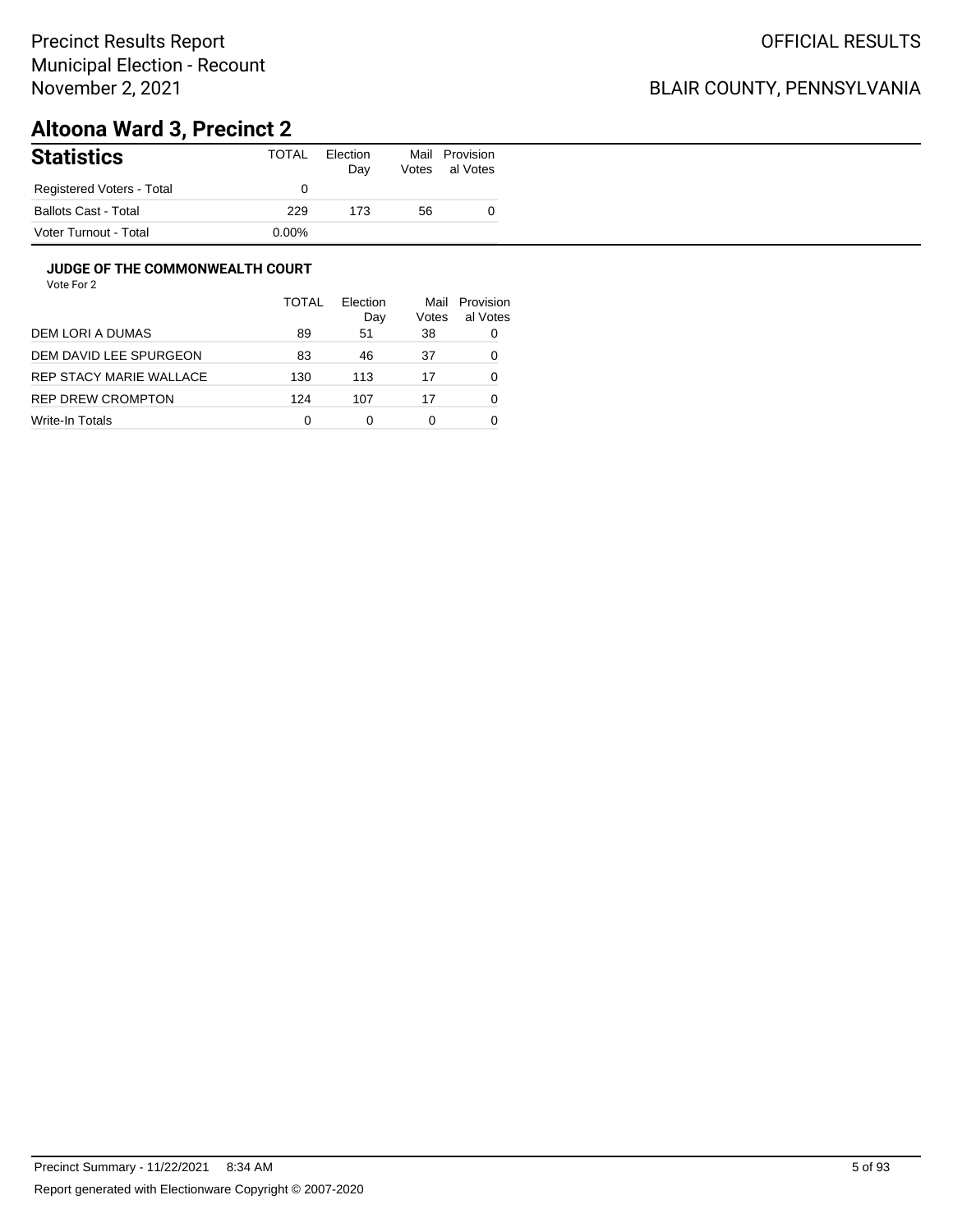## BLAIR COUNTY, PENNSYLVANIA

# **Altoona Ward 3, Precinct 2**

| <b>Statistics</b>         | TOTAL    | Election<br>Day | Mail<br>Votes | Provision<br>al Votes |
|---------------------------|----------|-----------------|---------------|-----------------------|
| Registered Voters - Total |          |                 |               |                       |
| Ballots Cast - Total      | 229      | 173             | 56            |                       |
| Voter Turnout - Total     | $0.00\%$ |                 |               |                       |

#### **JUDGE OF THE COMMONWEALTH COURT**

|                         | <b>TOTAL</b> | Flection<br>Day | Mail<br>Votes | Provision<br>al Votes |
|-------------------------|--------------|-----------------|---------------|-----------------------|
| DEM LORI A DUMAS        | 89           | 51              | 38            | 0                     |
| DEM DAVID LEE SPURGEON  | 83           | 46              | 37            | 0                     |
| REP STACY MARIE WALLACE | 130          | 113             | 17            | 0                     |
| REP DREW CROMPTON       | 124          | 107             | 17            | 0                     |
| Write-In Totals         | 0            | 0               | 0             |                       |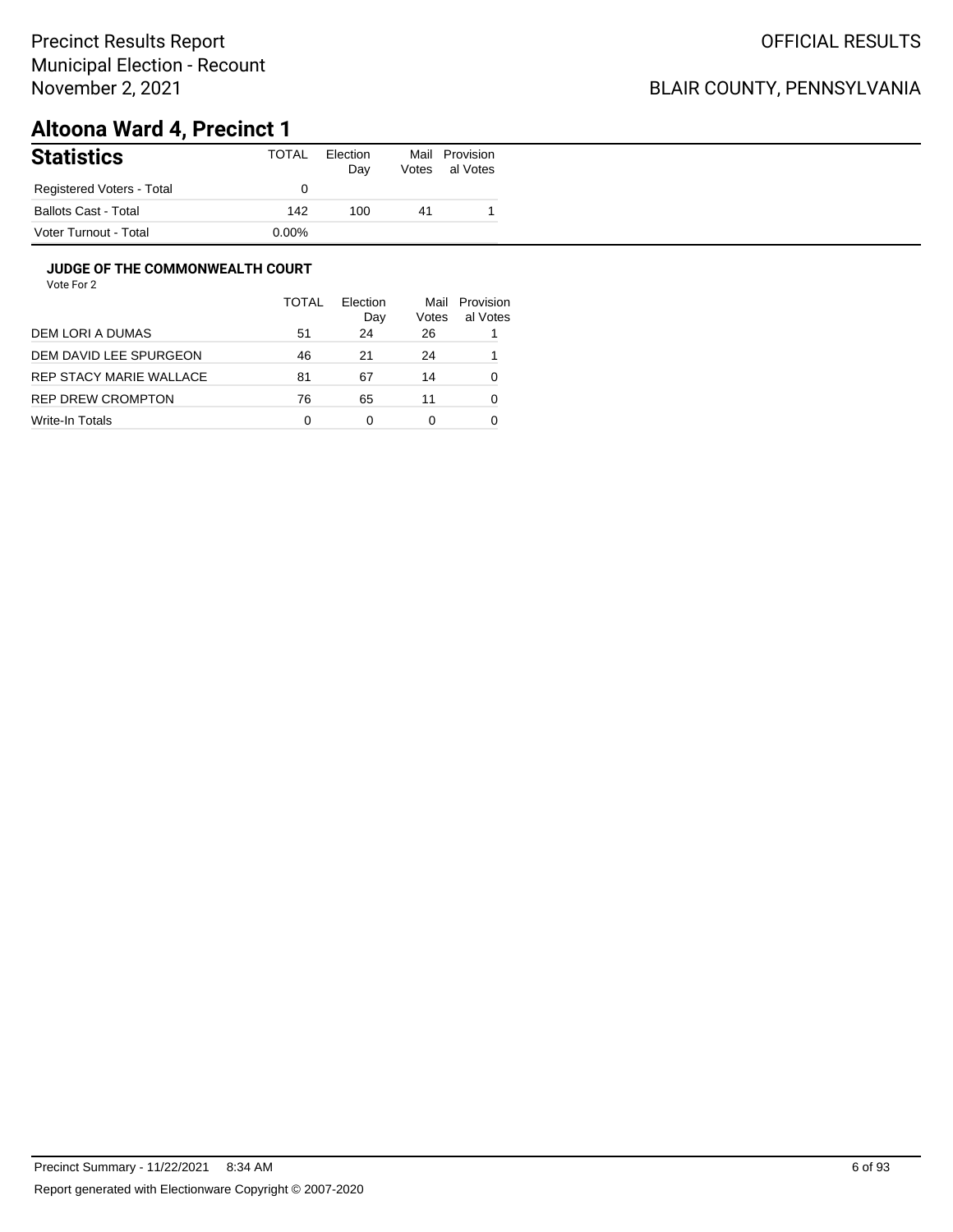## BLAIR COUNTY, PENNSYLVANIA

# **Altoona Ward 4, Precinct 1**

| <b>Statistics</b>           | TOTAL    | Election<br>Day | Mail<br>Votes | Provision<br>al Votes |
|-----------------------------|----------|-----------------|---------------|-----------------------|
| Registered Voters - Total   |          |                 |               |                       |
| <b>Ballots Cast - Total</b> | 142      | 100             | 41            |                       |
| Voter Turnout - Total       | $0.00\%$ |                 |               |                       |

#### **JUDGE OF THE COMMONWEALTH COURT**

|                         | <b>TOTAL</b> | Election<br>Day | Mail<br>Votes | Provision<br>al Votes |
|-------------------------|--------------|-----------------|---------------|-----------------------|
| DEM LORI A DUMAS        | 51           | 24              | 26            |                       |
| DEM DAVID LEE SPURGEON  | 46           | 21              | 24            |                       |
| REP STACY MARIE WALLACE | 81           | 67              | 14            | 0                     |
| REP DREW CROMPTON       | 76           | 65              | 11            | 0                     |
| Write-In Totals         | 0            | 0               | 0             |                       |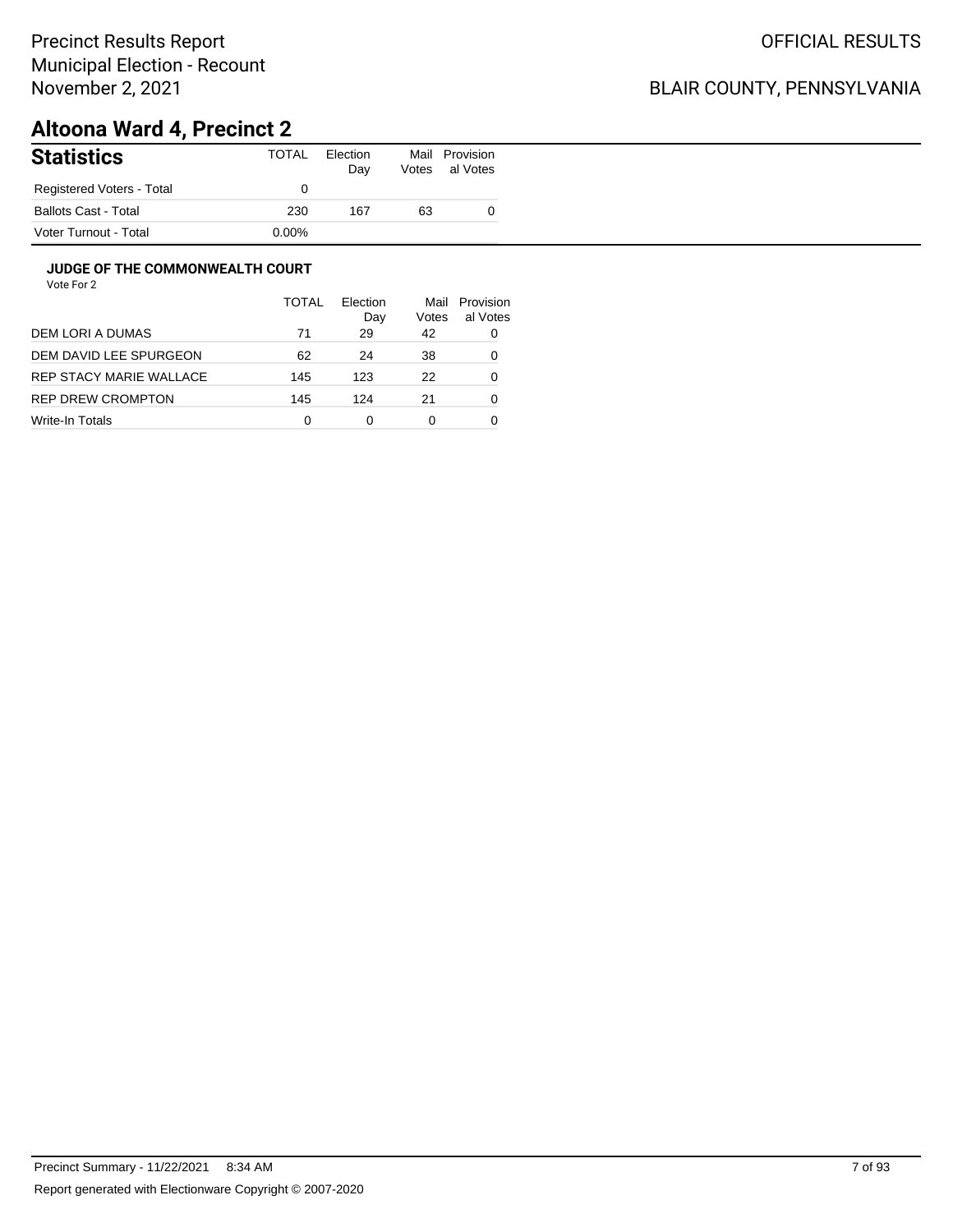## BLAIR COUNTY, PENNSYLVANIA

# **Altoona Ward 4, Precinct 2**

| <b>Statistics</b>           | TOTAL    | Election<br>Day | Mail<br>Votes | Provision<br>al Votes |
|-----------------------------|----------|-----------------|---------------|-----------------------|
| Registered Voters - Total   |          |                 |               |                       |
| <b>Ballots Cast - Total</b> | 230      | 167             | 63            |                       |
| Voter Turnout - Total       | $0.00\%$ |                 |               |                       |

#### **JUDGE OF THE COMMONWEALTH COURT**

|                         | <b>TOTAL</b> | Flection<br>Day | Mail<br>Votes | Provision<br>al Votes |
|-------------------------|--------------|-----------------|---------------|-----------------------|
| DEM LORI A DUMAS        | 71           | 29              | 42            | 0                     |
| DEM DAVID LEE SPURGEON  | 62           | 24              | 38            | 0                     |
| REP STACY MARIE WALLACE | 145          | 123             | 22            | 0                     |
| REP DREW CROMPTON       | 145          | 124             | 21            | 0                     |
| Write-In Totals         | 0            | 0               | 0             |                       |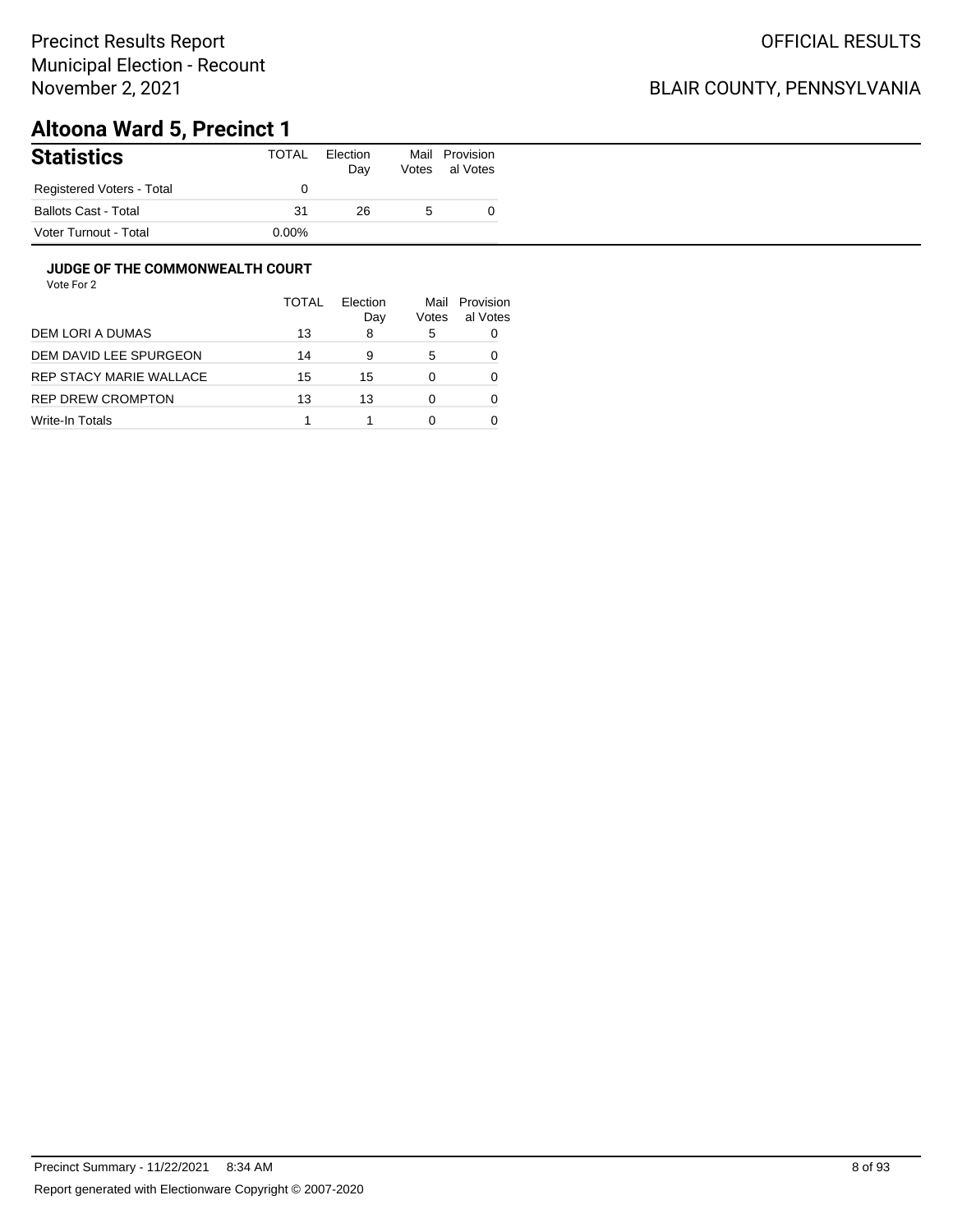## BLAIR COUNTY, PENNSYLVANIA

# **Altoona Ward 5, Precinct 1**

| <b>Statistics</b>         | TOTAL    | Election<br>Day | Votes | Mail Provision<br>al Votes |
|---------------------------|----------|-----------------|-------|----------------------------|
| Registered Voters - Total |          |                 |       |                            |
| Ballots Cast - Total      | 31       | 26              |       |                            |
| Voter Turnout - Total     | $0.00\%$ |                 |       |                            |

#### **JUDGE OF THE COMMONWEALTH COURT**

|                         | TOTAI | Election<br>Day | Votes | Mail Provision<br>al Votes |
|-------------------------|-------|-----------------|-------|----------------------------|
| DEM LORI A DUMAS        | 13    | 8               | 5     |                            |
| DEM DAVID LEE SPURGEON  | 14    | 9               | 5     |                            |
| REP STACY MARIE WALLACE | 15    | 15              |       |                            |
| REP DREW CROMPTON       | 13    | 13              |       |                            |
| Write-In Totals         |       |                 |       |                            |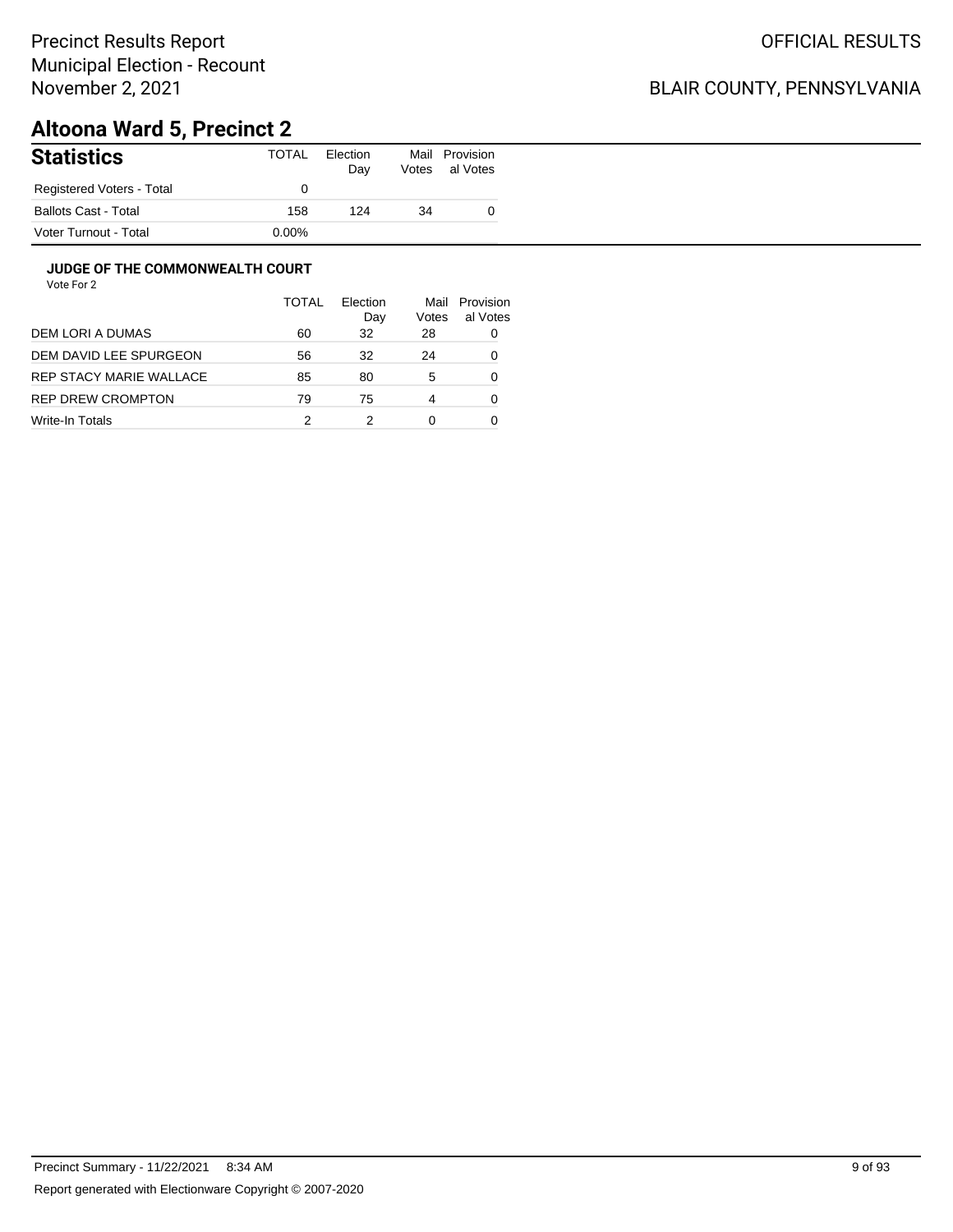## BLAIR COUNTY, PENNSYLVANIA

# **Altoona Ward 5, Precinct 2**

| <b>Statistics</b>           | TOTAL    | Election<br>Day | Mail<br>Votes | Provision<br>al Votes |
|-----------------------------|----------|-----------------|---------------|-----------------------|
| Registered Voters - Total   |          |                 |               |                       |
| <b>Ballots Cast - Total</b> | 158      | 124             | 34            |                       |
| Voter Turnout - Total       | $0.00\%$ |                 |               |                       |

#### **JUDGE OF THE COMMONWEALTH COURT**

|                         | <b>TOTAL</b> | Election<br>Day | Mail<br>Votes | Provision<br>al Votes |
|-------------------------|--------------|-----------------|---------------|-----------------------|
| DEM LORI A DUMAS        | 60           | 32              | 28            | 0                     |
| DEM DAVID LEE SPURGEON  | 56           | 32              | 24            | 0                     |
| REP STACY MARIE WALLACE | 85           | 80              | 5             | 0                     |
| REP DREW CROMPTON       | 79           | 75              | 4             | 0                     |
| Write-In Totals         | 2            |                 | 0             |                       |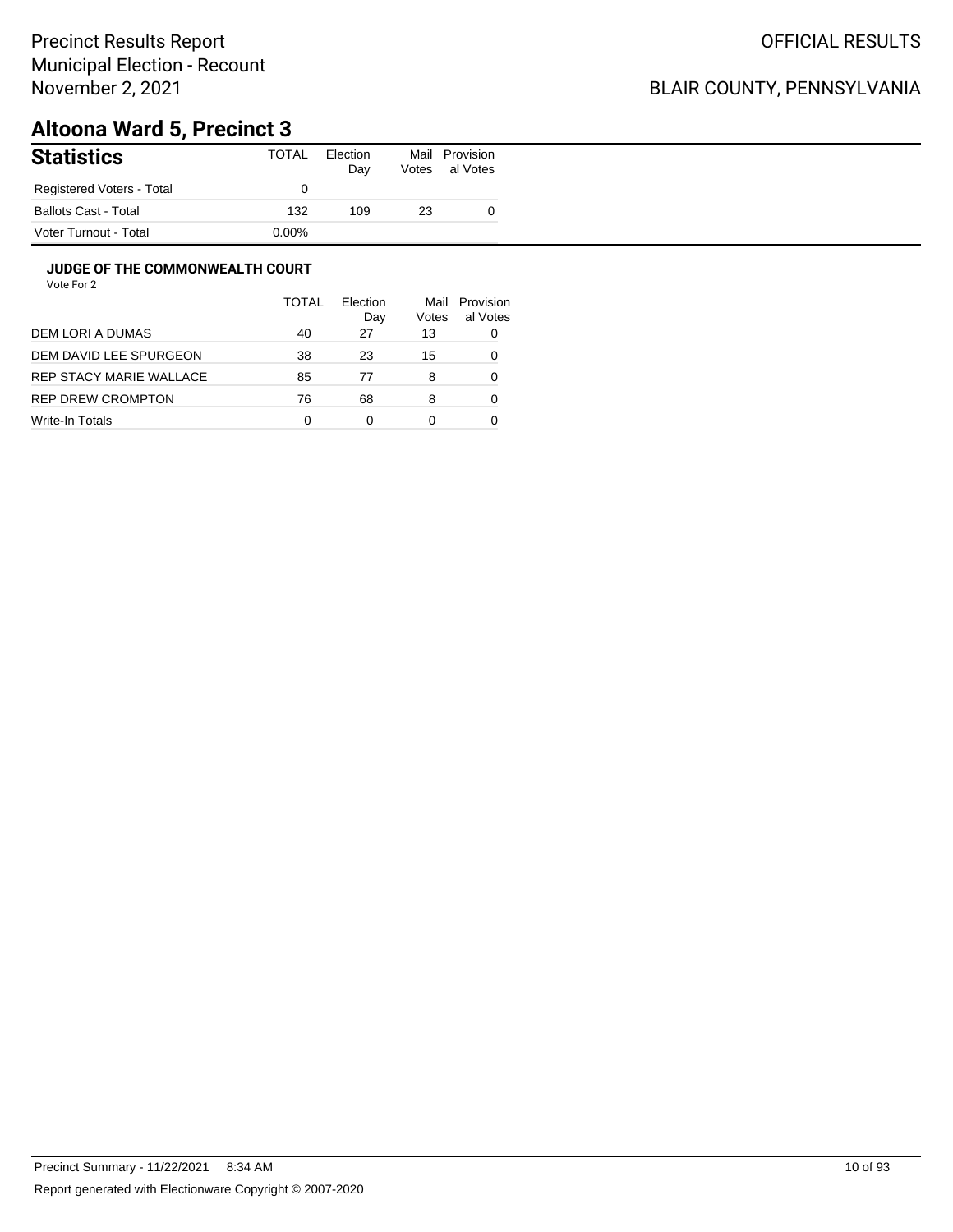## BLAIR COUNTY, PENNSYLVANIA

# **Altoona Ward 5, Precinct 3**

| <b>Statistics</b>         | TOTAL    | Election<br>Day | Mail<br>Votes | Provision<br>al Votes |
|---------------------------|----------|-----------------|---------------|-----------------------|
| Registered Voters - Total |          |                 |               |                       |
| Ballots Cast - Total      | 132      | 109             | 23            |                       |
| Voter Turnout - Total     | $0.00\%$ |                 |               |                       |

#### **JUDGE OF THE COMMONWEALTH COURT**

|                         | <b>TOTAL</b> | Election<br>Dav | Mail<br>Votes | Provision<br>al Votes |
|-------------------------|--------------|-----------------|---------------|-----------------------|
| DEM LORI A DUMAS        | 40           | 27              | 13            | 0                     |
| DEM DAVID LEE SPURGEON  | 38           | 23              | 15            | 0                     |
| REP STACY MARIE WALLACE | 85           | 77              | 8             | 0                     |
| REP DREW CROMPTON       | 76           | 68              | 8             | 0                     |
| Write-In Totals         | 0            | 0               | 0             |                       |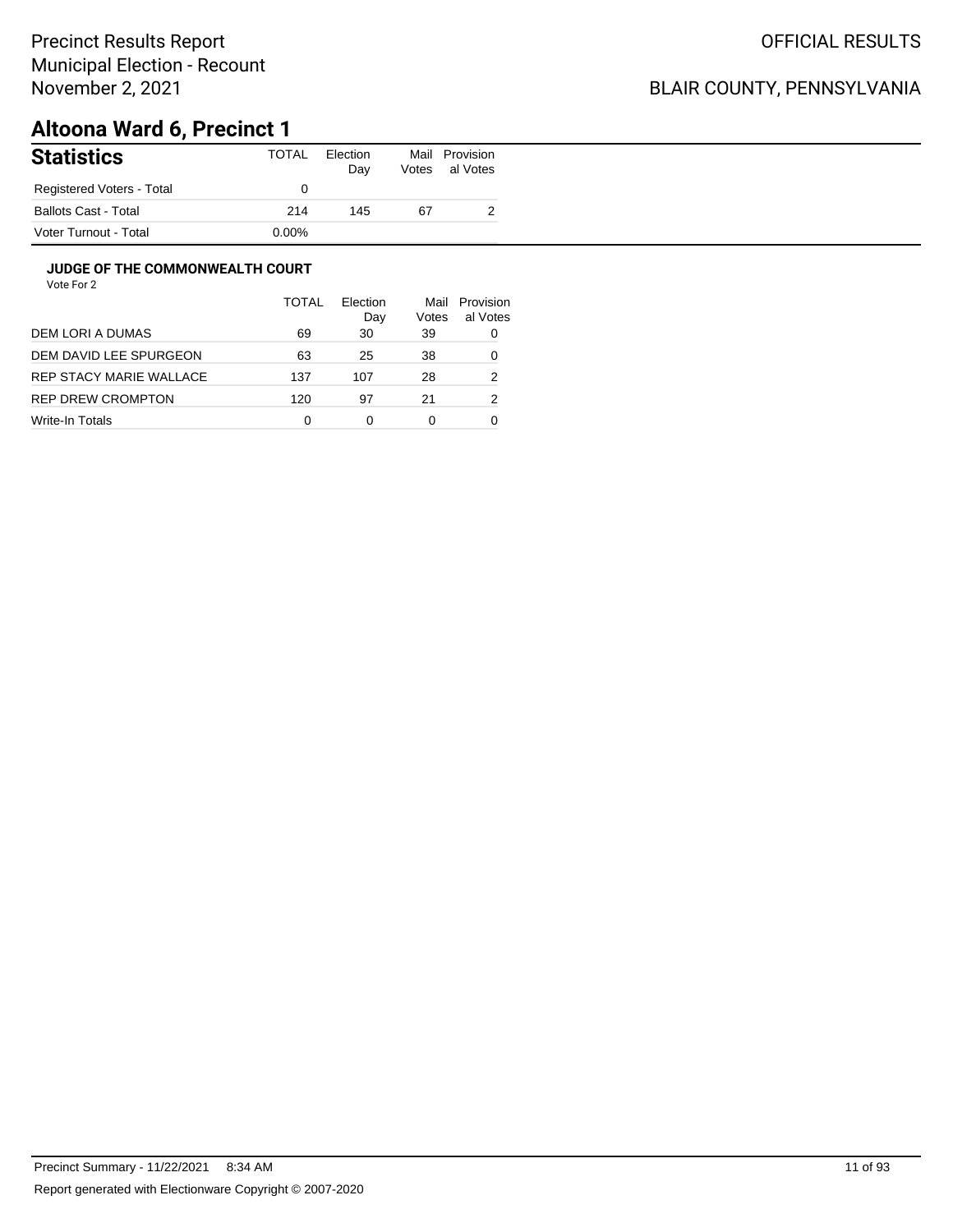## BLAIR COUNTY, PENNSYLVANIA

# **Altoona Ward 6, Precinct 1**

| <b>Statistics</b>           | TOTAL    | Election<br>Day | Mail<br>Votes | Provision<br>al Votes |
|-----------------------------|----------|-----------------|---------------|-----------------------|
| Registered Voters - Total   |          |                 |               |                       |
| <b>Ballots Cast - Total</b> | 214      | 145             | 67            |                       |
| Voter Turnout - Total       | $0.00\%$ |                 |               |                       |

#### **JUDGE OF THE COMMONWEALTH COURT**

|                         | <b>TOTAL</b> | Flection<br>Day | Mail<br>Votes | Provision<br>al Votes |
|-------------------------|--------------|-----------------|---------------|-----------------------|
| DEM LORI A DUMAS        | 69           | 30              | 39            | 0                     |
| DEM DAVID LEE SPURGEON  | 63           | 25              | 38            | 0                     |
| REP STACY MARIE WALLACE | 137          | 107             | 28            | 2                     |
| REP DREW CROMPTON       | 120          | 97              | 21            | 2                     |
| Write-In Totals         | 0            | 0               | 0             |                       |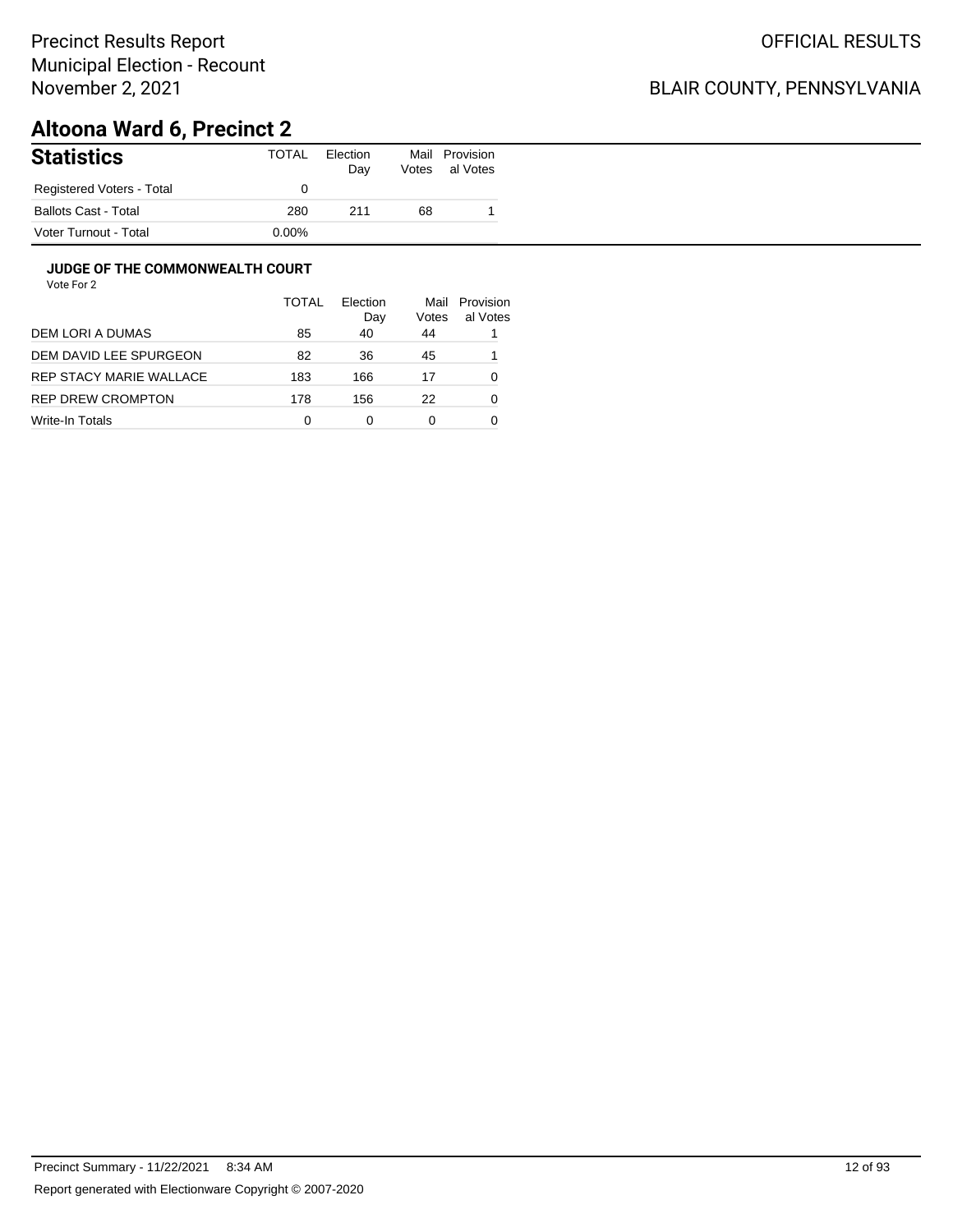## BLAIR COUNTY, PENNSYLVANIA

# **Altoona Ward 6, Precinct 2**

| <b>Statistics</b>           | TOTAL    | Election<br>Day | Mail<br>Votes | Provision<br>al Votes |
|-----------------------------|----------|-----------------|---------------|-----------------------|
| Registered Voters - Total   |          |                 |               |                       |
| <b>Ballots Cast - Total</b> | 280      | 211             | 68            |                       |
| Voter Turnout - Total       | $0.00\%$ |                 |               |                       |

#### **JUDGE OF THE COMMONWEALTH COURT**

|                         | <b>TOTAL</b> | Flection<br>Day | Mail<br>Votes | Provision<br>al Votes |
|-------------------------|--------------|-----------------|---------------|-----------------------|
| DEM LORI A DUMAS        | 85           | 40              | 44            |                       |
| DEM DAVID LEE SPURGEON  | 82           | 36              | 45            |                       |
| REP STACY MARIE WALLACE | 183          | 166             | 17            | 0                     |
| REP DREW CROMPTON       | 178          | 156             | 22            | 0                     |
| Write-In Totals         | 0            | 0               | 0             |                       |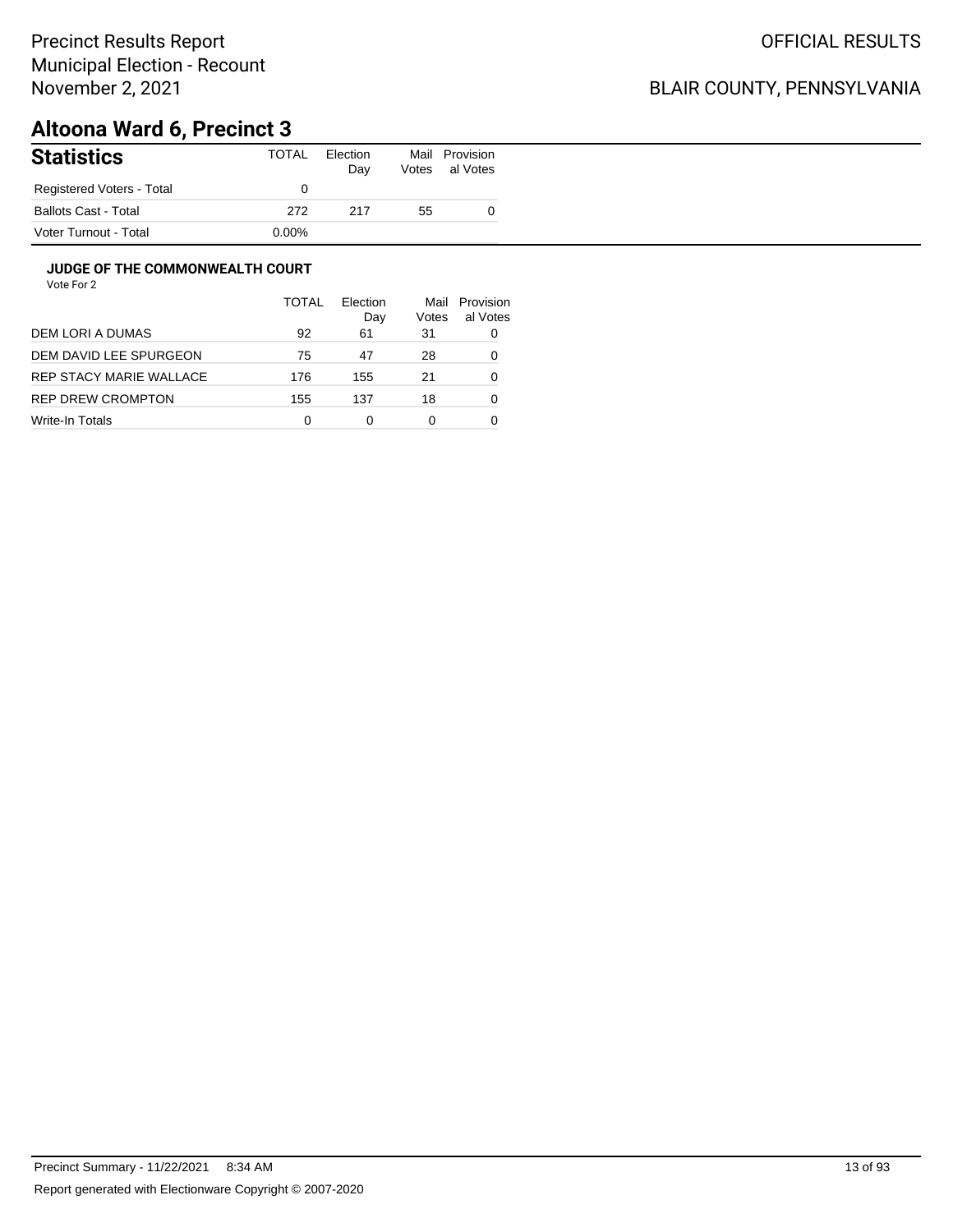## BLAIR COUNTY, PENNSYLVANIA

# **Altoona Ward 6, Precinct 3**

| <b>Statistics</b>           | TOTAL    | Election<br>Day | Mail<br>Votes | Provision<br>al Votes |
|-----------------------------|----------|-----------------|---------------|-----------------------|
| Registered Voters - Total   |          |                 |               |                       |
| <b>Ballots Cast - Total</b> | 272      | 217             | 55            |                       |
| Voter Turnout - Total       | $0.00\%$ |                 |               |                       |

#### **JUDGE OF THE COMMONWEALTH COURT**

|                         | TOTAL | Flection<br>Day | Mail<br>Votes | Provision<br>al Votes |
|-------------------------|-------|-----------------|---------------|-----------------------|
| DEM LORI A DUMAS        | 92    | 61              | 31            | 0                     |
| DEM DAVID LEE SPURGEON  | 75    | 47              | 28            | 0                     |
| REP STACY MARIE WALLACE | 176   | 155             | 21            | 0                     |
| REP DREW CROMPTON       | 155   | 137             | 18            | 0                     |
| Write-In Totals         | 0     | 0               | 0             |                       |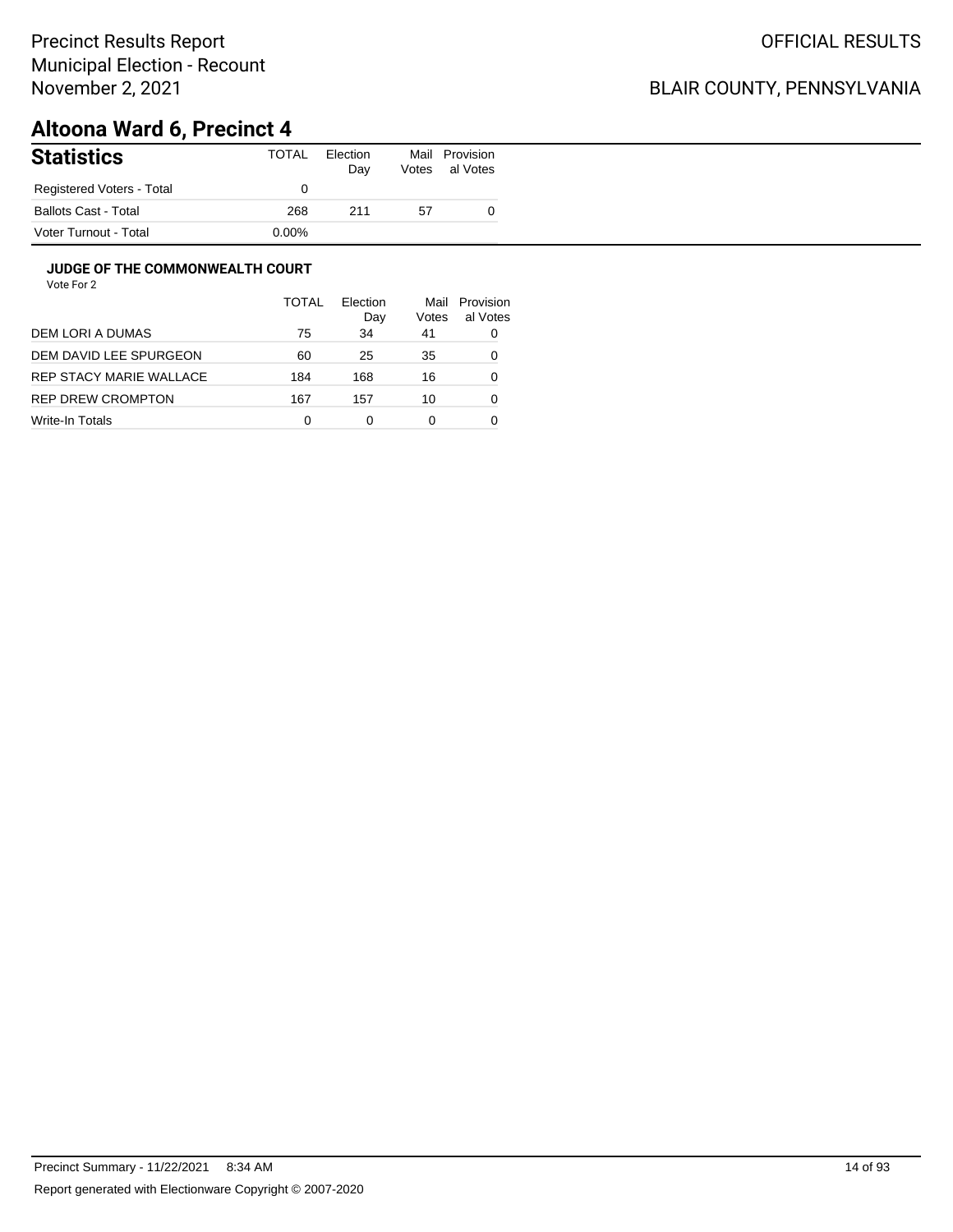## BLAIR COUNTY, PENNSYLVANIA

# **Altoona Ward 6, Precinct 4**

| <b>Statistics</b>           | TOTAL    | Election<br>Day | Mail<br>Votes | Provision<br>al Votes |
|-----------------------------|----------|-----------------|---------------|-----------------------|
| Registered Voters - Total   |          |                 |               |                       |
| <b>Ballots Cast - Total</b> | 268      | 211             | 57            |                       |
| Voter Turnout - Total       | $0.00\%$ |                 |               |                       |

#### **JUDGE OF THE COMMONWEALTH COURT**

|                         | <b>TOTAL</b> | Flection<br>Day | Mail<br>Votes | Provision<br>al Votes |
|-------------------------|--------------|-----------------|---------------|-----------------------|
| DEM LORI A DUMAS        | 75           | 34              | 41            | 0                     |
| DEM DAVID LEE SPURGEON  | 60           | 25              | 35            | 0                     |
| REP STACY MARIE WALLACE | 184          | 168             | 16            | 0                     |
| REP DREW CROMPTON       | 167          | 157             | 10            | 0                     |
| Write-In Totals         | 0            | ი               | 0             |                       |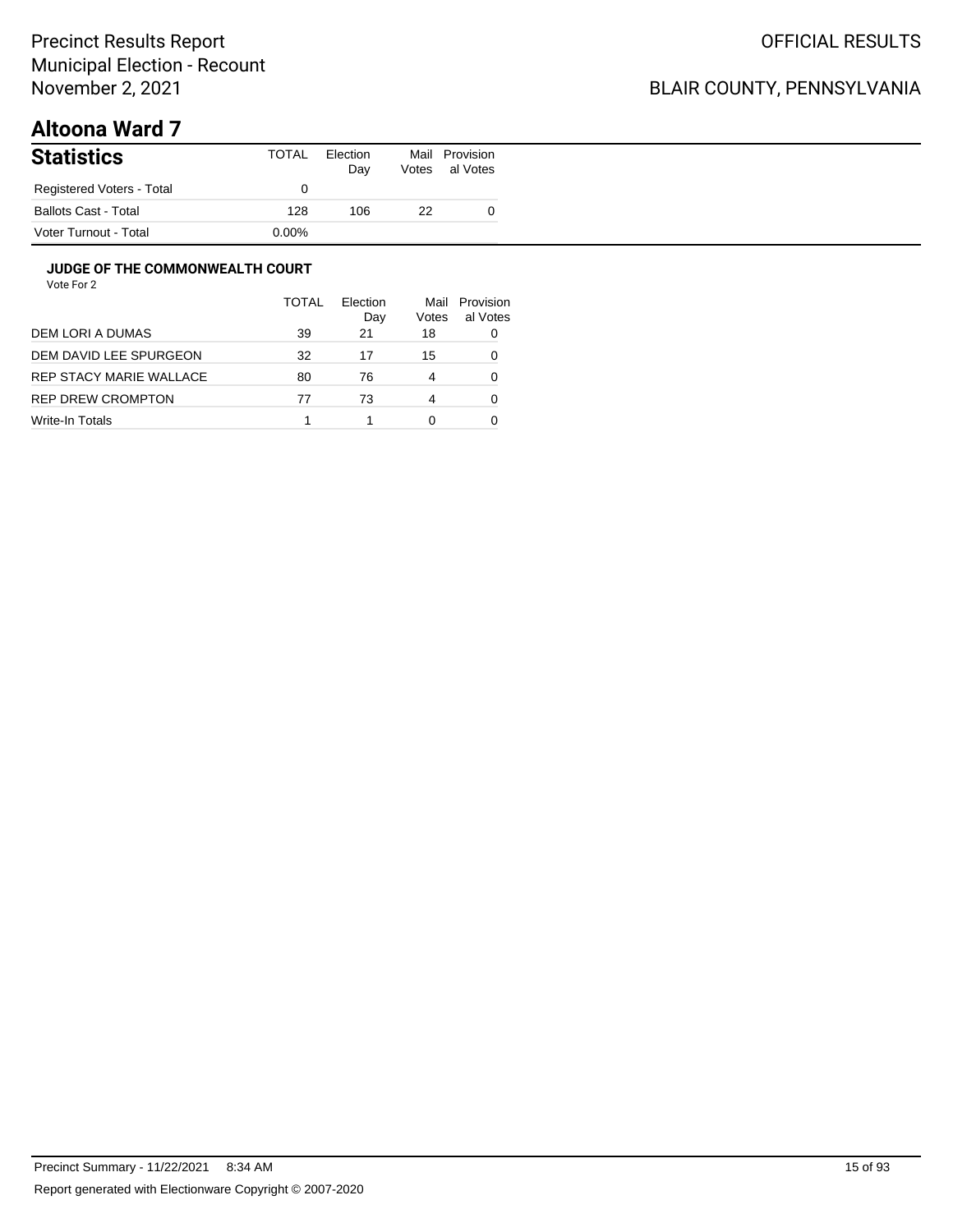## BLAIR COUNTY, PENNSYLVANIA

# **Altoona Ward 7**

| <b>Statistics</b>           | TOTAL | Election<br>Day | Mail<br>Votes | Provision<br>al Votes |
|-----------------------------|-------|-----------------|---------------|-----------------------|
| Registered Voters - Total   |       |                 |               |                       |
| <b>Ballots Cast - Total</b> | 128   | 106             | 22            |                       |
| Voter Turnout - Total       | 0.00% |                 |               |                       |

#### **JUDGE OF THE COMMONWEALTH COURT**

|                         | <b>TOTAL</b> | Flection<br>Day | Mail<br>Votes | Provision<br>al Votes |
|-------------------------|--------------|-----------------|---------------|-----------------------|
| DEM LORI A DUMAS        | 39           | 21              | 18            |                       |
| DEM DAVID LEE SPURGEON  | 32           | 17              | 15            |                       |
| REP STACY MARIE WALLACE | 80           | 76              | 4             | Ω                     |
| REP DREW CROMPTON       | 77           | 73              | 4             | Ω                     |
| Write-In Totals         |              |                 | 0             |                       |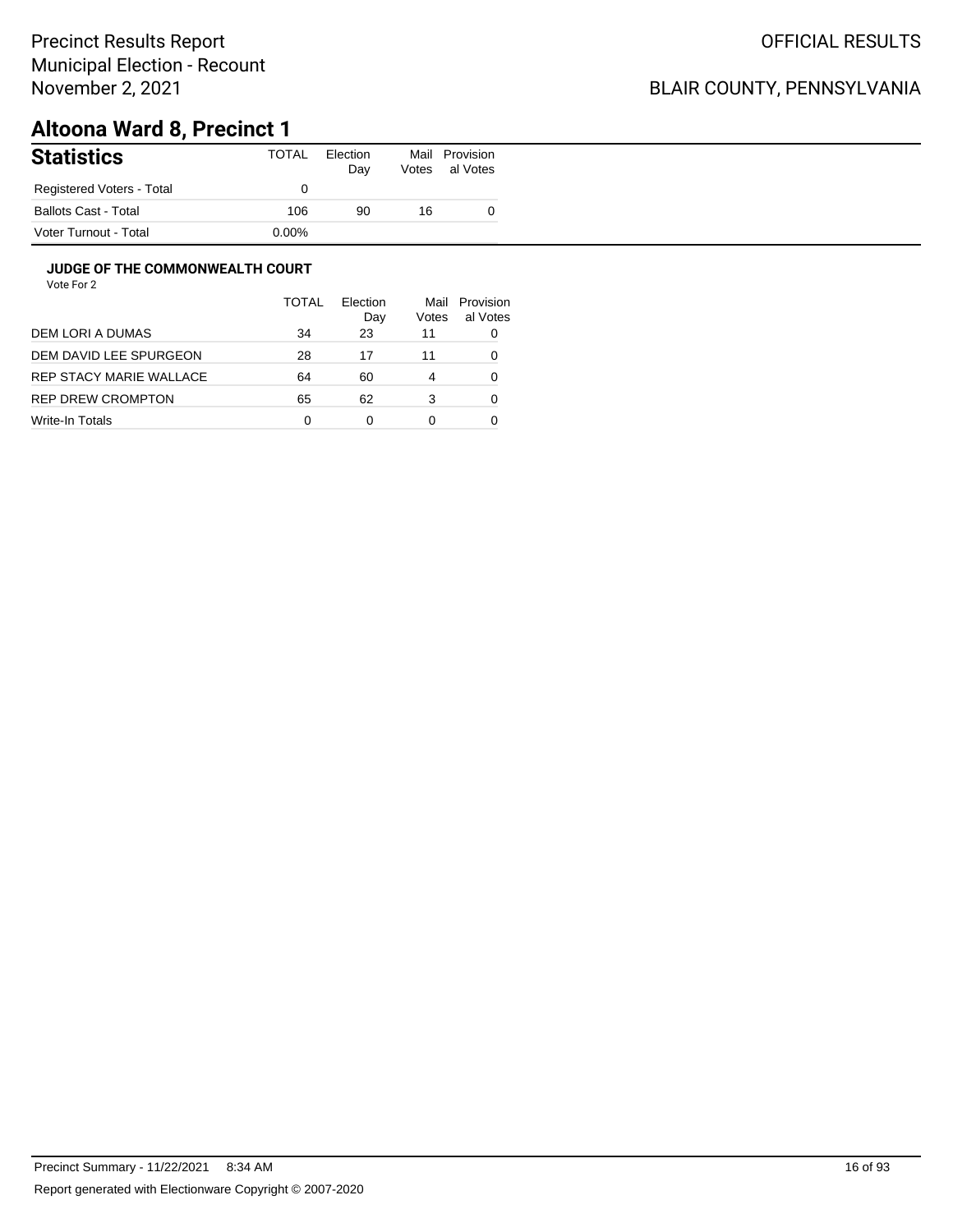## BLAIR COUNTY, PENNSYLVANIA

# **Altoona Ward 8, Precinct 1**

| <b>Statistics</b>           | TOTAL    | Election<br>Day | Mail<br>Votes | Provision<br>al Votes |
|-----------------------------|----------|-----------------|---------------|-----------------------|
| Registered Voters - Total   |          |                 |               |                       |
| <b>Ballots Cast - Total</b> | 106      | 90              | 16            |                       |
| Voter Turnout - Total       | $0.00\%$ |                 |               |                       |

#### **JUDGE OF THE COMMONWEALTH COURT**

|                         | <b>TOTAL</b> | Flection<br>Day | Mail<br>Votes | Provision<br>al Votes |
|-------------------------|--------------|-----------------|---------------|-----------------------|
| DEM LORI A DUMAS        | 34           | 23              | 11            |                       |
| DEM DAVID LEE SPURGEON  | 28           | 17              | 11            |                       |
| REP STACY MARIE WALLACE | 64           | 60              | 4             | Ω                     |
| REP DREW CROMPTON       | 65           | 62              | 3             | Ω                     |
| Write-In Totals         | 0            | 0               | 0             |                       |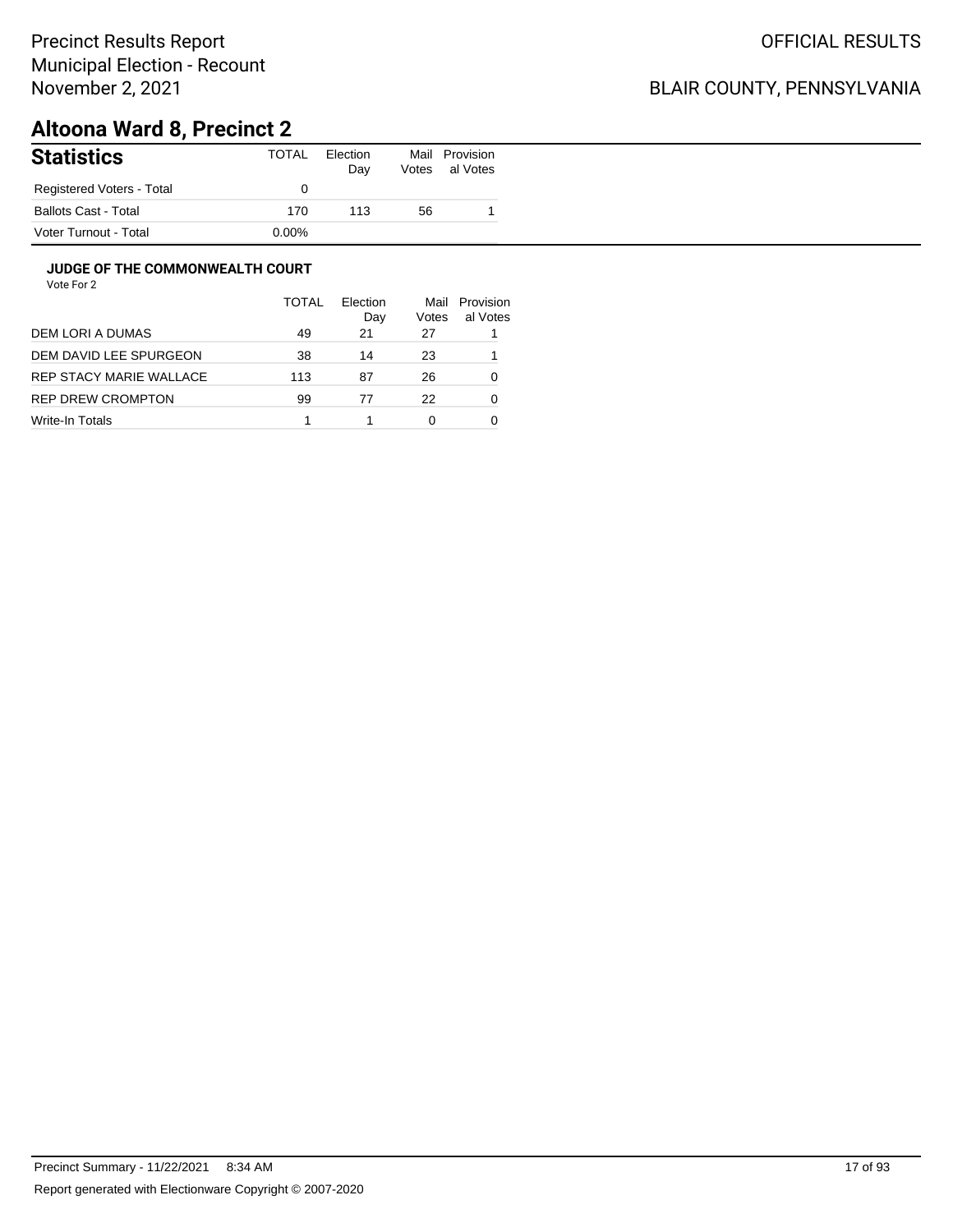## BLAIR COUNTY, PENNSYLVANIA

# **Altoona Ward 8, Precinct 2**

| <b>Statistics</b>         | TOTAL    | Election<br>Day | Mail<br>Votes | Provision<br>al Votes |
|---------------------------|----------|-----------------|---------------|-----------------------|
| Registered Voters - Total |          |                 |               |                       |
| Ballots Cast - Total      | 170      | 113             | 56            |                       |
| Voter Turnout - Total     | $0.00\%$ |                 |               |                       |

#### **JUDGE OF THE COMMONWEALTH COURT**

|                         | TOTAL | Flection<br>Day | Mail<br>Votes | Provision<br>al Votes |
|-------------------------|-------|-----------------|---------------|-----------------------|
| DEM LORI A DUMAS        | 49    | 21              | 27            |                       |
| DEM DAVID LEE SPURGEON  | 38    | 14              | 23            |                       |
| REP STACY MARIE WALLACE | 113   | 87              | 26            | 0                     |
| REP DREW CROMPTON       | 99    | 77              | 22            | 0                     |
| Write-In Totals         |       |                 | 0             |                       |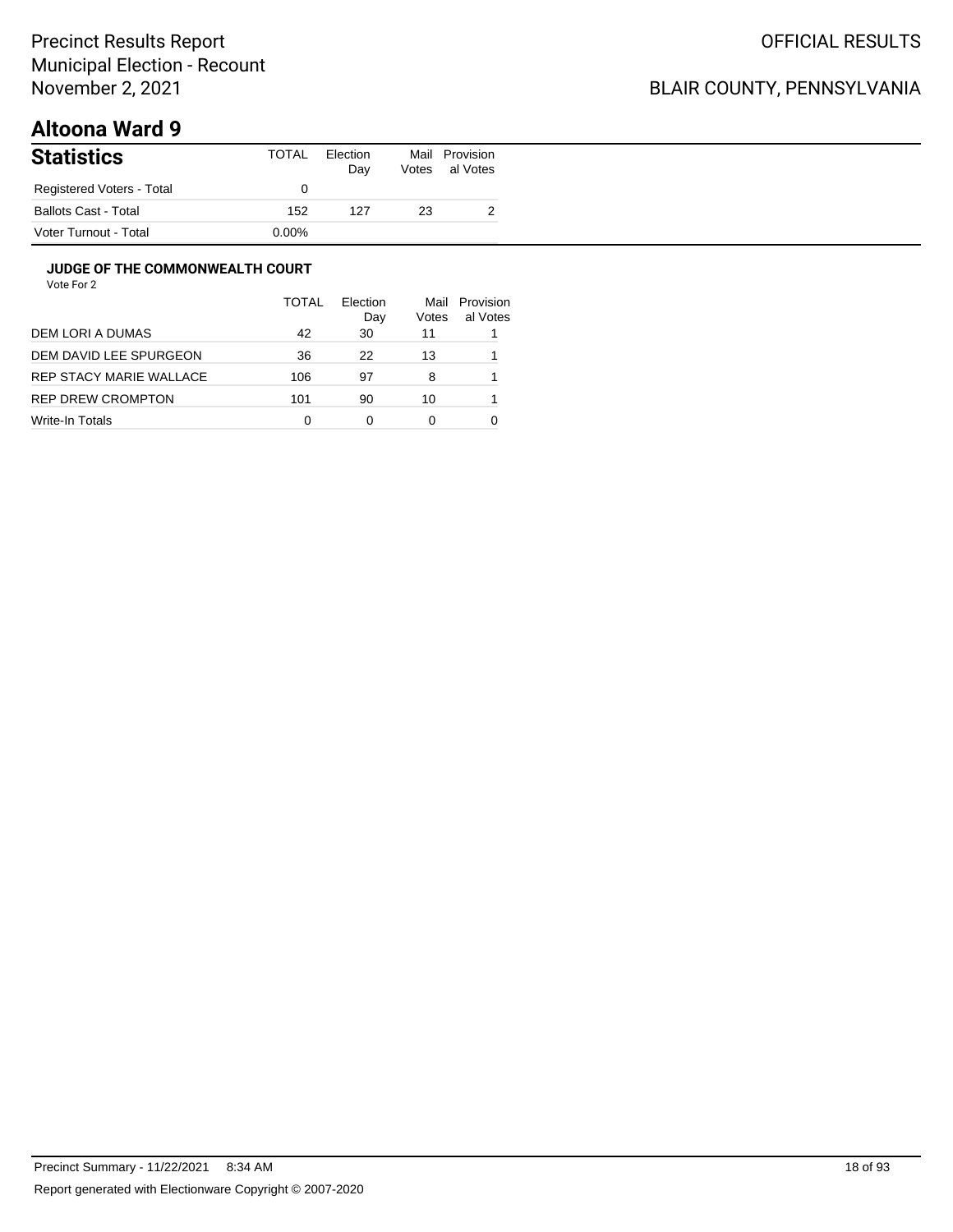## BLAIR COUNTY, PENNSYLVANIA

# **Altoona Ward 9**

| <b>Statistics</b>           | TOTAL    | Election<br>Day | Mail<br>Votes | Provision<br>al Votes |
|-----------------------------|----------|-----------------|---------------|-----------------------|
| Registered Voters - Total   |          |                 |               |                       |
| <b>Ballots Cast - Total</b> | 152      | 127             | 23            |                       |
| Voter Turnout - Total       | $0.00\%$ |                 |               |                       |

#### **JUDGE OF THE COMMONWEALTH COURT**

|                         | <b>TOTAL</b> | Election<br>Day | Mail<br>Votes | Provision<br>al Votes |
|-------------------------|--------------|-----------------|---------------|-----------------------|
| DEM LORI A DUMAS        | 42           | 30              | 11            |                       |
| DEM DAVID LEE SPURGEON  | 36           | 22              | 13            |                       |
| REP STACY MARIE WALLACE | 106          | 97              | 8             |                       |
| REP DREW CROMPTON       | 101          | 90              | 10            |                       |
| Write-In Totals         | 0            | 0               | 0             |                       |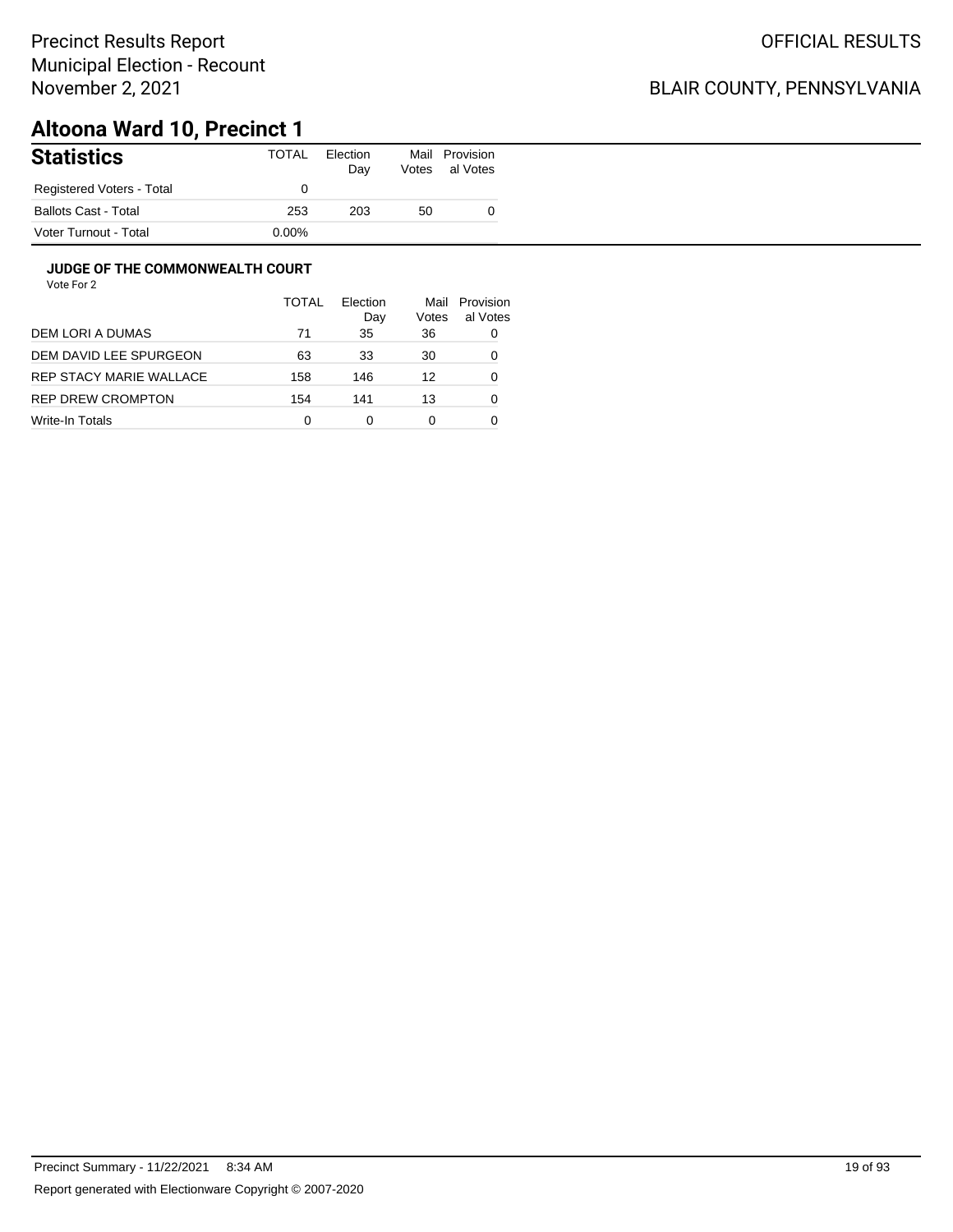## BLAIR COUNTY, PENNSYLVANIA

# **Altoona Ward 10, Precinct 1**

| <b>Statistics</b>           | TOTAL    | Election<br>Day | Mail<br>Votes | Provision<br>al Votes |
|-----------------------------|----------|-----------------|---------------|-----------------------|
| Registered Voters - Total   |          |                 |               |                       |
| <b>Ballots Cast - Total</b> | 253      | 203             | 50            |                       |
| Voter Turnout - Total       | $0.00\%$ |                 |               |                       |

#### **JUDGE OF THE COMMONWEALTH COURT**

|                         | <b>TOTAL</b> | Flection<br>Day | Mail<br>Votes | Provision<br>al Votes |
|-------------------------|--------------|-----------------|---------------|-----------------------|
| DEM LORI A DUMAS        | 71           | 35              | 36            | 0                     |
| DEM DAVID LEE SPURGEON  | 63           | 33              | 30            | 0                     |
| REP STACY MARIE WALLACE | 158          | 146             | 12            | 0                     |
| REP DREW CROMPTON       | 154          | 141             | 13            | 0                     |
| Write-In Totals         | 0            | 0               | 0             |                       |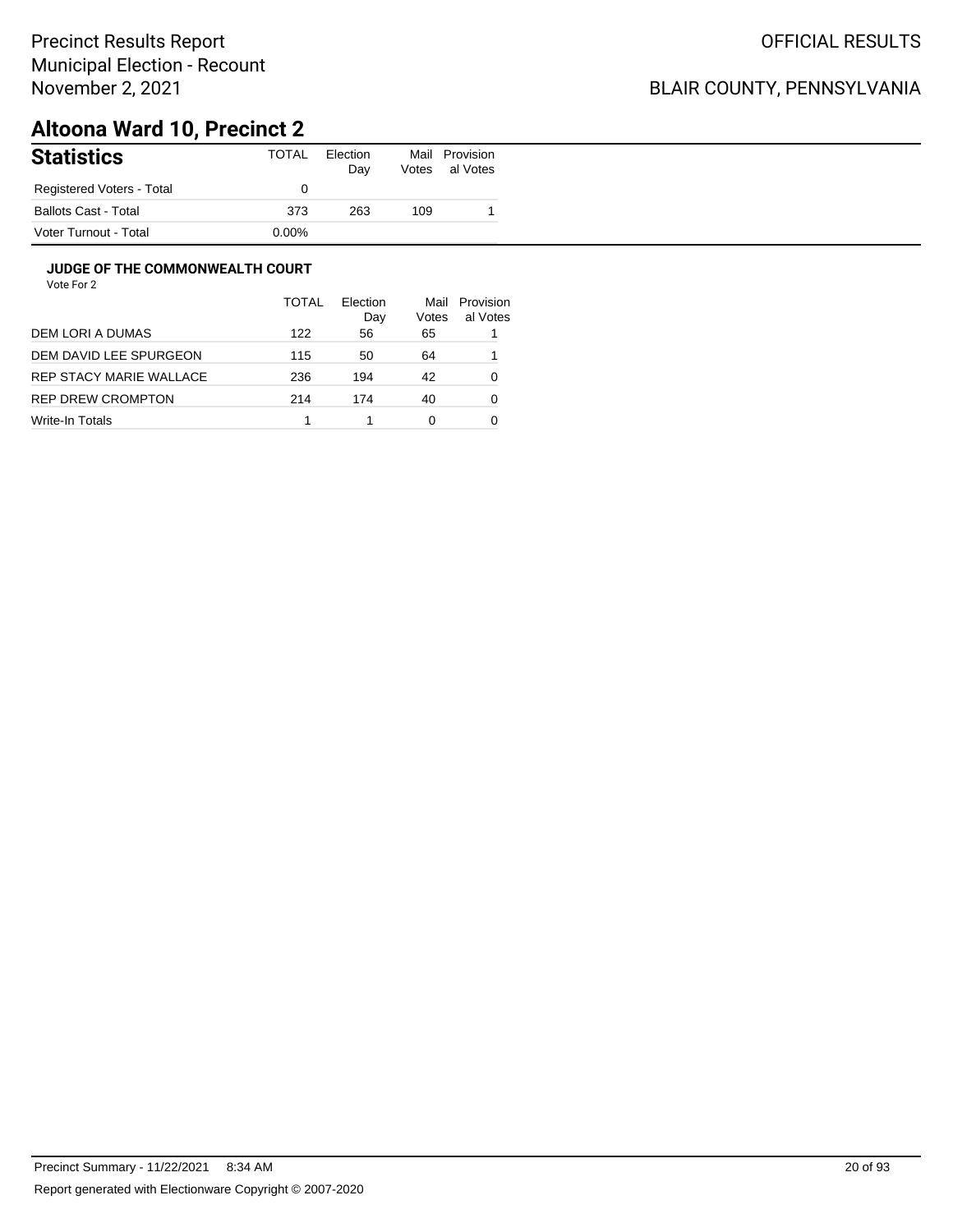## BLAIR COUNTY, PENNSYLVANIA

# **Altoona Ward 10, Precinct 2**

| <b>Statistics</b>           | <b>TOTAL</b> | Election<br>Day | Mail<br>Votes | Provision<br>al Votes |
|-----------------------------|--------------|-----------------|---------------|-----------------------|
| Registered Voters - Total   |              |                 |               |                       |
| <b>Ballots Cast - Total</b> | 373          | 263             | 109           |                       |
| Voter Turnout - Total       | $0.00\%$     |                 |               |                       |

#### **JUDGE OF THE COMMONWEALTH COURT**

|                         | TOTAL | Election<br>Day | Mail<br>Votes | Provision<br>al Votes |
|-------------------------|-------|-----------------|---------------|-----------------------|
| DEM LORI A DUMAS        | 122   | 56              | 65            |                       |
| DEM DAVID LEE SPURGEON  | 115   | 50              | 64            |                       |
| REP STACY MARIE WALLACE | 236   | 194             | 42            | 0                     |
| REP DREW CROMPTON       | 214   | 174             | 40            | 0                     |
| Write-In Totals         |       |                 | 0             |                       |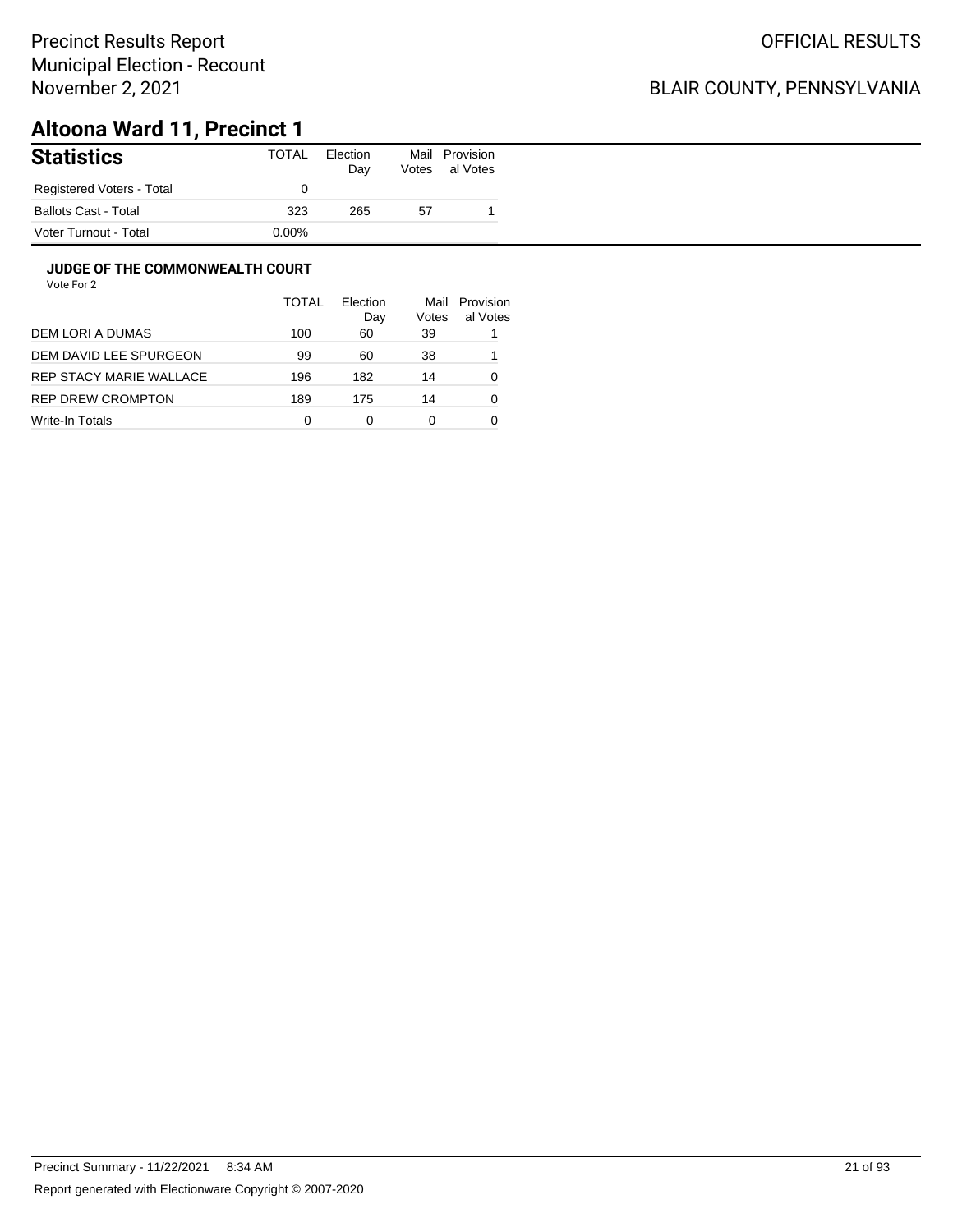## BLAIR COUNTY, PENNSYLVANIA

# **Altoona Ward 11, Precinct 1**

| <b>Statistics</b>           | TOTAL    | Election<br>Day | Mail<br>Votes | Provision<br>al Votes |
|-----------------------------|----------|-----------------|---------------|-----------------------|
| Registered Voters - Total   |          |                 |               |                       |
| <b>Ballots Cast - Total</b> | 323      | 265             | 57            |                       |
| Voter Turnout - Total       | $0.00\%$ |                 |               |                       |

#### **JUDGE OF THE COMMONWEALTH COURT**

|                         | <b>TOTAL</b> | Flection<br>Day | Mail<br>Votes | Provision<br>al Votes |
|-------------------------|--------------|-----------------|---------------|-----------------------|
| DEM LORI A DUMAS        | 100          | 60              | 39            |                       |
| DEM DAVID LEE SPURGEON  | 99           | 60              | 38            |                       |
| REP STACY MARIE WALLACE | 196          | 182             | 14            | 0                     |
| REP DREW CROMPTON       | 189          | 175             | 14            | 0                     |
| Write-In Totals         | 0            | 0               | 0             |                       |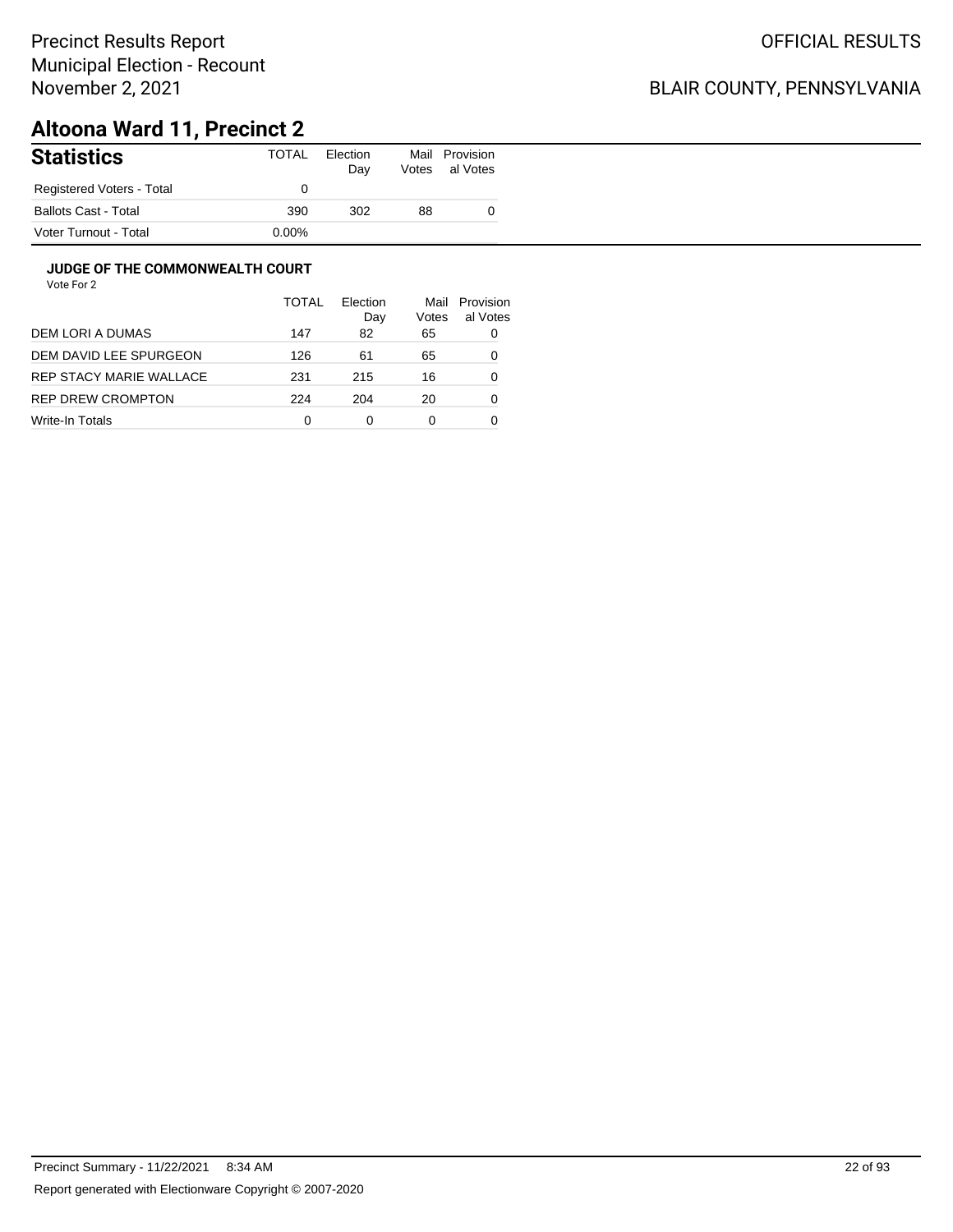## BLAIR COUNTY, PENNSYLVANIA

# **Altoona Ward 11, Precinct 2**

| <b>Statistics</b>         | TOTAL    | Election<br>Day | Mail<br>Votes | Provision<br>al Votes |
|---------------------------|----------|-----------------|---------------|-----------------------|
| Registered Voters - Total |          |                 |               |                       |
| Ballots Cast - Total      | 390      | 302             | 88            |                       |
| Voter Turnout - Total     | $0.00\%$ |                 |               |                       |

#### **JUDGE OF THE COMMONWEALTH COURT**

|                         | <b>TOTAL</b> | Flection<br>Day | Mail<br>Votes | Provision<br>al Votes |
|-------------------------|--------------|-----------------|---------------|-----------------------|
| DEM LORI A DUMAS        | 147          | 82              | 65            | 0                     |
| DEM DAVID LEE SPURGEON  | 126          | 61              | 65            | 0                     |
| REP STACY MARIE WALLACE | 231          | 215             | 16            | 0                     |
| REP DREW CROMPTON       | 224          | 204             | 20            | 0                     |
| Write-In Totals         | 0            | 0               | 0             |                       |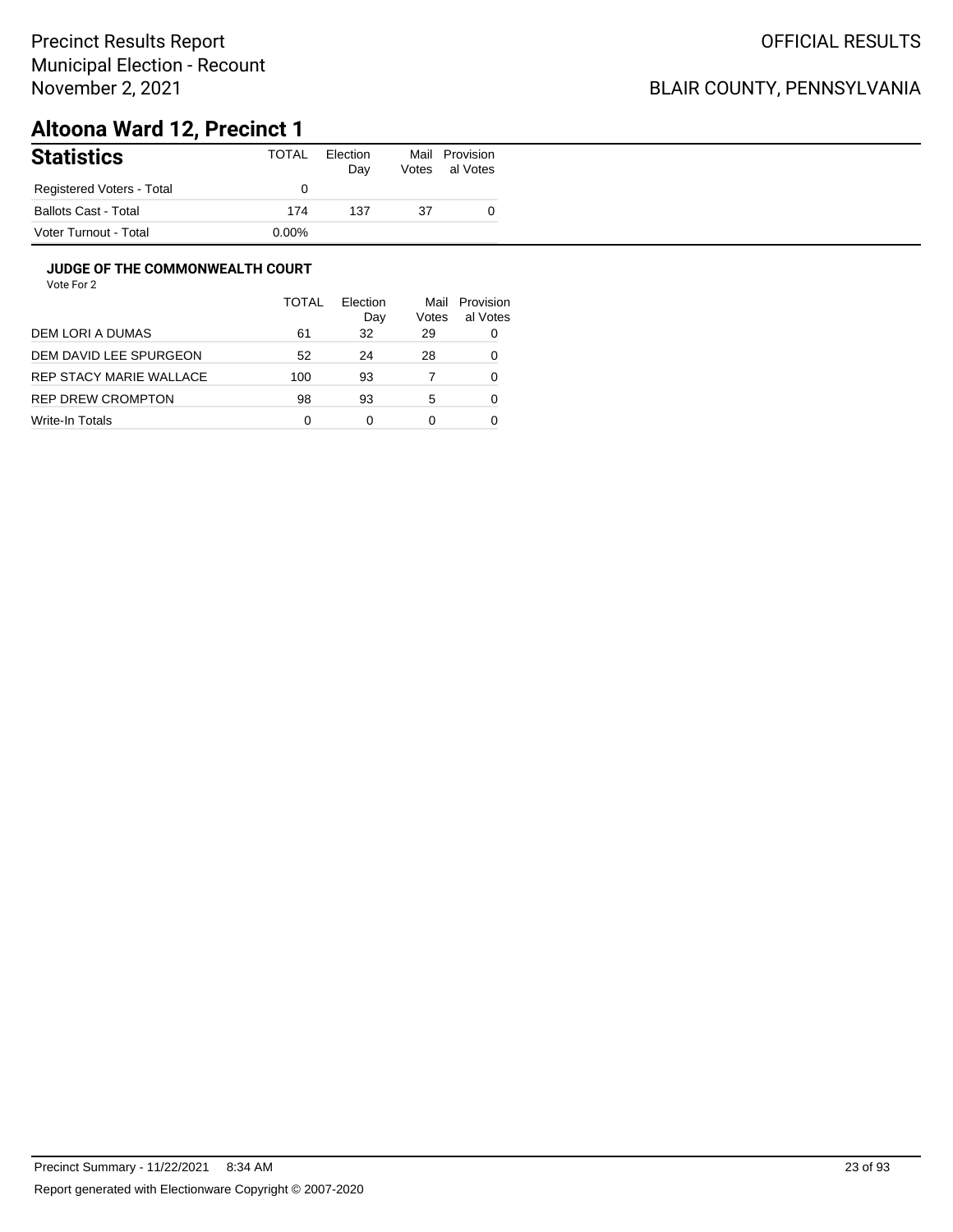## BLAIR COUNTY, PENNSYLVANIA

# **Altoona Ward 12, Precinct 1**

| <b>Statistics</b>           | TOTAL    | Election<br>Day | Mail<br>Votes | Provision<br>al Votes |
|-----------------------------|----------|-----------------|---------------|-----------------------|
| Registered Voters - Total   |          |                 |               |                       |
| <b>Ballots Cast - Total</b> | 174      | 137             | 37            |                       |
| Voter Turnout - Total       | $0.00\%$ |                 |               |                       |

#### **JUDGE OF THE COMMONWEALTH COURT**

|                         | <b>TOTAL</b> | Flection<br>Day | Mail<br>Votes | Provision<br>al Votes |
|-------------------------|--------------|-----------------|---------------|-----------------------|
| DEM LORI A DUMAS        | 61           | 32              | 29            | 0                     |
| DEM DAVID LEE SPURGEON  | 52           | 24              | 28            | 0                     |
| REP STACY MARIE WALLACE | 100          | 93              |               | 0                     |
| REP DREW CROMPTON       | 98           | 93              | 5             | Ω                     |
| Write-In Totals         | 0            | 0               | 0             |                       |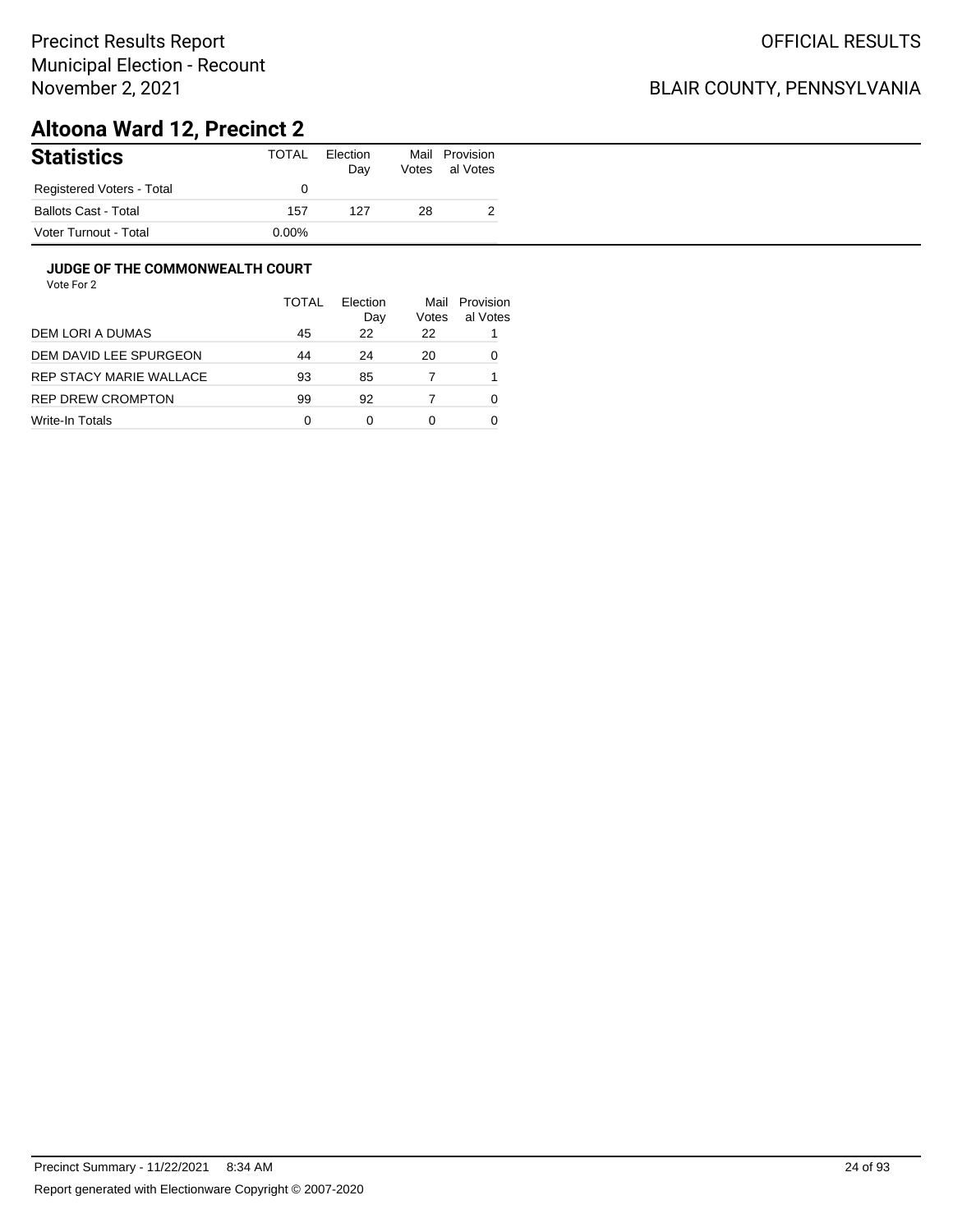## BLAIR COUNTY, PENNSYLVANIA

# **Altoona Ward 12, Precinct 2**

| <b>Statistics</b>           | <b>TOTAL</b> | Election<br>Day | Mail<br>Votes | Provision<br>al Votes |
|-----------------------------|--------------|-----------------|---------------|-----------------------|
| Registered Voters - Total   |              |                 |               |                       |
| <b>Ballots Cast - Total</b> | 157          | 127             | 28            |                       |
| Voter Turnout - Total       | $0.00\%$     |                 |               |                       |

#### **JUDGE OF THE COMMONWEALTH COURT**

|                         | TOTAL | Flection<br>Day | Mail<br>Votes | Provision<br>al Votes |
|-------------------------|-------|-----------------|---------------|-----------------------|
| DEM LORI A DUMAS        | 45    | 22              | 22            |                       |
| DEM DAVID LEE SPURGEON  | 44    | 24              | 20            | 0                     |
| REP STACY MARIE WALLACE | 93    | 85              |               |                       |
| REP DREW CROMPTON       | 99    | 92              |               | 0                     |
| Write-In Totals         | 0     | 0               | 0             |                       |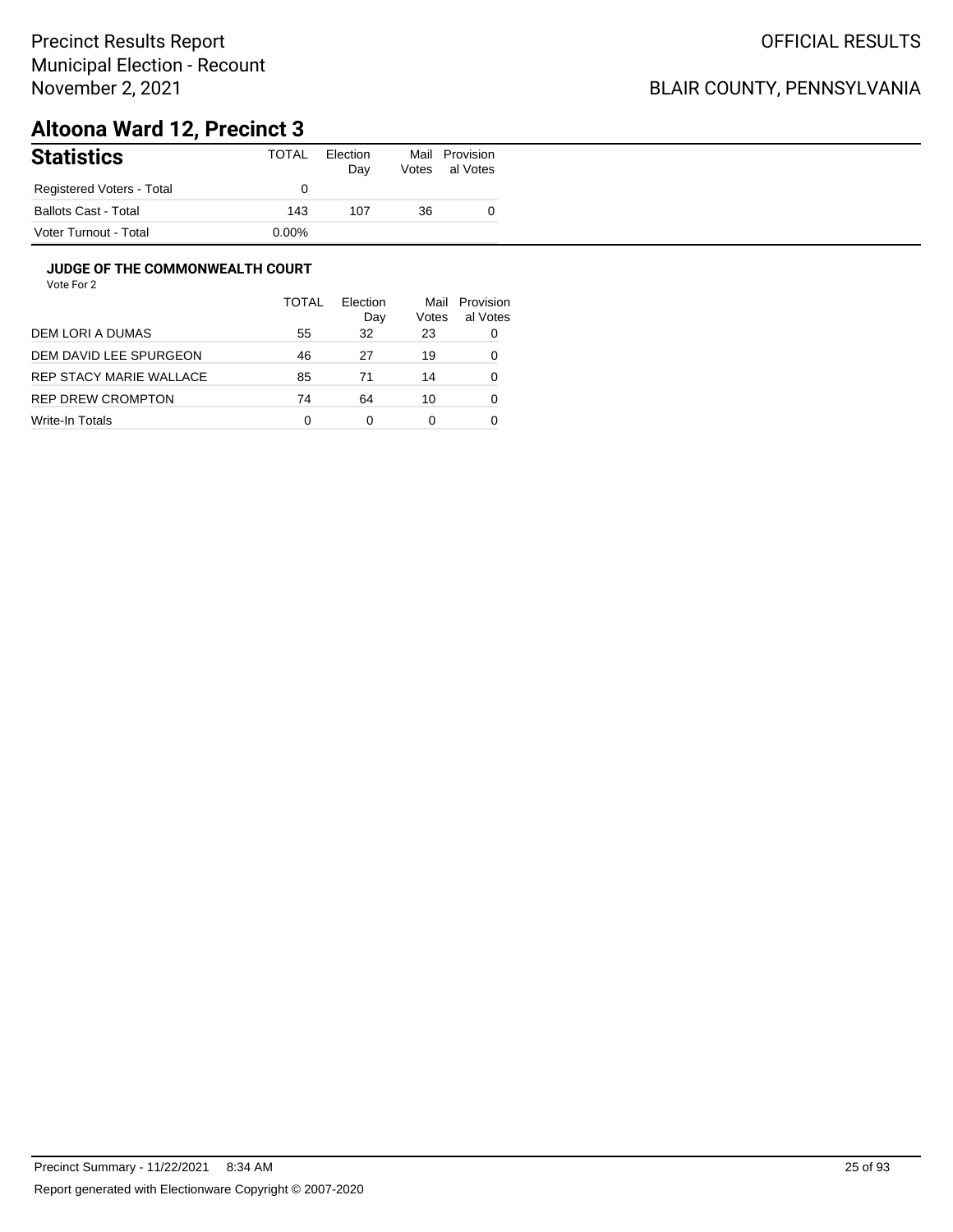## BLAIR COUNTY, PENNSYLVANIA

# **Altoona Ward 12, Precinct 3**

| <b>Statistics</b>           | TOTAL    | Election<br>Day | Mail<br>Votes | Provision<br>al Votes |
|-----------------------------|----------|-----------------|---------------|-----------------------|
| Registered Voters - Total   |          |                 |               |                       |
| <b>Ballots Cast - Total</b> | 143      | 107             | 36            |                       |
| Voter Turnout - Total       | $0.00\%$ |                 |               |                       |

#### **JUDGE OF THE COMMONWEALTH COURT**

|                          | <b>TOTAL</b> | Election<br>Day | Mail<br>Votes | Provision<br>al Votes |
|--------------------------|--------------|-----------------|---------------|-----------------------|
| DEM LORI A DUMAS         | 55           | 32              | 23            | 0                     |
| DEM DAVID LEE SPURGEON   | 46           | 27              | 19            | 0                     |
| REP STACY MARIE WALLACE  | 85           | 71              | 14            | 0                     |
| <b>REP DREW CROMPTON</b> | 74           | 64              | 10            | 0                     |
| Write-In Totals          | 0            | 0               | 0             |                       |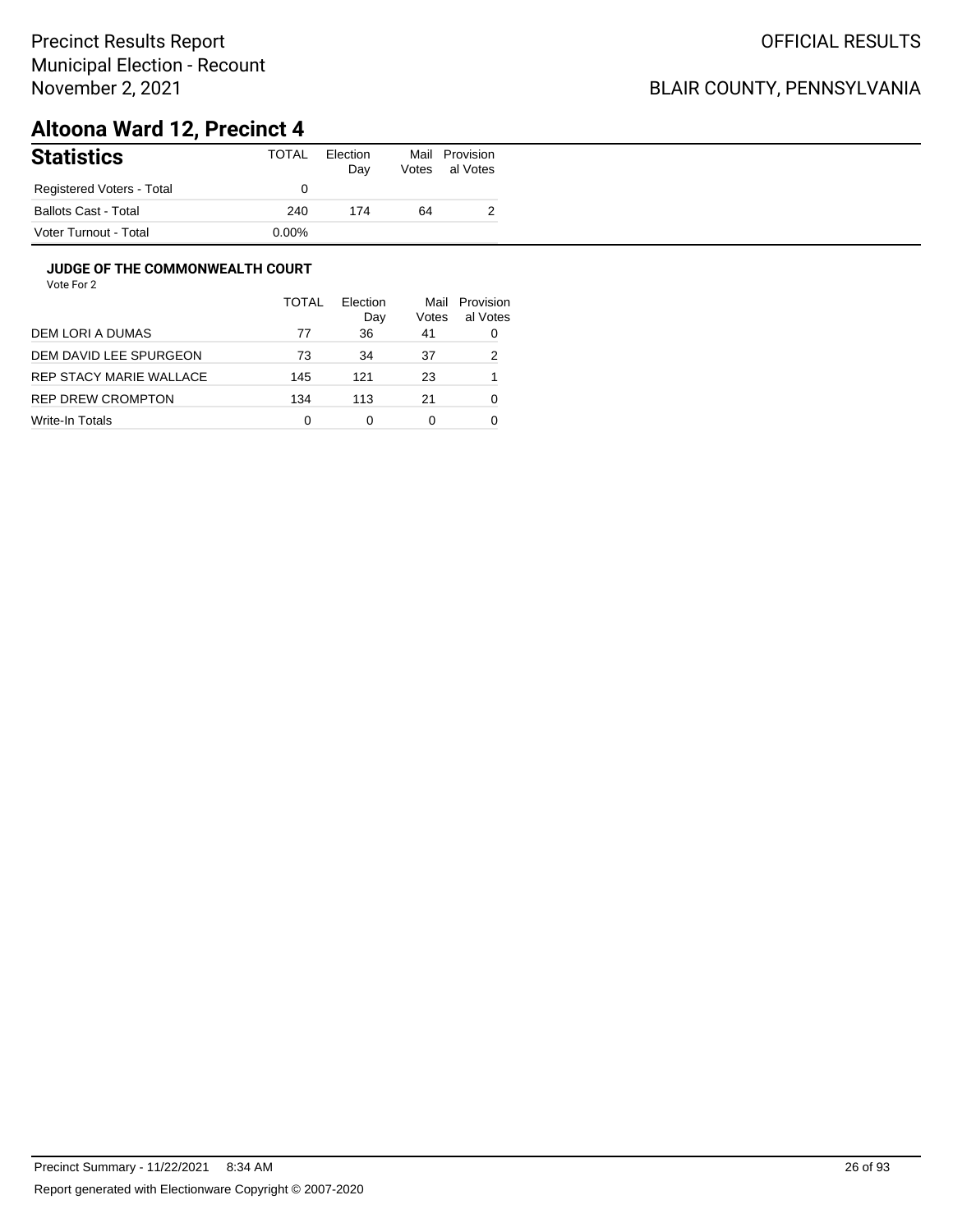## BLAIR COUNTY, PENNSYLVANIA

# **Altoona Ward 12, Precinct 4**

| <b>Statistics</b>           | TOTAL    | Election<br>Day | Votes | Mail Provision<br>al Votes |
|-----------------------------|----------|-----------------|-------|----------------------------|
| Registered Voters - Total   |          |                 |       |                            |
| <b>Ballots Cast - Total</b> | 240      | 174             | 64    |                            |
| Voter Turnout - Total       | $0.00\%$ |                 |       |                            |

#### **JUDGE OF THE COMMONWEALTH COURT**

|                         | <b>TOTAL</b> | Flection<br>Day | Mail<br>Votes | Provision<br>al Votes |
|-------------------------|--------------|-----------------|---------------|-----------------------|
| DEM LORI A DUMAS        | 77           | 36              | 41            | 0                     |
| DEM DAVID LEE SPURGEON  | 73           | 34              | 37            | 2                     |
| REP STACY MARIE WALLACE | 145          | 121             | 23            |                       |
| REP DREW CROMPTON       | 134          | 113             | 21            | 0                     |
| Write-In Totals         | 0            | 0               | 0             |                       |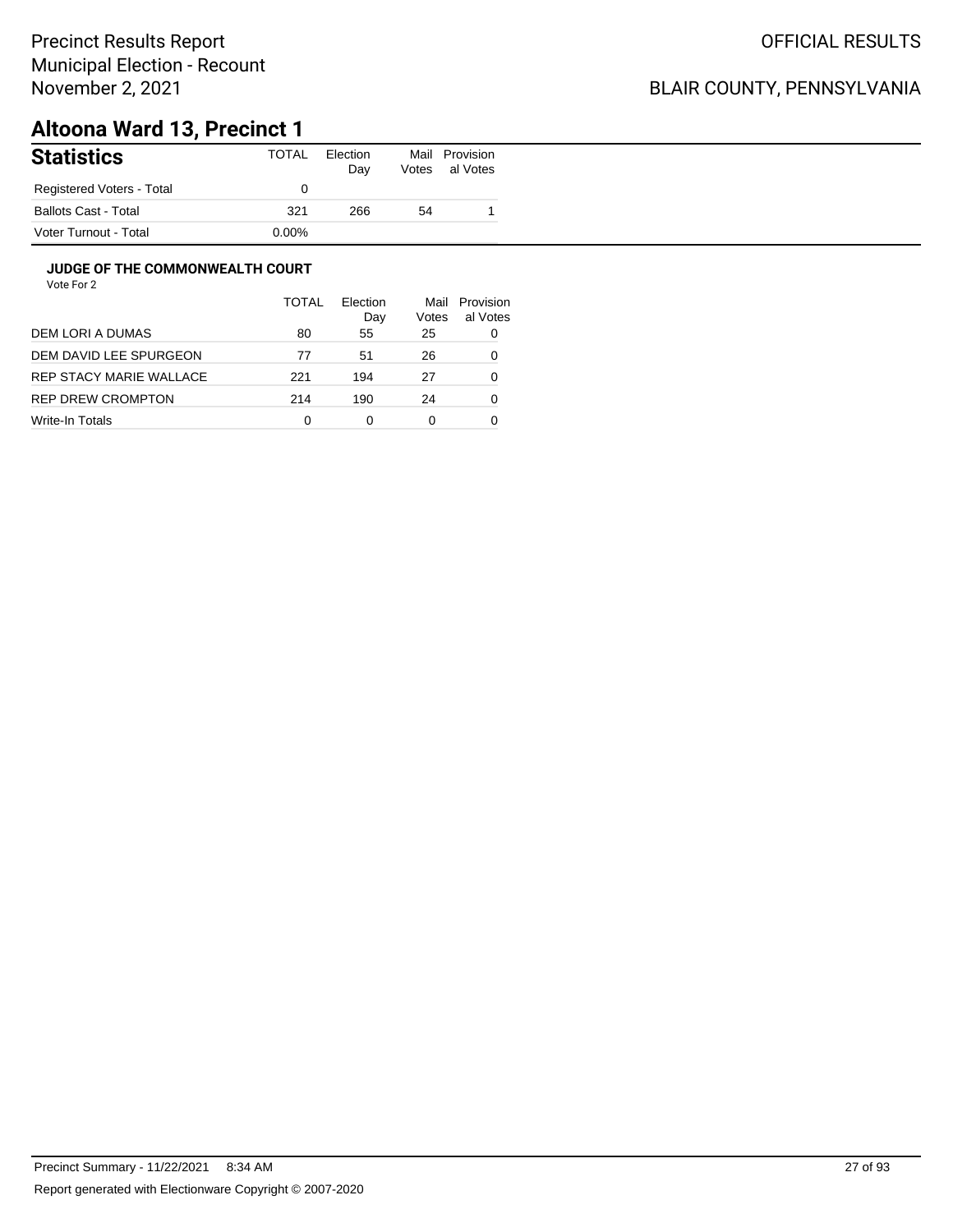## BLAIR COUNTY, PENNSYLVANIA

# **Altoona Ward 13, Precinct 1**

| <b>Statistics</b>           | TOTAL    | Election<br>Day | Mail<br>Votes | Provision<br>al Votes |
|-----------------------------|----------|-----------------|---------------|-----------------------|
| Registered Voters - Total   |          |                 |               |                       |
| <b>Ballots Cast - Total</b> | 321      | 266             | 54            |                       |
| Voter Turnout - Total       | $0.00\%$ |                 |               |                       |

#### **JUDGE OF THE COMMONWEALTH COURT**

|                         | TOTAL | Flection<br>Day | Mail<br>Votes | Provision<br>al Votes |
|-------------------------|-------|-----------------|---------------|-----------------------|
| DEM LORI A DUMAS        | 80    | 55              | 25            | 0                     |
| DEM DAVID LEE SPURGEON  | 77    | 51              | 26            | 0                     |
| REP STACY MARIE WALLACE | 221   | 194             | 27            | 0                     |
| REP DREW CROMPTON       | 214   | 190             | 24            | 0                     |
| Write-In Totals         | 0     | 0               | 0             |                       |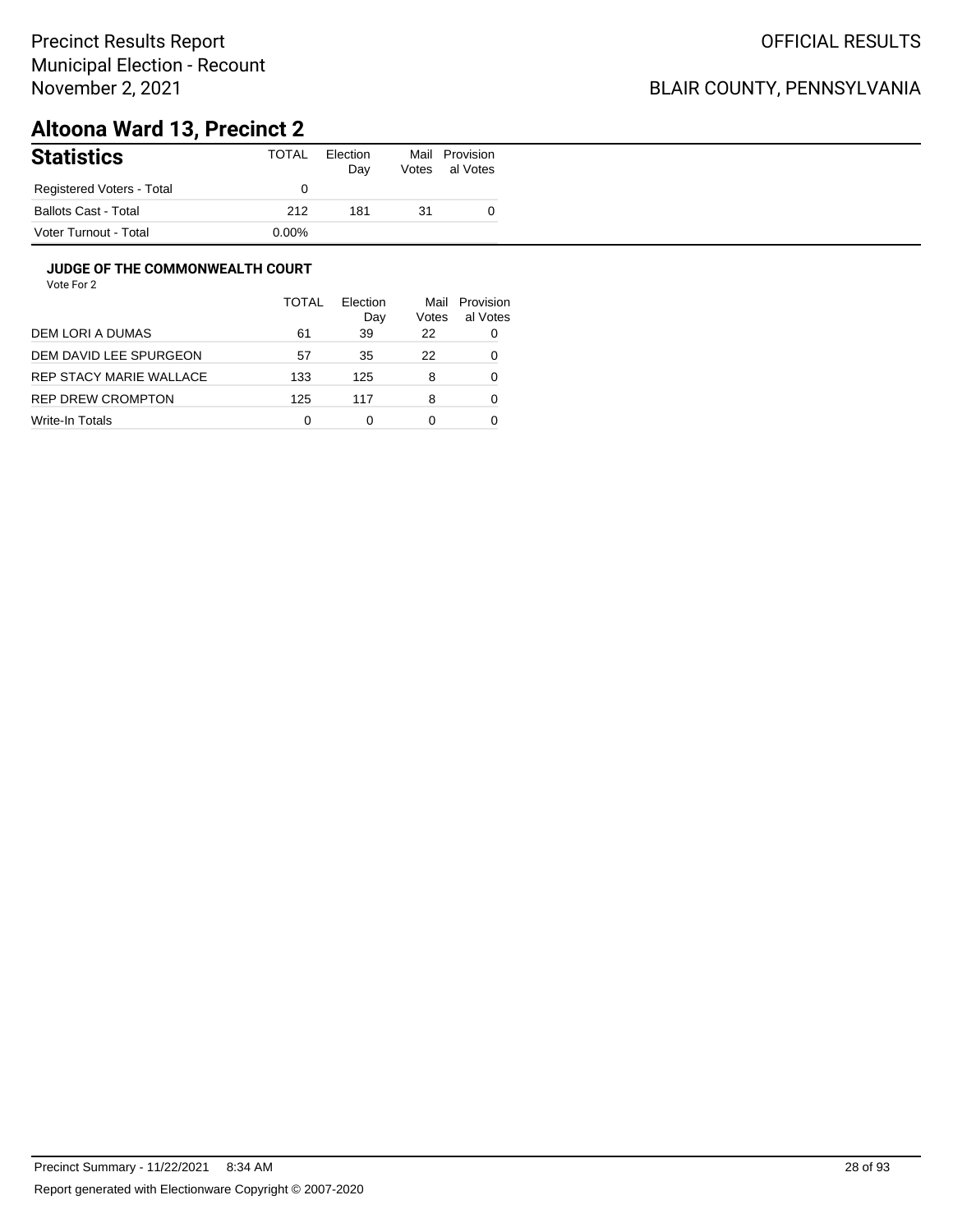## BLAIR COUNTY, PENNSYLVANIA

# **Altoona Ward 13, Precinct 2**

| <b>Statistics</b>           | <b>TOTAL</b> | Election<br>Day | Mail<br>Votes | Provision<br>al Votes |
|-----------------------------|--------------|-----------------|---------------|-----------------------|
| Registered Voters - Total   |              |                 |               |                       |
| <b>Ballots Cast - Total</b> | 212          | 181             | 31            |                       |
| Voter Turnout - Total       | $0.00\%$     |                 |               |                       |

#### **JUDGE OF THE COMMONWEALTH COURT**

|                         | TOTAL | Flection<br>Day | Mail<br>Votes | Provision<br>al Votes |
|-------------------------|-------|-----------------|---------------|-----------------------|
| DEM LORI A DUMAS        | 61    | 39              | 22            | 0                     |
| DEM DAVID LEE SPURGEON  | 57    | 35              | 22            | 0                     |
| REP STACY MARIE WALLACE | 133   | 125             | 8             | 0                     |
| REP DREW CROMPTON       | 125   | 117             | 8             | 0                     |
| Write-In Totals         | 0     | ∩               | 0             |                       |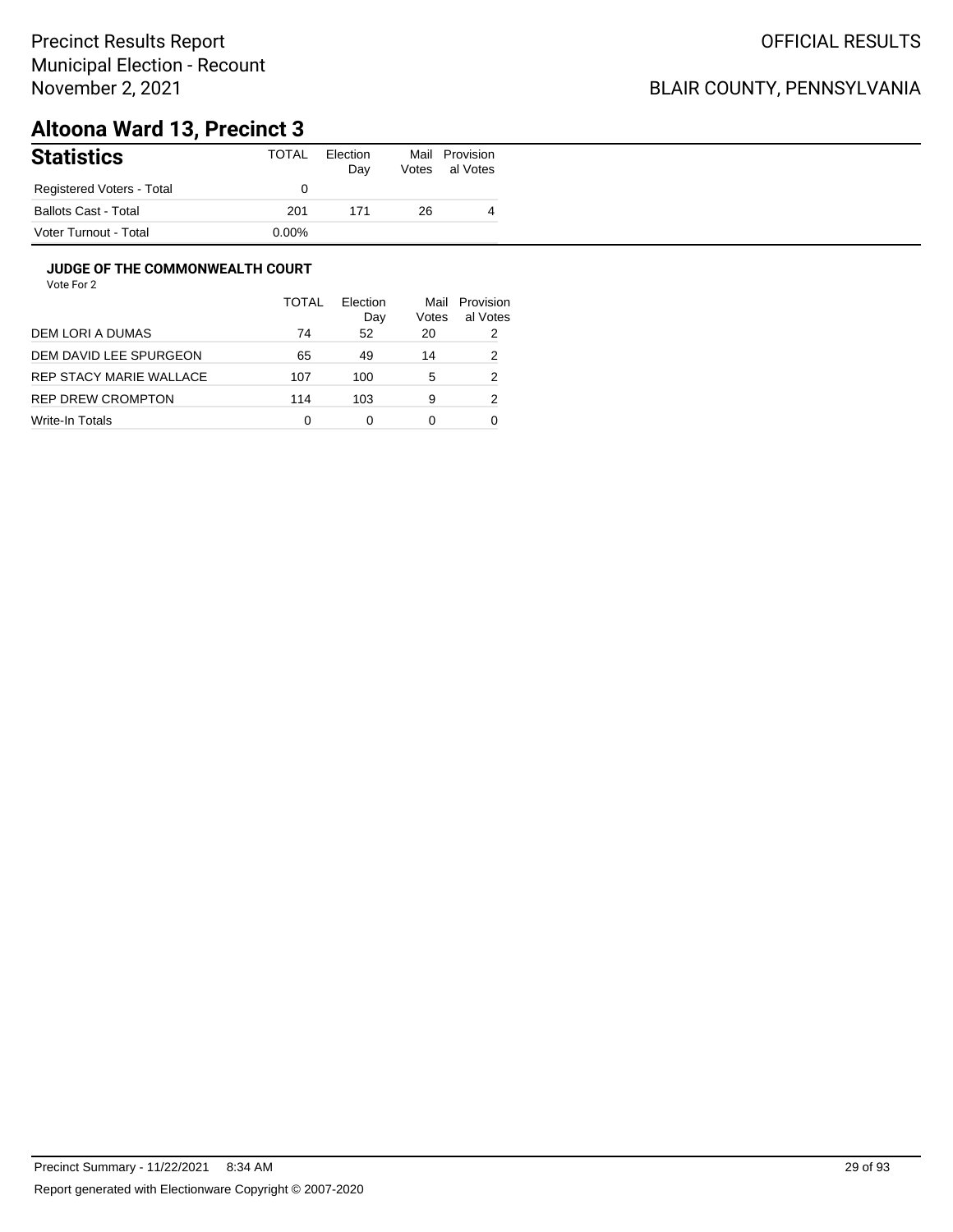## BLAIR COUNTY, PENNSYLVANIA

# **Altoona Ward 13, Precinct 3**

| <b>Statistics</b>           | TOTAL    | Election<br>Day | Votes | Mail Provision<br>al Votes |
|-----------------------------|----------|-----------------|-------|----------------------------|
| Registered Voters - Total   |          |                 |       |                            |
| <b>Ballots Cast - Total</b> | 201      | 171             | 26    | 4                          |
| Voter Turnout - Total       | $0.00\%$ |                 |       |                            |

#### **JUDGE OF THE COMMONWEALTH COURT**

|                         | <b>TOTAL</b> | Flection<br>Day | Mail<br>Votes | Provision<br>al Votes |
|-------------------------|--------------|-----------------|---------------|-----------------------|
| DEM LORI A DUMAS        | 74           | 52              | 20            | 2                     |
| DEM DAVID LEE SPURGEON  | 65           | 49              | 14            | 2                     |
| REP STACY MARIE WALLACE | 107          | 100             | 5             | 2                     |
| REP DREW CROMPTON       | 114          | 103             | 9             | 2                     |
| Write-In Totals         | 0            | 0               | 0             |                       |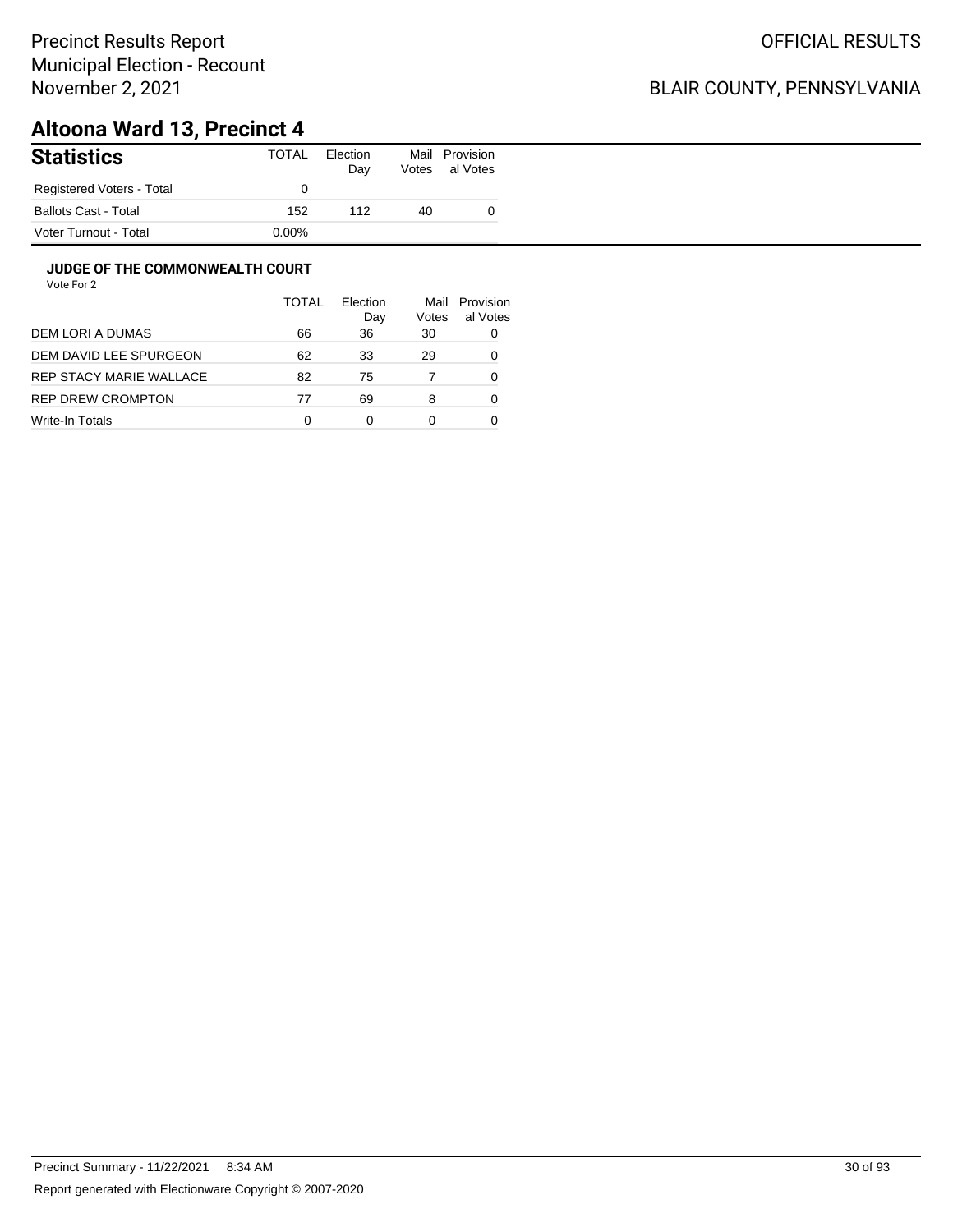## BLAIR COUNTY, PENNSYLVANIA

# **Altoona Ward 13, Precinct 4**

| <b>Statistics</b>         | TOTAL    | Election<br>Day | Mail<br>Votes | Provision<br>al Votes |
|---------------------------|----------|-----------------|---------------|-----------------------|
| Registered Voters - Total |          |                 |               |                       |
| Ballots Cast - Total      | 152      | 112             | 40            |                       |
| Voter Turnout - Total     | $0.00\%$ |                 |               |                       |

#### **JUDGE OF THE COMMONWEALTH COURT**

|                         | TOTAL | Flection<br>Day | Mail<br>Votes | Provision<br>al Votes |
|-------------------------|-------|-----------------|---------------|-----------------------|
| DEM LORI A DUMAS        | 66    | 36              | 30            | 0                     |
| DEM DAVID LEE SPURGEON  | 62    | 33              | 29            | 0                     |
| REP STACY MARIE WALLACE | 82    | 75              |               | 0                     |
| REP DREW CROMPTON       | 77    | 69              | 8             | 0                     |
| Write-In Totals         | 0     | 0               | 0             |                       |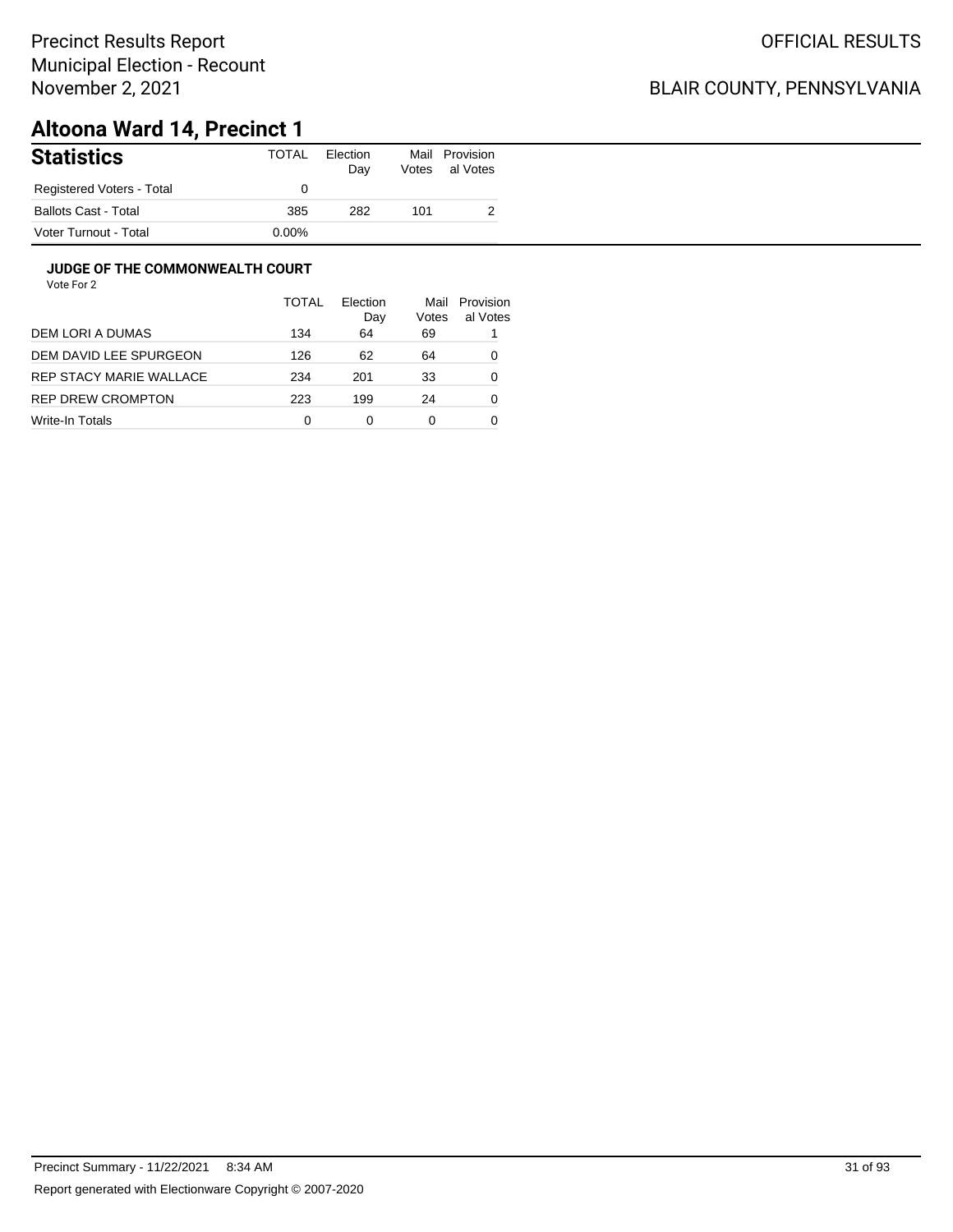## BLAIR COUNTY, PENNSYLVANIA

# **Altoona Ward 14, Precinct 1**

| <b>Statistics</b>           | <b>TOTAL</b> | Election<br>Day | Votes | Mail Provision<br>al Votes |
|-----------------------------|--------------|-----------------|-------|----------------------------|
| Registered Voters - Total   |              |                 |       |                            |
| <b>Ballots Cast - Total</b> | 385          | 282             | 101   |                            |
| Voter Turnout - Total       | $0.00\%$     |                 |       |                            |

#### **JUDGE OF THE COMMONWEALTH COURT**

|                         | <b>TOTAL</b> | Flection<br>Day | Mail<br>Votes | Provision<br>al Votes |
|-------------------------|--------------|-----------------|---------------|-----------------------|
| DEM LORI A DUMAS        | 134          | 64              | 69            |                       |
| DEM DAVID LEE SPURGEON  | 126          | 62              | 64            | 0                     |
| REP STACY MARIE WALLACE | 234          | 201             | 33            | 0                     |
| REP DREW CROMPTON       | 223          | 199             | 24            | 0                     |
| Write-In Totals         | 0            | Ω               | 0             |                       |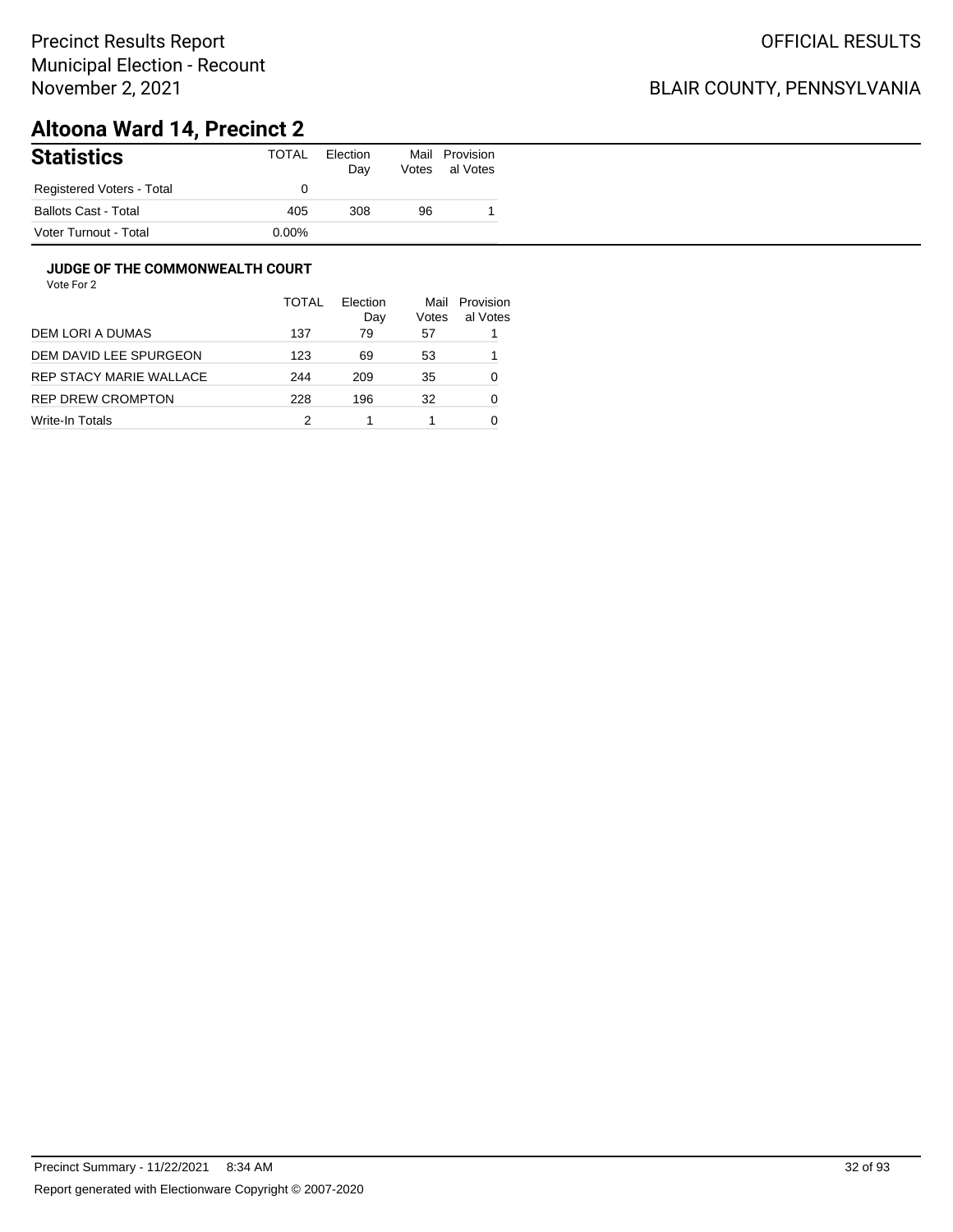## BLAIR COUNTY, PENNSYLVANIA

# **Altoona Ward 14, Precinct 2**

| <b>Statistics</b>           | TOTAL    | Election<br>Day | Mail<br>Votes | Provision<br>al Votes |
|-----------------------------|----------|-----------------|---------------|-----------------------|
| Registered Voters - Total   |          |                 |               |                       |
| <b>Ballots Cast - Total</b> | 405      | 308             | 96            |                       |
| Voter Turnout - Total       | $0.00\%$ |                 |               |                       |

#### **JUDGE OF THE COMMONWEALTH COURT**

|                         | <b>TOTAL</b> | Election<br>Day | Mail<br>Votes | Provision<br>al Votes |
|-------------------------|--------------|-----------------|---------------|-----------------------|
| DEM LORI A DUMAS        | 137          | 79              | 57            |                       |
| DEM DAVID LEE SPURGEON  | 123          | 69              | 53            |                       |
| REP STACY MARIE WALLACE | 244          | 209             | 35            | 0                     |
| REP DREW CROMPTON       | 228          | 196             | 32            | 0                     |
| Write-In Totals         |              |                 |               |                       |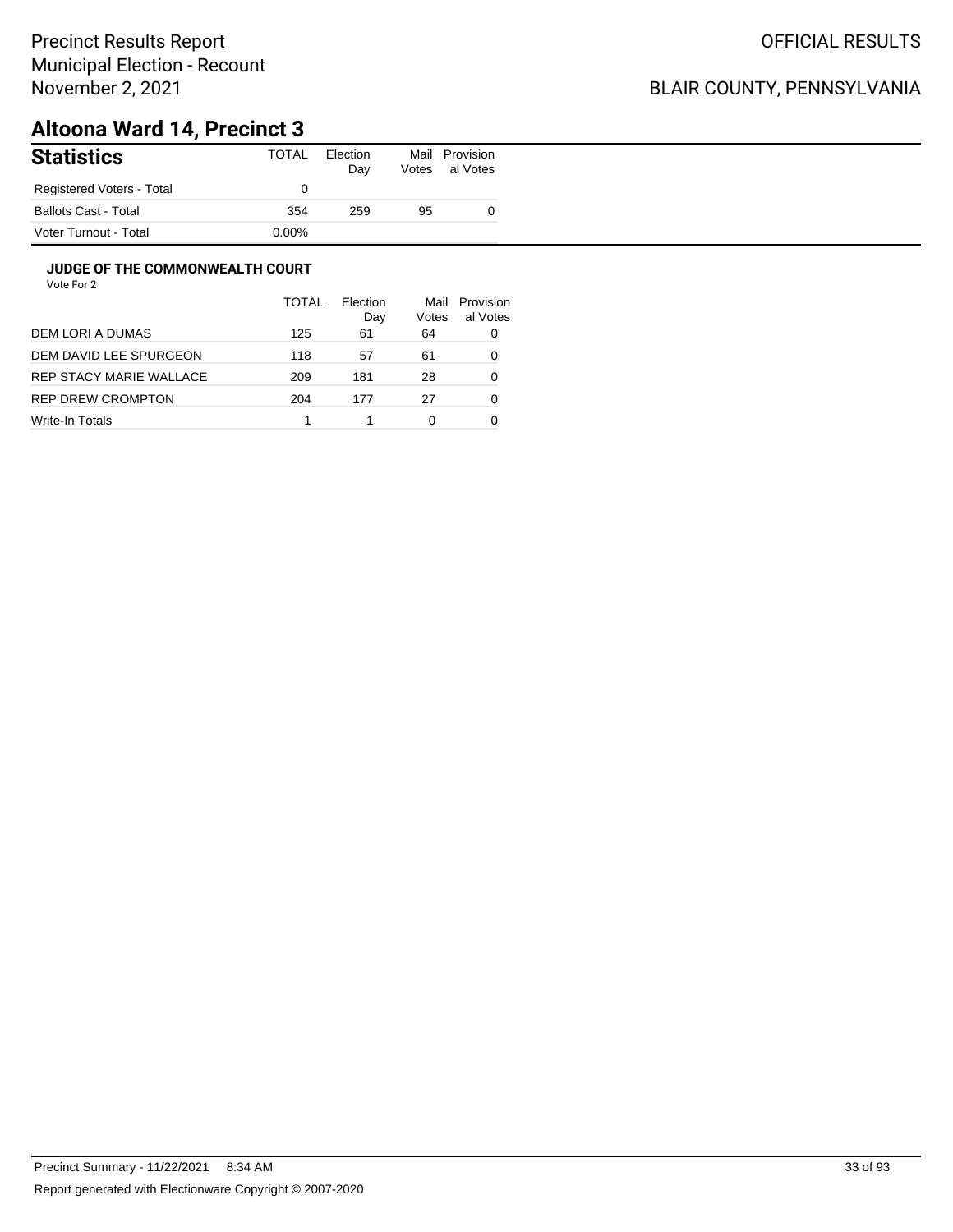## BLAIR COUNTY, PENNSYLVANIA

# **Altoona Ward 14, Precinct 3**

| <b>Statistics</b>           | TOTAL    | Election<br>Day | Mail<br>Votes | Provision<br>al Votes |
|-----------------------------|----------|-----------------|---------------|-----------------------|
| Registered Voters - Total   |          |                 |               |                       |
| <b>Ballots Cast - Total</b> | 354      | 259             | 95            |                       |
| Voter Turnout - Total       | $0.00\%$ |                 |               |                       |

#### **JUDGE OF THE COMMONWEALTH COURT**

|                         | TOTAL | Flection<br>Day | Mail<br>Votes | Provision<br>al Votes |
|-------------------------|-------|-----------------|---------------|-----------------------|
| DEM LORI A DUMAS        | 125   | 61              | 64            | 0                     |
| DEM DAVID LEE SPURGEON  | 118   | 57              | 61            | 0                     |
| REP STACY MARIE WALLACE | 209   | 181             | 28            | 0                     |
| REP DREW CROMPTON       | 204   | 177             | 27            | 0                     |
| Write-In Totals         |       |                 | 0             |                       |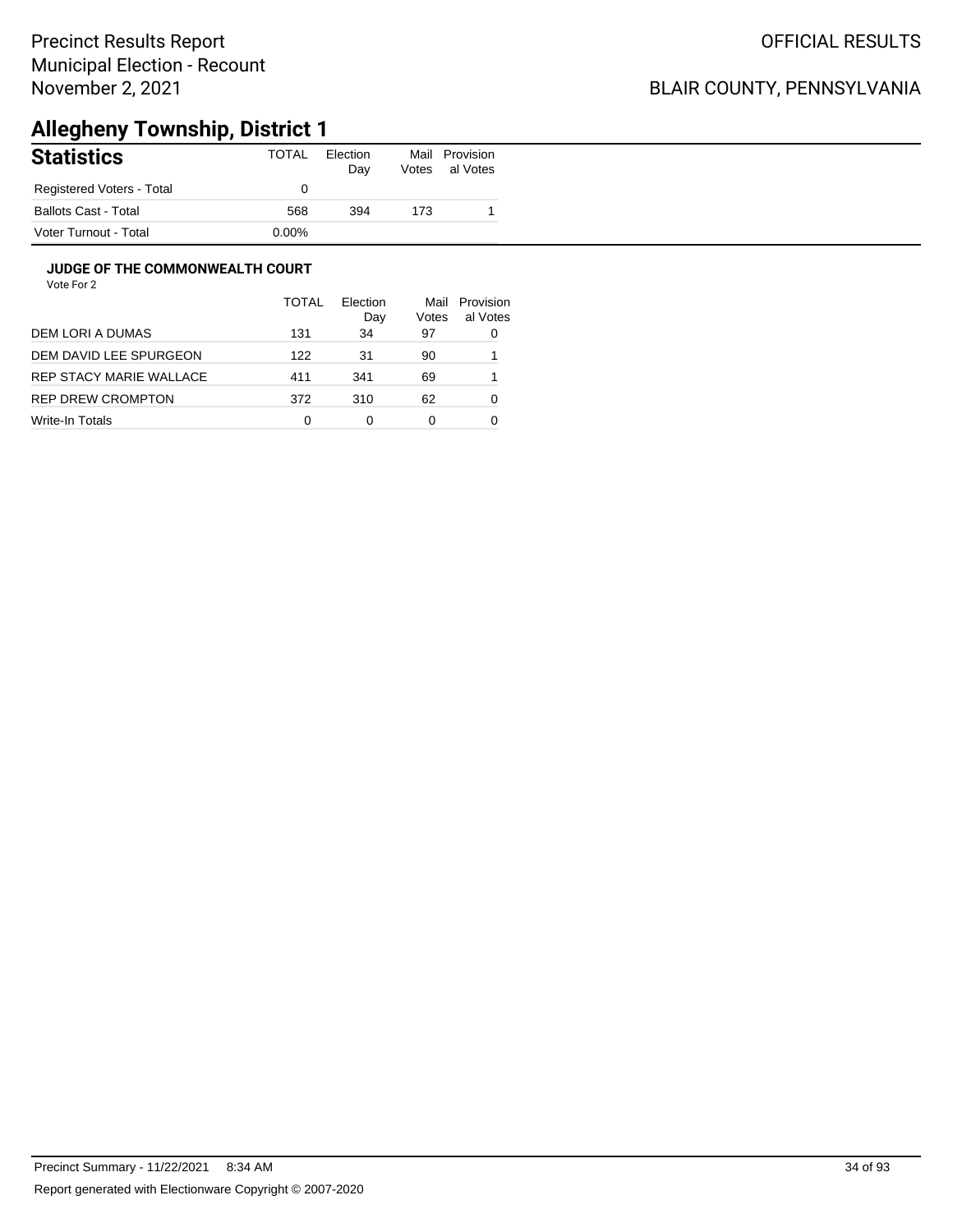## BLAIR COUNTY, PENNSYLVANIA

# **Allegheny Township, District 1**

| ______<br><b>Statistics</b> | . .<br>TOTAL | Election<br>Day | Mail<br>Votes | Provision<br>al Votes |
|-----------------------------|--------------|-----------------|---------------|-----------------------|
| Registered Voters - Total   |              |                 |               |                       |
| <b>Ballots Cast - Total</b> | 568          | 394             | 173           |                       |
| Voter Turnout - Total       | $0.00\%$     |                 |               |                       |

#### **JUDGE OF THE COMMONWEALTH COURT**

|                         | <b>TOTAL</b> | Election<br>Day | Mail<br>Votes | Provision<br>al Votes |
|-------------------------|--------------|-----------------|---------------|-----------------------|
| DEM LORI A DUMAS        | 131          | 34              | 97            | 0                     |
| DEM DAVID LEE SPURGEON  | 122          | 31              | 90            |                       |
| REP STACY MARIE WALLACE | 411          | 341             | 69            |                       |
| REP DREW CROMPTON       | 372          | 310             | 62            | 0                     |
| Write-In Totals         | 0            | 0               | 0             |                       |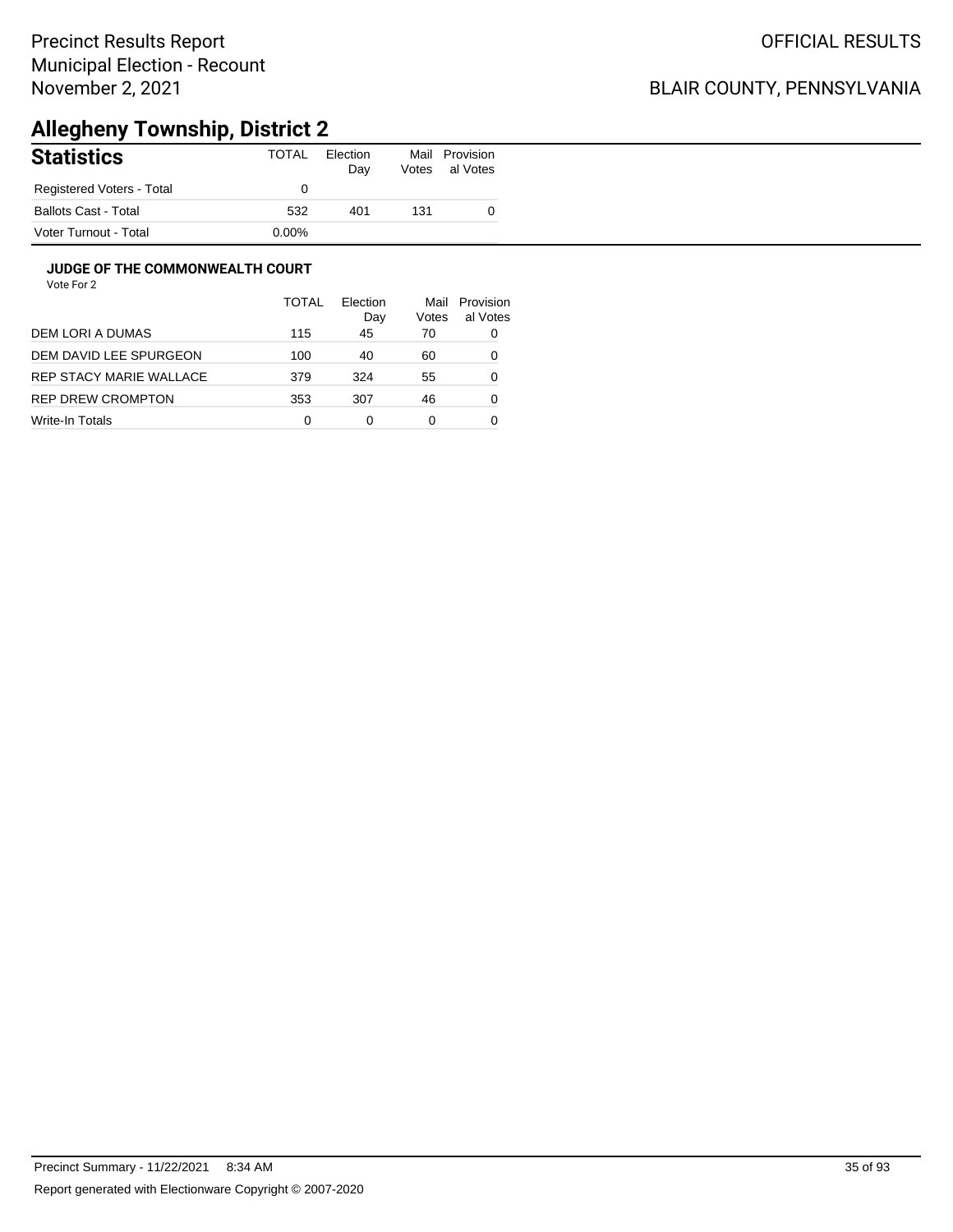## BLAIR COUNTY, PENNSYLVANIA

# **Allegheny Township, District 2**

| <b>Statistics</b>           | TOTAL    | Election<br>Day | Mail<br>Votes | Provision<br>al Votes |
|-----------------------------|----------|-----------------|---------------|-----------------------|
| Registered Voters - Total   |          |                 |               |                       |
| <b>Ballots Cast - Total</b> | 532      | 401             | 131           |                       |
| Voter Turnout - Total       | $0.00\%$ |                 |               |                       |

#### **JUDGE OF THE COMMONWEALTH COURT**

|                         | <b>TOTAL</b> | Flection<br>Day | Mail<br>Votes | Provision<br>al Votes |
|-------------------------|--------------|-----------------|---------------|-----------------------|
| DEM LORI A DUMAS        | 115          | 45              | 70            | 0                     |
| DEM DAVID LEE SPURGEON  | 100          | 40              | 60            | 0                     |
| REP STACY MARIE WALLACE | 379          | 324             | 55            | 0                     |
| REP DREW CROMPTON       | 353          | 307             | 46            | 0                     |
| Write-In Totals         | 0            | 0               | 0             |                       |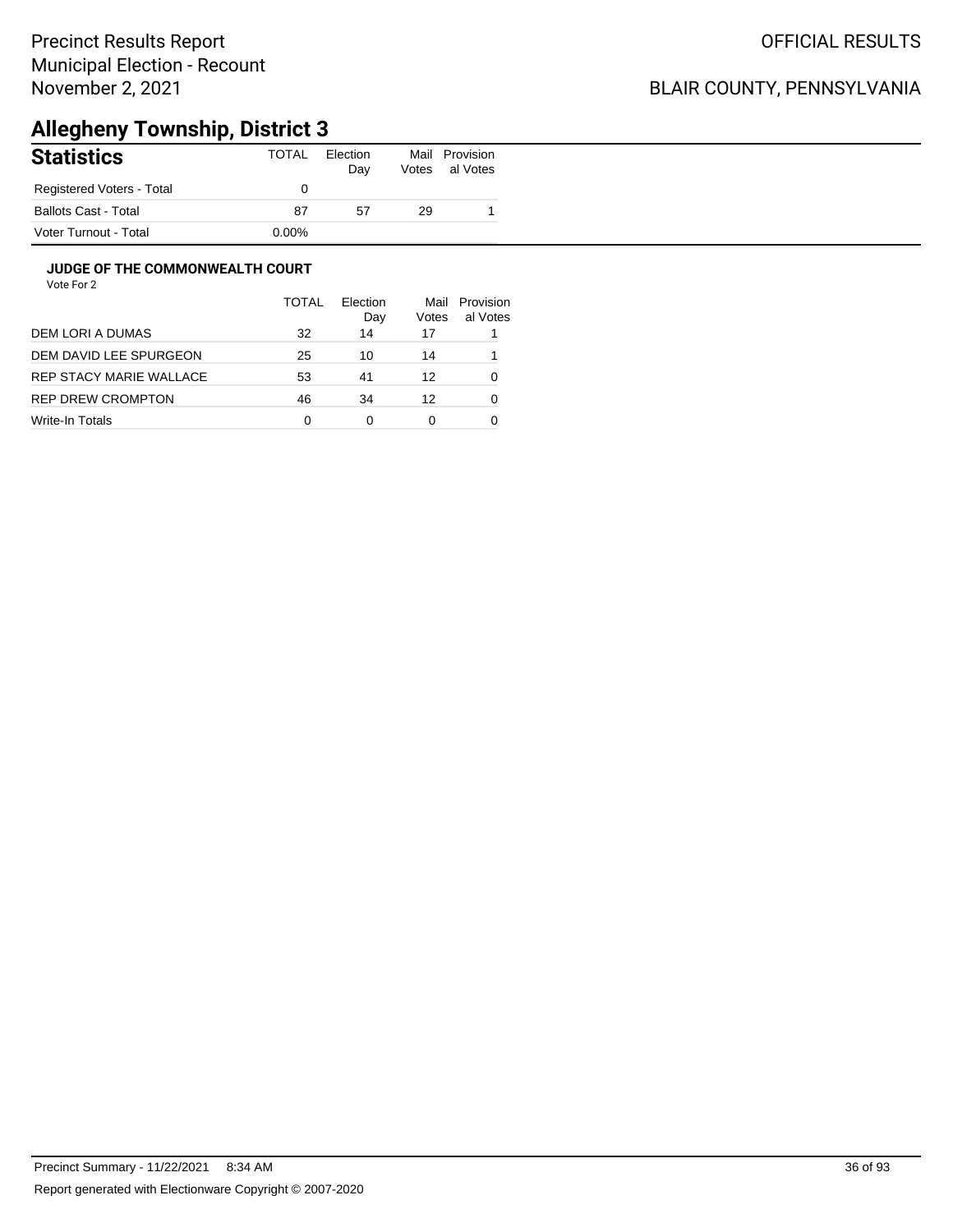## BLAIR COUNTY, PENNSYLVANIA

# **Allegheny Township, District 3**

| <b>Statistics</b>         | TOTAL    | Election<br>Day | Mail<br>Votes | Provision<br>al Votes |
|---------------------------|----------|-----------------|---------------|-----------------------|
| Registered Voters - Total |          |                 |               |                       |
| Ballots Cast - Total      | 87       | 57              | 29            |                       |
| Voter Turnout - Total     | $0.00\%$ |                 |               |                       |

#### **JUDGE OF THE COMMONWEALTH COURT**

|                         | <b>TOTAL</b> | <b>Flection</b><br>Day | Mail<br>Votes | Provision<br>al Votes |
|-------------------------|--------------|------------------------|---------------|-----------------------|
| DEM LORI A DUMAS        | 32           | 14                     | 17            |                       |
| DEM DAVID LEE SPURGEON  | 25           | 10                     | 14            |                       |
| REP STACY MARIE WALLACE | 53           | 41                     | 12            | 0                     |
| REP DREW CROMPTON       | 46           | 34                     | 12            | 0                     |
| Write-In Totals         | 0            | 0                      | 0             |                       |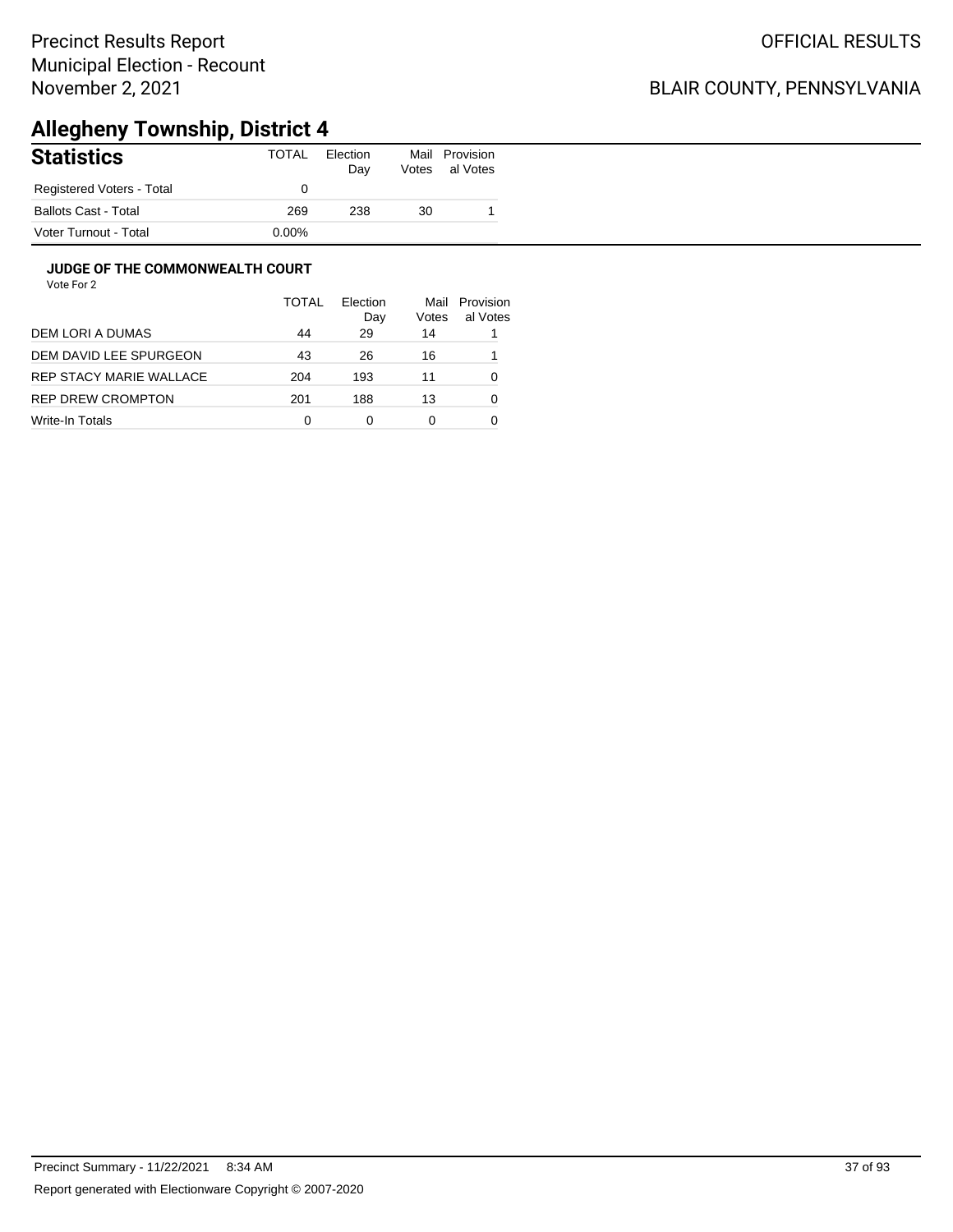### BLAIR COUNTY, PENNSYLVANIA

# **Allegheny Township, District 4**

| <b>Statistics</b>           | TOTAL    | Election<br>Day | Mail<br>Votes | Provision<br>al Votes |
|-----------------------------|----------|-----------------|---------------|-----------------------|
| Registered Voters - Total   |          |                 |               |                       |
| <b>Ballots Cast - Total</b> | 269      | 238             | 30            |                       |
| Voter Turnout - Total       | $0.00\%$ |                 |               |                       |

#### **JUDGE OF THE COMMONWEALTH COURT**

|                          | TOTAL | Flection<br>Day | Mail<br>Votes | Provision<br>al Votes |
|--------------------------|-------|-----------------|---------------|-----------------------|
| DEM LORI A DUMAS         | 44    | 29              | 14            |                       |
| DEM DAVID LEE SPURGEON   | 43    | 26              | 16            |                       |
| REP STACY MARIE WALLACE  | 204   | 193             | 11            | 0                     |
| <b>REP DREW CROMPTON</b> | 201   | 188             | 13            | 0                     |
| Write-In Totals          | 0     | 0               | 0             |                       |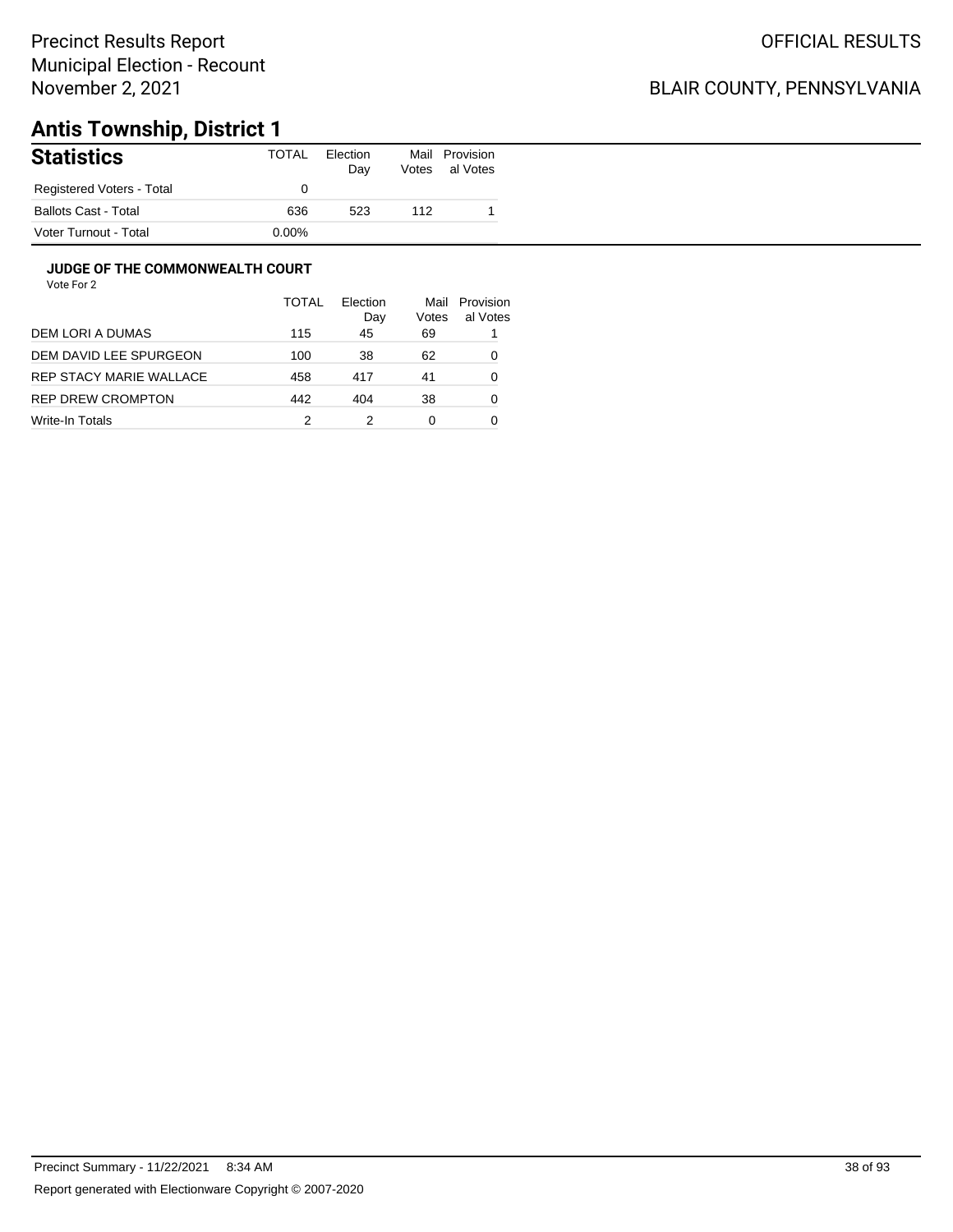### BLAIR COUNTY, PENNSYLVANIA

# **Antis Township, District 1**

| <b>Statistics</b>           | TOTAL    | Election<br>Day | Mail<br>Votes | Provision<br>al Votes |
|-----------------------------|----------|-----------------|---------------|-----------------------|
| Registered Voters - Total   |          |                 |               |                       |
| <b>Ballots Cast - Total</b> | 636      | 523             | 112           |                       |
| Voter Turnout - Total       | $0.00\%$ |                 |               |                       |

#### **JUDGE OF THE COMMONWEALTH COURT**

|                         | <b>TOTAL</b> | Election<br>Day | Mail<br>Votes | Provision<br>al Votes |
|-------------------------|--------------|-----------------|---------------|-----------------------|
| DEM LORI A DUMAS        | 115          | 45              | 69            |                       |
| DEM DAVID LEE SPURGEON  | 100          | 38              | 62            | 0                     |
| REP STACY MARIE WALLACE | 458          | 417             | 41            | 0                     |
| REP DREW CROMPTON       | 442          | 404             | 38            | 0                     |
| Write-In Totals         | 2            |                 | 0             |                       |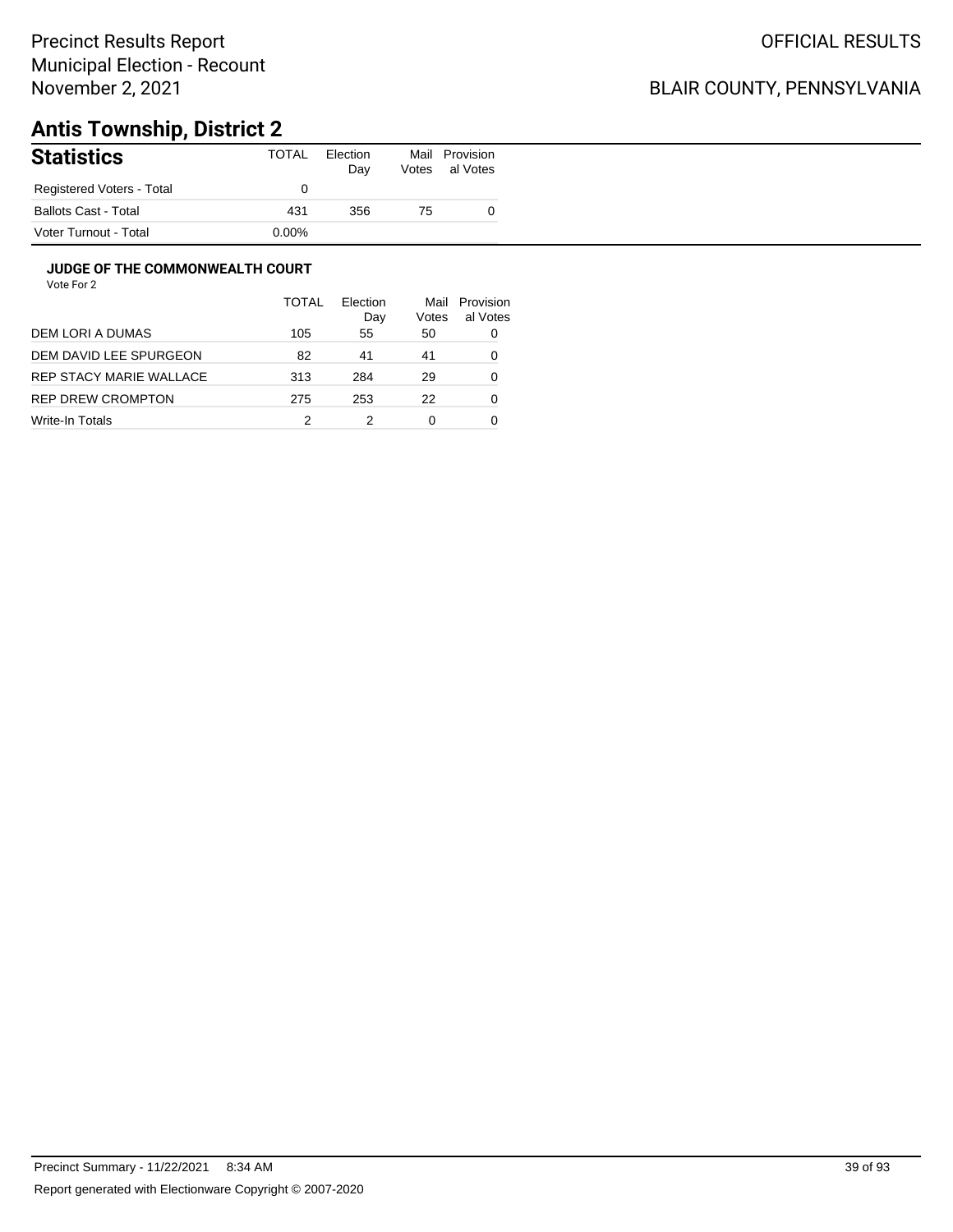### BLAIR COUNTY, PENNSYLVANIA

# **Antis Township, District 2**

| <b>Statistics</b>           | TOTAL    | Election<br>Day | Mail<br>Votes | Provision<br>al Votes |
|-----------------------------|----------|-----------------|---------------|-----------------------|
| Registered Voters - Total   |          |                 |               |                       |
| <b>Ballots Cast - Total</b> | 431      | 356             | 75            |                       |
| Voter Turnout - Total       | $0.00\%$ |                 |               |                       |

#### **JUDGE OF THE COMMONWEALTH COURT**

|                         | TOTAL | Flection<br>Day | Mail<br>Votes | Provision<br>al Votes |
|-------------------------|-------|-----------------|---------------|-----------------------|
| DEM LORI A DUMAS        | 105   | 55              | 50            | 0                     |
| DEM DAVID LEE SPURGEON  | 82    | 41              | 41            | 0                     |
| REP STACY MARIE WALLACE | 313   | 284             | 29            | 0                     |
| REP DREW CROMPTON       | 275   | 253             | 22            | 0                     |
| Write-In Totals         | 2     |                 | 0             |                       |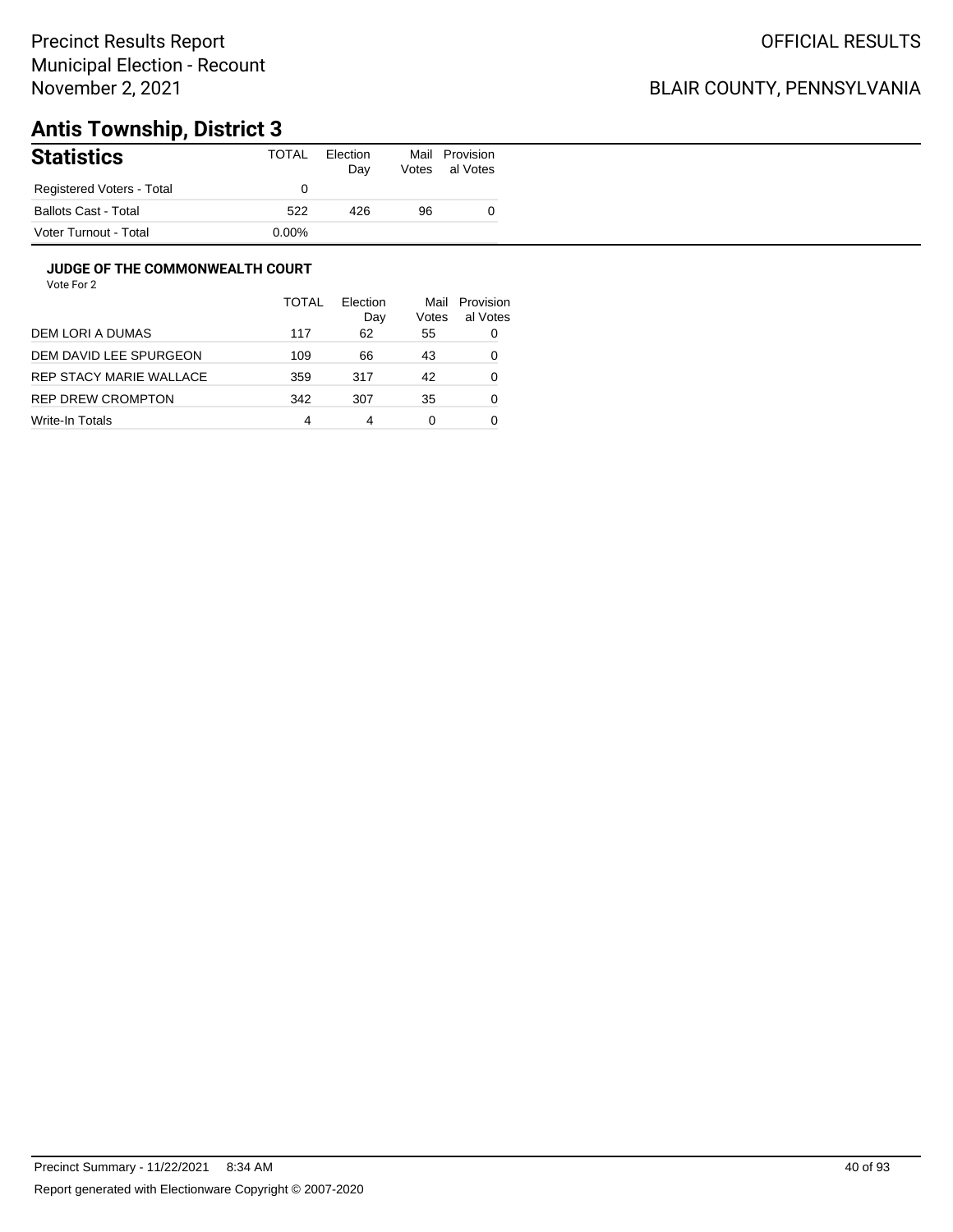### BLAIR COUNTY, PENNSYLVANIA

# **Antis Township, District 3**

| <b>Statistics</b>         | TOTAL    | Election<br>Day | Mail<br>Votes | Provision<br>al Votes |
|---------------------------|----------|-----------------|---------------|-----------------------|
| Registered Voters - Total |          |                 |               |                       |
| Ballots Cast - Total      | 522      | 426             | 96            |                       |
| Voter Turnout - Total     | $0.00\%$ |                 |               |                       |

#### **JUDGE OF THE COMMONWEALTH COURT**

|                         | <b>TOTAL</b> | Flection<br>Day | Mail<br>Votes | Provision<br>al Votes |
|-------------------------|--------------|-----------------|---------------|-----------------------|
| DEM LORI A DUMAS        | 117          | 62              | 55            | 0                     |
| DEM DAVID LEE SPURGEON  | 109          | 66              | 43            | 0                     |
| REP STACY MARIE WALLACE | 359          | 317             | 42            | 0                     |
| REP DREW CROMPTON       | 342          | 307             | 35            | 0                     |
| Write-In Totals         | 4            | 4               | 0             |                       |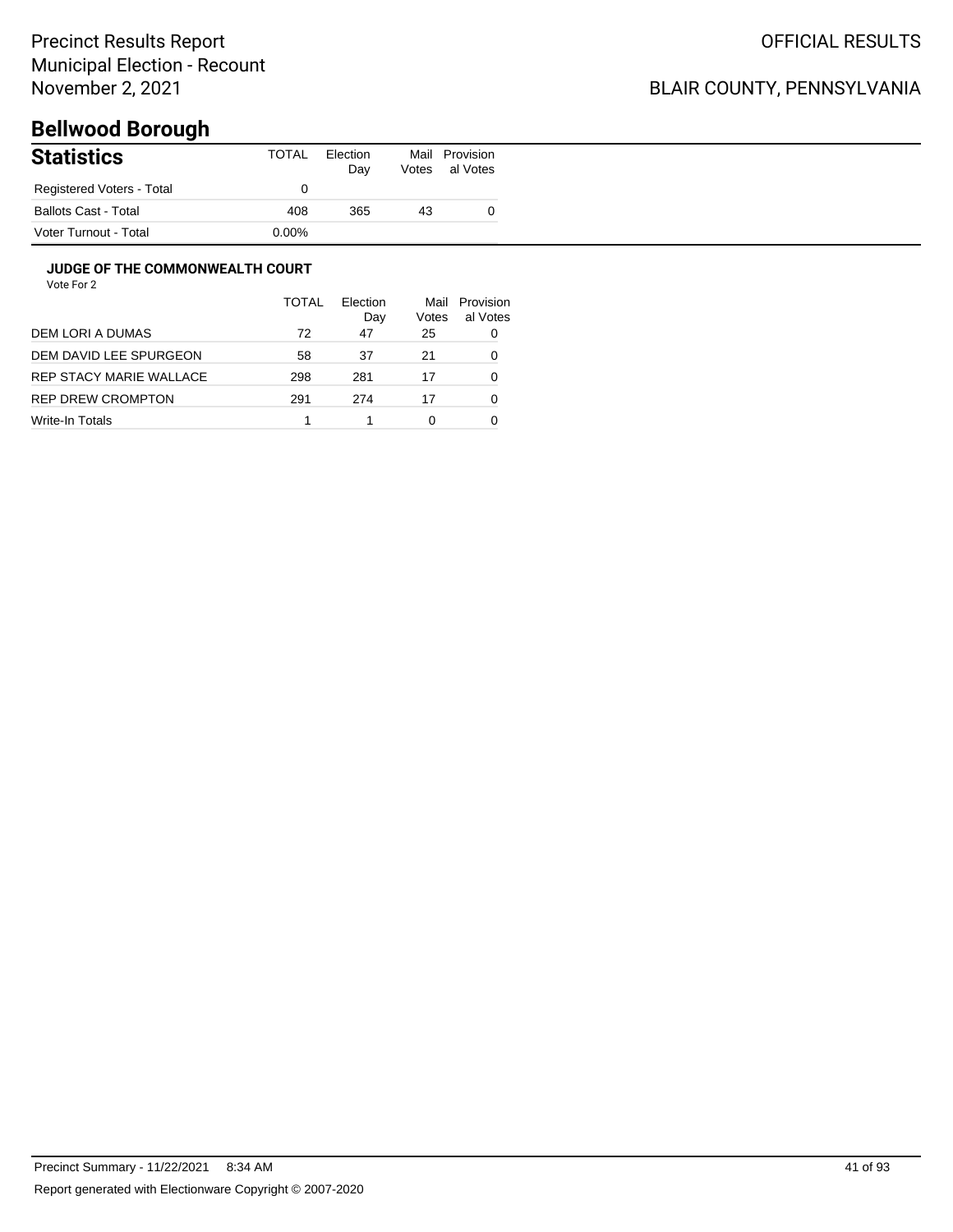## BLAIR COUNTY, PENNSYLVANIA

# **Bellwood Borough**

| <b>Statistics</b>           | TOTAL | Election<br>Day | Votes | Mail Provision<br>al Votes |
|-----------------------------|-------|-----------------|-------|----------------------------|
| Registered Voters - Total   |       |                 |       |                            |
| <b>Ballots Cast - Total</b> | 408   | 365             | 43    |                            |
| Voter Turnout - Total       | 0.00% |                 |       |                            |

#### **JUDGE OF THE COMMONWEALTH COURT**

|                         | TOTAL | Flection<br>Day | Mail<br>Votes | Provision<br>al Votes |
|-------------------------|-------|-----------------|---------------|-----------------------|
| DEM LORI A DUMAS        | 72    | 47              | 25            | 0                     |
| DEM DAVID LEE SPURGEON  | 58    | 37              | 21            | 0                     |
| REP STACY MARIE WALLACE | 298   | 281             | 17            | 0                     |
| REP DREW CROMPTON       | 291   | 274             | 17            | 0                     |
| Write-In Totals         |       |                 | 0             |                       |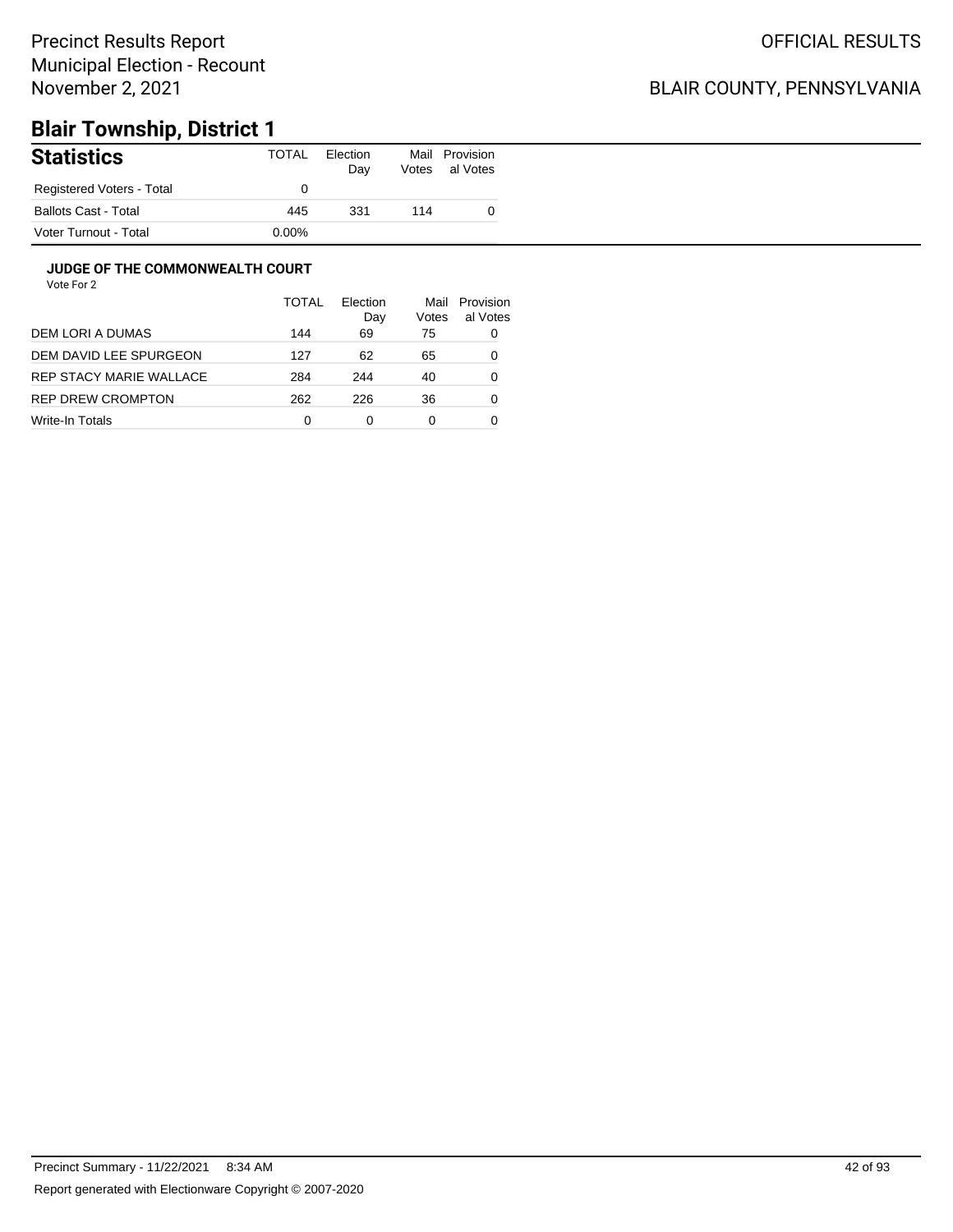### BLAIR COUNTY, PENNSYLVANIA

# **Blair Township, District 1**

| <b>Statistics</b>           | TOTAL    | Election<br>Day | Mail<br>Votes | Provision<br>al Votes |
|-----------------------------|----------|-----------------|---------------|-----------------------|
| Registered Voters - Total   |          |                 |               |                       |
| <b>Ballots Cast - Total</b> | 445      | 331             | 114           |                       |
| Voter Turnout - Total       | $0.00\%$ |                 |               |                       |

#### **JUDGE OF THE COMMONWEALTH COURT**

|                         | TOTAL | Flection<br>Day | Mail<br>Votes | Provision<br>al Votes |
|-------------------------|-------|-----------------|---------------|-----------------------|
| DEM LORI A DUMAS        | 144   | 69              | 75            | 0                     |
| DEM DAVID LEE SPURGEON  | 127   | 62              | 65            | 0                     |
| REP STACY MARIE WALLACE | 284   | 244             | 40            | 0                     |
| REP DREW CROMPTON       | 262   | 226             | 36            | 0                     |
| Write-In Totals         | 0     | 0               | 0             |                       |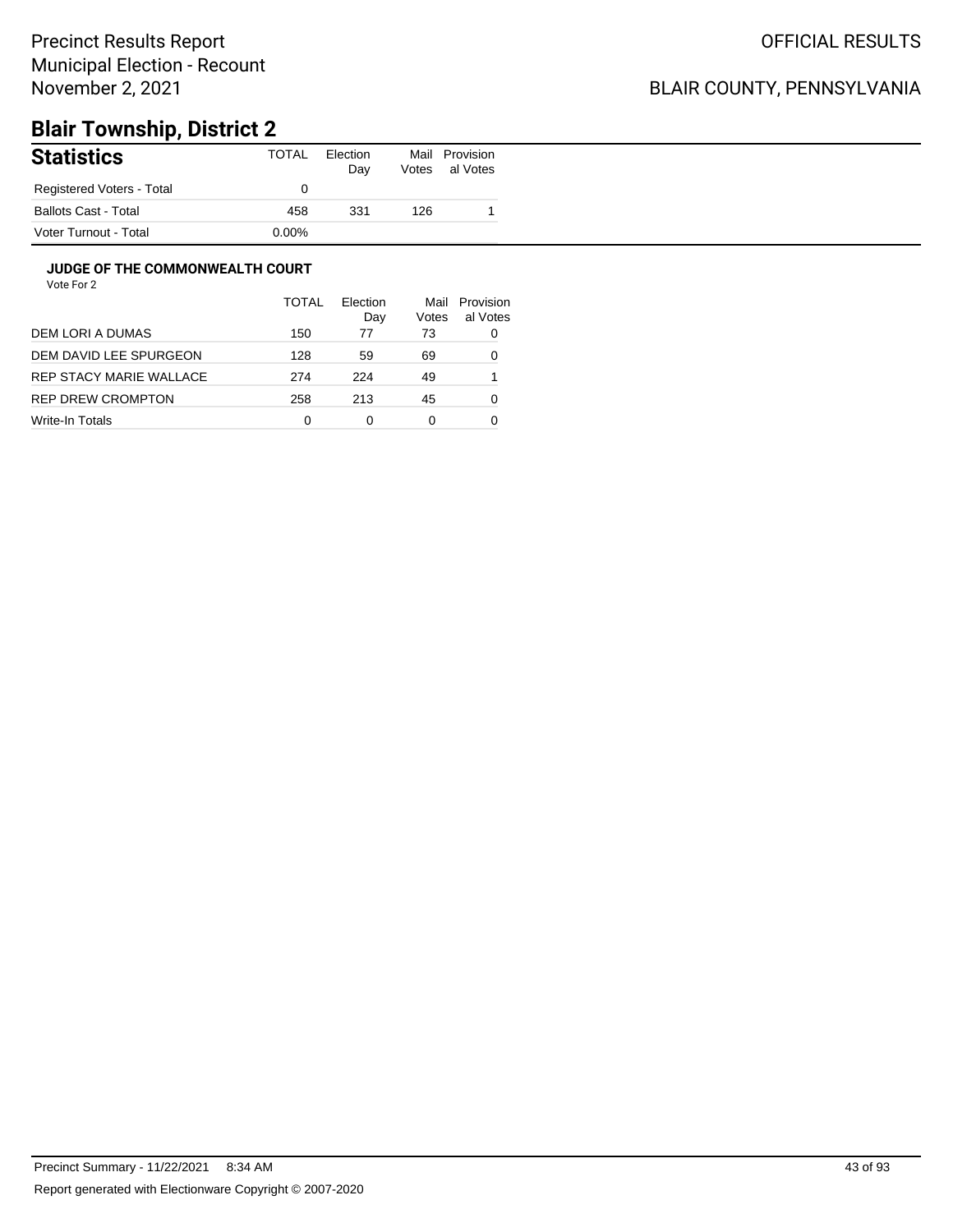### BLAIR COUNTY, PENNSYLVANIA

# **Blair Township, District 2**

| <b>Statistics</b>           | TOTAL    | Election<br>Day | Mail<br>Votes | Provision<br>al Votes |
|-----------------------------|----------|-----------------|---------------|-----------------------|
| Registered Voters - Total   |          |                 |               |                       |
| <b>Ballots Cast - Total</b> | 458      | 331             | 126           |                       |
| Voter Turnout - Total       | $0.00\%$ |                 |               |                       |

#### **JUDGE OF THE COMMONWEALTH COURT**

|                         | TOTAL | Flection<br>Day | Mail<br>Votes | Provision<br>al Votes |
|-------------------------|-------|-----------------|---------------|-----------------------|
| DEM LORI A DUMAS        | 150   | 77              | 73            | 0                     |
| DEM DAVID LEE SPURGEON  | 128   | 59              | 69            | 0                     |
| REP STACY MARIE WALLACE | 274   | 224             | 49            |                       |
| REP DREW CROMPTON       | 258   | 213             | 45            | 0                     |
| Write-In Totals         | 0     | 0               | 0             |                       |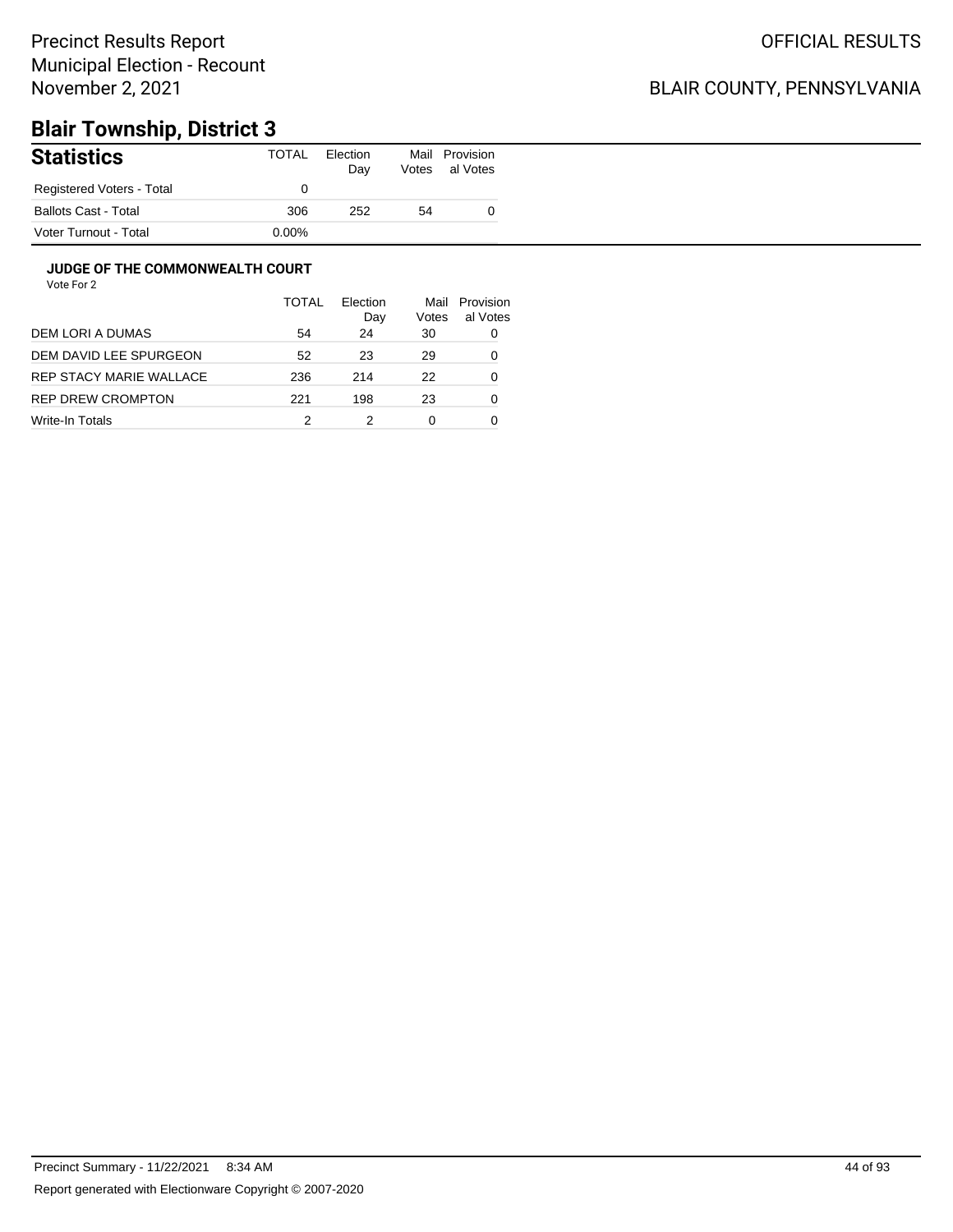### BLAIR COUNTY, PENNSYLVANIA

# **Blair Township, District 3**

| <b>Statistics</b>           | TOTAL    | Election<br>Day | Mail<br>Votes | Provision<br>al Votes |
|-----------------------------|----------|-----------------|---------------|-----------------------|
| Registered Voters - Total   |          |                 |               |                       |
| <b>Ballots Cast - Total</b> | 306      | 252             | 54            |                       |
| Voter Turnout - Total       | $0.00\%$ |                 |               |                       |

#### **JUDGE OF THE COMMONWEALTH COURT**

|                         | TOTAL | Flection<br>Day | Mail<br>Votes | Provision<br>al Votes |
|-------------------------|-------|-----------------|---------------|-----------------------|
| DEM LORI A DUMAS        | 54    | 24              | 30            | 0                     |
| DEM DAVID LEE SPURGEON  | 52    | 23              | 29            | 0                     |
| REP STACY MARIE WALLACE | 236   | 214             | 22            | 0                     |
| REP DREW CROMPTON       | 221   | 198             | 23            | 0                     |
| Write-In Totals         |       |                 | 0             |                       |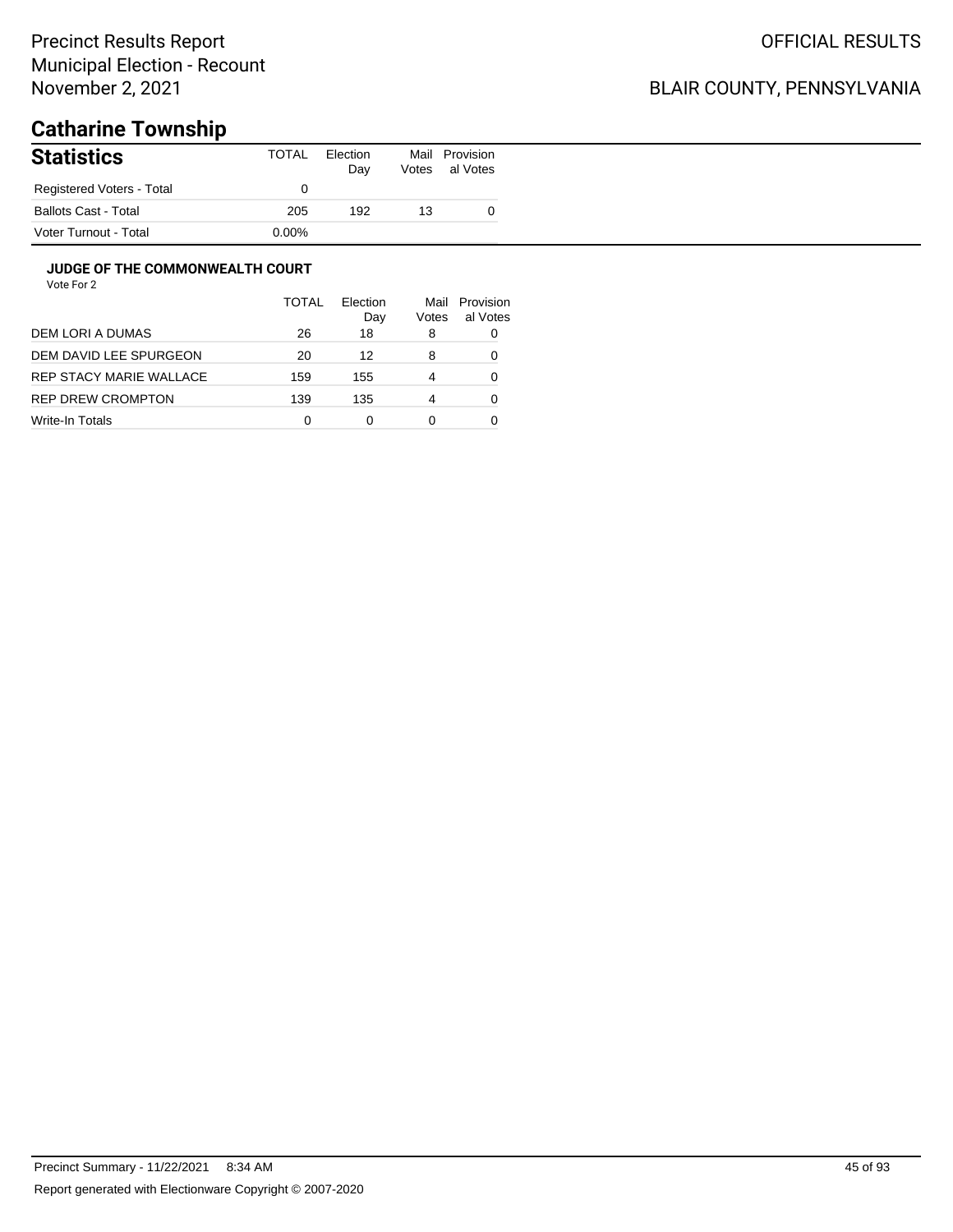### BLAIR COUNTY, PENNSYLVANIA

# **Catharine Township**

| <b>Statistics</b>           | TOTAL    | Election<br>Day | Votes | Mail Provision<br>al Votes |
|-----------------------------|----------|-----------------|-------|----------------------------|
| Registered Voters - Total   |          |                 |       |                            |
| <b>Ballots Cast - Total</b> | 205      | 192             | 13    |                            |
| Voter Turnout - Total       | $0.00\%$ |                 |       |                            |

#### **JUDGE OF THE COMMONWEALTH COURT**

|                         | TOTAL | Flection<br>Day | Mail<br>Votes | Provision<br>al Votes |
|-------------------------|-------|-----------------|---------------|-----------------------|
| DEM LORI A DUMAS        | 26    | 18              | 8             |                       |
| DEM DAVID LEE SPURGEON  | 20    | 12              | 8             |                       |
| REP STACY MARIE WALLACE | 159   | 155             | 4             | 0                     |
| REP DREW CROMPTON       | 139   | 135             | 4             | Ω                     |
| Write-In Totals         | 0     |                 | 0             |                       |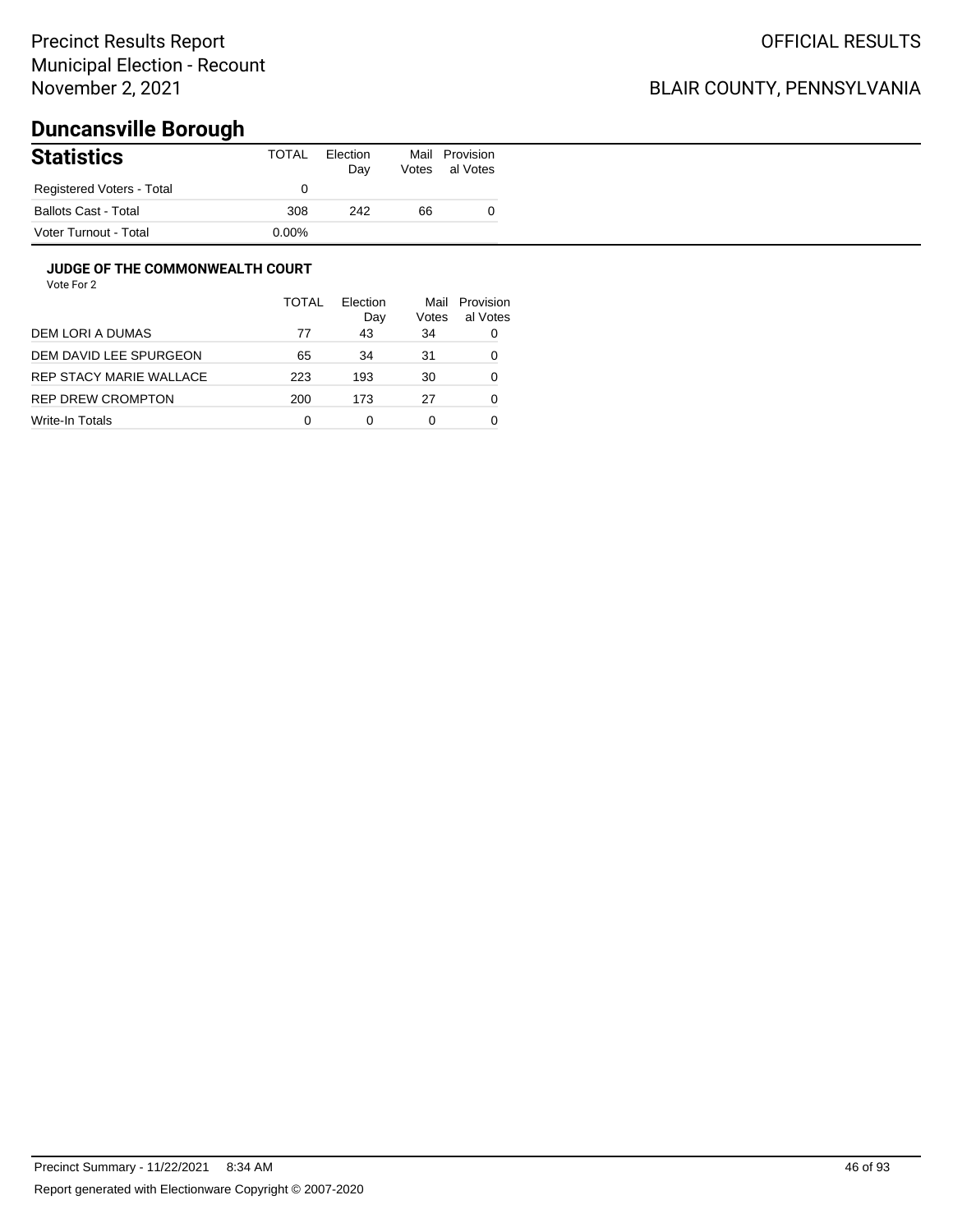### BLAIR COUNTY, PENNSYLVANIA

# **Duncansville Borough**

| <b>Statistics</b>           | TOTAL    | Election<br>Day | Mail<br>Votes | Provision<br>al Votes |
|-----------------------------|----------|-----------------|---------------|-----------------------|
| Registered Voters - Total   |          |                 |               |                       |
| <b>Ballots Cast - Total</b> | 308      | 242             | 66            |                       |
| Voter Turnout - Total       | $0.00\%$ |                 |               |                       |

#### **JUDGE OF THE COMMONWEALTH COURT**

|                         | <b>TOTAL</b> | Flection<br>Day | Mail<br>Votes | Provision<br>al Votes |
|-------------------------|--------------|-----------------|---------------|-----------------------|
| DEM LORI A DUMAS        | 77           | 43              | 34            | 0                     |
| DEM DAVID LEE SPURGEON  | 65           | 34              | 31            | 0                     |
| REP STACY MARIE WALLACE | 223          | 193             | 30            | 0                     |
| REP DREW CROMPTON       | 200          | 173             | 27            | 0                     |
| Write-In Totals         | 0            | ი               | 0             |                       |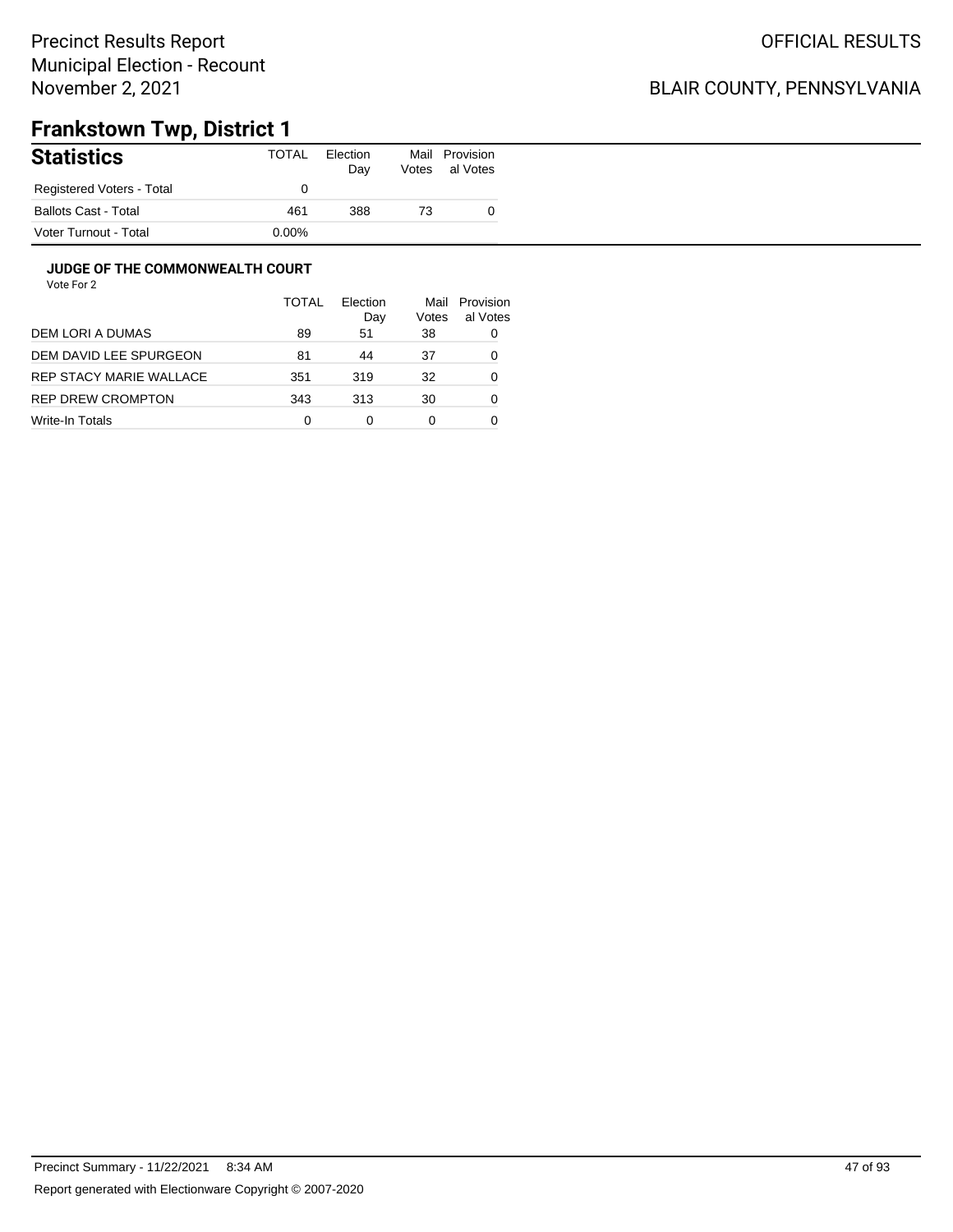## BLAIR COUNTY, PENNSYLVANIA

# **Frankstown Twp, District 1**

| <b>Statistics</b>           | TOTAL    | Election<br>Day | Mail<br>Votes | Provision<br>al Votes |
|-----------------------------|----------|-----------------|---------------|-----------------------|
| Registered Voters - Total   |          |                 |               |                       |
| <b>Ballots Cast - Total</b> | 461      | 388             | 73            |                       |
| Voter Turnout - Total       | $0.00\%$ |                 |               |                       |

#### **JUDGE OF THE COMMONWEALTH COURT**

|                          | <b>TOTAL</b> | Election<br>Dav | Mail<br>Votes | Provision<br>al Votes |
|--------------------------|--------------|-----------------|---------------|-----------------------|
| DEM LORI A DUMAS         | 89           | 51              | 38            | 0                     |
| DEM DAVID LEE SPURGEON   | 81           | 44              | 37            | 0                     |
| REP STACY MARIE WALLACE  | 351          | 319             | 32            | 0                     |
| <b>REP DREW CROMPTON</b> | 343          | 313             | 30            | 0                     |
| Write-In Totals          | 0            | 0               | 0             |                       |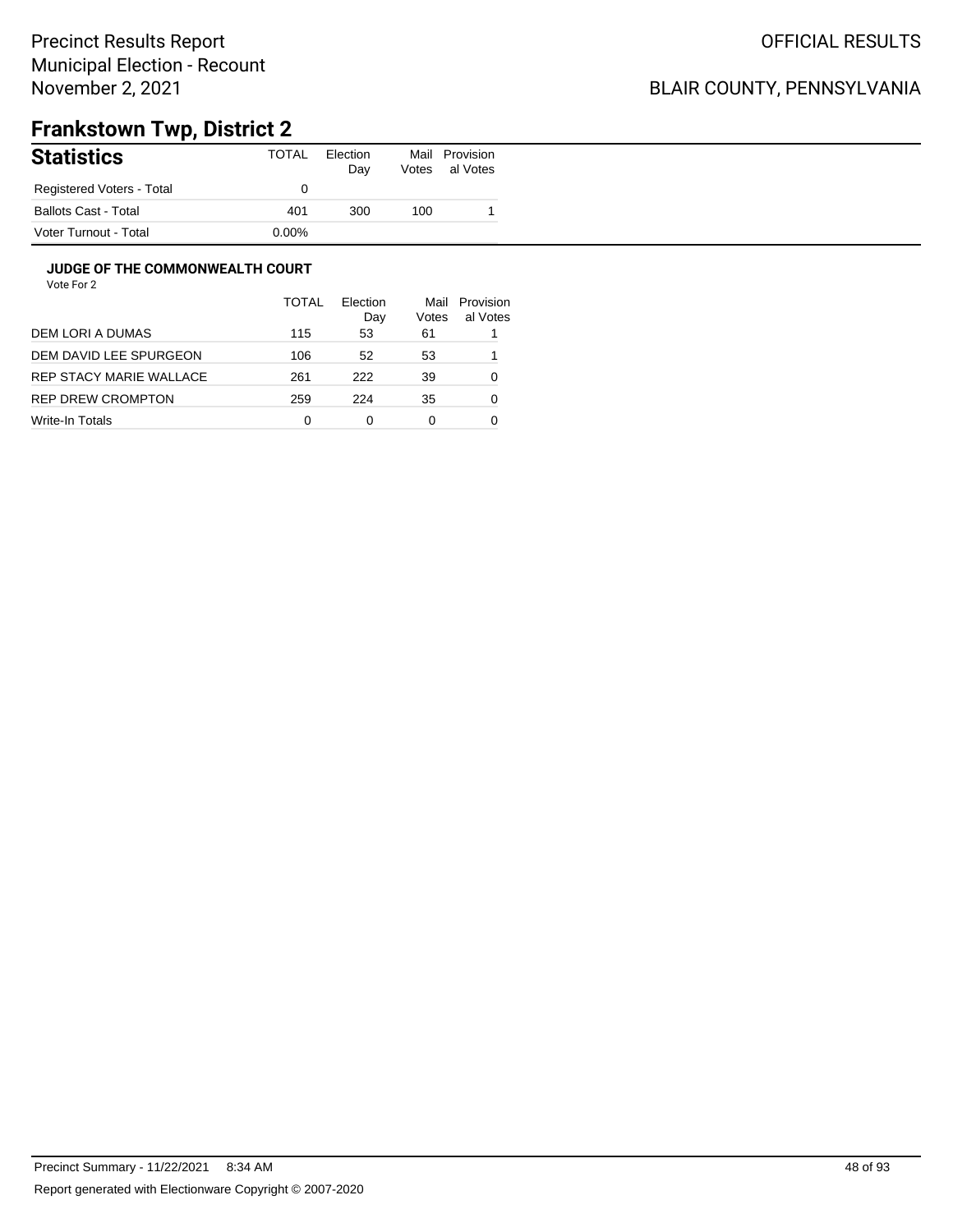### BLAIR COUNTY, PENNSYLVANIA

# **Frankstown Twp, District 2**

| <b>Statistics</b>           | TOTAL    | Election<br>Day | Mail<br>Votes | Provision<br>al Votes |
|-----------------------------|----------|-----------------|---------------|-----------------------|
| Registered Voters - Total   |          |                 |               |                       |
| <b>Ballots Cast - Total</b> | 401      | 300             | 100           |                       |
| Voter Turnout - Total       | $0.00\%$ |                 |               |                       |

#### **JUDGE OF THE COMMONWEALTH COURT**

|                         | <b>TOTAL</b> | Election<br>Day | Mail<br>Votes | Provision<br>al Votes |
|-------------------------|--------------|-----------------|---------------|-----------------------|
| DEM LORI A DUMAS        | 115          | 53              | 61            |                       |
| DEM DAVID LEE SPURGEON  | 106          | 52              | 53            |                       |
| REP STACY MARIE WALLACE | 261          | 222             | 39            | 0                     |
| REP DREW CROMPTON       | 259          | 224             | 35            | 0                     |
| Write-In Totals         | 0            | 0               | 0             |                       |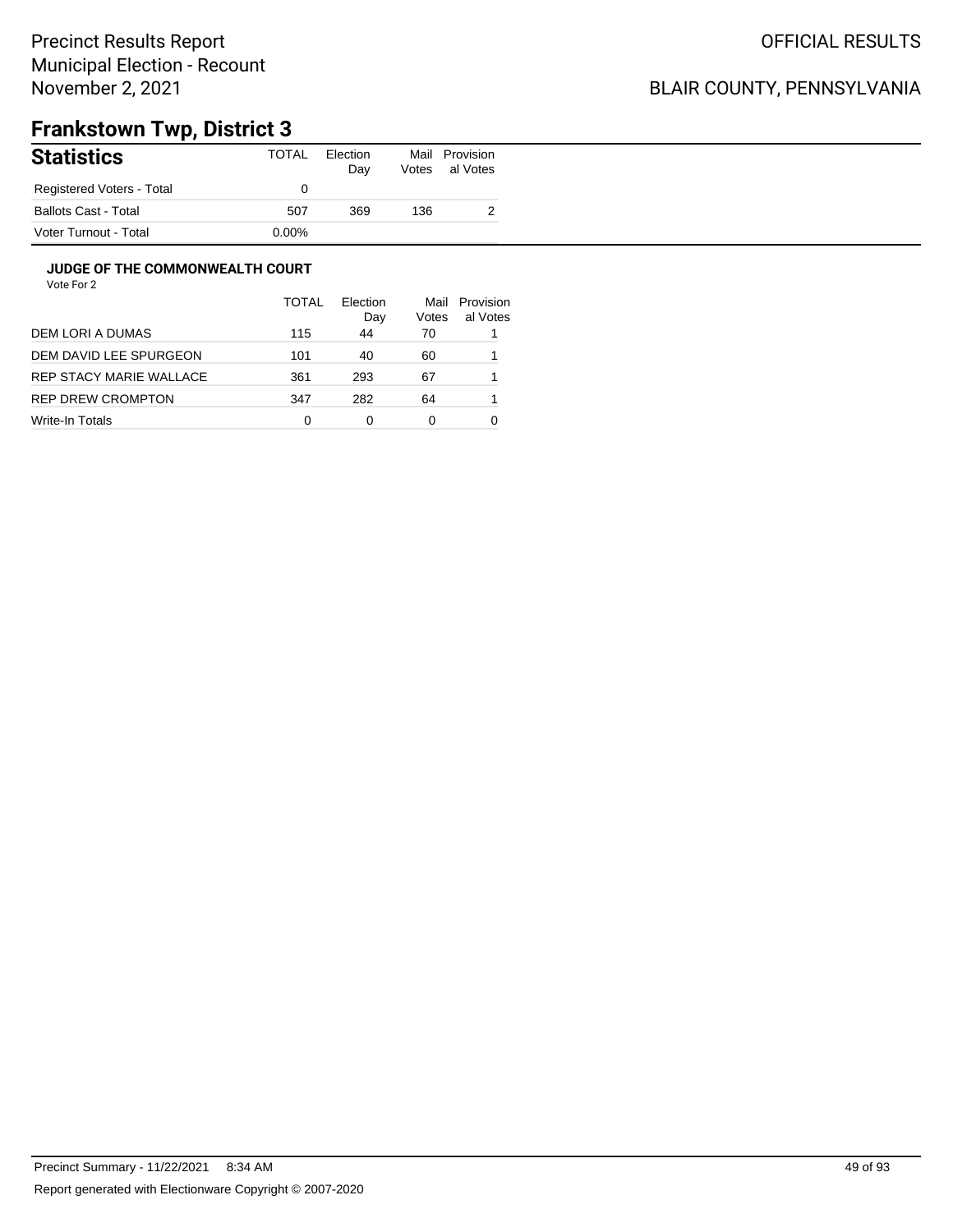### BLAIR COUNTY, PENNSYLVANIA

# **Frankstown Twp, District 3**

| <b>Statistics</b>           | TOTAL    | Election<br>Day | Mail<br>Votes | Provision<br>al Votes |
|-----------------------------|----------|-----------------|---------------|-----------------------|
| Registered Voters - Total   |          |                 |               |                       |
| <b>Ballots Cast - Total</b> | 507      | 369             | 136           |                       |
| Voter Turnout - Total       | $0.00\%$ |                 |               |                       |

#### **JUDGE OF THE COMMONWEALTH COURT**

|                         | <b>TOTAL</b> | Election<br>Day | Mail<br>Votes | Provision<br>al Votes |
|-------------------------|--------------|-----------------|---------------|-----------------------|
| DEM LORI A DUMAS        | 115          | 44              | 70            |                       |
| DEM DAVID LEE SPURGEON  | 101          | 40              | 60            |                       |
| REP STACY MARIE WALLACE | 361          | 293             | 67            |                       |
| REP DREW CROMPTON       | 347          | 282             | 64            |                       |
| Write-In Totals         | 0            | 0               | 0             |                       |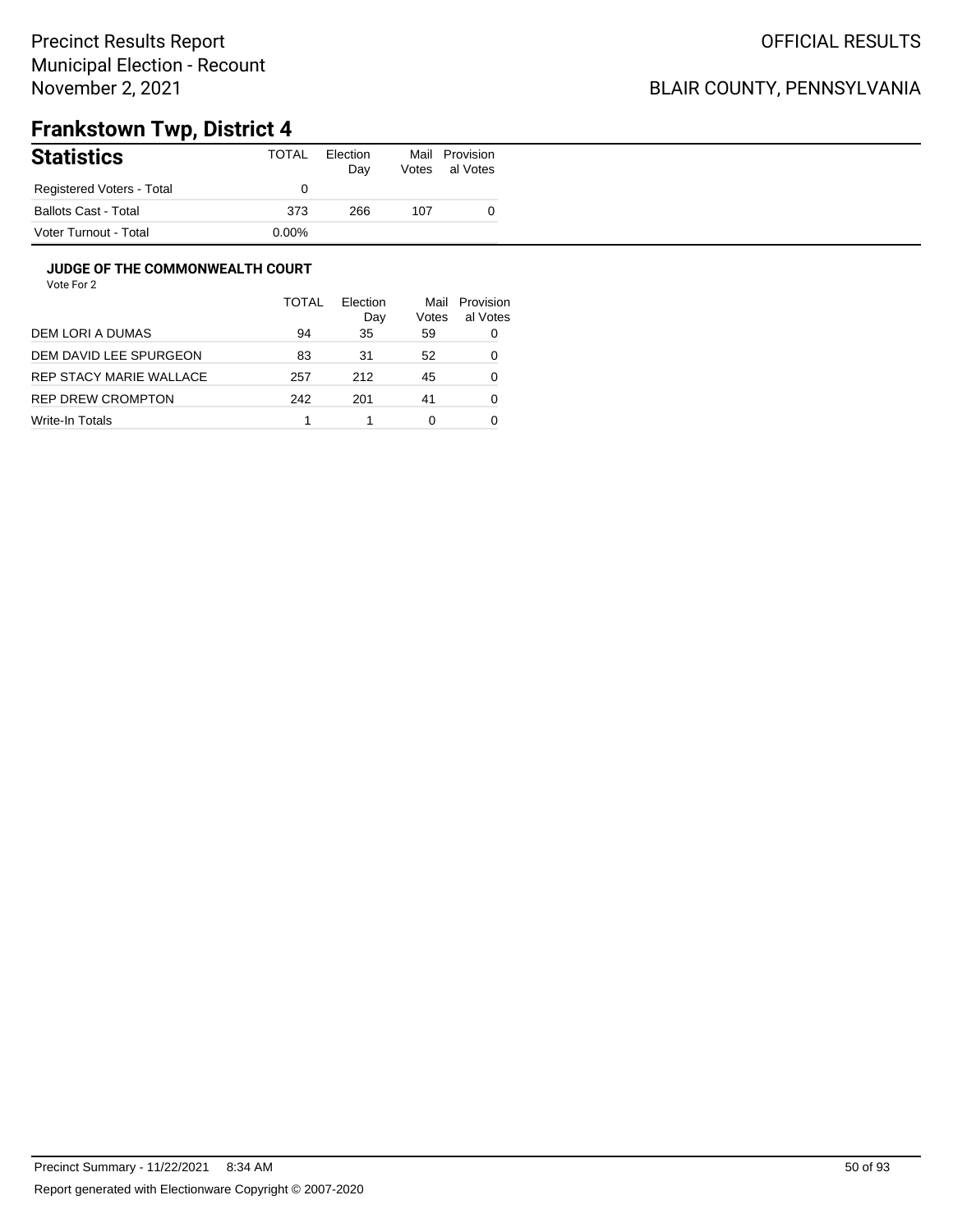### BLAIR COUNTY, PENNSYLVANIA

# **Frankstown Twp, District 4**

| <b>Statistics</b>         | TOTAL    | Election<br>Day | Mail<br>Votes | Provision<br>al Votes |
|---------------------------|----------|-----------------|---------------|-----------------------|
| Registered Voters - Total |          |                 |               |                       |
| Ballots Cast - Total      | 373      | 266             | 107           |                       |
| Voter Turnout - Total     | $0.00\%$ |                 |               |                       |

#### **JUDGE OF THE COMMONWEALTH COURT**

| TOTAL | Election<br>Day | Mail<br>Votes | Provision<br>al Votes |
|-------|-----------------|---------------|-----------------------|
| 94    | 35              | 59            | 0                     |
| 83    | 31              | 52            | 0                     |
| 257   | 212             | 45            | 0                     |
| 242   | 201             | 41            | 0                     |
|       |                 | 0             |                       |
|       |                 |               |                       |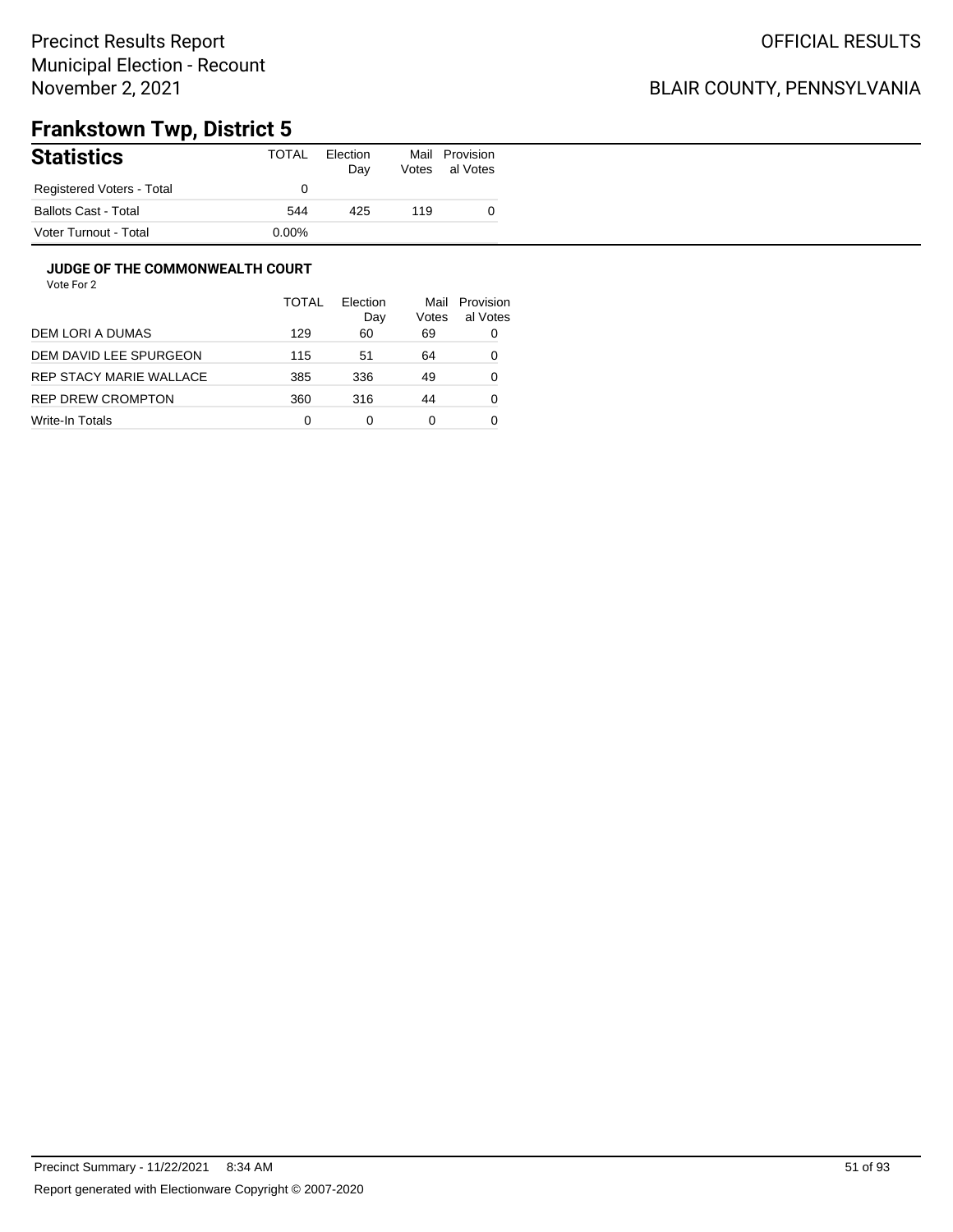### BLAIR COUNTY, PENNSYLVANIA

# **Frankstown Twp, District 5**

| <b>Statistics</b>         | TOTAL    | Election<br>Day | Mail<br>Votes | Provision<br>al Votes |
|---------------------------|----------|-----------------|---------------|-----------------------|
| Registered Voters - Total |          |                 |               |                       |
| Ballots Cast - Total      | 544      | 425             | 119           |                       |
| Voter Turnout - Total     | $0.00\%$ |                 |               |                       |

#### **JUDGE OF THE COMMONWEALTH COURT**

|                         | <b>TOTAL</b> | <b>Flection</b><br>Day | Mail<br>Votes | Provision<br>al Votes |
|-------------------------|--------------|------------------------|---------------|-----------------------|
| DEM LORI A DUMAS        | 129          | 60                     | 69            | 0                     |
| DEM DAVID LEE SPURGEON  | 115          | 51                     | 64            | 0                     |
| REP STACY MARIE WALLACE | 385          | 336                    | 49            | 0                     |
| REP DREW CROMPTON       | 360          | 316                    | 44            | 0                     |
| Write-In Totals         | 0            | 0                      | 0             |                       |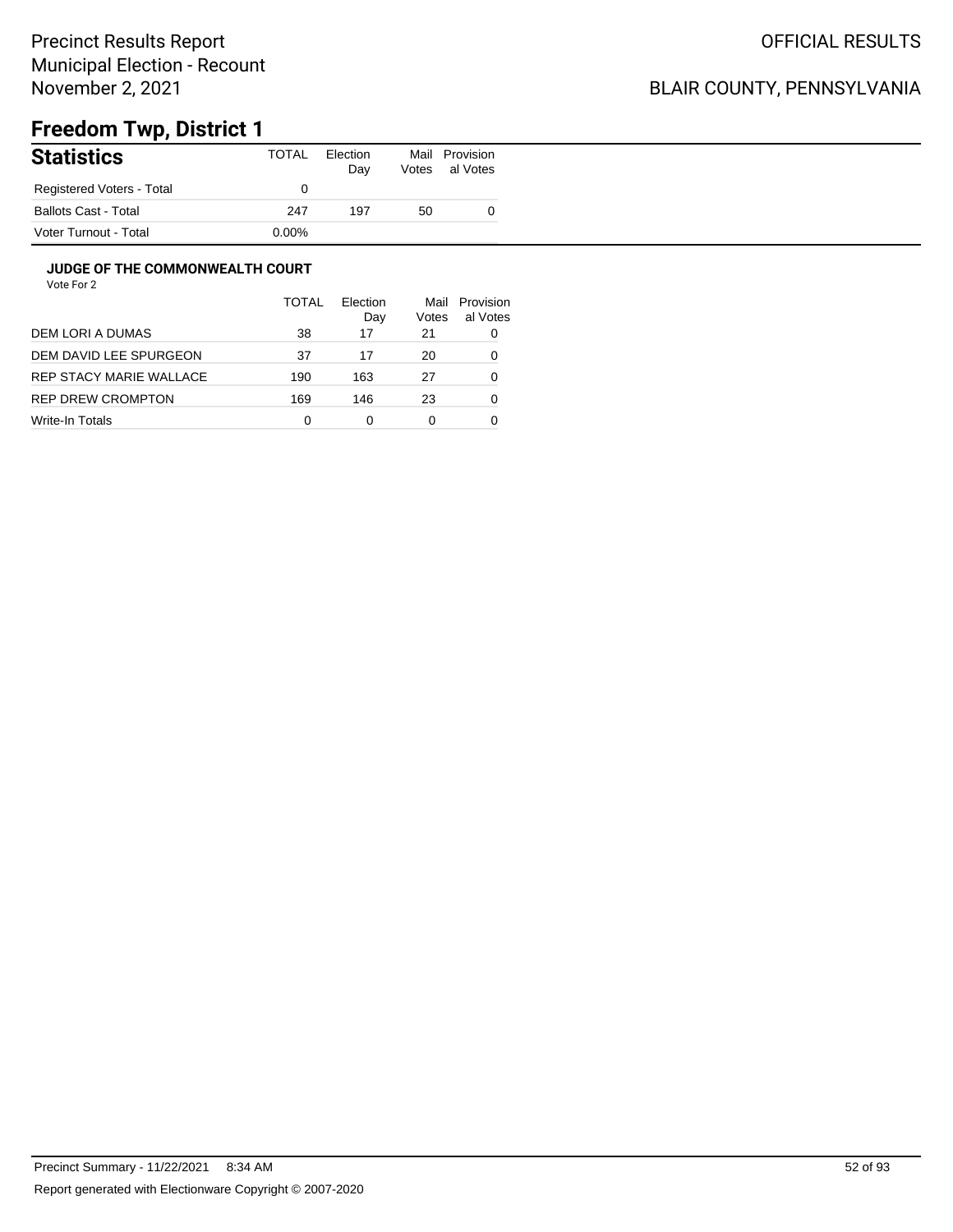### BLAIR COUNTY, PENNSYLVANIA

# **Freedom Twp, District 1**

| <b>Statistics</b>           | TOTAL    | Election<br>Day | Votes | Mail Provision<br>al Votes |
|-----------------------------|----------|-----------------|-------|----------------------------|
| Registered Voters - Total   |          |                 |       |                            |
| <b>Ballots Cast - Total</b> | 247      | 197             | 50    |                            |
| Voter Turnout - Total       | $0.00\%$ |                 |       |                            |

#### **JUDGE OF THE COMMONWEALTH COURT**

|                         | <b>TOTAL</b> | Flection<br>Day | Mail<br>Votes | Provision<br>al Votes |
|-------------------------|--------------|-----------------|---------------|-----------------------|
| DEM LORI A DUMAS        | 38           | 17              | 21            | 0                     |
| DEM DAVID LEE SPURGEON  | 37           | 17              | 20            | 0                     |
| REP STACY MARIE WALLACE | 190          | 163             | 27            | 0                     |
| REP DREW CROMPTON       | 169          | 146             | 23            | 0                     |
| Write-In Totals         | 0            | 0               | 0             |                       |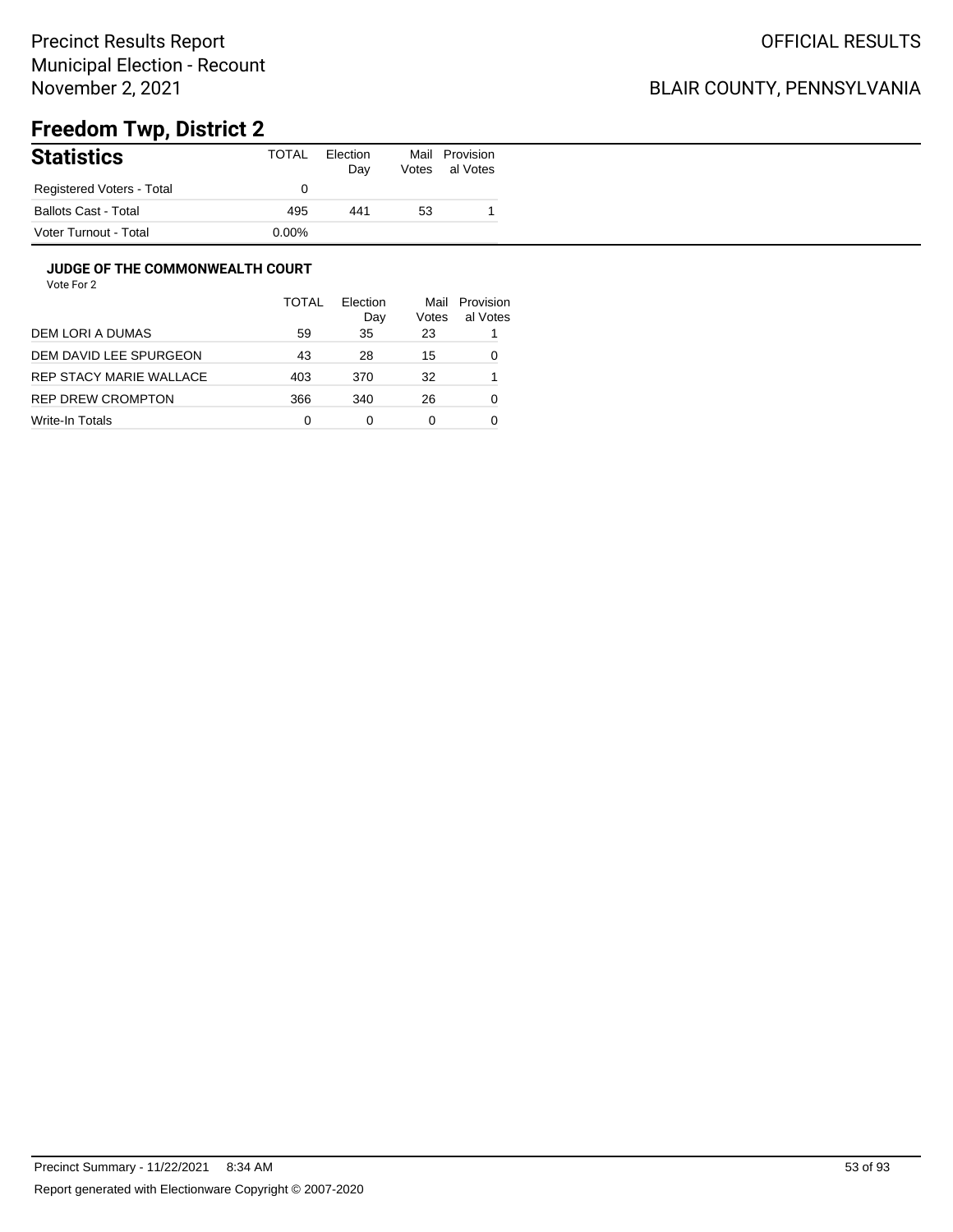### BLAIR COUNTY, PENNSYLVANIA

# **Freedom Twp, District 2**

| <b>Statistics</b>           | TOTAL    | Election<br>Day | Mail<br>Votes | Provision<br>al Votes |
|-----------------------------|----------|-----------------|---------------|-----------------------|
| Registered Voters - Total   |          |                 |               |                       |
| <b>Ballots Cast - Total</b> | 495      | 441             | 53            |                       |
| Voter Turnout - Total       | $0.00\%$ |                 |               |                       |

#### **JUDGE OF THE COMMONWEALTH COURT**

|                         | <b>TOTAL</b> | Election<br>Day | Mail<br>Votes | Provision<br>al Votes |
|-------------------------|--------------|-----------------|---------------|-----------------------|
| DEM LORI A DUMAS        | 59           | 35              | 23            |                       |
| DEM DAVID LEE SPURGEON  | 43           | 28              | 15            | 0                     |
| REP STACY MARIE WALLACE | 403          | 370             | 32            |                       |
| REP DREW CROMPTON       | 366          | 340             | 26            | 0                     |
| Write-In Totals         | 0            | 0               | 0             |                       |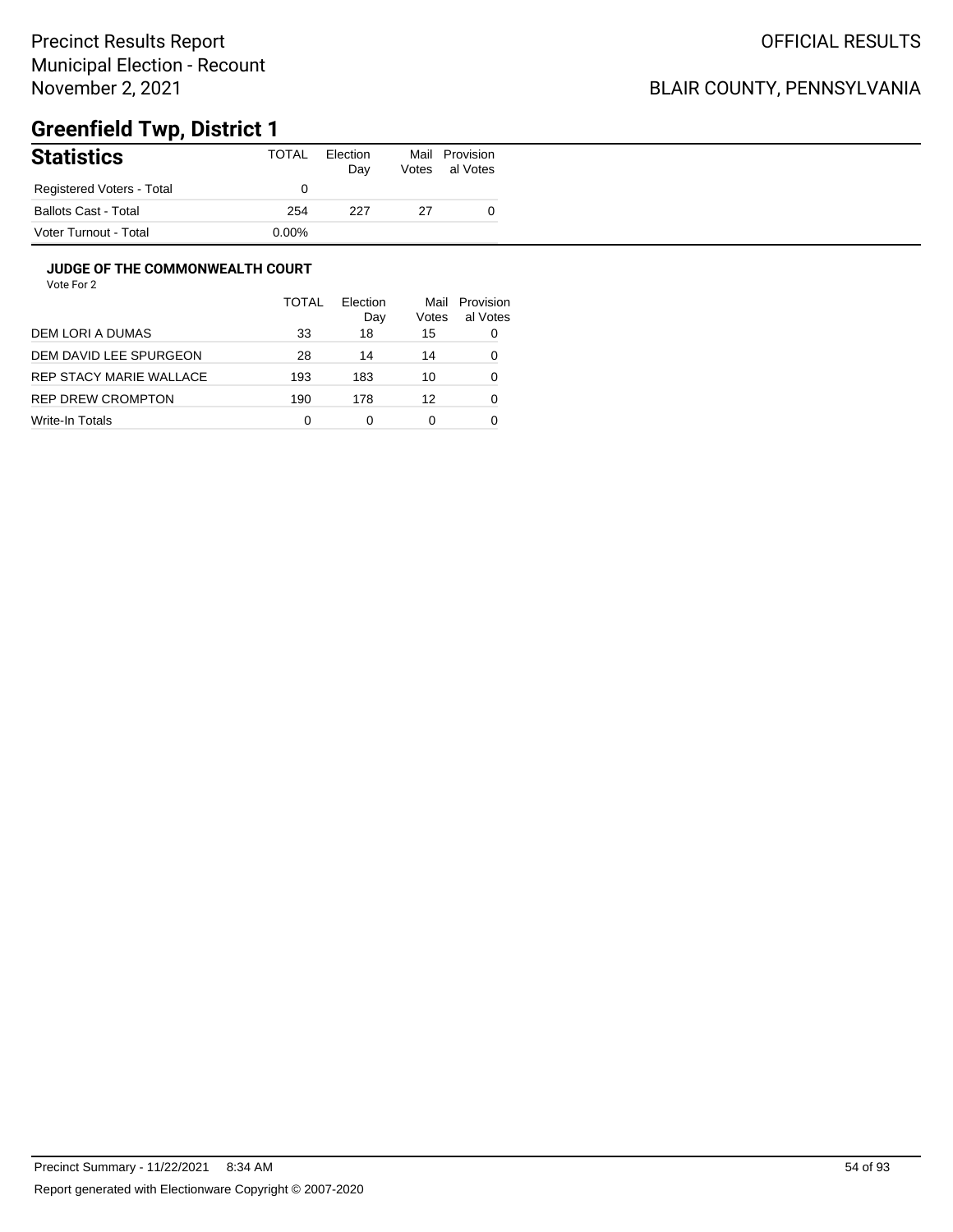## BLAIR COUNTY, PENNSYLVANIA

# **Greenfield Twp, District 1**

| <b>Statistics</b>           | TOTAL    | Election<br>Day | Mail<br>Votes | Provision<br>al Votes |
|-----------------------------|----------|-----------------|---------------|-----------------------|
| Registered Voters - Total   |          |                 |               |                       |
| <b>Ballots Cast - Total</b> | 254      | 227             | 27            |                       |
| Voter Turnout - Total       | $0.00\%$ |                 |               |                       |

#### **JUDGE OF THE COMMONWEALTH COURT**

|                         | <b>TOTAL</b> | Flection<br>Day | Mail<br>Votes | Provision<br>al Votes |
|-------------------------|--------------|-----------------|---------------|-----------------------|
| DEM LORI A DUMAS        | 33           | 18              | 15            | 0                     |
| DEM DAVID LEE SPURGEON  | 28           | 14              | 14            | 0                     |
| REP STACY MARIE WALLACE | 193          | 183             | 10            | 0                     |
| REP DREW CROMPTON       | 190          | 178             | 12            | 0                     |
| Write-In Totals         | 0            | 0               | 0             |                       |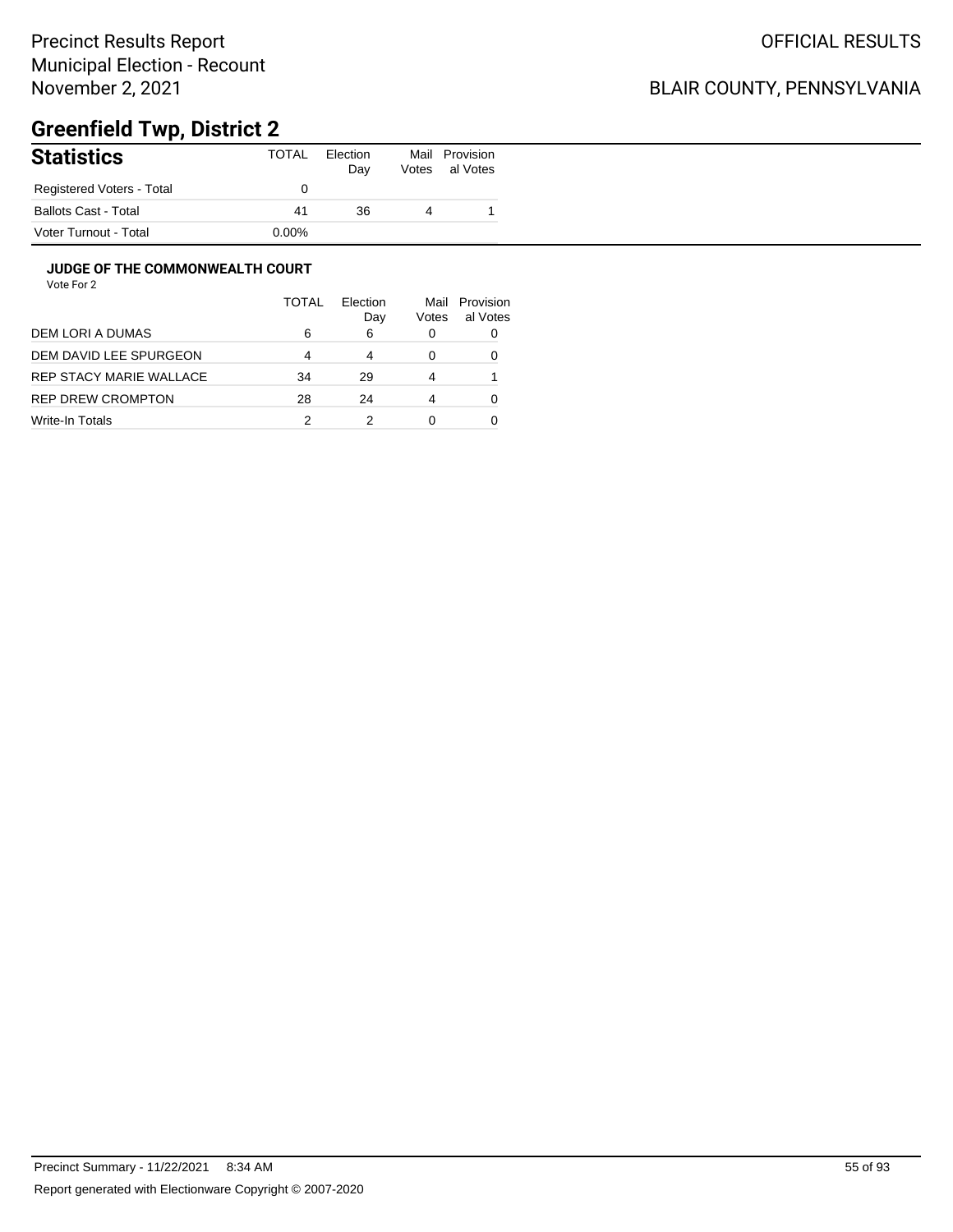## BLAIR COUNTY, PENNSYLVANIA

# **Greenfield Twp, District 2**

| <b>Statistics</b>         | TOTAL    | Election<br>Day | Votes | Mail Provision<br>al Votes |
|---------------------------|----------|-----------------|-------|----------------------------|
| Registered Voters - Total |          |                 |       |                            |
| Ballots Cast - Total      | 41       | 36              |       |                            |
| Voter Turnout - Total     | $0.00\%$ |                 |       |                            |

#### **JUDGE OF THE COMMONWEALTH COURT**

|                         | <b>TOTAL</b> | Flection<br>Day | Mail<br>Votes | Provision<br>al Votes |
|-------------------------|--------------|-----------------|---------------|-----------------------|
| DEM LORI A DUMAS        | 6            | 6               | $\Omega$      |                       |
| DEM DAVID LEE SPURGEON  | 4            | 4               | 0             |                       |
| REP STACY MARIE WALLACE | 34           | 29              | 4             |                       |
| REP DREW CROMPTON       | 28           | 24              | 4             |                       |
| Write-In Totals         | 2            |                 |               |                       |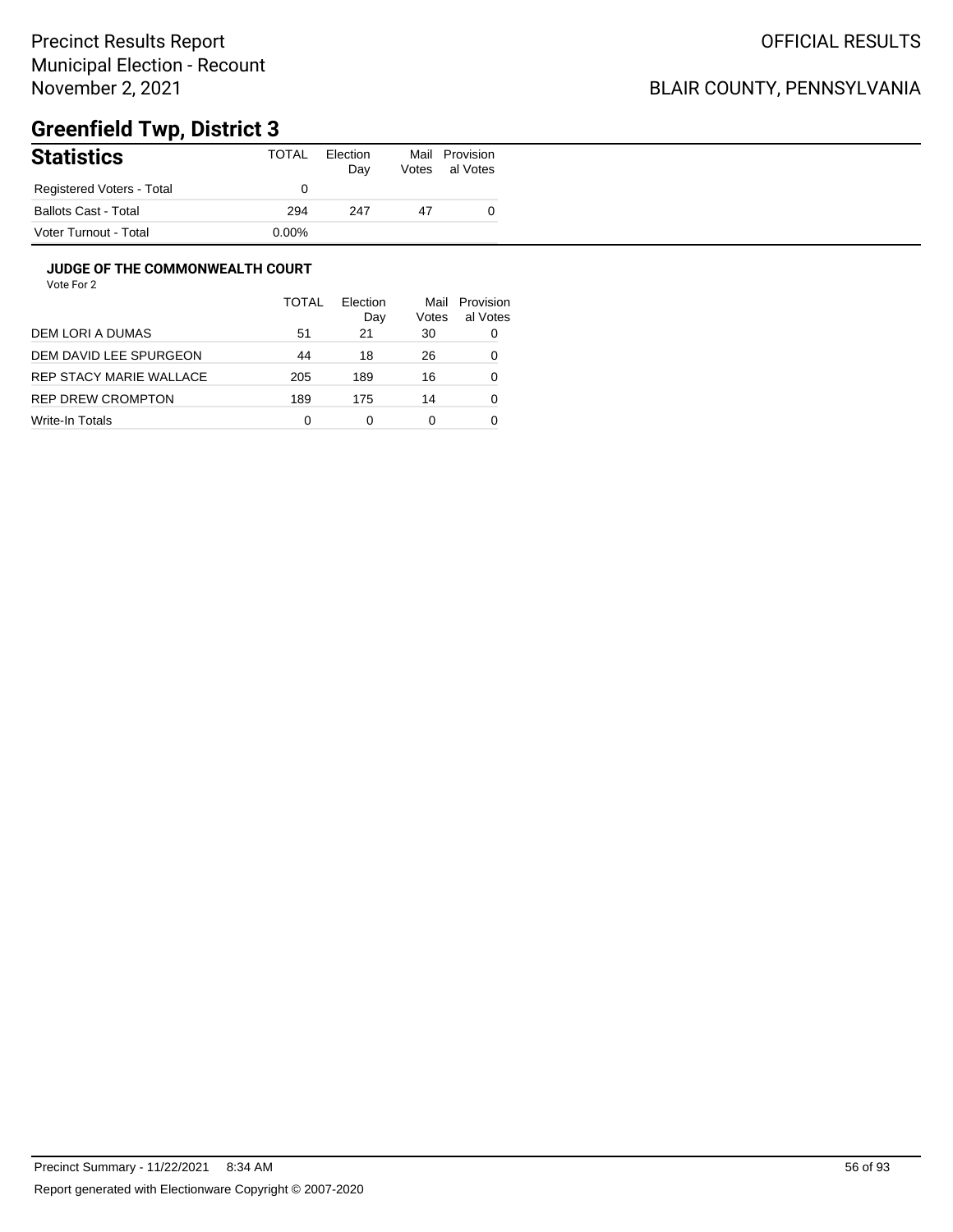### BLAIR COUNTY, PENNSYLVANIA

# **Greenfield Twp, District 3**

| <b>Statistics</b>           | TOTAL | Election<br>Day | Mail<br>Votes | Provision<br>al Votes |
|-----------------------------|-------|-----------------|---------------|-----------------------|
| Registered Voters - Total   |       |                 |               |                       |
| <b>Ballots Cast - Total</b> | 294   | 247             | 47            |                       |
| Voter Turnout - Total       | 0.00% |                 |               |                       |

#### **JUDGE OF THE COMMONWEALTH COURT**

|                         | TOTAL | Flection<br>Day | Mail<br>Votes | Provision<br>al Votes |
|-------------------------|-------|-----------------|---------------|-----------------------|
| DEM LORI A DUMAS        | 51    | 21              | 30            | 0                     |
| DEM DAVID LEE SPURGEON  | 44    | 18              | 26            | 0                     |
| REP STACY MARIE WALLACE | 205   | 189             | 16            | 0                     |
| REP DREW CROMPTON       | 189   | 175             | 14            | 0                     |
| Write-In Totals         | 0     | 0               | 0             |                       |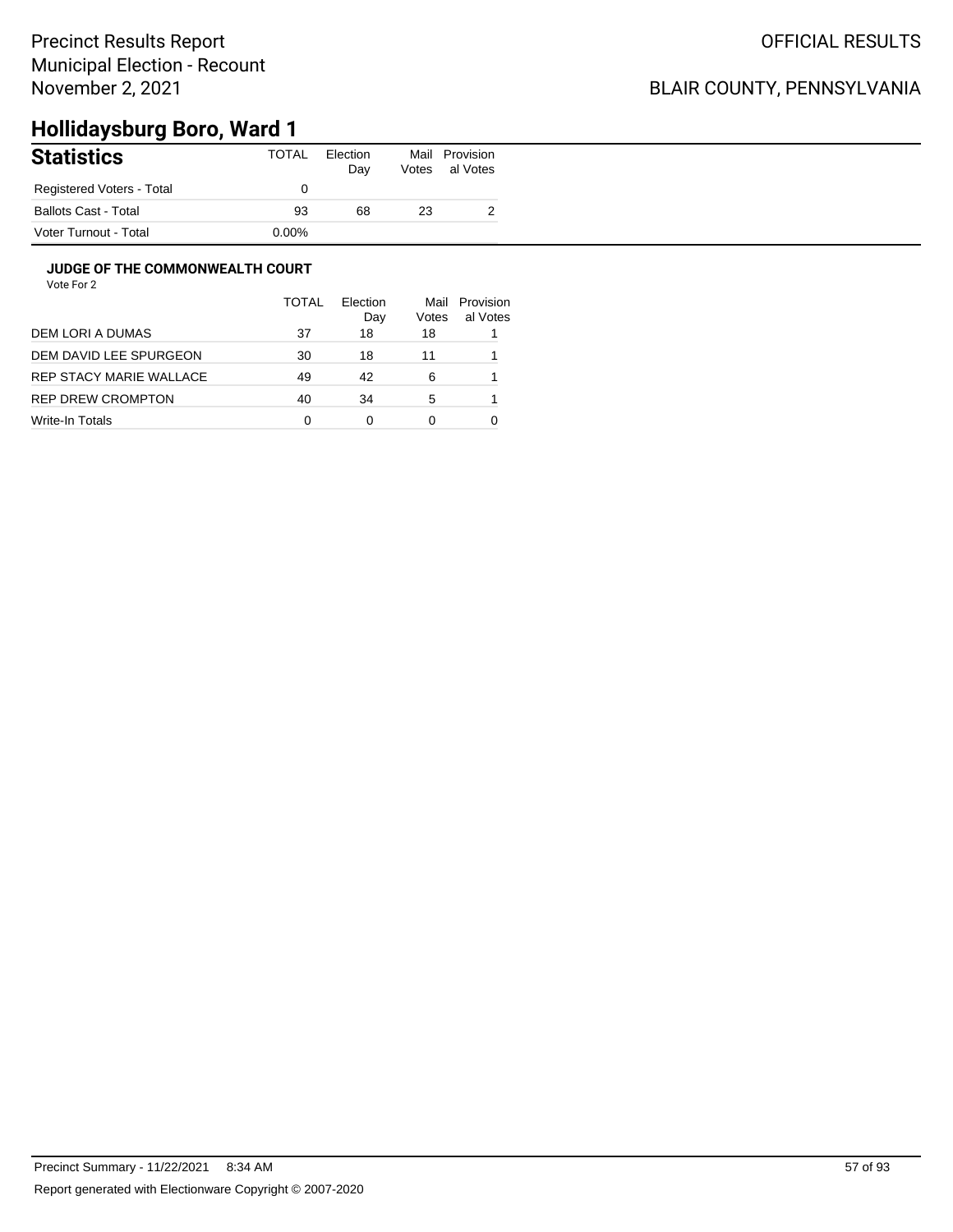### BLAIR COUNTY, PENNSYLVANIA

# **Hollidaysburg Boro, Ward 1**

| <b>Statistics</b>           | TOTAL    | Election<br>Day | Mail<br>Votes | Provision<br>al Votes |
|-----------------------------|----------|-----------------|---------------|-----------------------|
| Registered Voters - Total   |          |                 |               |                       |
| <b>Ballots Cast - Total</b> | 93       | 68              | 23            | ∼                     |
| Voter Turnout - Total       | $0.00\%$ |                 |               |                       |

#### **JUDGE OF THE COMMONWEALTH COURT**

|                         | <b>TOTAL</b> | Election<br>Day | Mail<br>Votes | Provision<br>al Votes |
|-------------------------|--------------|-----------------|---------------|-----------------------|
| DEM LORI A DUMAS        | 37           | 18              | 18            |                       |
| DEM DAVID LEE SPURGEON  | 30           | 18              | 11            |                       |
| REP STACY MARIE WALLACE | 49           | 42              | 6             |                       |
| REP DREW CROMPTON       | 40           | 34              | 5             |                       |
| Write-In Totals         | 0            | 0               | O             |                       |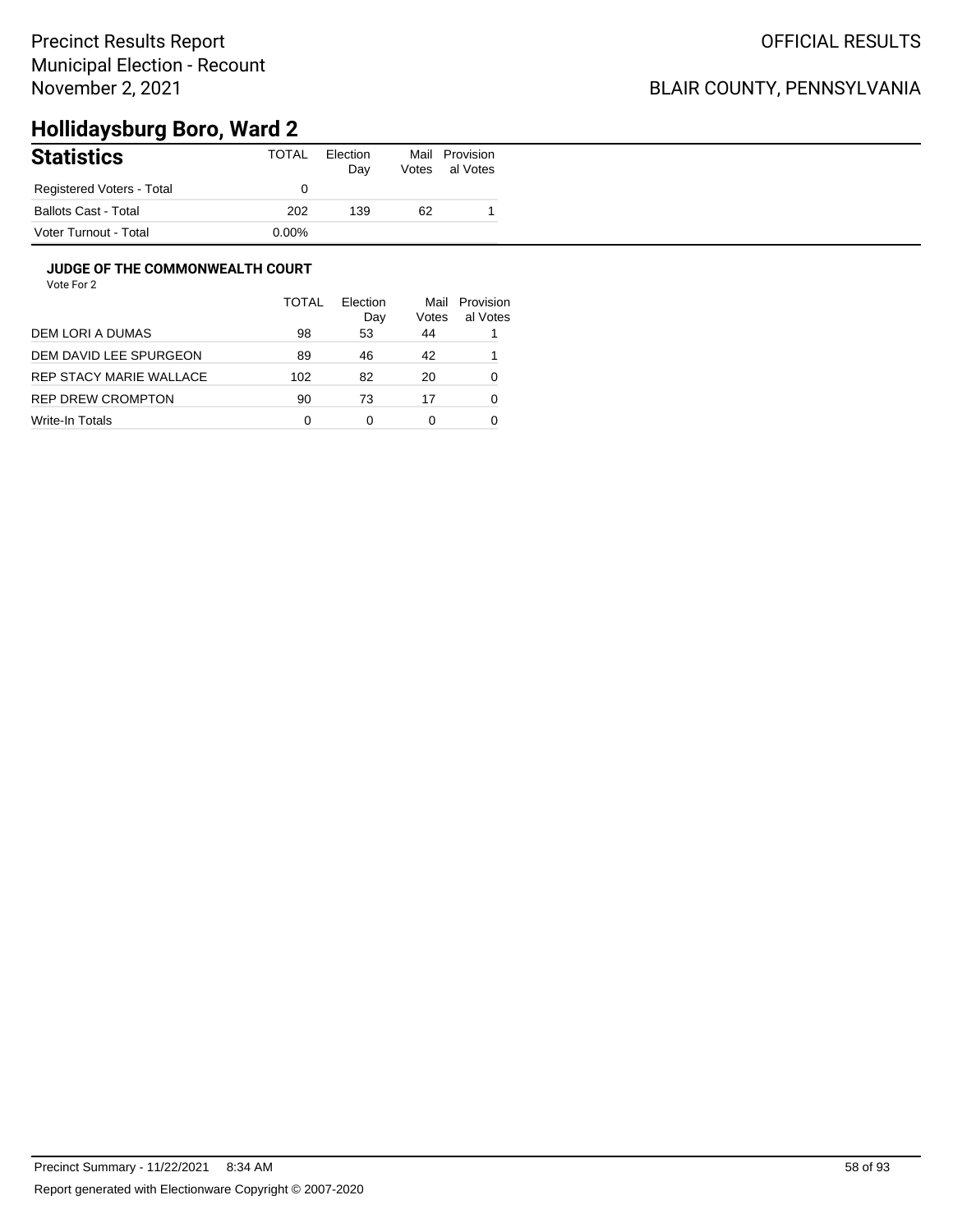### BLAIR COUNTY, PENNSYLVANIA

# **Hollidaysburg Boro, Ward 2**

| <b>Statistics</b>         | TOTAL    | Election<br>Day | Mail<br>Votes | Provision<br>al Votes |
|---------------------------|----------|-----------------|---------------|-----------------------|
| Registered Voters - Total |          |                 |               |                       |
| Ballots Cast - Total      | 202      | 139             | 62            |                       |
| Voter Turnout - Total     | $0.00\%$ |                 |               |                       |

#### **JUDGE OF THE COMMONWEALTH COURT**

|                         | <b>TOTAL</b> | Flection<br>Day | Mail<br>Votes | Provision<br>al Votes |
|-------------------------|--------------|-----------------|---------------|-----------------------|
| DEM LORI A DUMAS        | 98           | 53              | 44            |                       |
| DEM DAVID LEE SPURGEON  | 89           | 46              | 42            |                       |
| REP STACY MARIE WALLACE | 102          | 82              | 20            | 0                     |
| REP DREW CROMPTON       | 90           | 73              | 17            | 0                     |
| Write-In Totals         | 0            | 0               | 0             |                       |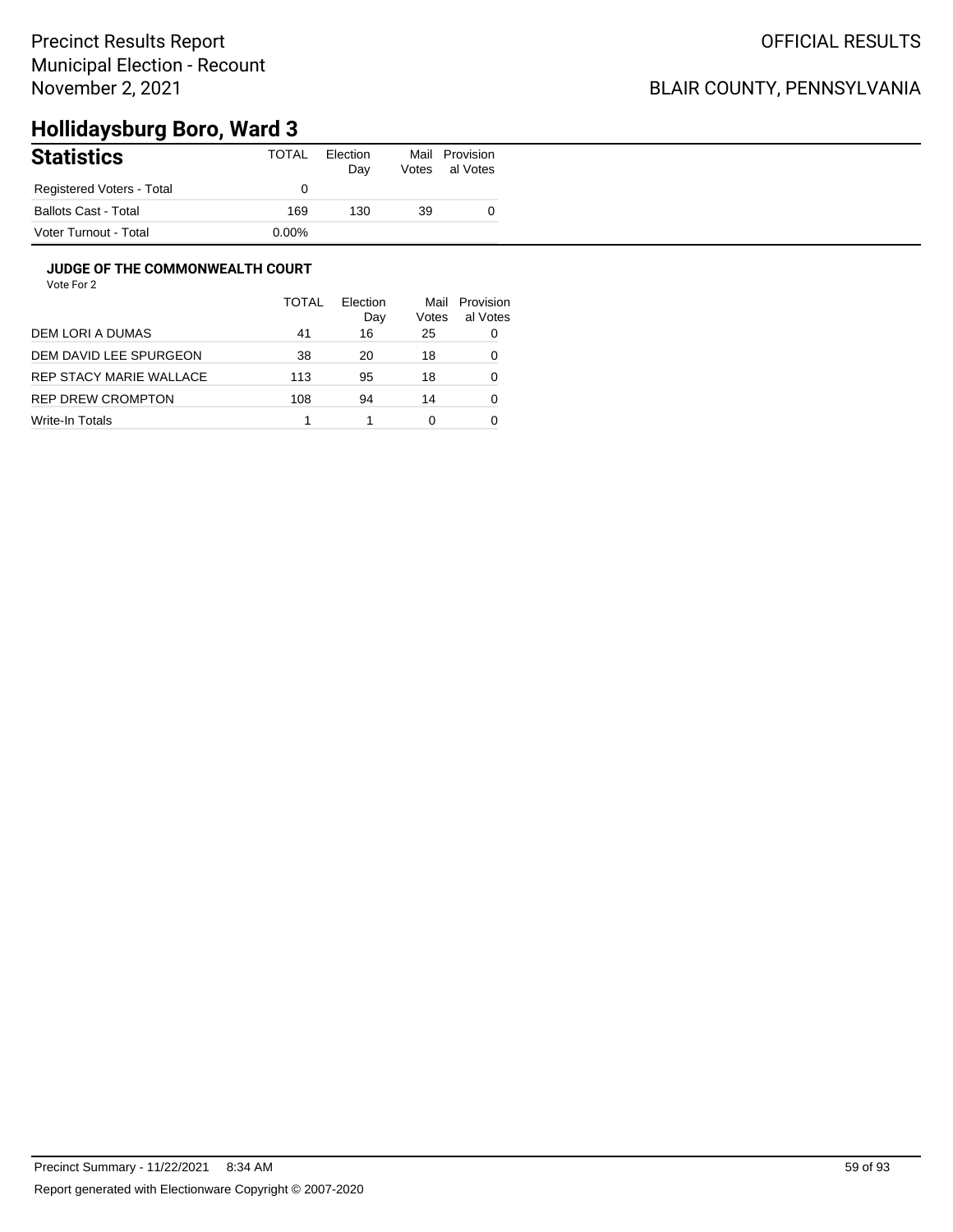### BLAIR COUNTY, PENNSYLVANIA

# **Hollidaysburg Boro, Ward 3**

| <b>Statistics</b>         | TOTAL    | Election<br>Day | Mail<br>Votes | Provision<br>al Votes |
|---------------------------|----------|-----------------|---------------|-----------------------|
| Registered Voters - Total |          |                 |               |                       |
| Ballots Cast - Total      | 169      | 130             | 39            |                       |
| Voter Turnout - Total     | $0.00\%$ |                 |               |                       |

#### **JUDGE OF THE COMMONWEALTH COURT**

|                         | <b>TOTAL</b> | Flection<br>Day | Mail<br>Votes | Provision<br>al Votes |
|-------------------------|--------------|-----------------|---------------|-----------------------|
| DEM LORI A DUMAS        | 41           | 16              | 25            | 0                     |
| DEM DAVID LEE SPURGEON  | 38           | 20              | 18            | 0                     |
| REP STACY MARIE WALLACE | 113          | 95              | 18            | 0                     |
| REP DREW CROMPTON       | 108          | 94              | 14            | 0                     |
| Write-In Totals         |              |                 | 0             |                       |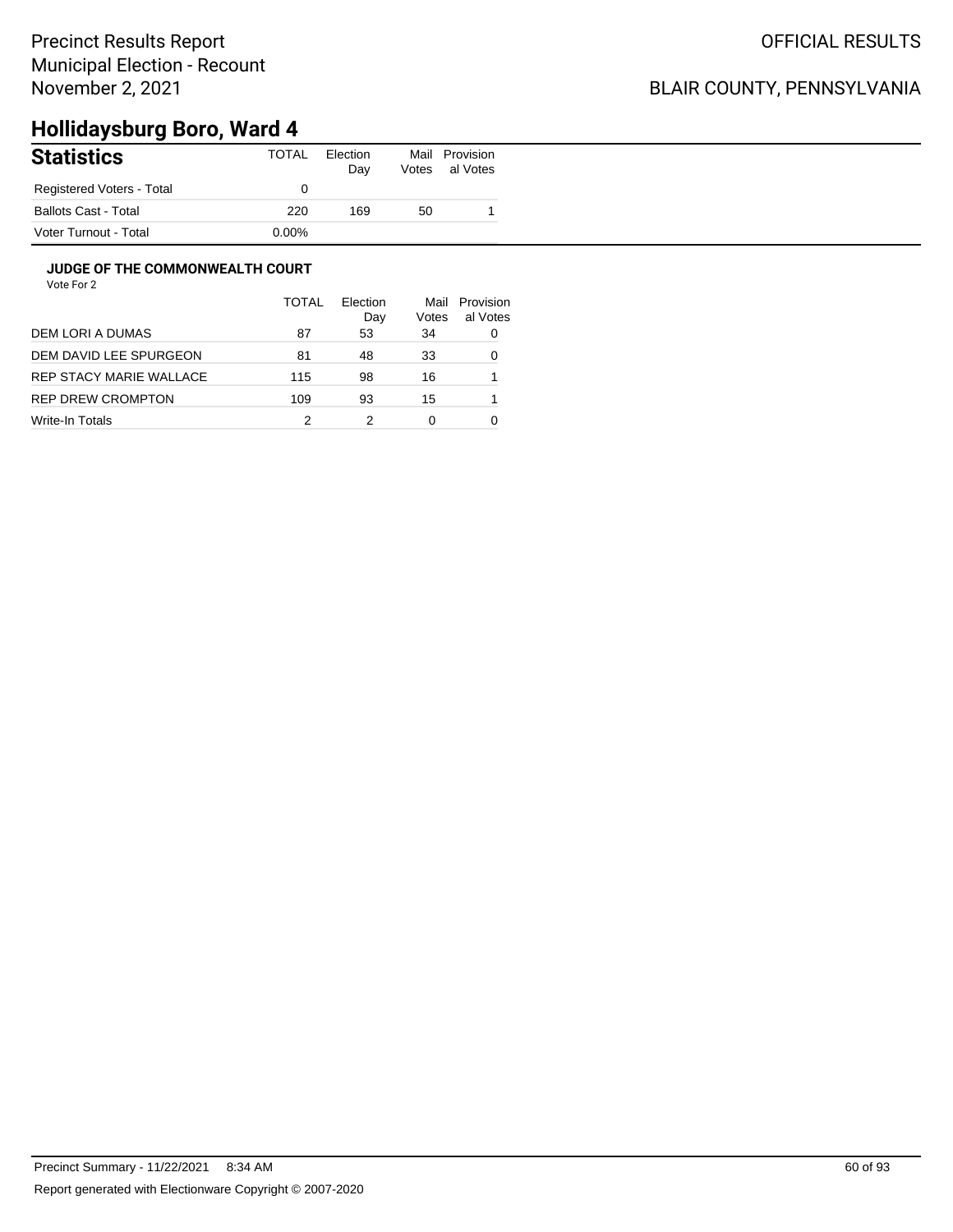### BLAIR COUNTY, PENNSYLVANIA

# **Hollidaysburg Boro, Ward 4**

| <b>Statistics</b>         | TOTAL    | Election<br>Day | Mail<br>Votes | Provision<br>al Votes |
|---------------------------|----------|-----------------|---------------|-----------------------|
| Registered Voters - Total |          |                 |               |                       |
| Ballots Cast - Total      | 220      | 169             | 50            |                       |
| Voter Turnout - Total     | $0.00\%$ |                 |               |                       |

#### **JUDGE OF THE COMMONWEALTH COURT**

| al Votes |
|----------|
| 0        |
| 0        |
|          |
|          |
|          |
|          |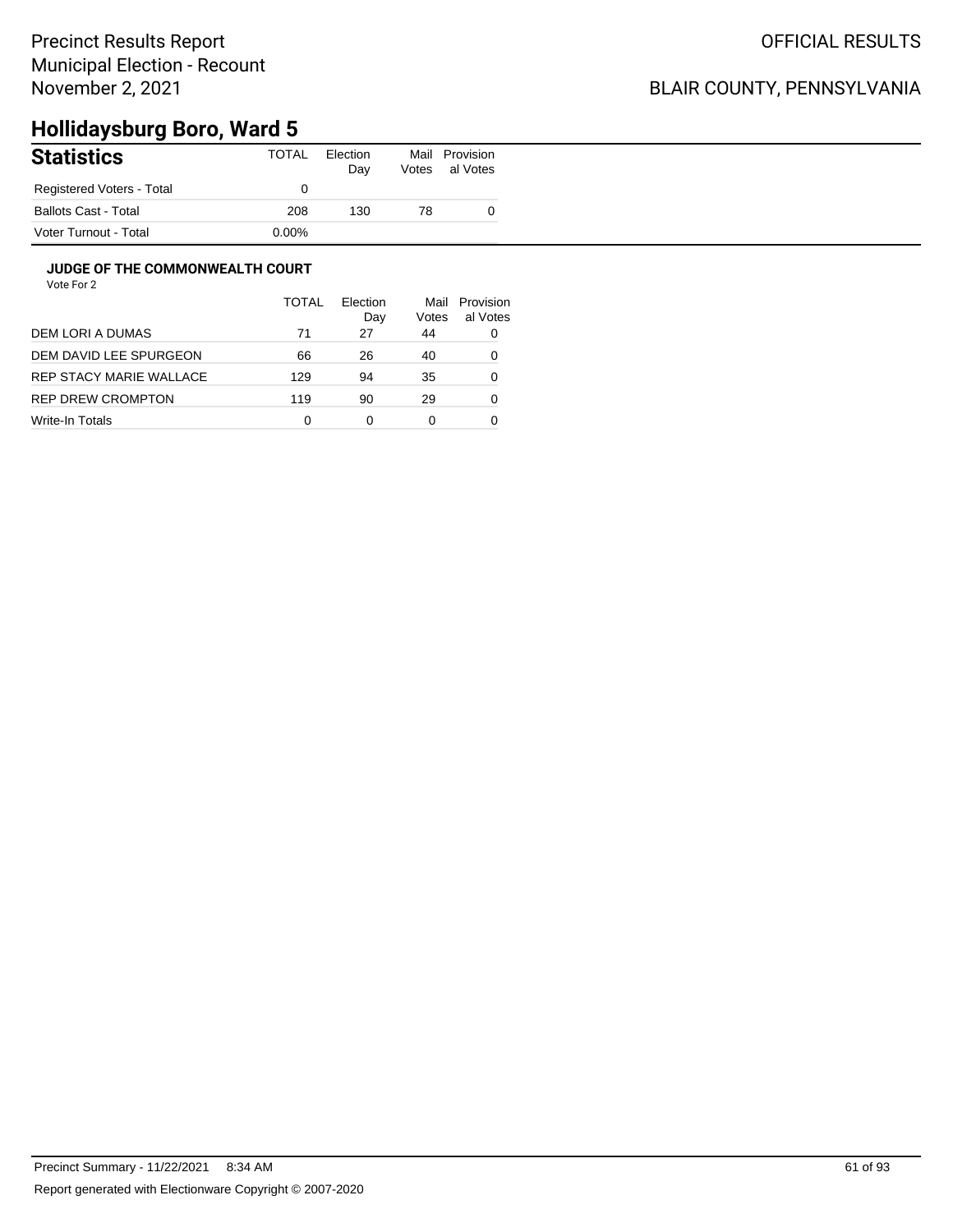### BLAIR COUNTY, PENNSYLVANIA

# **Hollidaysburg Boro, Ward 5**

| <b>Statistics</b>         | TOTAL    | Election<br>Day | Mail<br>Votes | Provision<br>al Votes |
|---------------------------|----------|-----------------|---------------|-----------------------|
| Registered Voters - Total |          |                 |               |                       |
| Ballots Cast - Total      | 208      | 130             | 78            |                       |
| Voter Turnout - Total     | $0.00\%$ |                 |               |                       |

#### **JUDGE OF THE COMMONWEALTH COURT**

|                         | <b>TOTAL</b> | Flection<br>Day | Mail<br>Votes | Provision<br>al Votes |
|-------------------------|--------------|-----------------|---------------|-----------------------|
| DEM LORI A DUMAS        | 71           | 27              | 44            | 0                     |
| DEM DAVID LEE SPURGEON  | 66           | 26              | 40            | 0                     |
| REP STACY MARIE WALLACE | 129          | 94              | 35            | 0                     |
| REP DREW CROMPTON       | 119          | 90              | 29            | 0                     |
| Write-In Totals         | 0            | 0               | 0             |                       |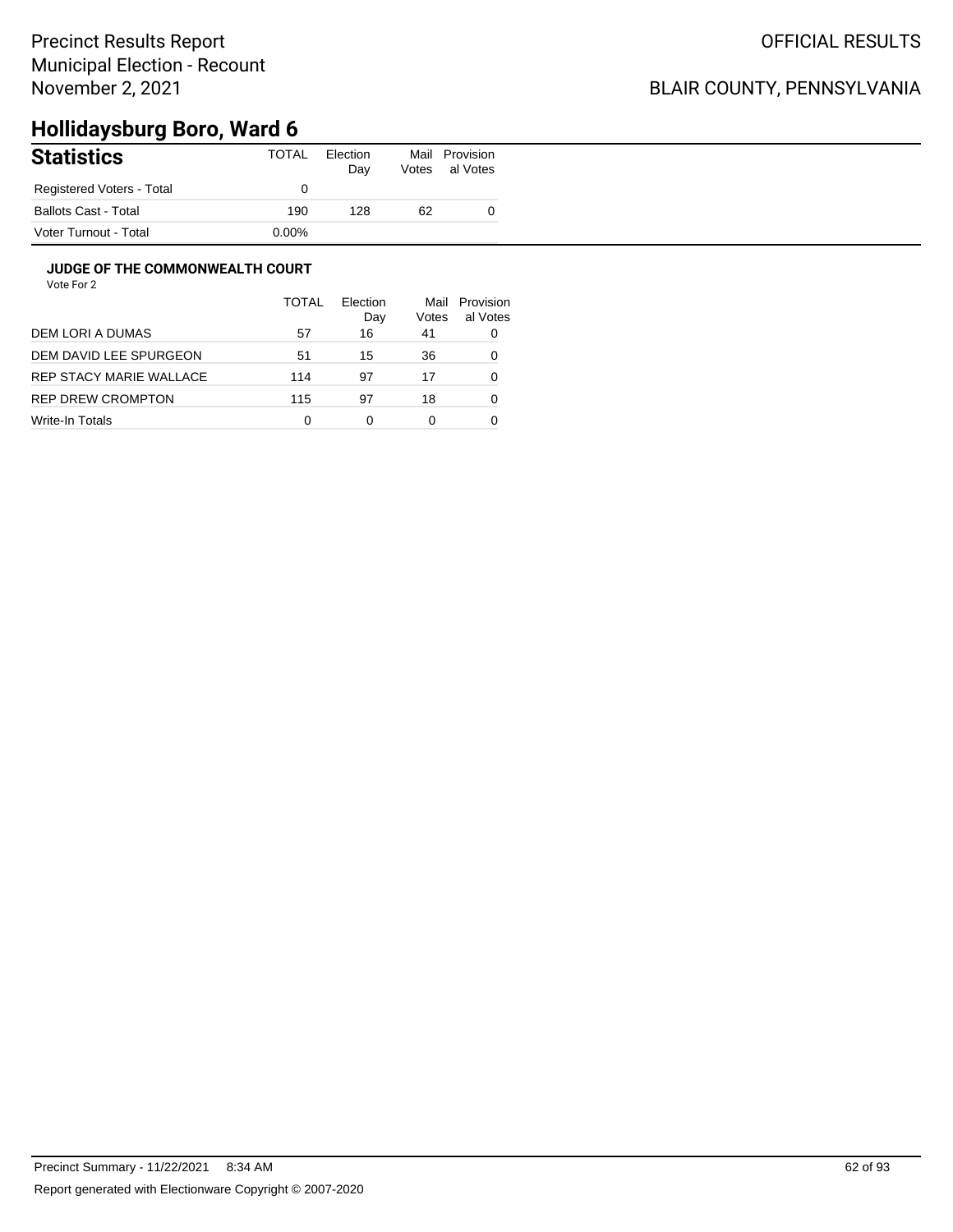### BLAIR COUNTY, PENNSYLVANIA

# **Hollidaysburg Boro, Ward 6**

| <b>Statistics</b>         | TOTAL    | Election<br>Day | Mail<br>Votes | Provision<br>al Votes |
|---------------------------|----------|-----------------|---------------|-----------------------|
| Registered Voters - Total |          |                 |               |                       |
| Ballots Cast - Total      | 190      | 128             | 62            |                       |
| Voter Turnout - Total     | $0.00\%$ |                 |               |                       |

#### **JUDGE OF THE COMMONWEALTH COURT**

|                         | <b>TOTAL</b> | Flection<br>Day | Mail<br>Votes | Provision<br>al Votes |
|-------------------------|--------------|-----------------|---------------|-----------------------|
| DEM LORI A DUMAS        | 57           | 16              | 41            | 0                     |
| DEM DAVID LEE SPURGEON  | 51           | 15              | 36            | 0                     |
| REP STACY MARIE WALLACE | 114          | 97              | 17            | 0                     |
| REP DREW CROMPTON       | 115          | 97              | 18            | 0                     |
| Write-In Totals         | 0            | 0               | 0             |                       |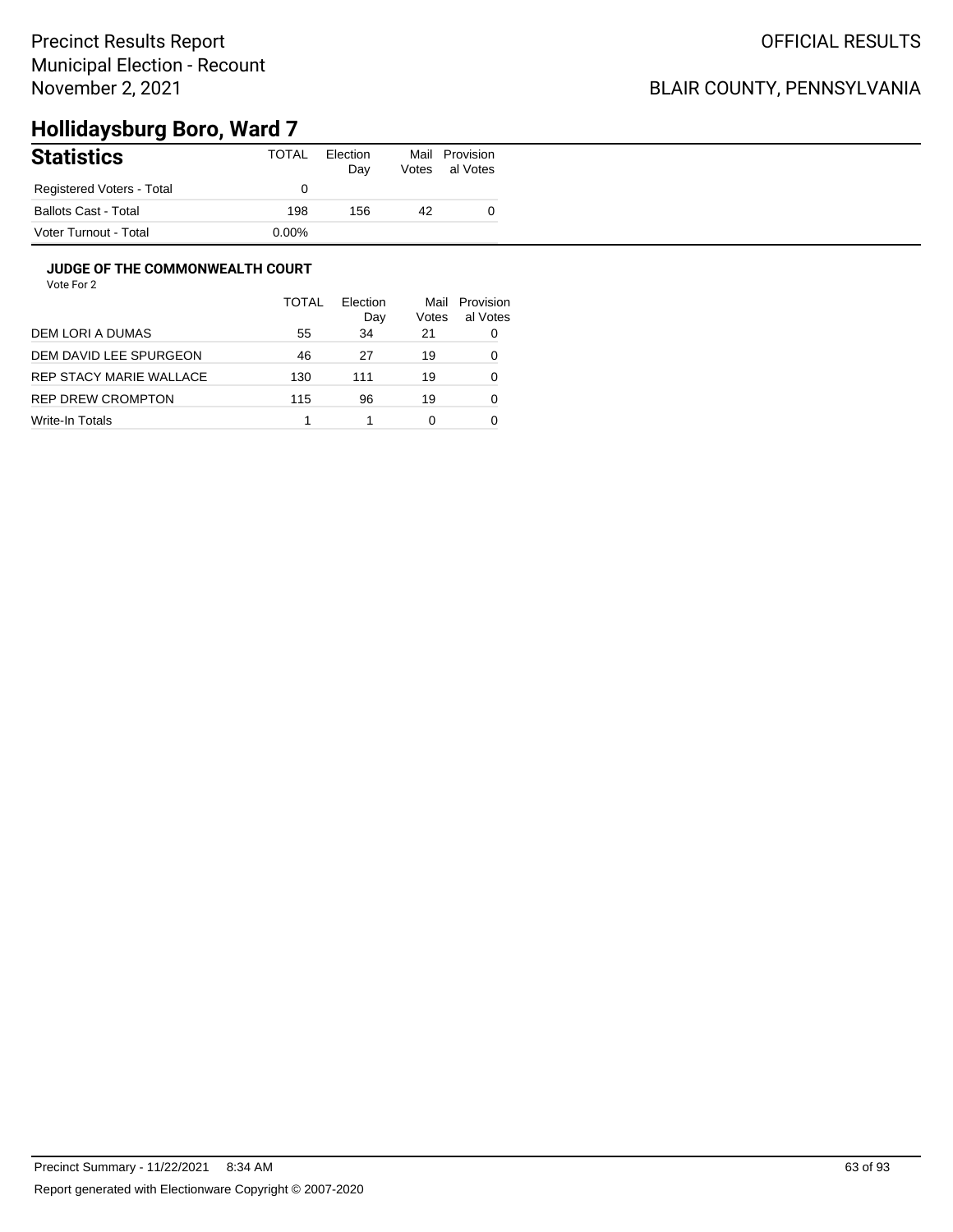### BLAIR COUNTY, PENNSYLVANIA

# **Hollidaysburg Boro, Ward 7**

| <b>Statistics</b>         | TOTAL    | Election<br>Day | Mail<br>Votes | Provision<br>al Votes |
|---------------------------|----------|-----------------|---------------|-----------------------|
| Registered Voters - Total |          |                 |               |                       |
| Ballots Cast - Total      | 198      | 156             | 42            |                       |
| Voter Turnout - Total     | $0.00\%$ |                 |               |                       |

#### **JUDGE OF THE COMMONWEALTH COURT**

|                         | <b>TOTAL</b> | Election<br>Day | Mail<br>Votes | Provision<br>al Votes |
|-------------------------|--------------|-----------------|---------------|-----------------------|
| DEM LORI A DUMAS        | 55           | 34              | 21            | 0                     |
| DEM DAVID LEE SPURGEON  | 46           | 27              | 19            | 0                     |
| REP STACY MARIE WALLACE | 130          | 111             | 19            | 0                     |
| REP DREW CROMPTON       | 115          | 96              | 19            | 0                     |
| Write-In Totals         |              |                 | 0             |                       |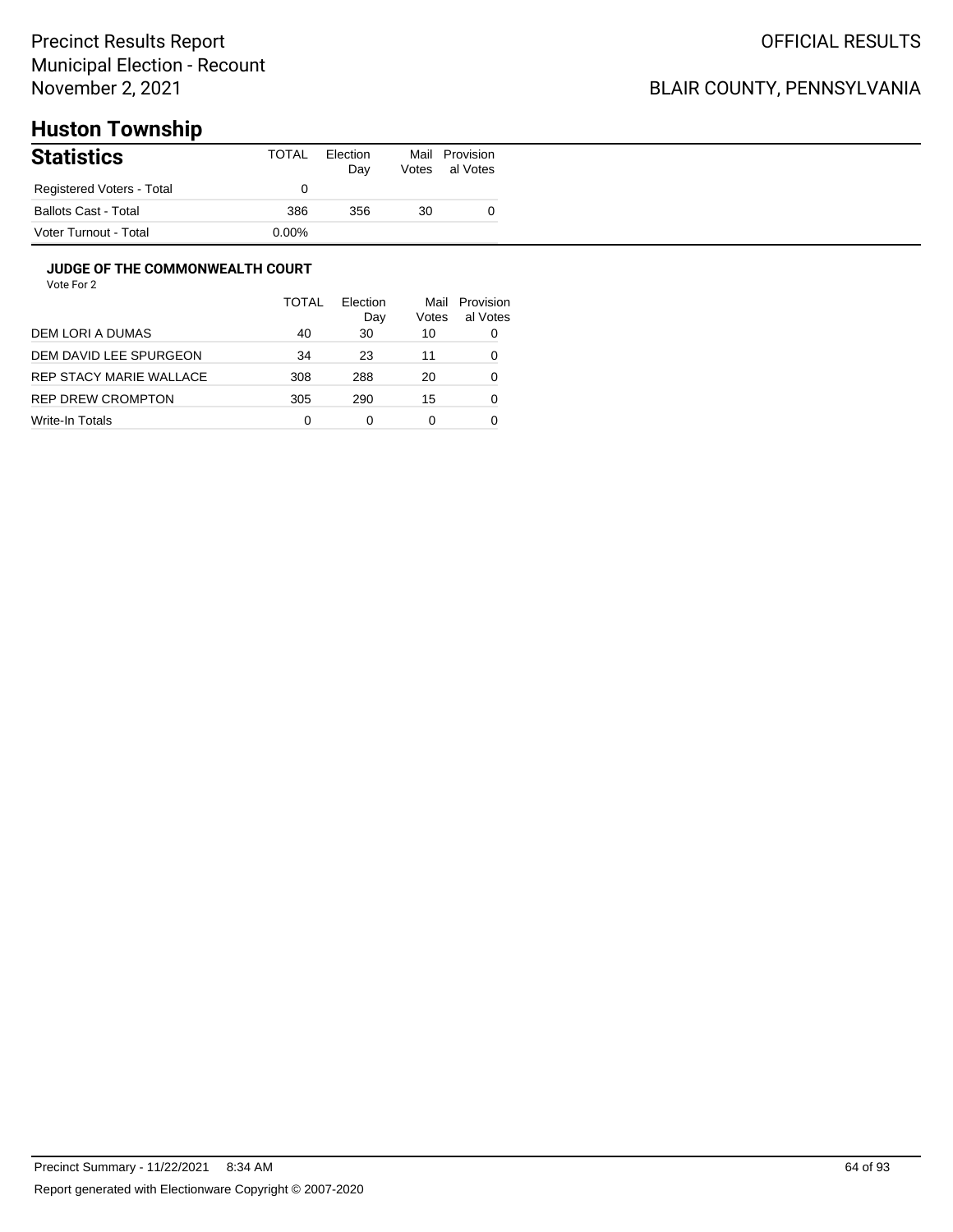## BLAIR COUNTY, PENNSYLVANIA

# **Huston Township**

| <b>Statistics</b>           | <b>TOTAL</b> | Election<br>Day | Votes | Mail Provision<br>al Votes |
|-----------------------------|--------------|-----------------|-------|----------------------------|
| Registered Voters - Total   |              |                 |       |                            |
| <b>Ballots Cast - Total</b> | 386          | 356             | 30    |                            |
| Voter Turnout - Total       | $0.00\%$     |                 |       |                            |

#### **JUDGE OF THE COMMONWEALTH COURT**

|                         | <b>TOTAL</b> | Flection<br>Day | Mail<br>Votes | Provision<br>al Votes |
|-------------------------|--------------|-----------------|---------------|-----------------------|
| DEM LORI A DUMAS        | 40           | 30              | 10            | 0                     |
| DEM DAVID LEE SPURGEON  | 34           | 23              | 11            | 0                     |
| REP STACY MARIE WALLACE | 308          | 288             | 20            | 0                     |
| REP DREW CROMPTON       | 305          | 290             | 15            | 0                     |
| Write-In Totals         | 0            | ი               | 0             |                       |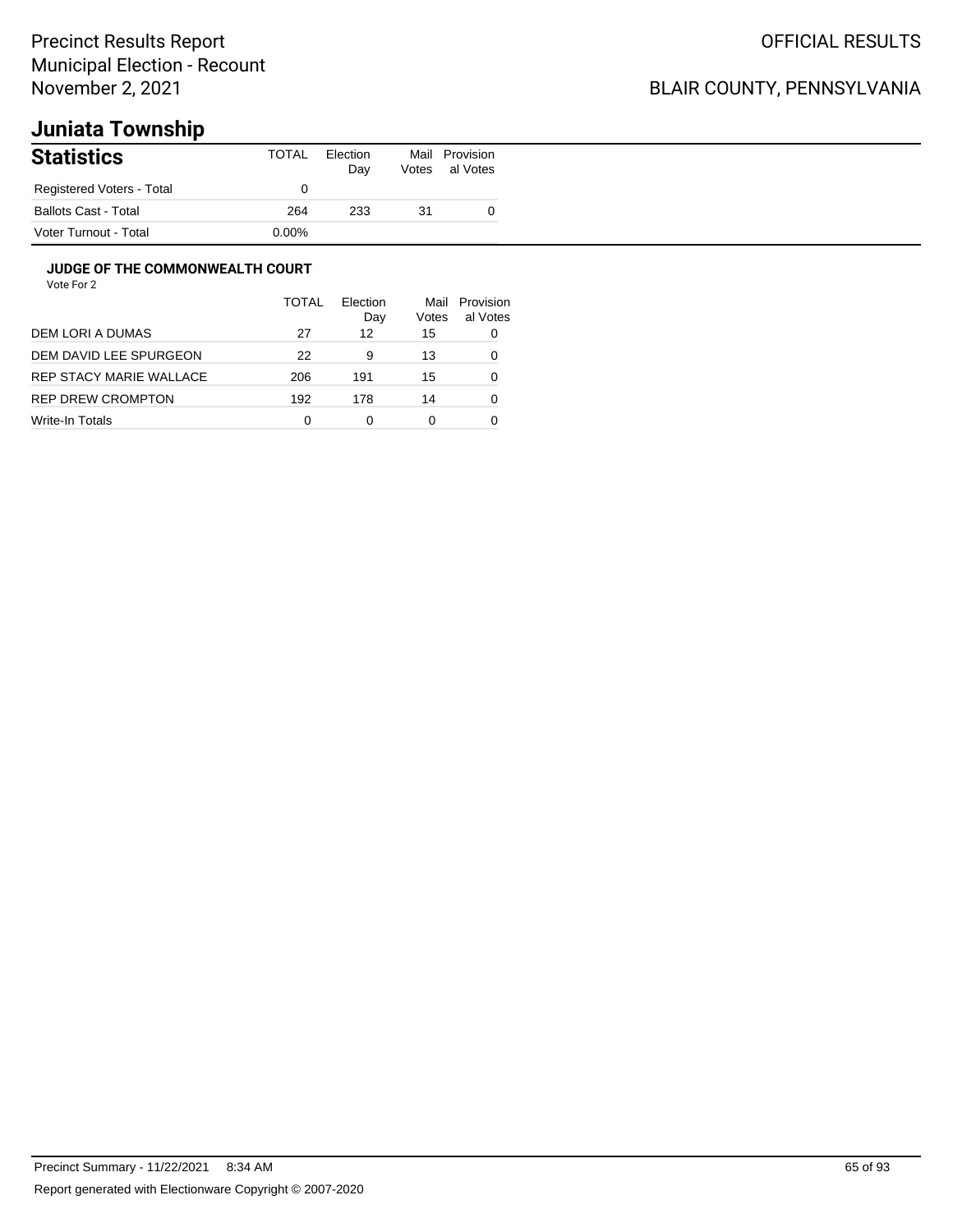### BLAIR COUNTY, PENNSYLVANIA

# **Juniata Township**

| <b>Statistics</b>           | TOTAL | Election<br>Day | Votes | Mail Provision<br>al Votes |
|-----------------------------|-------|-----------------|-------|----------------------------|
| Registered Voters - Total   |       |                 |       |                            |
| <b>Ballots Cast - Total</b> | 264   | 233             | 31    |                            |
| Voter Turnout - Total       | 0.00% |                 |       |                            |

#### **JUDGE OF THE COMMONWEALTH COURT**

|                         | TOTAL | Flection<br>Day | Mail<br>Votes | Provision<br>al Votes |
|-------------------------|-------|-----------------|---------------|-----------------------|
| DEM LORI A DUMAS        | 27    | 12              | 15            | 0                     |
| DEM DAVID LEE SPURGEON  | 22    | 9               | 13            | 0                     |
| REP STACY MARIE WALLACE | 206   | 191             | 15            | 0                     |
| REP DREW CROMPTON       | 192   | 178             | 14            | 0                     |
| Write-In Totals         | 0     |                 | 0             |                       |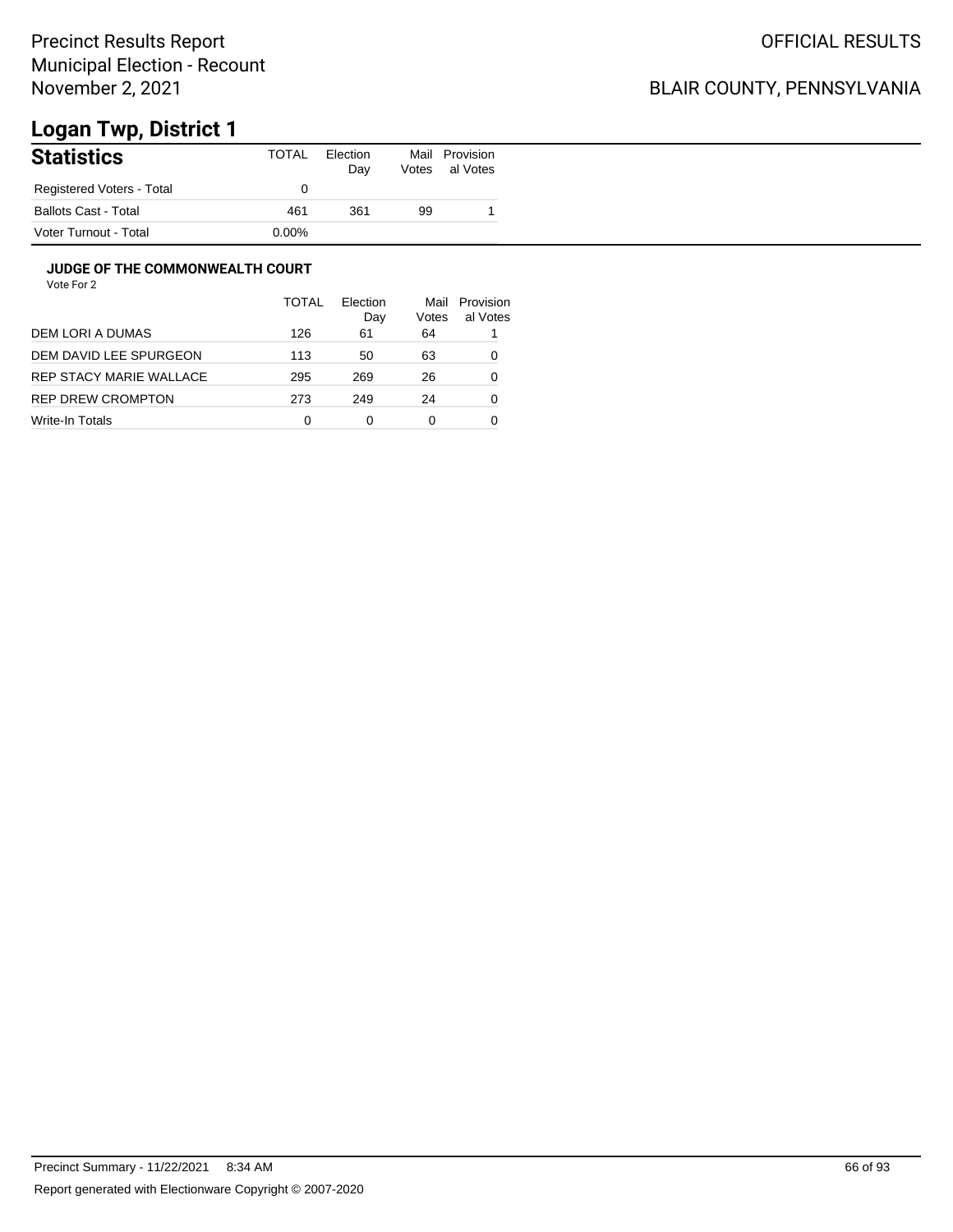## BLAIR COUNTY, PENNSYLVANIA

# **Logan Twp, District 1**

| <b>Statistics</b>           | TOTAL    | Election<br>Day | Mail<br>Votes | Provision<br>al Votes |
|-----------------------------|----------|-----------------|---------------|-----------------------|
| Registered Voters - Total   |          |                 |               |                       |
| <b>Ballots Cast - Total</b> | 461      | 361             | 99            |                       |
| Voter Turnout - Total       | $0.00\%$ |                 |               |                       |

#### **JUDGE OF THE COMMONWEALTH COURT**

|                         | <b>TOTAL</b> | Election<br>Day | Mail<br>Votes | Provision<br>al Votes |
|-------------------------|--------------|-----------------|---------------|-----------------------|
| DEM LORI A DUMAS        | 126          | 61              | 64            |                       |
| DEM DAVID LEE SPURGEON  | 113          | 50              | 63            | 0                     |
| REP STACY MARIE WALLACE | 295          | 269             | 26            | 0                     |
| REP DREW CROMPTON       | 273          | 249             | 24            | 0                     |
| Write-In Totals         | 0            | 0               | 0             |                       |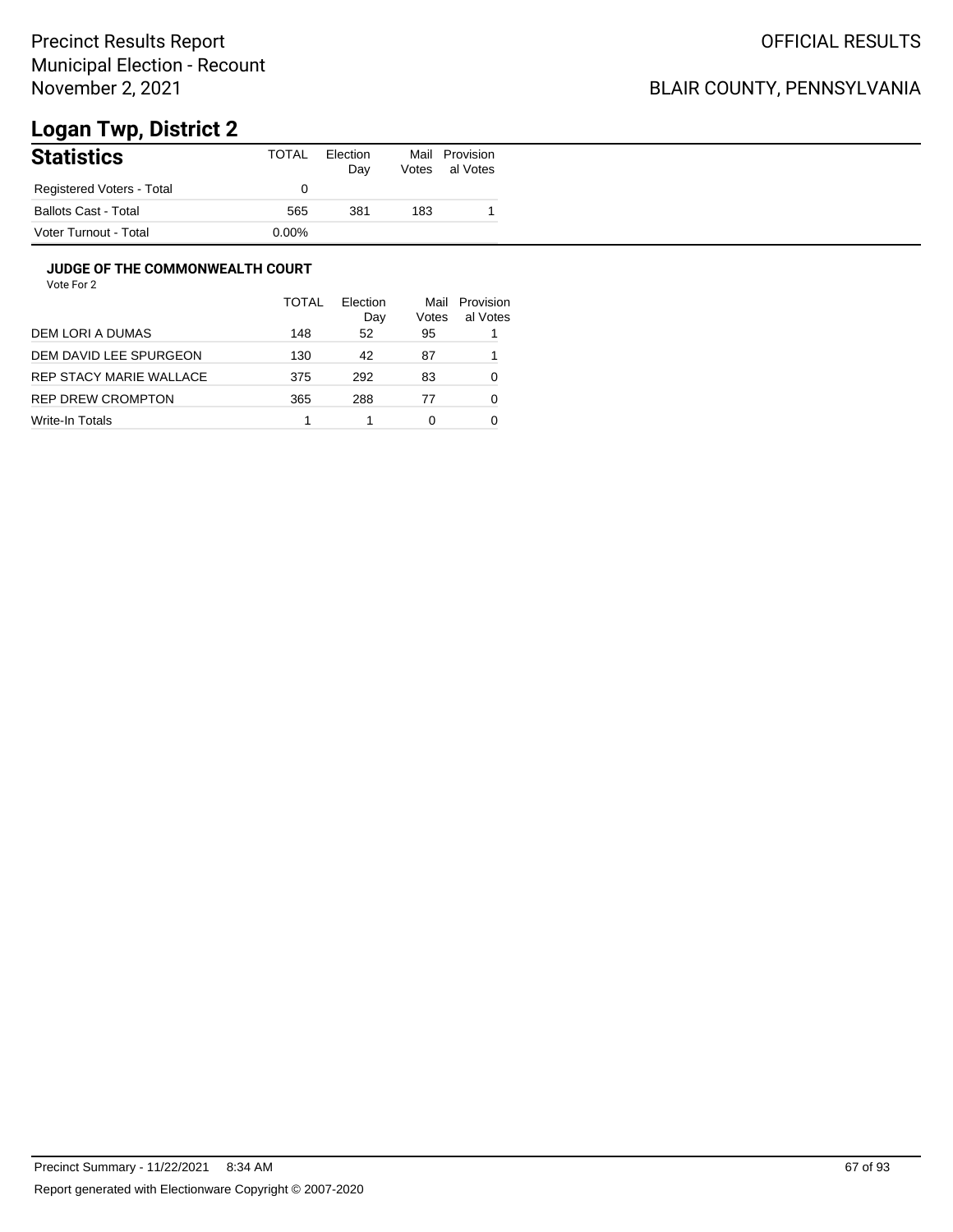## BLAIR COUNTY, PENNSYLVANIA

# **Logan Twp, District 2**

| <b>Statistics</b>           | TOTAL    | Election<br>Day | Mail<br>Votes | Provision<br>al Votes |
|-----------------------------|----------|-----------------|---------------|-----------------------|
| Registered Voters - Total   |          |                 |               |                       |
| <b>Ballots Cast - Total</b> | 565      | 381             | 183           |                       |
| Voter Turnout - Total       | $0.00\%$ |                 |               |                       |

#### **JUDGE OF THE COMMONWEALTH COURT**

|                         | TOTAL | Election<br>Day | Mail<br>Votes | Provision<br>al Votes |
|-------------------------|-------|-----------------|---------------|-----------------------|
| DEM LORI A DUMAS        | 148   | 52              | 95            |                       |
| DEM DAVID LEE SPURGEON  | 130   | 42              | 87            |                       |
| REP STACY MARIE WALLACE | 375   | 292             | 83            | 0                     |
| REP DREW CROMPTON       | 365   | 288             | 77            | 0                     |
| Write-In Totals         |       |                 | 0             |                       |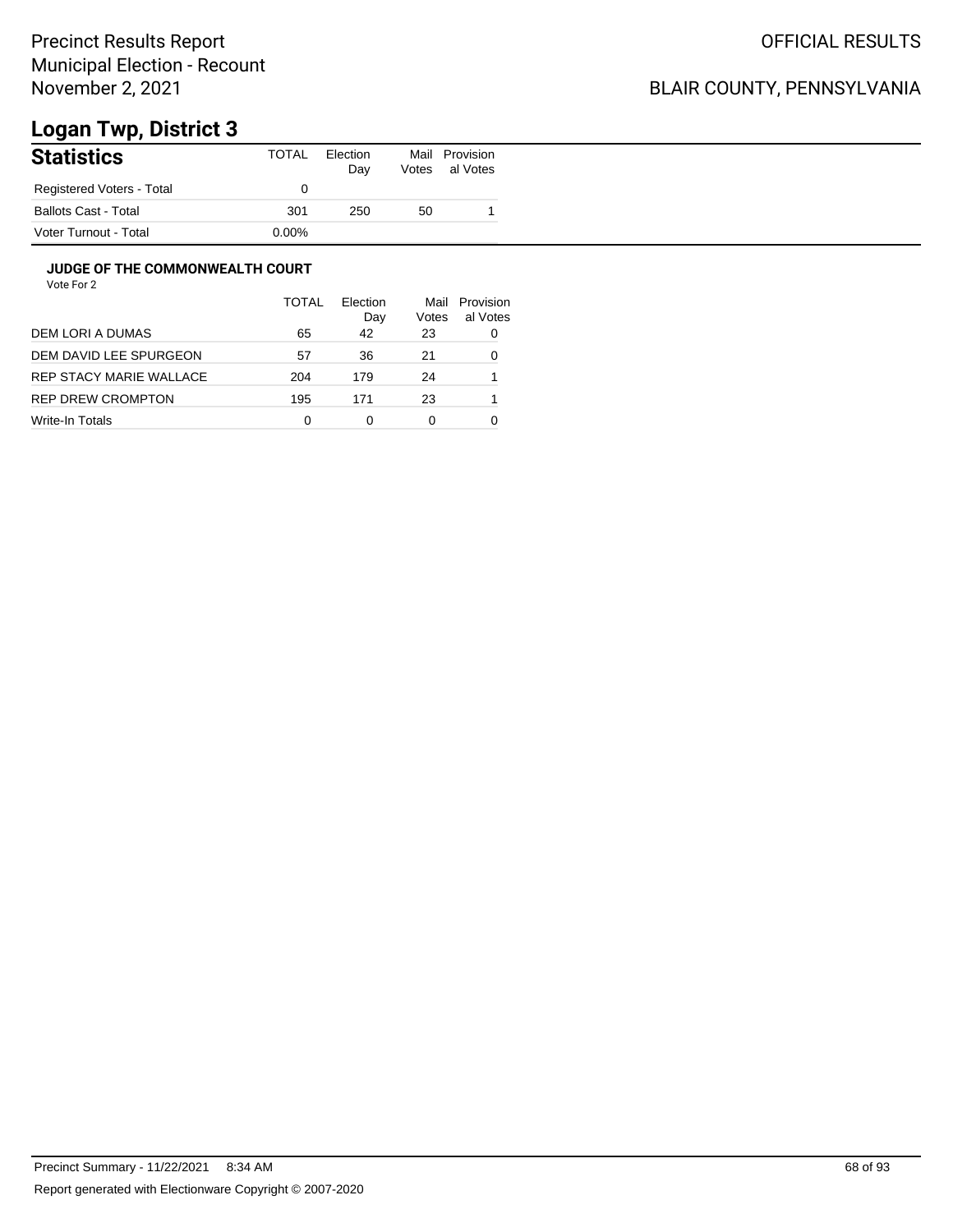## BLAIR COUNTY, PENNSYLVANIA

# **Logan Twp, District 3**

| <b>Statistics</b>           | <b>TOTAL</b> | Election<br>Day | Votes | Mail Provision<br>al Votes |
|-----------------------------|--------------|-----------------|-------|----------------------------|
| Registered Voters - Total   |              |                 |       |                            |
| <b>Ballots Cast - Total</b> | 301          | 250             | 50    |                            |
| Voter Turnout - Total       | $0.00\%$     |                 |       |                            |

#### **JUDGE OF THE COMMONWEALTH COURT**

|                         | <b>TOTAL</b> | Election<br>Day | Mail<br>Votes | Provision<br>al Votes |
|-------------------------|--------------|-----------------|---------------|-----------------------|
| DEM LORI A DUMAS        | 65           | 42              | 23            | 0                     |
| DEM DAVID LEE SPURGEON  | 57           | 36              | 21            | 0                     |
| REP STACY MARIE WALLACE | 204          | 179             | 24            |                       |
| REP DREW CROMPTON       | 195          | 171             | 23            |                       |
| Write-In Totals         | 0            | 0               | 0             |                       |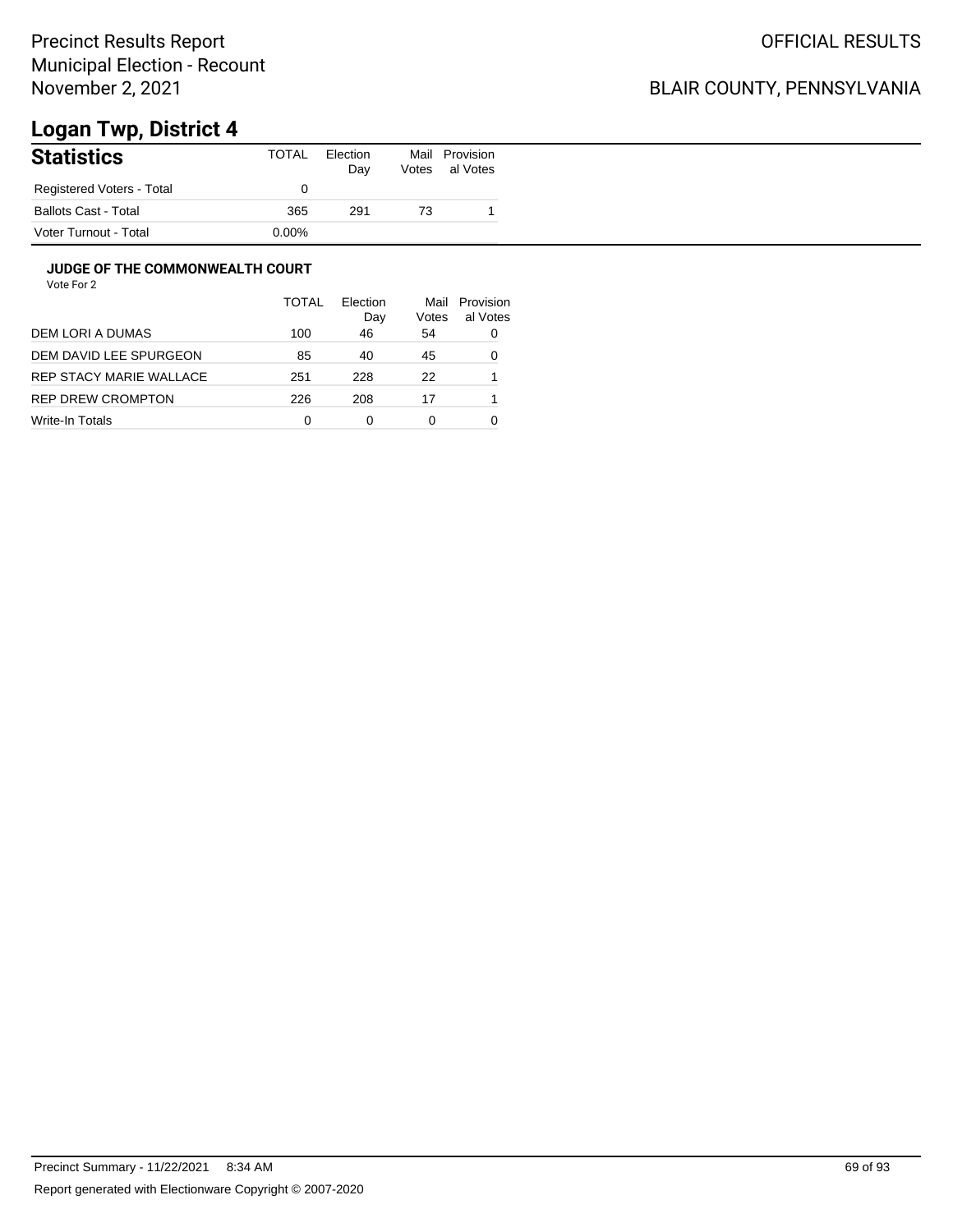## BLAIR COUNTY, PENNSYLVANIA

# **Logan Twp, District 4**

| <b>Statistics</b>           | TOTAL | Election<br>Day | Mail<br>Votes | Provision<br>al Votes |
|-----------------------------|-------|-----------------|---------------|-----------------------|
| Registered Voters - Total   |       |                 |               |                       |
| <b>Ballots Cast - Total</b> | 365   | 291             | 73            |                       |
| Voter Turnout - Total       | 0.00% |                 |               |                       |

#### **JUDGE OF THE COMMONWEALTH COURT**

|                         | <b>TOTAL</b> | Election<br>Day | Mail<br>Votes | Provision<br>al Votes |
|-------------------------|--------------|-----------------|---------------|-----------------------|
| DEM LORI A DUMAS        | 100          | 46              | 54            | 0                     |
| DEM DAVID LEE SPURGEON  | 85           | 40              | 45            | 0                     |
| REP STACY MARIE WALLACE | 251          | 228             | 22            |                       |
| REP DREW CROMPTON       | 226          | 208             | 17            |                       |
| Write-In Totals         | 0            | 0               | 0             |                       |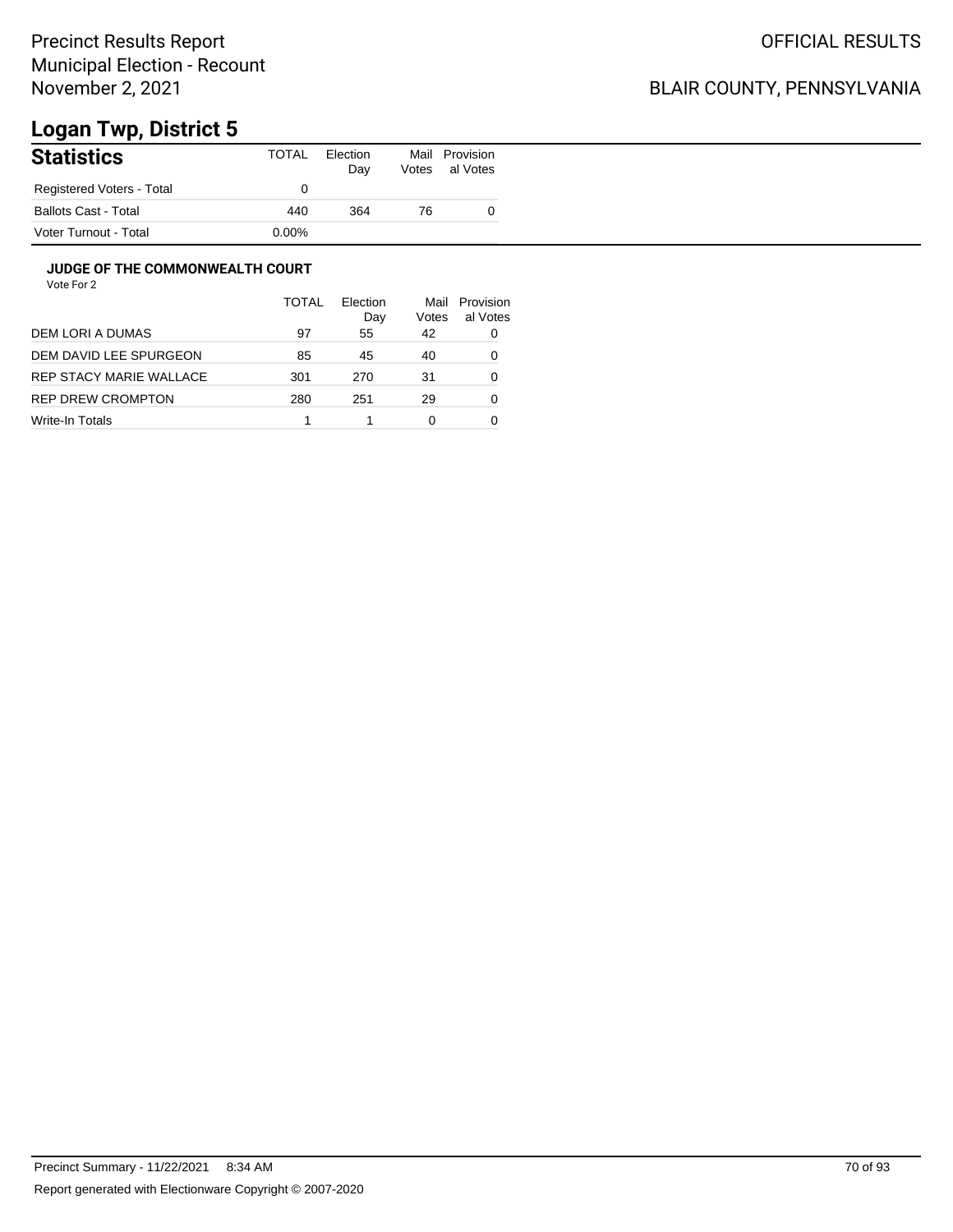## BLAIR COUNTY, PENNSYLVANIA

# **Logan Twp, District 5**

| <b>Statistics</b>           | TOTAL    | Election<br>Day | Mail<br>Votes | Provision<br>al Votes |
|-----------------------------|----------|-----------------|---------------|-----------------------|
| Registered Voters - Total   |          |                 |               |                       |
| <b>Ballots Cast - Total</b> | 440      | 364             | 76            |                       |
| Voter Turnout - Total       | $0.00\%$ |                 |               |                       |

#### **JUDGE OF THE COMMONWEALTH COURT**

|                         | TOTAL | Flection<br>Day | Mail<br>Votes | Provision<br>al Votes |
|-------------------------|-------|-----------------|---------------|-----------------------|
| DEM LORI A DUMAS        | 97    | 55              | 42            | 0                     |
| DEM DAVID LEE SPURGEON  | 85    | 45              | 40            | 0                     |
| REP STACY MARIE WALLACE | 301   | 270             | 31            | 0                     |
| REP DREW CROMPTON       | 280   | 251             | 29            | 0                     |
| Write-In Totals         |       |                 | 0             |                       |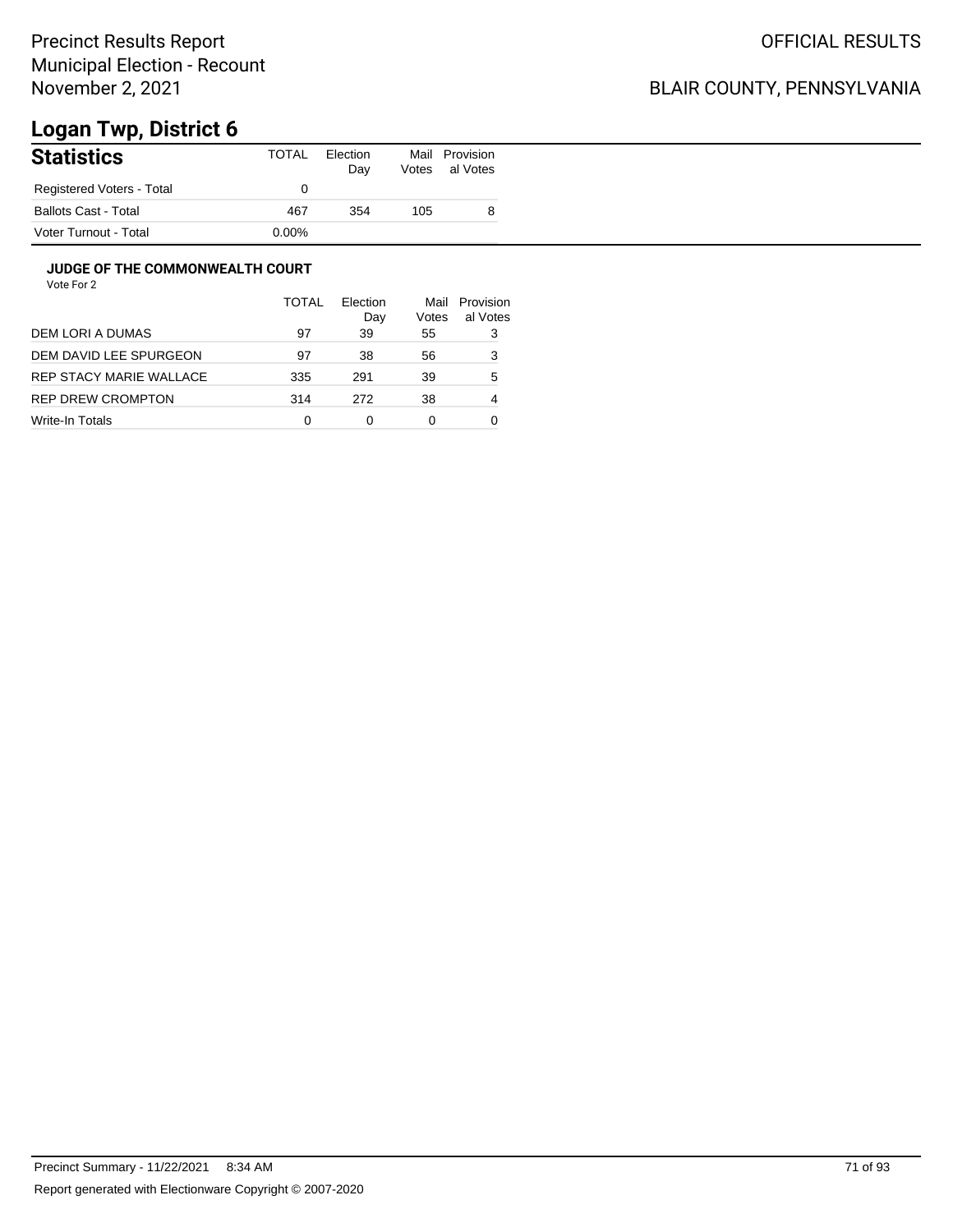## BLAIR COUNTY, PENNSYLVANIA

# **Logan Twp, District 6**

| <b>Statistics</b>           | <b>TOTAL</b> | Election<br>Day | Votes | Mail Provision<br>al Votes |
|-----------------------------|--------------|-----------------|-------|----------------------------|
| Registered Voters - Total   |              |                 |       |                            |
| <b>Ballots Cast - Total</b> | 467          | 354             | 105   | 8                          |
| Voter Turnout - Total       | $0.00\%$     |                 |       |                            |

#### **JUDGE OF THE COMMONWEALTH COURT**

|                         | <b>TOTAL</b> | Election<br>Day | Mail<br>Votes | Provision<br>al Votes |
|-------------------------|--------------|-----------------|---------------|-----------------------|
| DEM LORI A DUMAS        | 97           | 39              | 55            | 3                     |
| DEM DAVID LEE SPURGEON  | 97           | 38              | 56            | 3                     |
| REP STACY MARIE WALLACE | 335          | 291             | 39            | 5                     |
| REP DREW CROMPTON       | 314          | 272             | 38            | 4                     |
| Write-In Totals         | 0            | ი               | 0             |                       |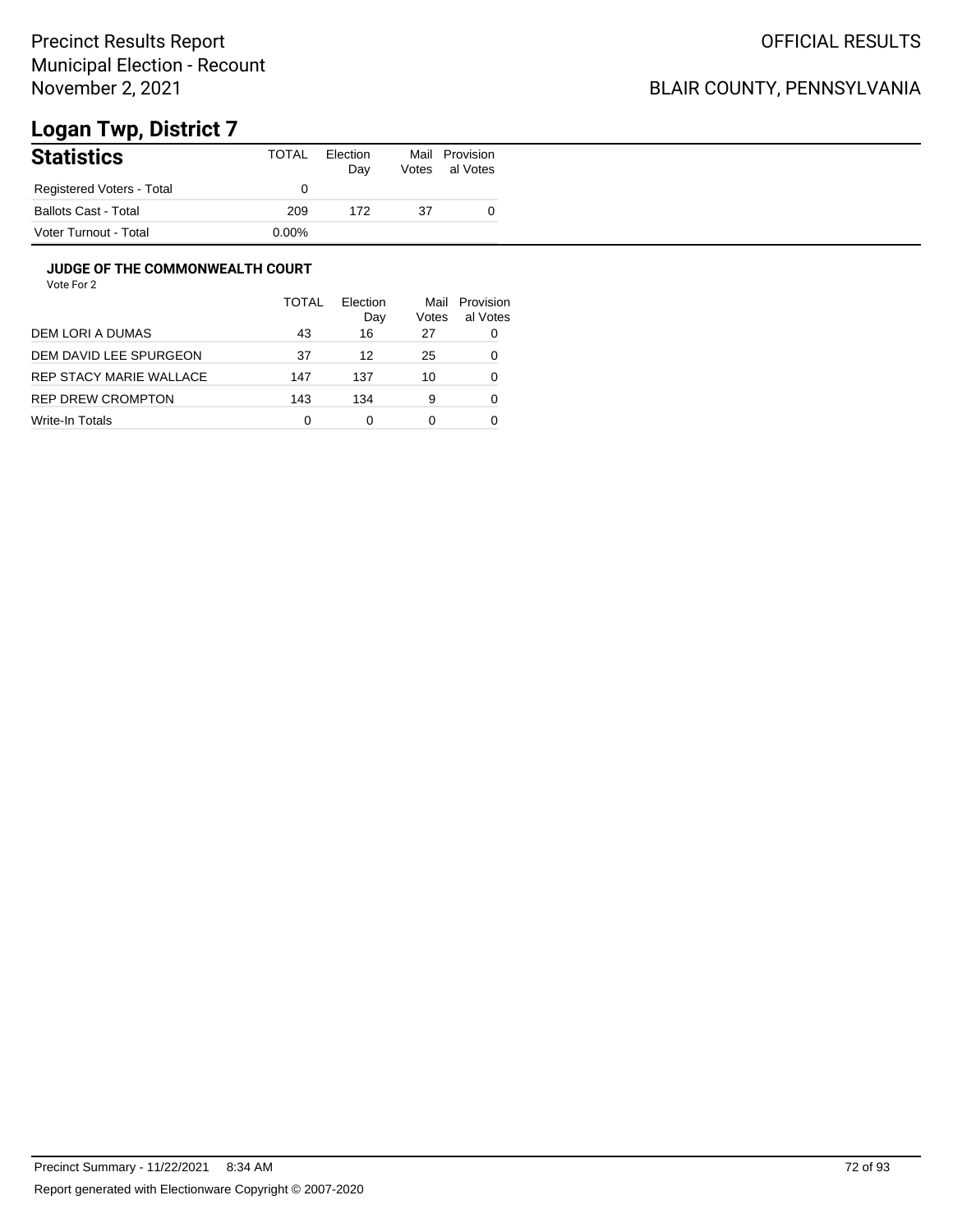## BLAIR COUNTY, PENNSYLVANIA

# **Logan Twp, District 7**

| <b>Statistics</b>           | TOTAL    | Election<br>Day | Mail<br>Votes | Provision<br>al Votes |
|-----------------------------|----------|-----------------|---------------|-----------------------|
| Registered Voters - Total   |          |                 |               |                       |
| <b>Ballots Cast - Total</b> | 209      | 172             | 37            |                       |
| Voter Turnout - Total       | $0.00\%$ |                 |               |                       |

#### **JUDGE OF THE COMMONWEALTH COURT**

|                         | <b>TOTAL</b> | Flection<br>Day | Mail<br>Votes | Provision<br>al Votes |
|-------------------------|--------------|-----------------|---------------|-----------------------|
| DEM LORI A DUMAS        | 43           | 16              | 27            | 0                     |
| DEM DAVID LEE SPURGEON  | 37           | 12              | 25            | 0                     |
| REP STACY MARIE WALLACE | 147          | 137             | 10            | 0                     |
| REP DREW CROMPTON       | 143          | 134             | 9             | 0                     |
| Write-In Totals         | 0            | ი               | 0             |                       |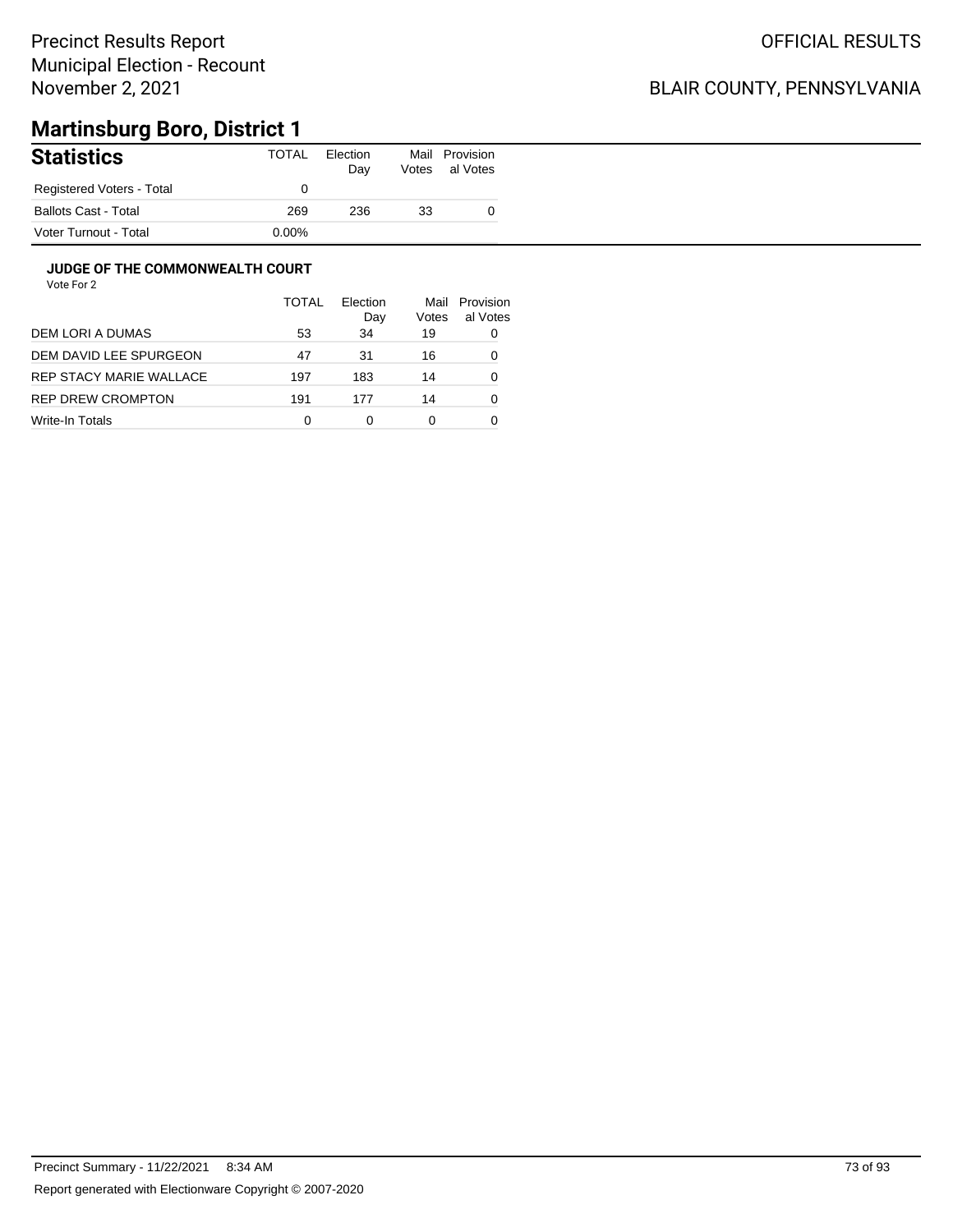## BLAIR COUNTY, PENNSYLVANIA

# **Martinsburg Boro, District 1**

| <b>Statistics</b>           | TOTAL    | Election<br>Day | Mail<br>Votes | Provision<br>al Votes |
|-----------------------------|----------|-----------------|---------------|-----------------------|
| Registered Voters - Total   |          |                 |               |                       |
| <b>Ballots Cast - Total</b> | 269      | 236             | 33            |                       |
| Voter Turnout - Total       | $0.00\%$ |                 |               |                       |

### **JUDGE OF THE COMMONWEALTH COURT**

|                         | TOTAL | Election<br>Day | Mail<br>Votes | Provision<br>al Votes |
|-------------------------|-------|-----------------|---------------|-----------------------|
| DEM LORI A DUMAS        | 53    | 34              | 19            | 0                     |
| DEM DAVID LEE SPURGEON  | 47    | 31              | 16            | 0                     |
| REP STACY MARIE WALLACE | 197   | 183             | 14            | 0                     |
| REP DREW CROMPTON       | 191   | 177             | 14            | 0                     |
| Write-In Totals         | 0     | ი               | 0             |                       |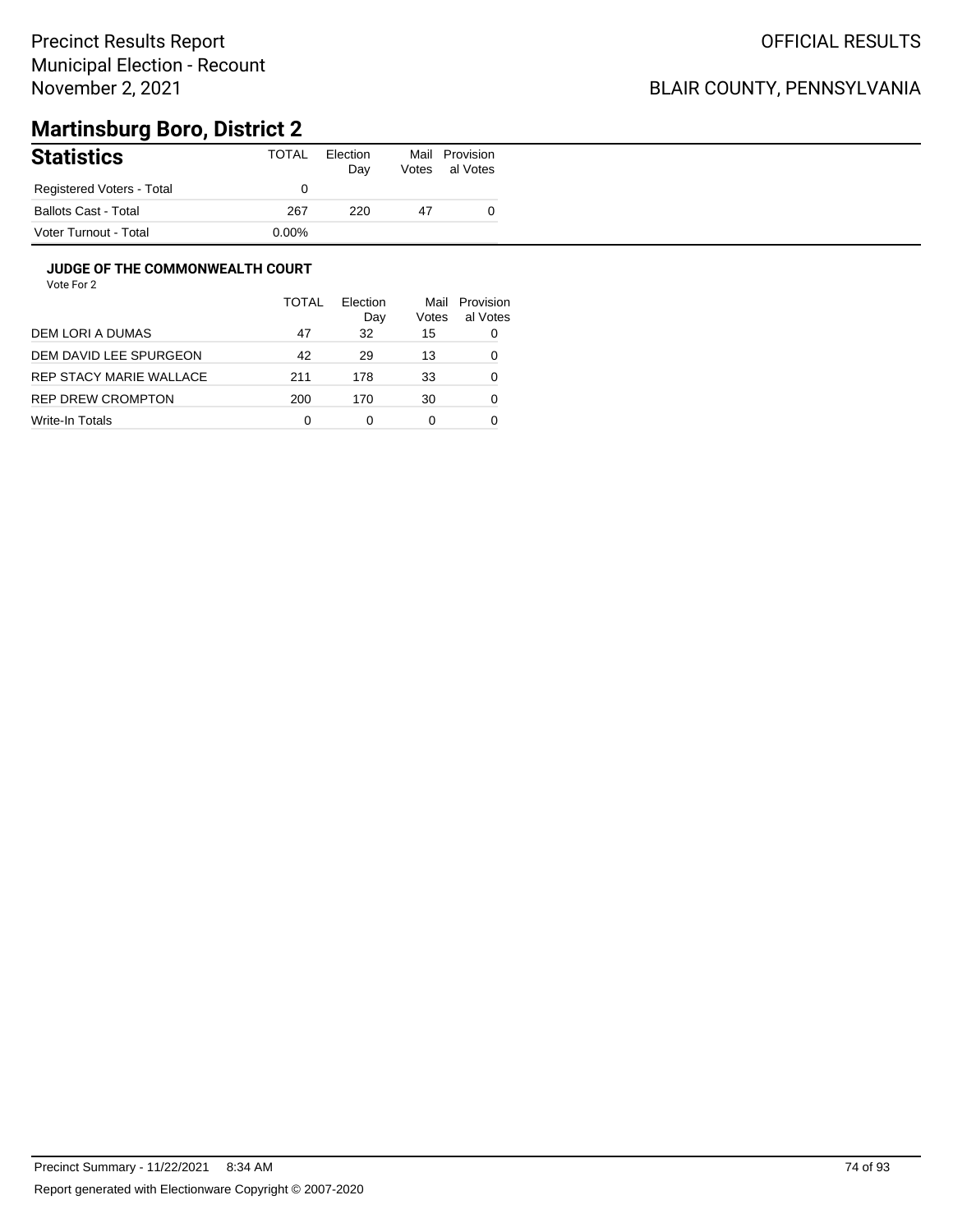## BLAIR COUNTY, PENNSYLVANIA

# **Martinsburg Boro, District 2**

| <b>Statistics</b>         | <b>TOTAL</b> | Election<br>Day | Mail<br>Votes | Provision<br>al Votes |
|---------------------------|--------------|-----------------|---------------|-----------------------|
| Registered Voters - Total |              |                 |               |                       |
| Ballots Cast - Total      | 267          | 220             | 47            |                       |
| Voter Turnout - Total     | $0.00\%$     |                 |               |                       |

### **JUDGE OF THE COMMONWEALTH COURT**

|                         | <b>TOTAL</b> | Flection<br>Day | Mail<br>Votes | Provision<br>al Votes |
|-------------------------|--------------|-----------------|---------------|-----------------------|
| DEM LORI A DUMAS        | 47           | 32              | 15            | 0                     |
| DEM DAVID LEE SPURGEON  | 42           | 29              | 13            | 0                     |
| REP STACY MARIE WALLACE | 211          | 178             | 33            | 0                     |
| REP DREW CROMPTON       | 200          | 170             | 30            | 0                     |
| Write-In Totals         | 0            | ი               | 0             |                       |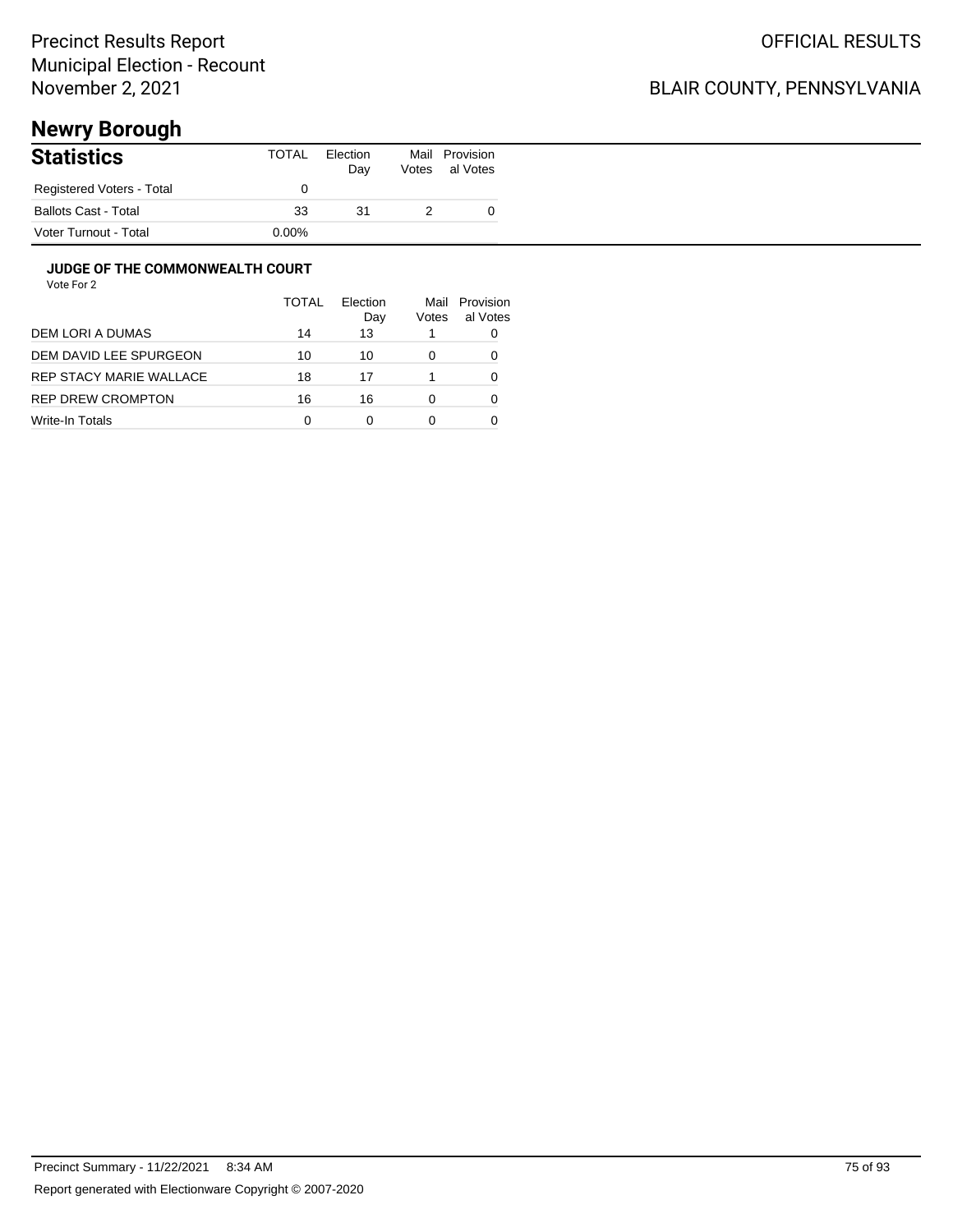## BLAIR COUNTY, PENNSYLVANIA

# **Newry Borough**

| <b>Statistics</b>           | TOTAL    | Election<br>Day | Mail<br>Votes | Provision<br>al Votes |
|-----------------------------|----------|-----------------|---------------|-----------------------|
| Registered Voters - Total   |          |                 |               |                       |
| <b>Ballots Cast - Total</b> | 33       | 31              |               |                       |
| Voter Turnout - Total       | $0.00\%$ |                 |               |                       |

#### **JUDGE OF THE COMMONWEALTH COURT**

|                         | TOTAL | Flection<br>Day | Votes | Mail Provision<br>al Votes |
|-------------------------|-------|-----------------|-------|----------------------------|
| DEM LORI A DUMAS        | 14    | 13              |       |                            |
| DEM DAVID LEE SPURGEON  | 10    | 10              |       |                            |
| REP STACY MARIE WALLACE | 18    | 17              |       |                            |
| REP DREW CROMPTON       | 16    | 16              |       | O                          |
| Write-In Totals         | 0     | 0               |       |                            |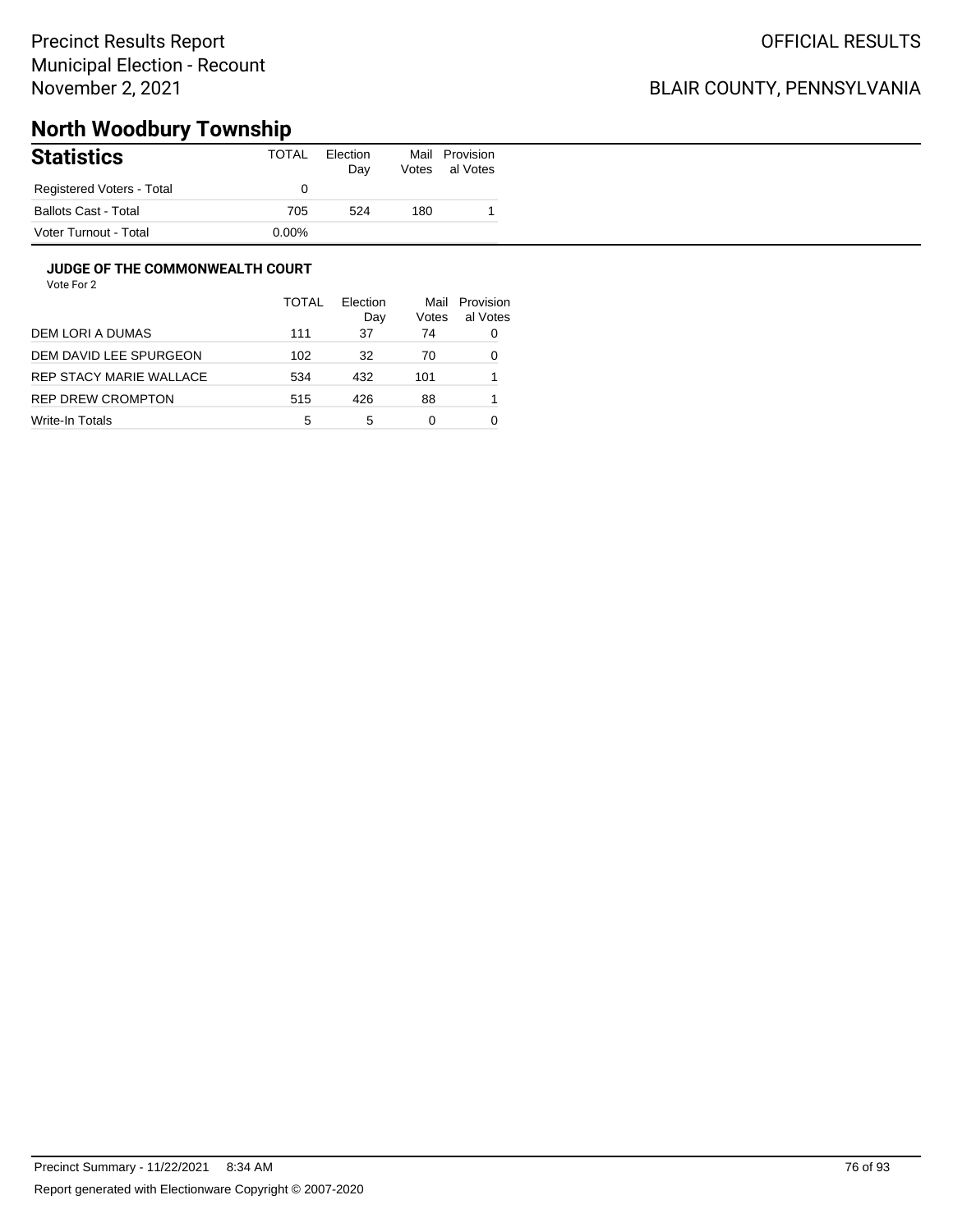## BLAIR COUNTY, PENNSYLVANIA

# **North Woodbury Township**

| <b>Statistics</b>           | TOTAL    | Election<br>Day | Mail<br>Votes | Provision<br>al Votes |
|-----------------------------|----------|-----------------|---------------|-----------------------|
| Registered Voters - Total   |          |                 |               |                       |
| <b>Ballots Cast - Total</b> | 705      | 524             | 180           |                       |
| Voter Turnout - Total       | $0.00\%$ |                 |               |                       |

### **JUDGE OF THE COMMONWEALTH COURT**

|                         | TOTAL | <b>Flection</b><br>Day | Mail<br>Votes | Provision<br>al Votes |
|-------------------------|-------|------------------------|---------------|-----------------------|
| DEM LORI A DUMAS        | 111   | 37                     | 74            | 0                     |
| DEM DAVID LEE SPURGEON  | 102   | 32                     | 70            | 0                     |
| REP STACY MARIE WALLACE | 534   | 432                    | 101           |                       |
| REP DREW CROMPTON       | 515   | 426                    | 88            |                       |
| Write-In Totals         | 5     | 5                      | 0             |                       |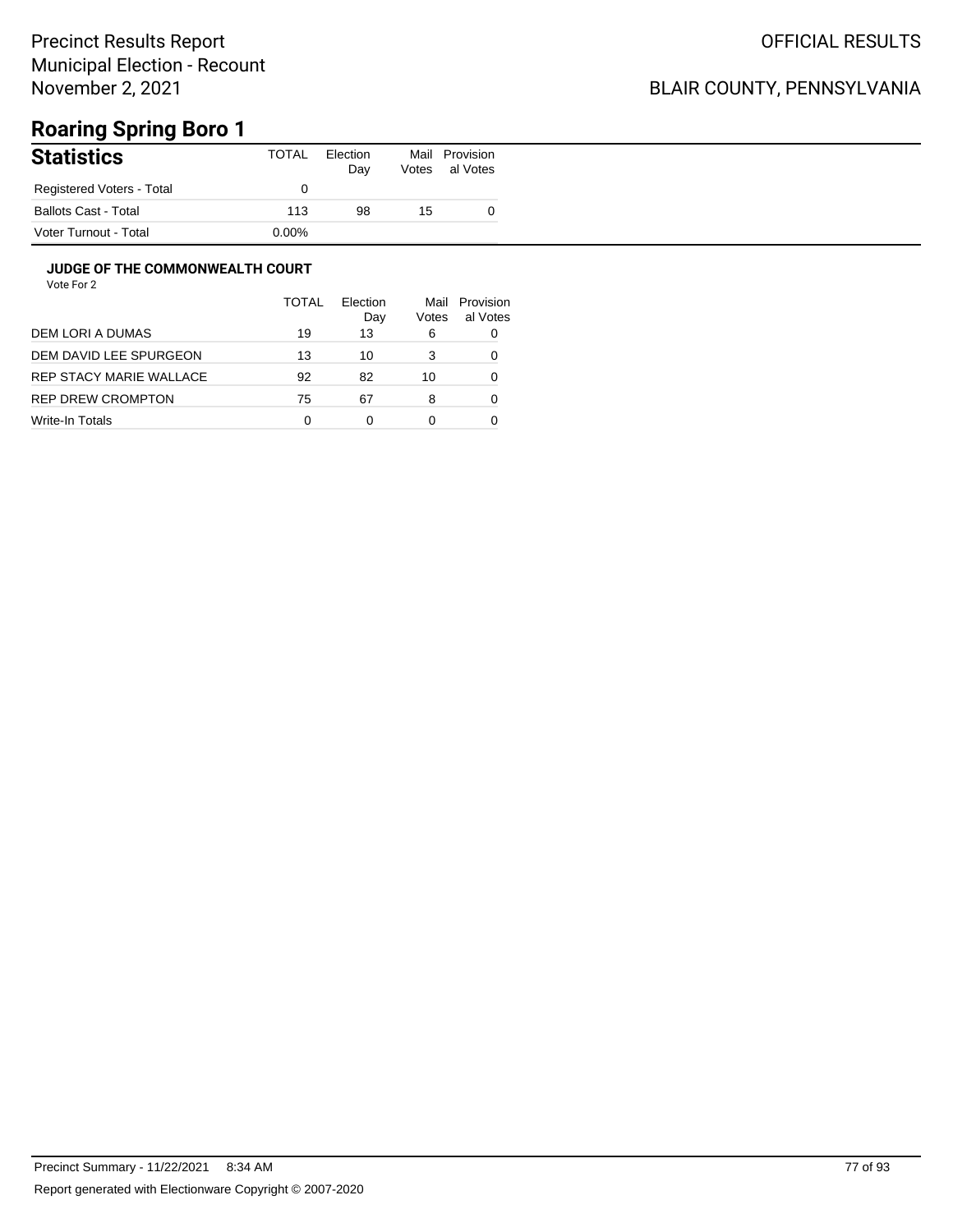## BLAIR COUNTY, PENNSYLVANIA

# **Roaring Spring Boro 1**

| <b>Statistics</b>         | TOTAL    | Election<br>Day | Mail<br>Votes | Provision<br>al Votes |
|---------------------------|----------|-----------------|---------------|-----------------------|
| Registered Voters - Total |          |                 |               |                       |
| Ballots Cast - Total      | 113      | 98              | 15            |                       |
| Voter Turnout - Total     | $0.00\%$ |                 |               |                       |

### **JUDGE OF THE COMMONWEALTH COURT**

|                         | TOTAL | Flection<br>Day | Mail<br>Votes | Provision<br>al Votes |
|-------------------------|-------|-----------------|---------------|-----------------------|
| DEM LORI A DUMAS        | 19    | 13              | 6             | 0                     |
| DEM DAVID LEE SPURGEON  | 13    | 10              | 3             | 0                     |
| REP STACY MARIE WALLACE | 92    | 82              | 10            | 0                     |
| REP DREW CROMPTON       | 75    | 67              | 8             | 0                     |
| Write-In Totals         | 0     | ი               |               |                       |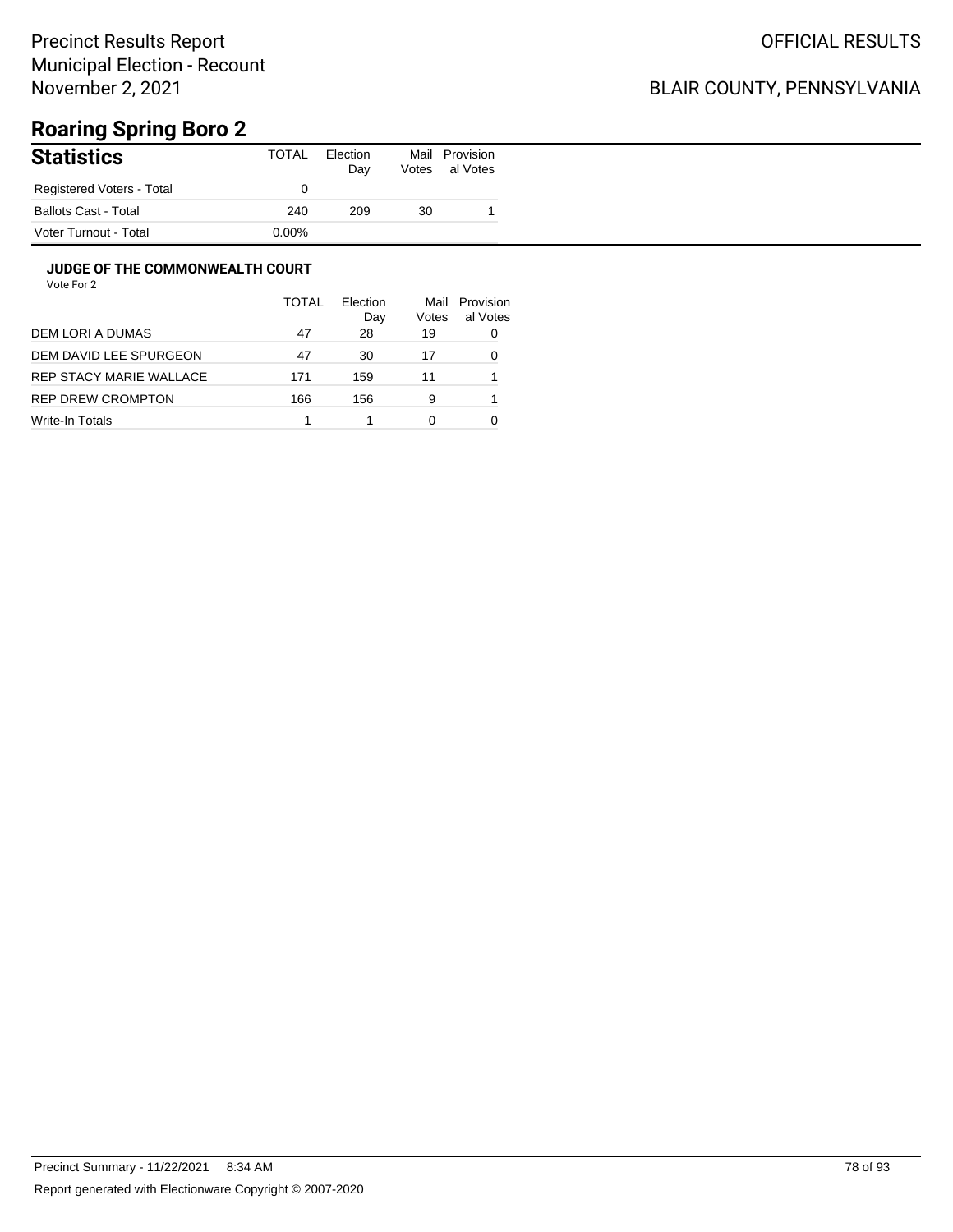## BLAIR COUNTY, PENNSYLVANIA

# **Roaring Spring Boro 2**

| <b>Statistics</b>           | TOTAL    | Election<br>Day | Mail<br>Votes | Provision<br>al Votes |
|-----------------------------|----------|-----------------|---------------|-----------------------|
| Registered Voters - Total   |          |                 |               |                       |
| <b>Ballots Cast - Total</b> | 240      | 209             | 30            |                       |
| Voter Turnout - Total       | $0.00\%$ |                 |               |                       |

### **JUDGE OF THE COMMONWEALTH COURT**

|                         | TOTAL | Election<br>Day | Mail<br>Votes | Provision<br>al Votes |
|-------------------------|-------|-----------------|---------------|-----------------------|
| DEM LORI A DUMAS        | 47    | 28              | 19            | 0                     |
| DEM DAVID LEE SPURGEON  | 47    | 30              | 17            | 0                     |
| REP STACY MARIE WALLACE | 171   | 159             | 11            |                       |
| REP DREW CROMPTON       | 166   | 156             | 9             |                       |
| Write-In Totals         |       |                 | 0             |                       |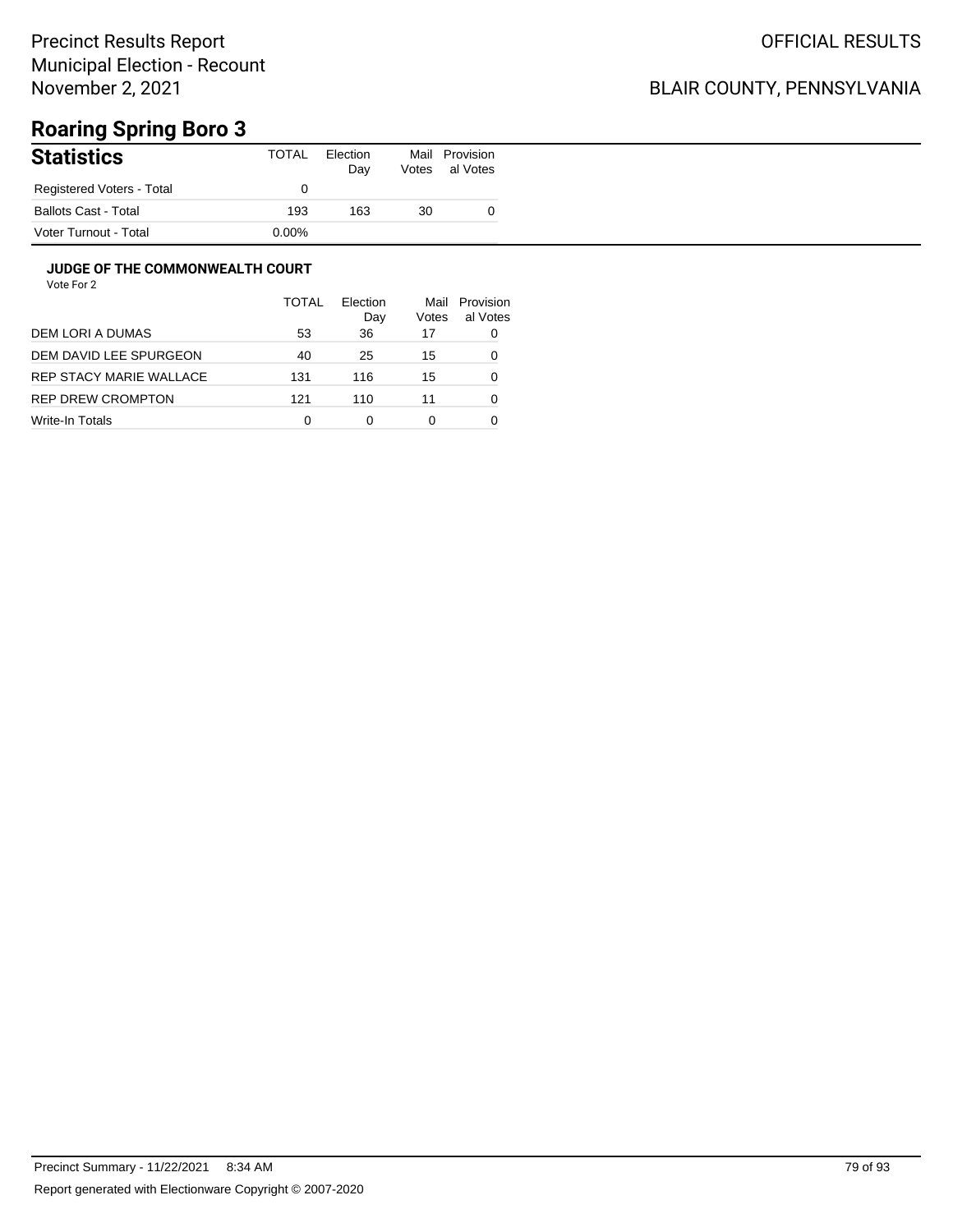## BLAIR COUNTY, PENNSYLVANIA

# **Roaring Spring Boro 3**

| <b>Statistics</b>           | TOTAL    | Election<br>Day | Mail<br>Votes | Provision<br>al Votes |
|-----------------------------|----------|-----------------|---------------|-----------------------|
| Registered Voters - Total   |          |                 |               |                       |
| <b>Ballots Cast - Total</b> | 193      | 163             | 30            |                       |
| Voter Turnout - Total       | $0.00\%$ |                 |               |                       |

### **JUDGE OF THE COMMONWEALTH COURT**

|                         | <b>TOTAL</b> | Flection<br>Day | Mail<br>Votes | Provision<br>al Votes |
|-------------------------|--------------|-----------------|---------------|-----------------------|
| DEM LORI A DUMAS        | 53           | 36              | 17            | 0                     |
| DEM DAVID LEE SPURGEON  | 40           | 25              | 15            | 0                     |
| REP STACY MARIE WALLACE | 131          | 116             | 15            | 0                     |
| REP DREW CROMPTON       | 121          | 110             | 11            | 0                     |
| Write-In Totals         | 0            | 0               | 0             |                       |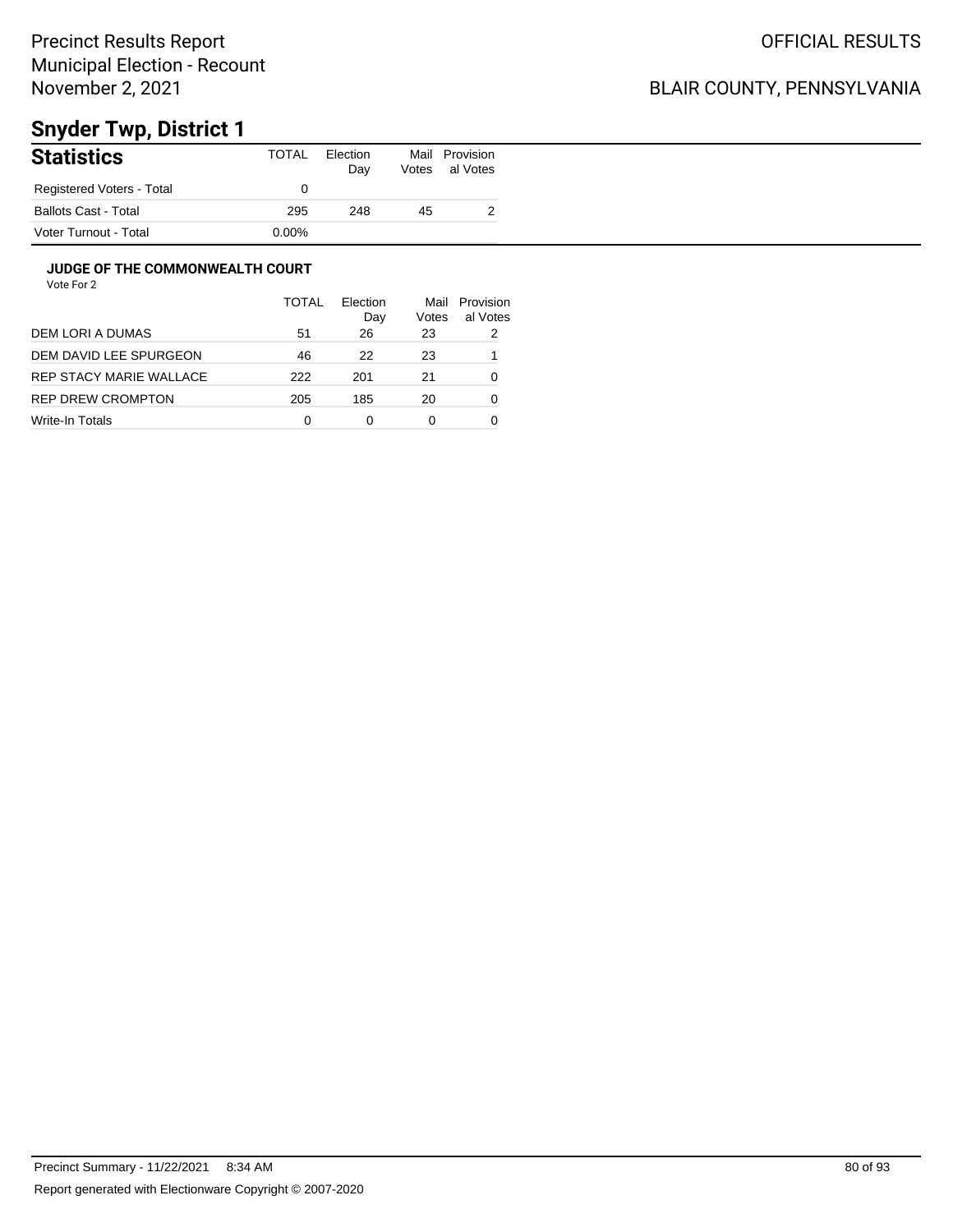## BLAIR COUNTY, PENNSYLVANIA

# **Snyder Twp, District 1**

| <b>Statistics</b>           | TOTAL | Election<br>Day | Mail<br>Votes | Provision<br>al Votes |
|-----------------------------|-------|-----------------|---------------|-----------------------|
| Registered Voters - Total   |       |                 |               |                       |
| <b>Ballots Cast - Total</b> | 295   | 248             | 45            |                       |
| Voter Turnout - Total       | 0.00% |                 |               |                       |

### **JUDGE OF THE COMMONWEALTH COURT**

|                         | TOTAL | Election<br>Day | Mail<br>Votes | Provision<br>al Votes |
|-------------------------|-------|-----------------|---------------|-----------------------|
| DEM LORI A DUMAS        | 51    | 26              | 23            | 2                     |
| DEM DAVID LEE SPURGEON  | 46    | 22              | 23            |                       |
| REP STACY MARIE WALLACE | 222   | 201             | 21            | 0                     |
| REP DREW CROMPTON       | 205   | 185             | 20            | 0                     |
| Write-In Totals         | 0     | 0               | 0             |                       |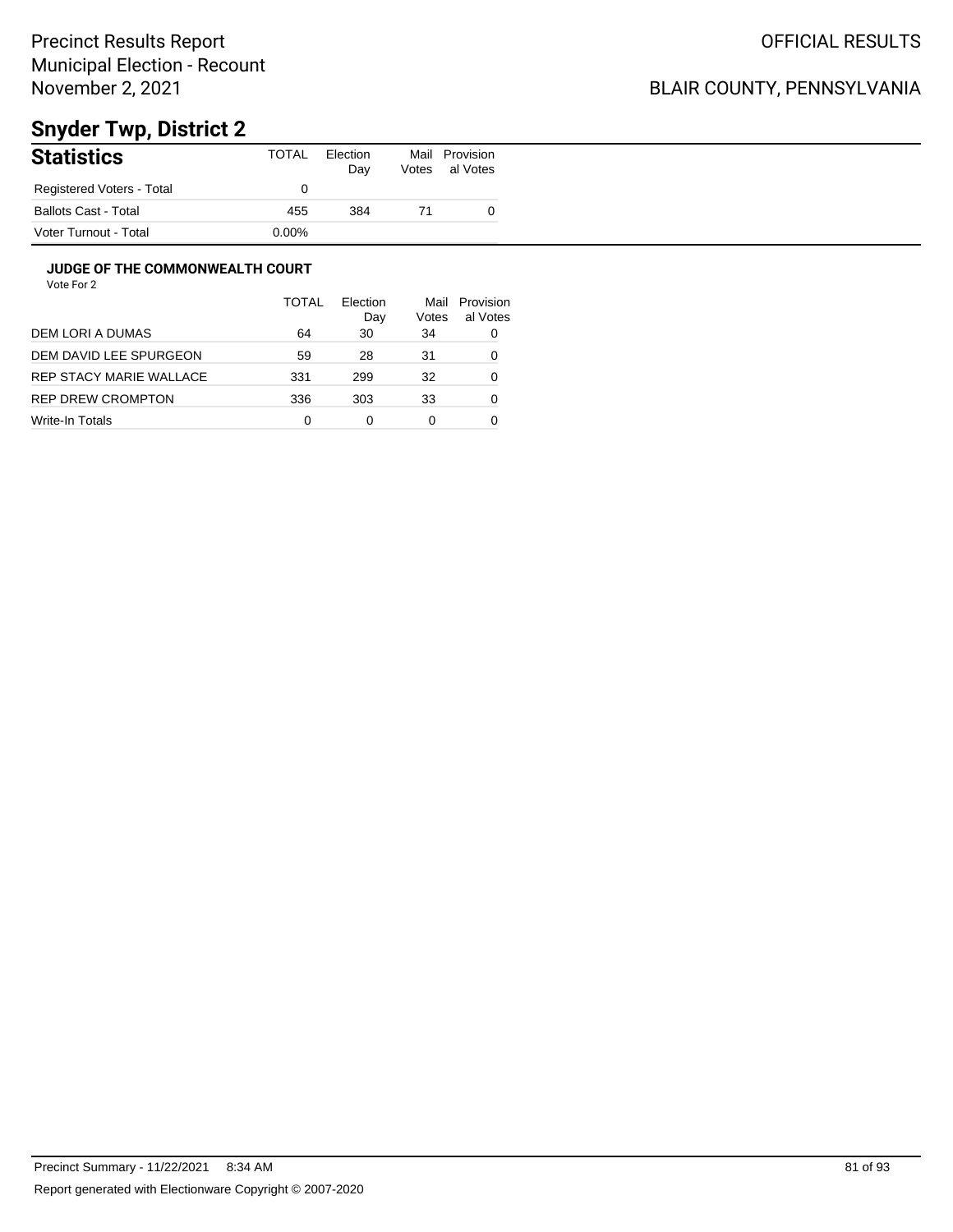## BLAIR COUNTY, PENNSYLVANIA

# **Snyder Twp, District 2**

| <b>Statistics</b>           | TOTAL    | Election<br>Day | Mail<br>Votes | Provision<br>al Votes |
|-----------------------------|----------|-----------------|---------------|-----------------------|
| Registered Voters - Total   |          |                 |               |                       |
| <b>Ballots Cast - Total</b> | 455      | 384             | 71            |                       |
| Voter Turnout - Total       | $0.00\%$ |                 |               |                       |

### **JUDGE OF THE COMMONWEALTH COURT**

|                         | TOTAL | Flection<br>Day | Mail<br>Votes | Provision<br>al Votes |
|-------------------------|-------|-----------------|---------------|-----------------------|
| DEM LORI A DUMAS        | 64    | 30              | 34            | 0                     |
| DEM DAVID LEE SPURGEON  | 59    | 28              | 31            | 0                     |
| REP STACY MARIE WALLACE | 331   | 299             | 32            | 0                     |
| REP DREW CROMPTON       | 336   | 303             | 33            | 0                     |
| Write-In Totals         | 0     | 0               | 0             |                       |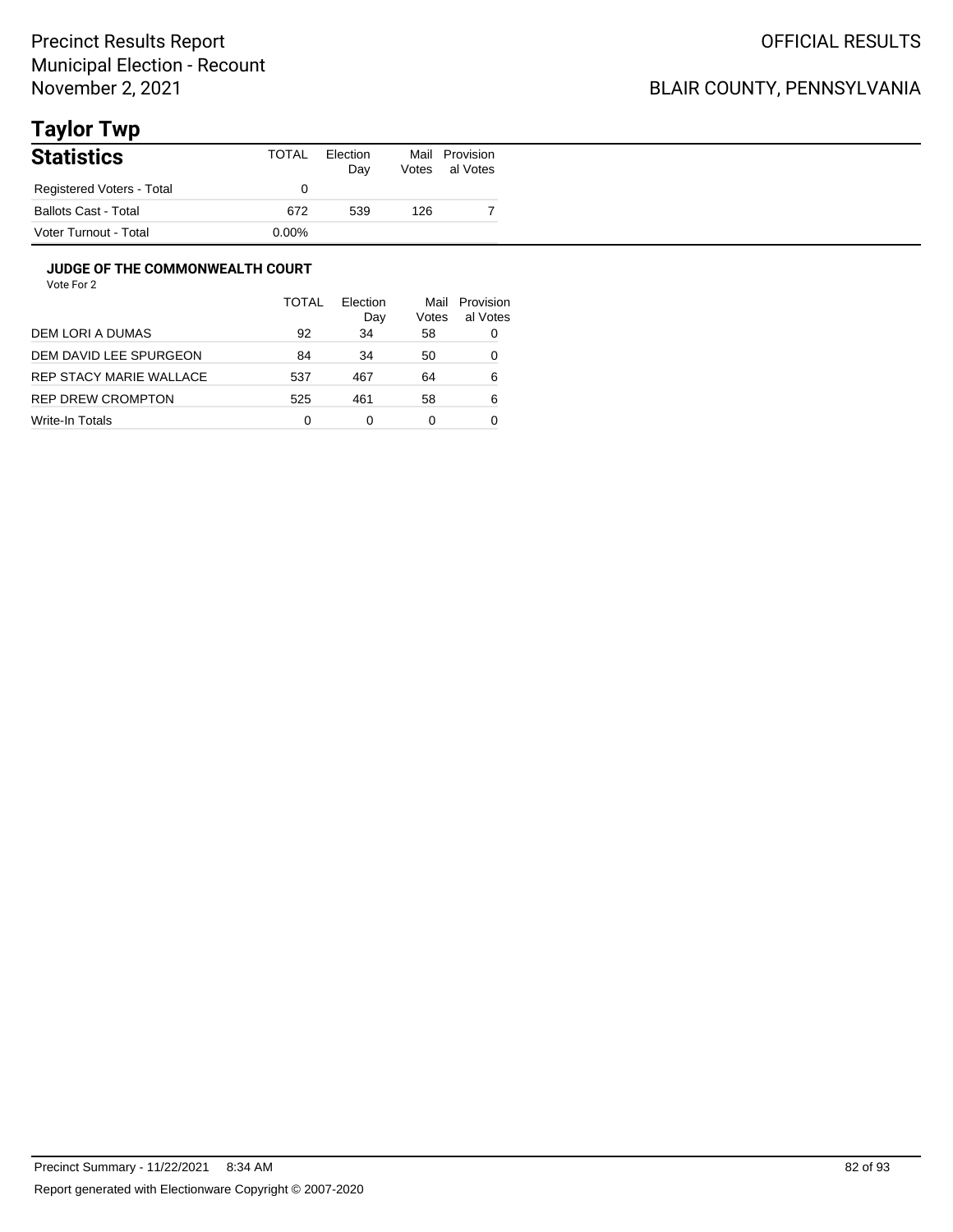## BLAIR COUNTY, PENNSYLVANIA

# **Taylor Twp**

| <b>Statistics</b>           | TOTAL    | Election<br>Day | Votes | Mail Provision<br>al Votes |
|-----------------------------|----------|-----------------|-------|----------------------------|
| Registered Voters - Total   |          |                 |       |                            |
| <b>Ballots Cast - Total</b> | 672      | 539             | 126   |                            |
| Voter Turnout - Total       | $0.00\%$ |                 |       |                            |

### **JUDGE OF THE COMMONWEALTH COURT**

|                         | TOTAL | Election<br>Day | Mail<br>Votes | Provision<br>al Votes |
|-------------------------|-------|-----------------|---------------|-----------------------|
| DEM LORI A DUMAS        | 92    | 34              | 58            | 0                     |
| DEM DAVID LEE SPURGEON  | 84    | 34              | 50            | 0                     |
| REP STACY MARIE WALLACE | 537   | 467             | 64            | 6                     |
| REP DREW CROMPTON       | 525   | 461             | 58            | 6                     |
| Write-In Totals         | 0     | 0               | 0             |                       |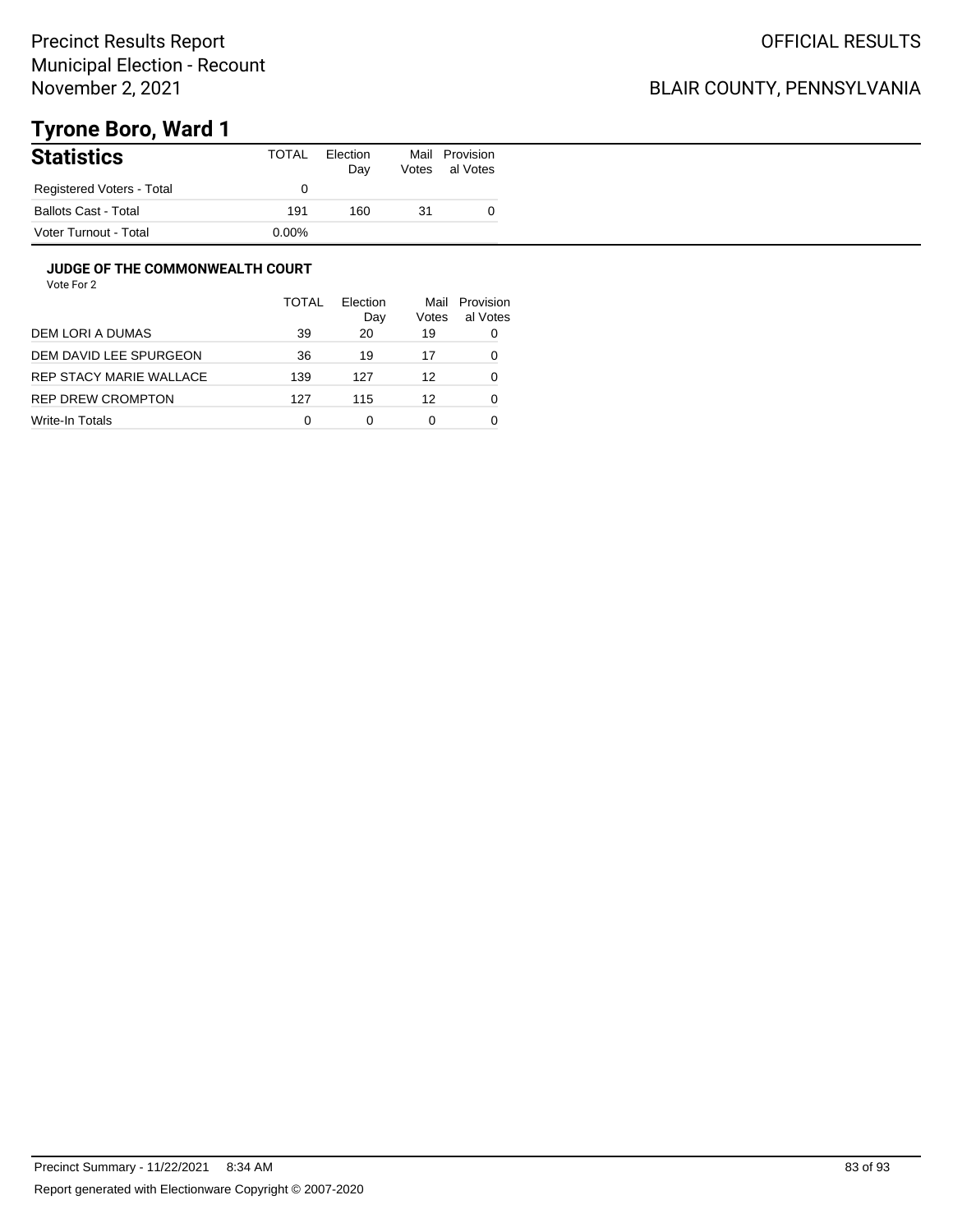## BLAIR COUNTY, PENNSYLVANIA

# **Tyrone Boro, Ward 1**

| <b>Statistics</b>         | TOTAL | Election<br>Day | Mail<br>Votes | Provision<br>al Votes |
|---------------------------|-------|-----------------|---------------|-----------------------|
| Registered Voters - Total |       |                 |               |                       |
| Ballots Cast - Total      | 191   | 160             | 31            |                       |
| Voter Turnout - Total     | 0.00% |                 |               |                       |

### **JUDGE OF THE COMMONWEALTH COURT**

|                         | <b>TOTAL</b> | Election<br>Day | Mail<br>Votes | Provision<br>al Votes |
|-------------------------|--------------|-----------------|---------------|-----------------------|
| DEM LORI A DUMAS        | 39           | 20              | 19            | 0                     |
| DEM DAVID LEE SPURGEON  | 36           | 19              | 17            | 0                     |
| REP STACY MARIE WALLACE | 139          | 127             | 12            | 0                     |
| REP DREW CROMPTON       | 127          | 115             | 12            | O                     |
| Write-In Totals         | 0            | 0               | 0             |                       |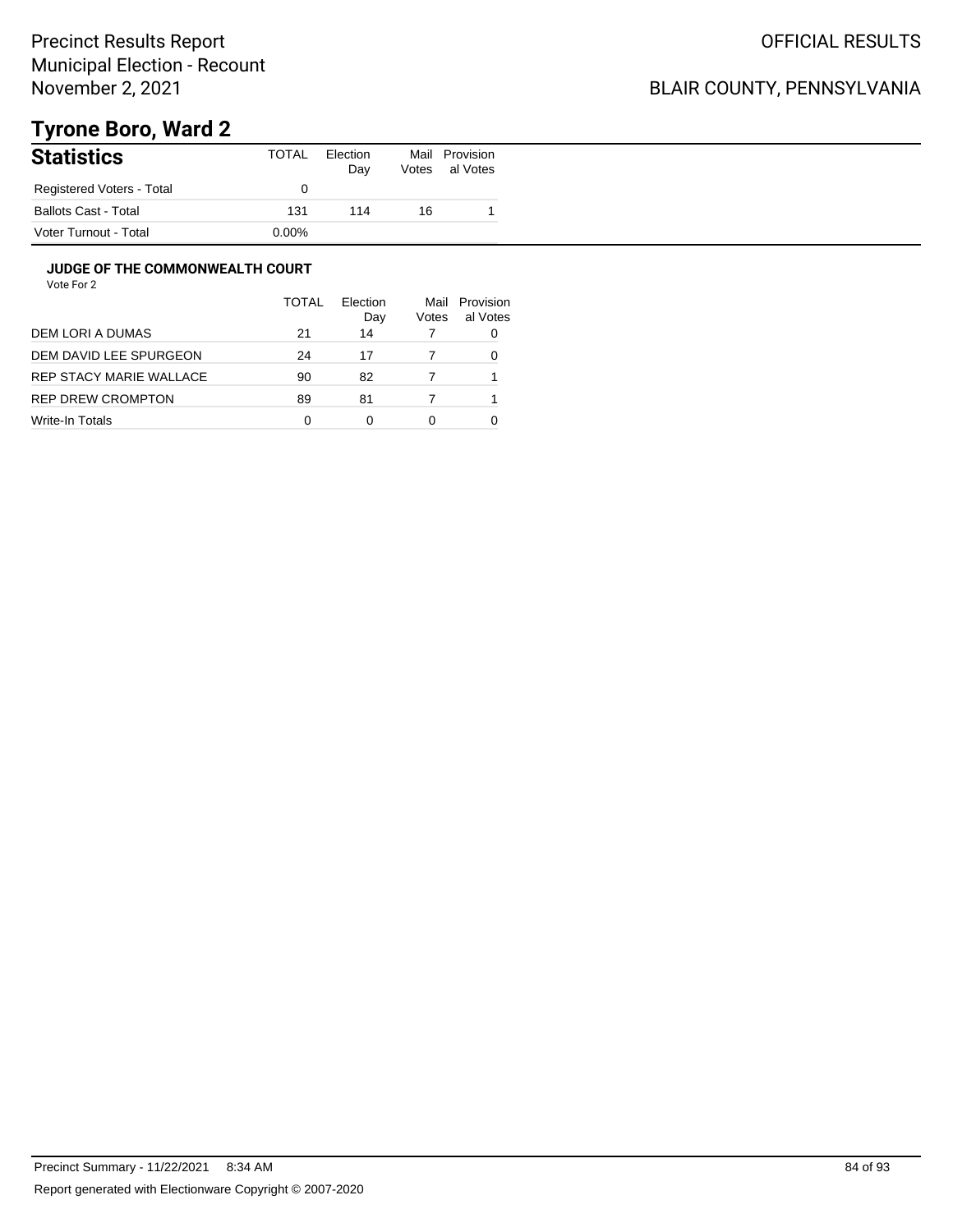## BLAIR COUNTY, PENNSYLVANIA

# **Tyrone Boro, Ward 2**

| <b>Statistics</b>           | TOTAL    | Election<br>Day | Votes | Mail Provision<br>al Votes |
|-----------------------------|----------|-----------------|-------|----------------------------|
| Registered Voters - Total   |          |                 |       |                            |
| <b>Ballots Cast - Total</b> | 131      | 114             | 16    |                            |
| Voter Turnout - Total       | $0.00\%$ |                 |       |                            |

### **JUDGE OF THE COMMONWEALTH COURT**

|                          | <b>TOTAL</b> | Flection<br>Day | Mail<br>Votes | Provision<br>al Votes |
|--------------------------|--------------|-----------------|---------------|-----------------------|
| DEM LORI A DUMAS         | 21           | 14              |               |                       |
| DEM DAVID LEE SPURGEON   | 24           | 17              |               |                       |
| REP STACY MARIE WALLACE  | 90           | 82              |               |                       |
| <b>REP DREW CROMPTON</b> | 89           | 81              |               |                       |
| Write-In Totals          | 0            | ŋ               | 0             |                       |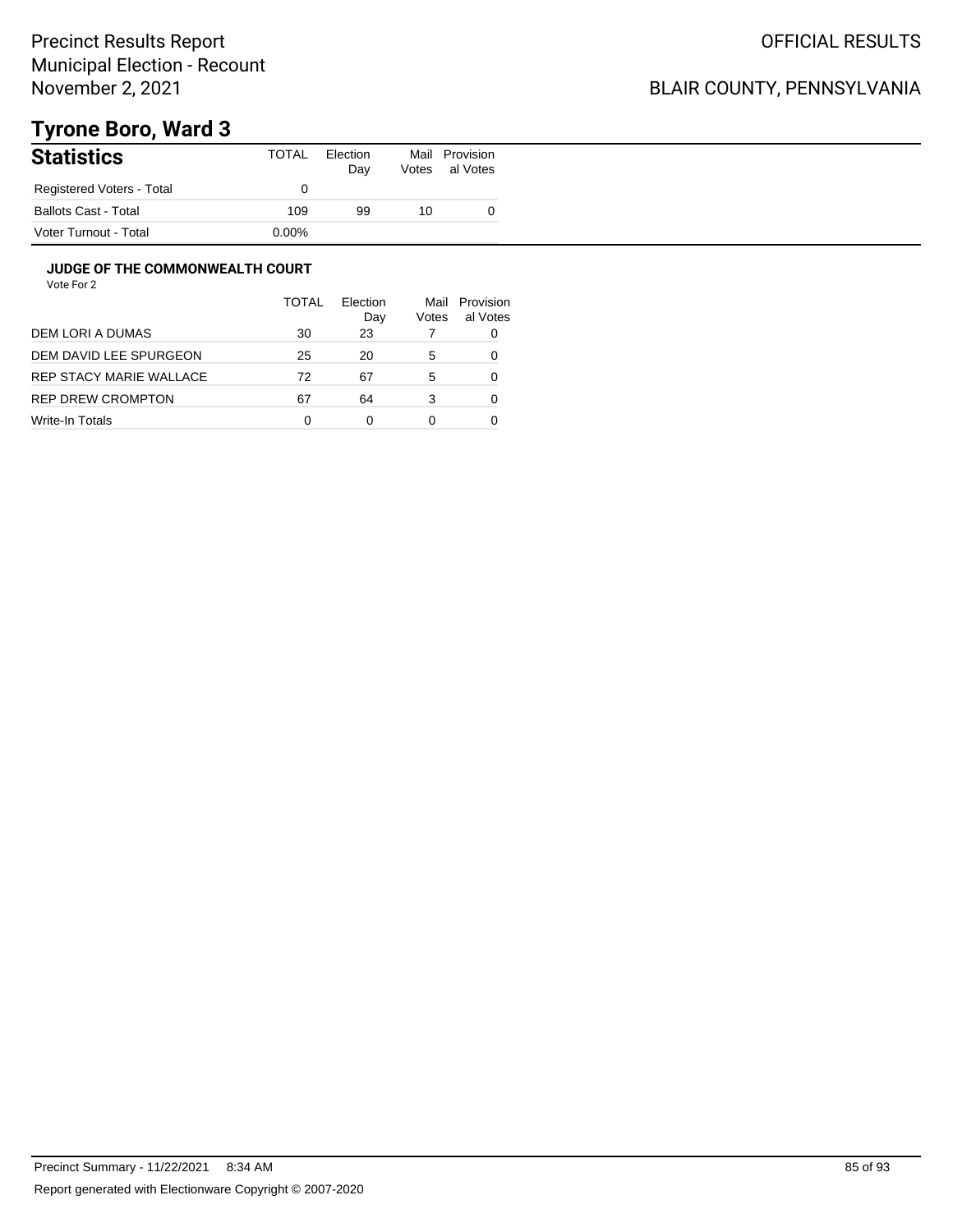## BLAIR COUNTY, PENNSYLVANIA

# **Tyrone Boro, Ward 3**

| <b>Statistics</b>           | TOTAL    | Election<br>Day | Votes | Mail Provision<br>al Votes |
|-----------------------------|----------|-----------------|-------|----------------------------|
| Registered Voters - Total   |          |                 |       |                            |
| <b>Ballots Cast - Total</b> | 109      | 99              | 10    |                            |
| Voter Turnout - Total       | $0.00\%$ |                 |       |                            |

### **JUDGE OF THE COMMONWEALTH COURT**

|                         | TOTAL | Flection<br>Day | Mail<br>Votes | Provision<br>al Votes |
|-------------------------|-------|-----------------|---------------|-----------------------|
| DEM LORI A DUMAS        | 30    | 23              |               | 0                     |
| DEM DAVID LEE SPURGEON  | 25    | 20              | 5             | 0                     |
| REP STACY MARIE WALLACE | 72    | 67              | 5             | 0                     |
| REP DREW CROMPTON       | 67    | 64              | 3             | 0                     |
| Write-In Totals         | 0     | ი               |               |                       |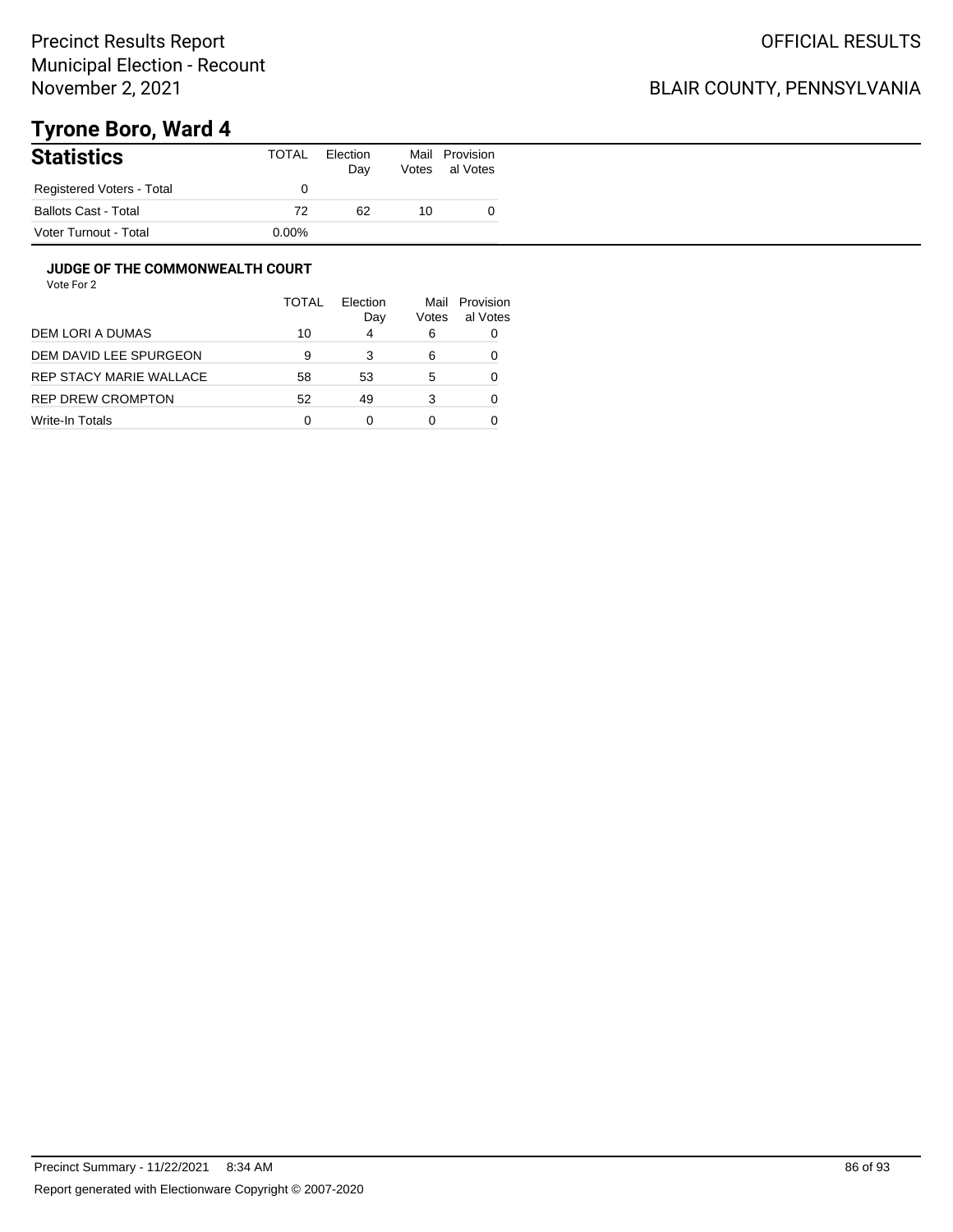## BLAIR COUNTY, PENNSYLVANIA

# **Tyrone Boro, Ward 4**

| <b>Statistics</b>         | <b>TOTAL</b> | Election<br>Day | Votes | Mail Provision<br>al Votes |
|---------------------------|--------------|-----------------|-------|----------------------------|
| Registered Voters - Total |              |                 |       |                            |
| Ballots Cast - Total      | 72           | 62              | 10    |                            |
| Voter Turnout - Total     | $0.00\%$     |                 |       |                            |

### **JUDGE OF THE COMMONWEALTH COURT**

|                         | TOTAL | Flection<br>Day | Mail<br>Votes | Provision<br>al Votes |
|-------------------------|-------|-----------------|---------------|-----------------------|
| DEM LORI A DUMAS        | 10    | 4               | 6             | 0                     |
| DEM DAVID LEE SPURGEON  | 9     | 3               | 6             | 0                     |
| REP STACY MARIE WALLACE | 58    | 53              | 5             | 0                     |
| REP DREW CROMPTON       | 52    | 49              | 3             | 0                     |
| Write-In Totals         | 0     |                 |               |                       |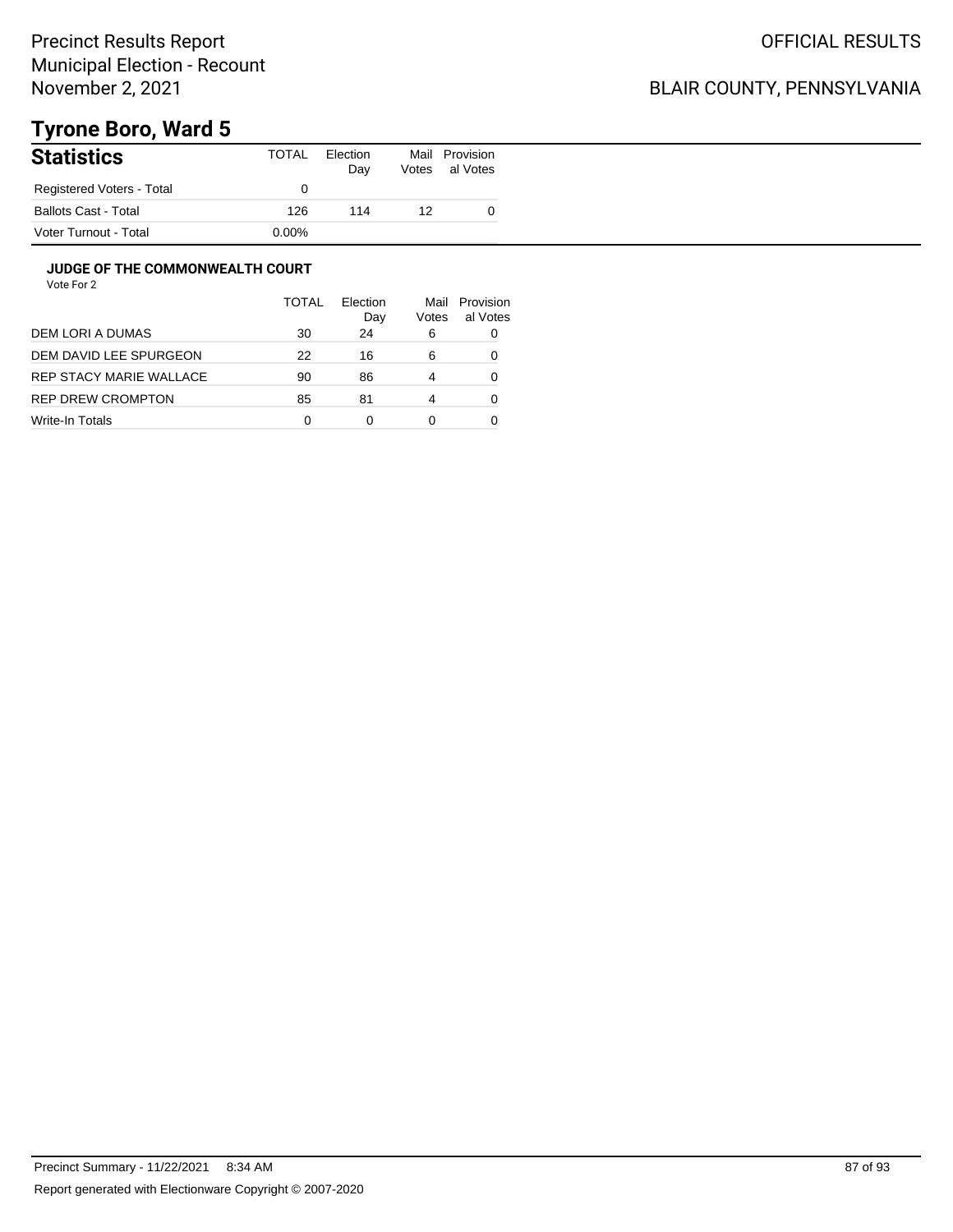## BLAIR COUNTY, PENNSYLVANIA

# **Tyrone Boro, Ward 5**

| <b>Statistics</b>         | TOTAL    | Election<br>Day | Mail<br>Votes | Provision<br>al Votes |
|---------------------------|----------|-----------------|---------------|-----------------------|
| Registered Voters - Total |          |                 |               |                       |
| Ballots Cast - Total      | 126      | 114             | 12            |                       |
| Voter Turnout - Total     | $0.00\%$ |                 |               |                       |

### **JUDGE OF THE COMMONWEALTH COURT**

| TOTAL | Election<br>Day | Mail<br>Votes | Provision<br>al Votes |
|-------|-----------------|---------------|-----------------------|
| 30    | 24              | 6             | 0                     |
| 22    | 16              | 6             |                       |
| 90    | 86              | 4             |                       |
| 85    | 81              | 4             |                       |
| 0     | 0               | 0             |                       |
|       |                 |               |                       |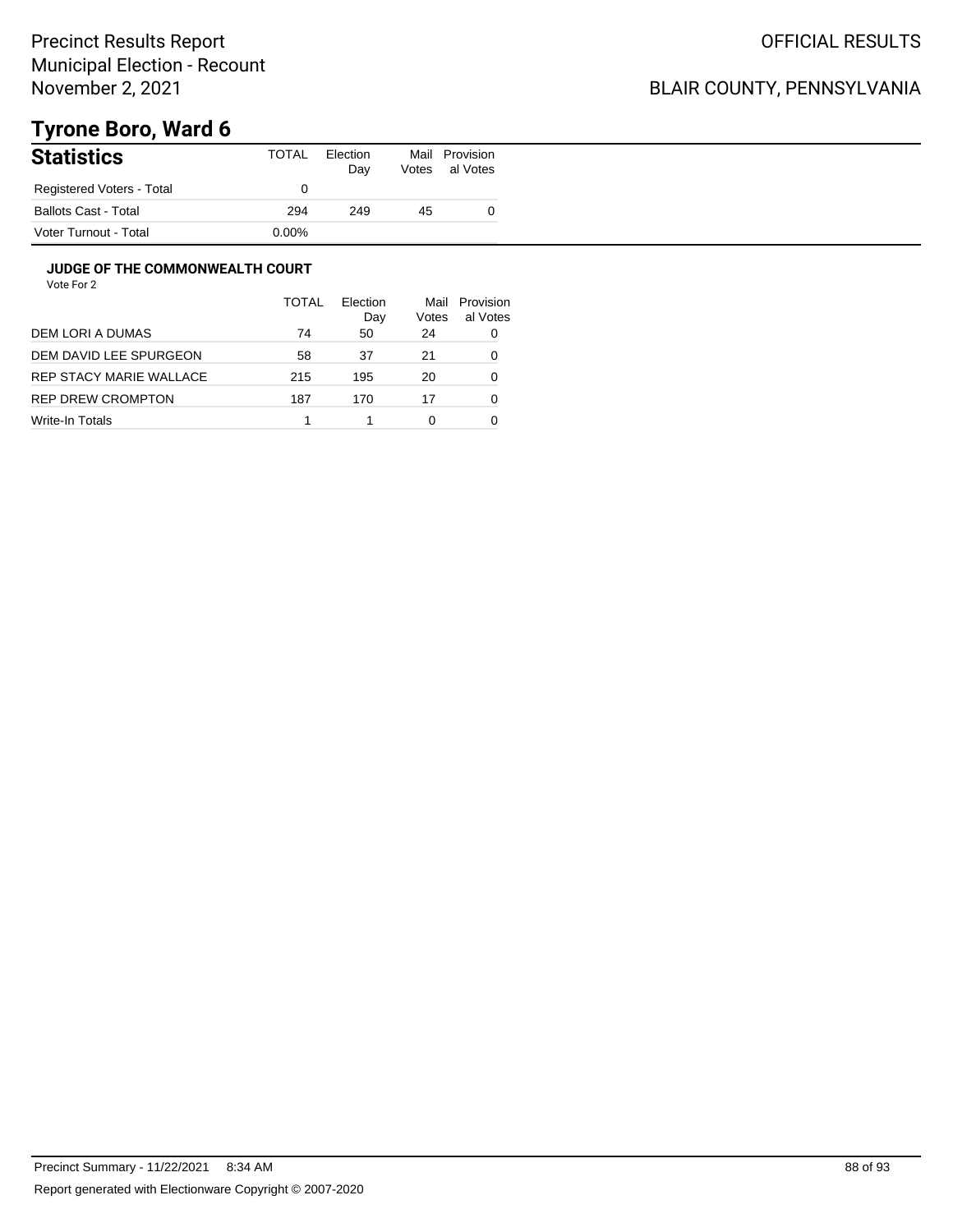## BLAIR COUNTY, PENNSYLVANIA

# **Tyrone Boro, Ward 6**

| <b>Statistics</b>           | TOTAL    | Election<br>Day | Votes | Mail Provision<br>al Votes |
|-----------------------------|----------|-----------------|-------|----------------------------|
| Registered Voters - Total   |          |                 |       |                            |
| <b>Ballots Cast - Total</b> | 294      | 249             | 45    |                            |
| Voter Turnout - Total       | $0.00\%$ |                 |       |                            |

#### **JUDGE OF THE COMMONWEALTH COURT**

|                          | TOTAL | Flection<br>Day | Mail<br>Votes | Provision<br>al Votes |
|--------------------------|-------|-----------------|---------------|-----------------------|
| DEM LORI A DUMAS         | 74    | 50              | 24            | 0                     |
| DEM DAVID LEE SPURGEON   | 58    | 37              | 21            | 0                     |
| REP STACY MARIE WALLACE  | 215   | 195             | 20            | 0                     |
| <b>REP DREW CROMPTON</b> | 187   | 170             | 17            | 0                     |
| Write-In Totals          |       |                 | 0             |                       |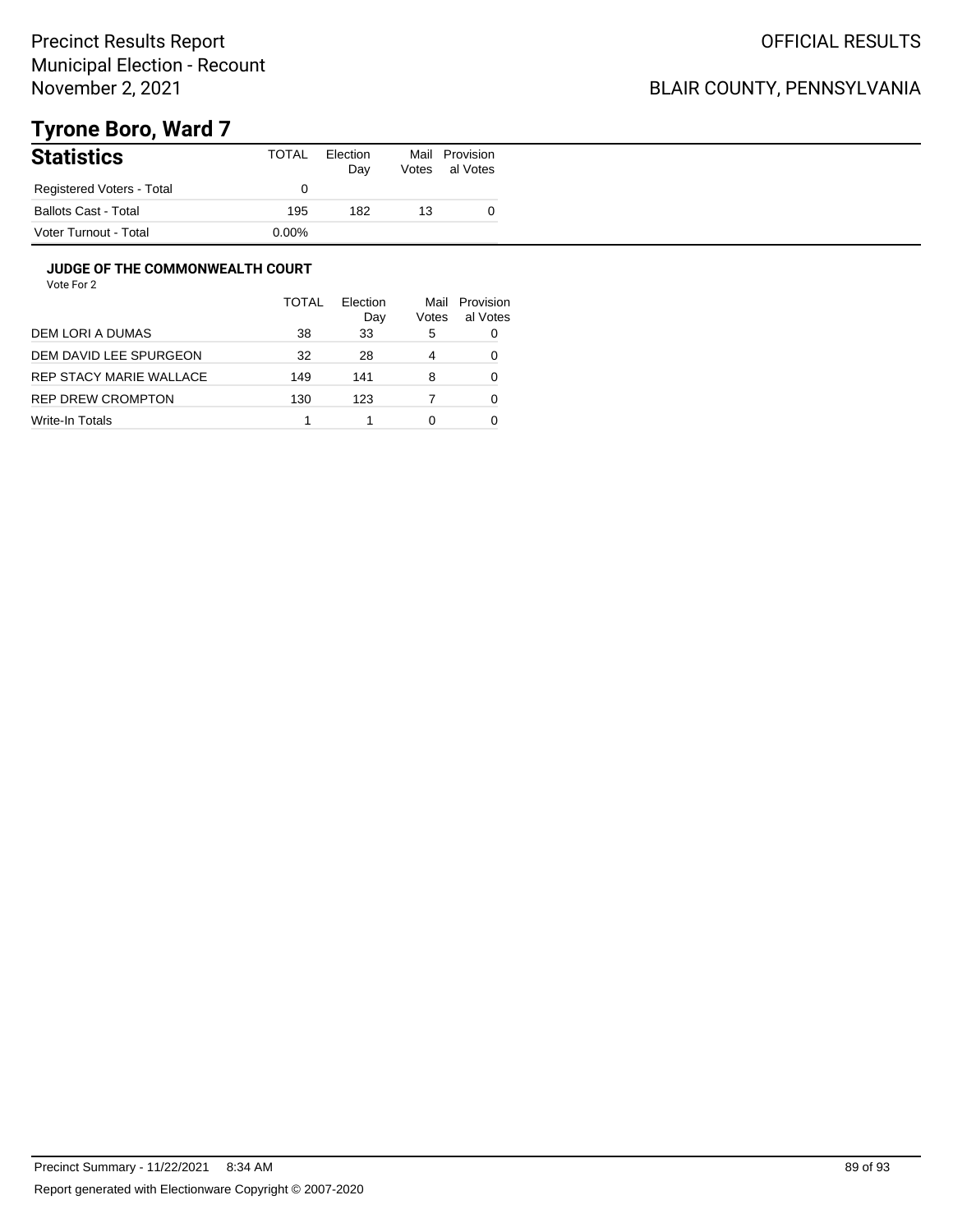## BLAIR COUNTY, PENNSYLVANIA

# **Tyrone Boro, Ward 7**

| <b>Statistics</b>           | <b>TOTAL</b> | Election<br>Day | Votes | Mail Provision<br>al Votes |
|-----------------------------|--------------|-----------------|-------|----------------------------|
| Registered Voters - Total   |              |                 |       |                            |
| <b>Ballots Cast - Total</b> | 195          | 182             | 13    |                            |
| Voter Turnout - Total       | $0.00\%$     |                 |       |                            |

#### **JUDGE OF THE COMMONWEALTH COURT**

|                         | TOTAL | Flection<br>Day | Mail<br>Votes | Provision<br>al Votes |
|-------------------------|-------|-----------------|---------------|-----------------------|
| DEM LORI A DUMAS        | 38    | 33              | 5             | 0                     |
| DEM DAVID LEE SPURGEON  | 32    | 28              | 4             |                       |
| REP STACY MARIE WALLACE | 149   | 141             | 8             | 0                     |
| REP DREW CROMPTON       | 130   | 123             |               | 0                     |
| Write-In Totals         |       |                 | 0             |                       |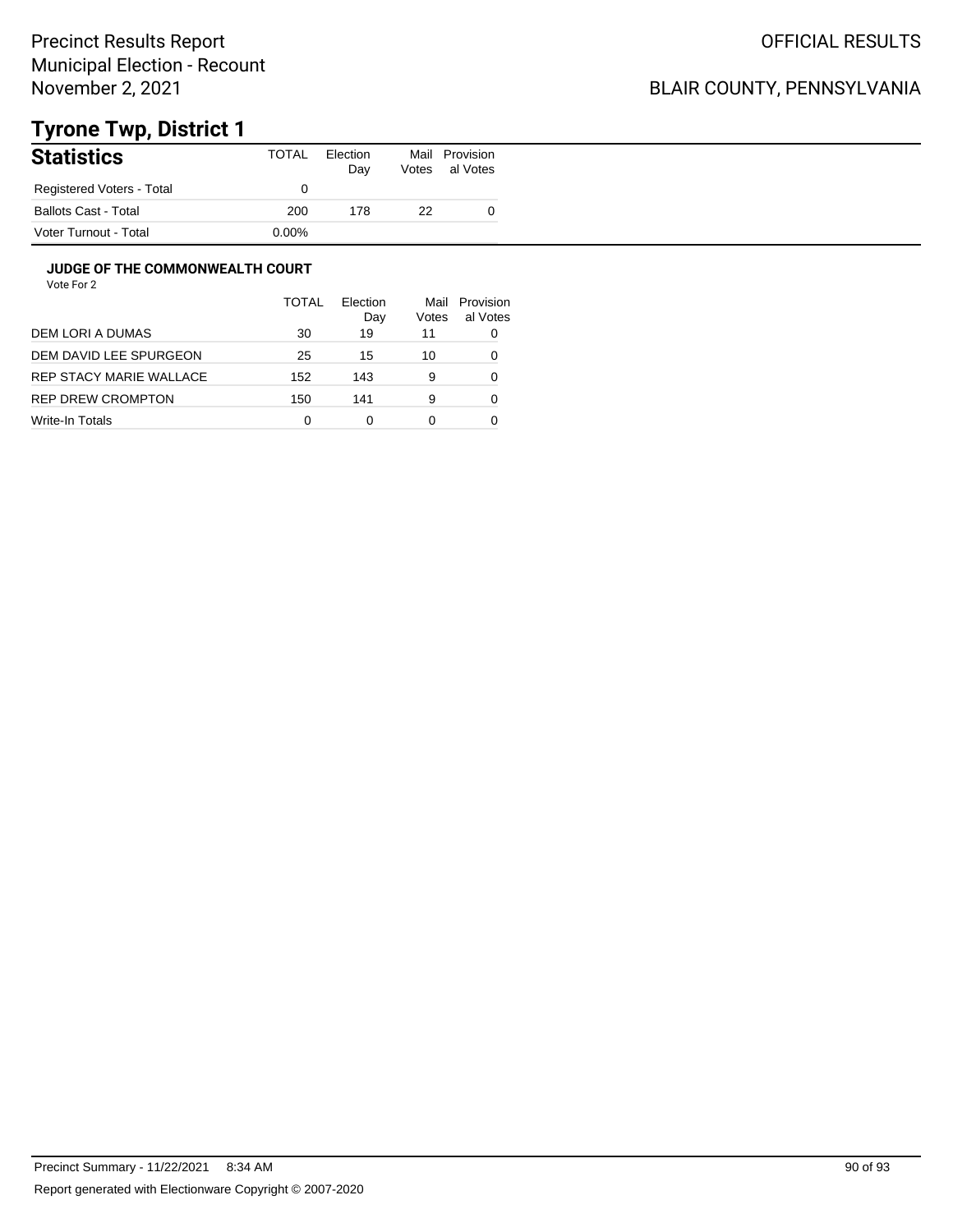## BLAIR COUNTY, PENNSYLVANIA

# **Tyrone Twp, District 1**

| <b>Statistics</b>           | TOTAL    | Election<br>Day | Mail<br>Votes | Provision<br>al Votes |
|-----------------------------|----------|-----------------|---------------|-----------------------|
| Registered Voters - Total   |          |                 |               |                       |
| <b>Ballots Cast - Total</b> | 200      | 178             | 22            |                       |
| Voter Turnout - Total       | $0.00\%$ |                 |               |                       |

### **JUDGE OF THE COMMONWEALTH COURT**

|                          | <b>TOTAL</b> | Election<br>Day | Mail<br>Votes | Provision<br>al Votes |
|--------------------------|--------------|-----------------|---------------|-----------------------|
| DEM LORI A DUMAS         | 30           | 19              | 11            | 0                     |
| DEM DAVID LEE SPURGEON   | 25           | 15              | 10            |                       |
| REP STACY MARIE WALLACE  | 152          | 143             | 9             | 0                     |
| <b>REP DREW CROMPTON</b> | 150          | 141             | 9             | 0                     |
| Write-In Totals          | 0            | 0               | 0             |                       |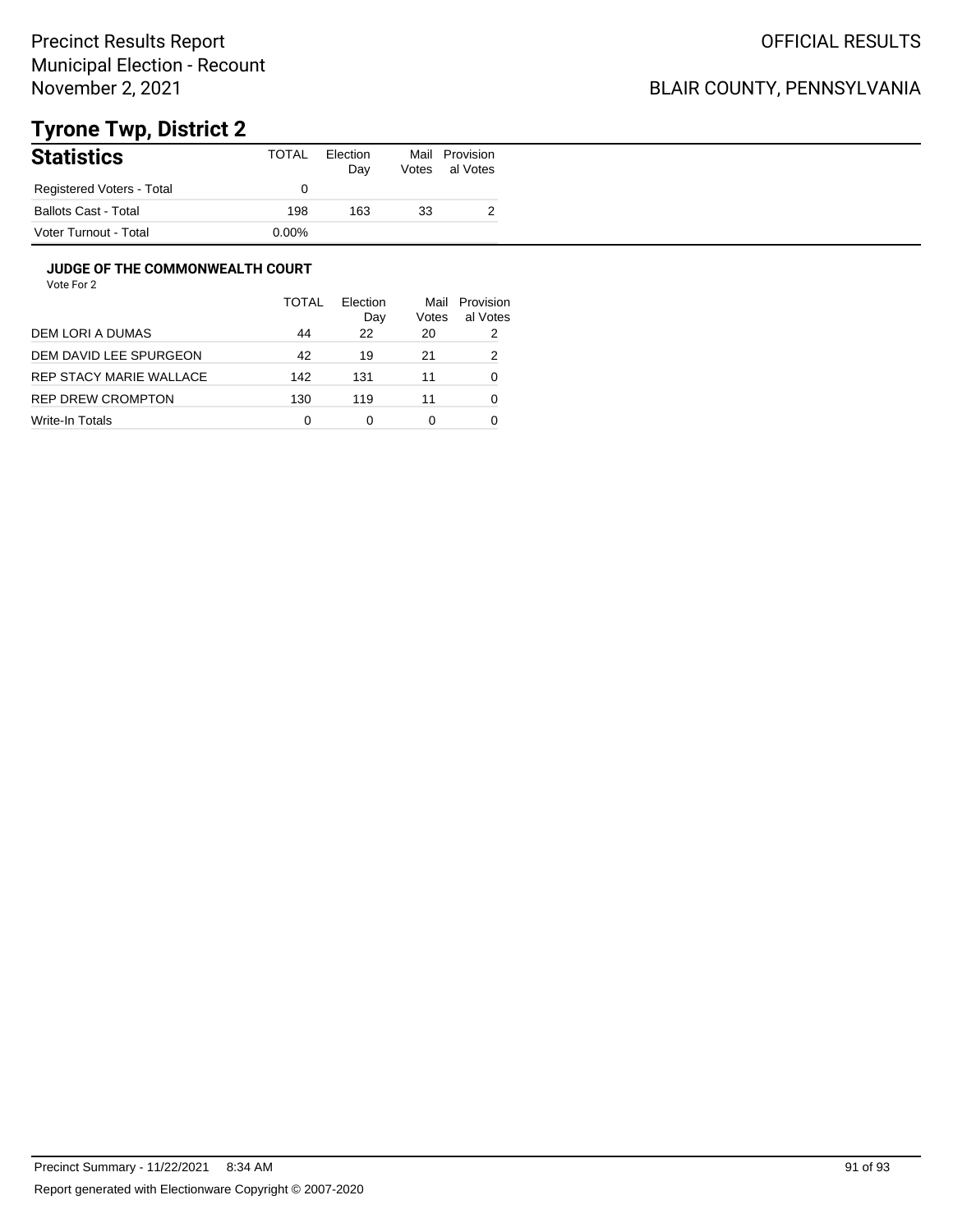## BLAIR COUNTY, PENNSYLVANIA

# **Tyrone Twp, District 2**

| <b>Statistics</b>           | TOTAL    | Election<br>Day | Mail<br>Votes | Provision<br>al Votes |
|-----------------------------|----------|-----------------|---------------|-----------------------|
| Registered Voters - Total   |          |                 |               |                       |
| <b>Ballots Cast - Total</b> | 198      | 163             | 33            | _                     |
| Voter Turnout - Total       | $0.00\%$ |                 |               |                       |

### **JUDGE OF THE COMMONWEALTH COURT**

|                         | <b>TOTAL</b> | Flection<br>Day | Mail<br>Votes | Provision<br>al Votes |
|-------------------------|--------------|-----------------|---------------|-----------------------|
| DEM LORI A DUMAS        | 44           | 22              | 20            | 2                     |
| DEM DAVID LEE SPURGEON  | 42           | 19              | 21            | 2                     |
| REP STACY MARIE WALLACE | 142          | 131             | 11            | 0                     |
| REP DREW CROMPTON       | 130          | 119             | 11            | 0                     |
| Write-In Totals         | 0            | 0               | 0             |                       |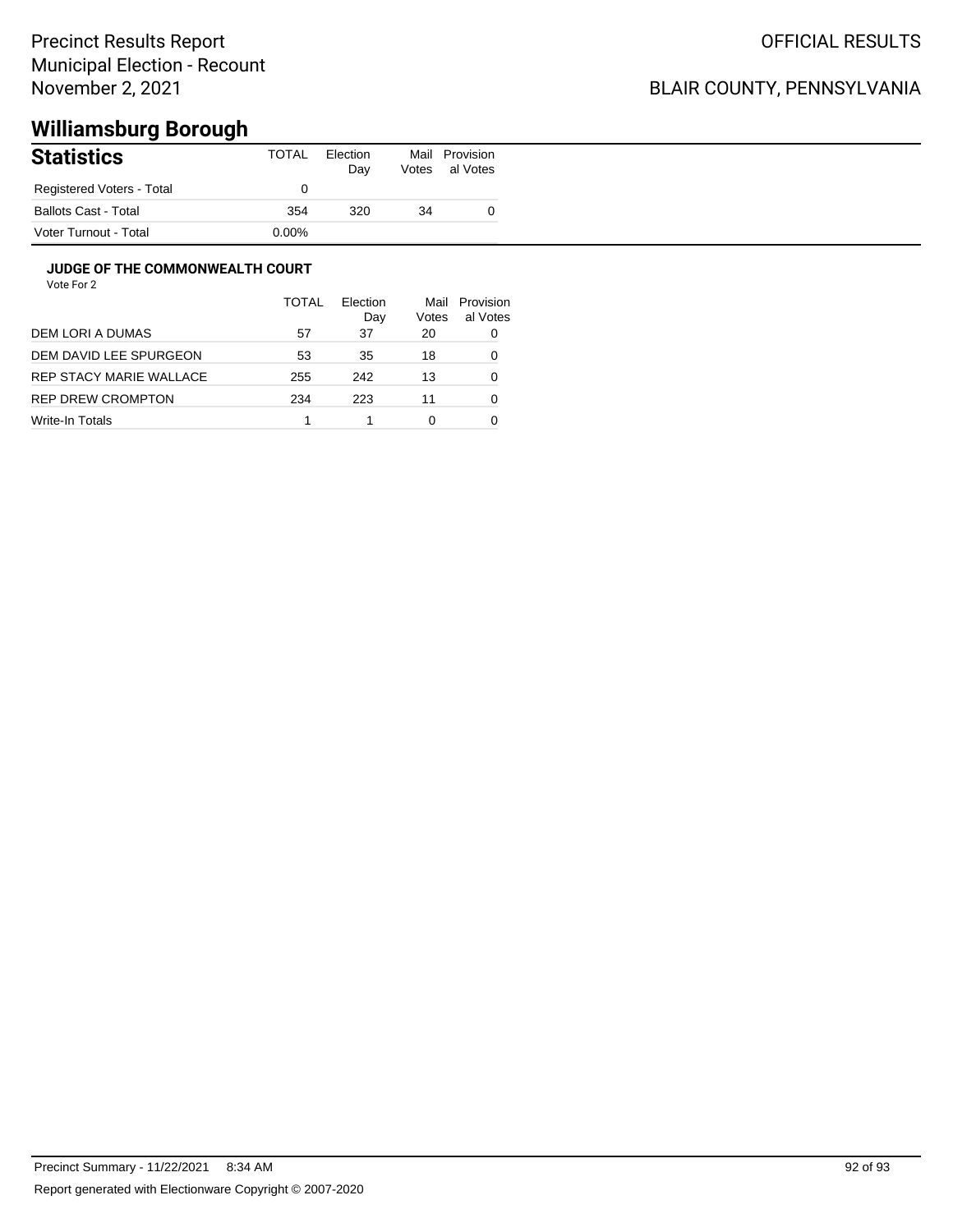## BLAIR COUNTY, PENNSYLVANIA

# **Williamsburg Borough**

| <b>Statistics</b>           | TOTAL    | Election<br>Day | Mail<br>Votes | Provision<br>al Votes |
|-----------------------------|----------|-----------------|---------------|-----------------------|
| Registered Voters - Total   |          |                 |               |                       |
| <b>Ballots Cast - Total</b> | 354      | 320             | 34            |                       |
| Voter Turnout - Total       | $0.00\%$ |                 |               |                       |

### **JUDGE OF THE COMMONWEALTH COURT**

|                          | <b>TOTAL</b> | Flection<br>Day | Mail<br>Votes | Provision<br>al Votes |
|--------------------------|--------------|-----------------|---------------|-----------------------|
| DEM LORI A DUMAS         | 57           | 37              | 20            | 0                     |
| DEM DAVID LEE SPURGEON   | 53           | 35              | 18            | 0                     |
| REP STACY MARIE WALLACE  | 255          | 242             | 13            | 0                     |
| <b>REP DREW CROMPTON</b> | 234          | 223             | 11            | 0                     |
| Write-In Totals          |              |                 | 0             |                       |